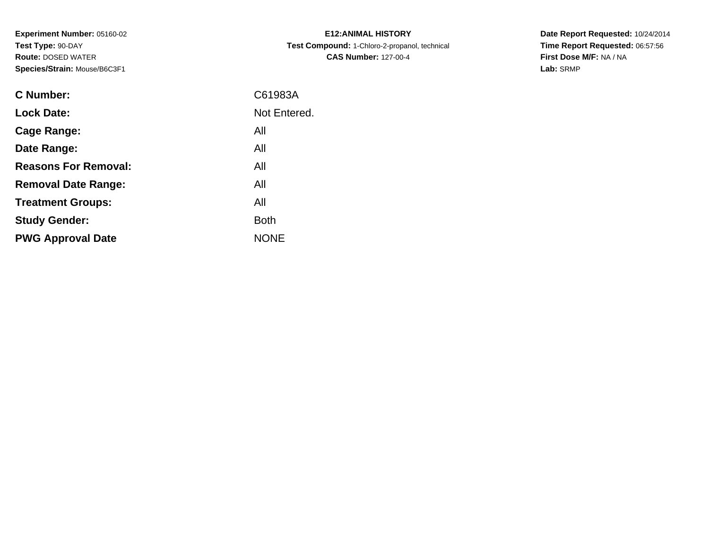**Experiment Number:** 05160-02**Test Type:** 90-DAY **Route:** DOSED WATER**Species/Strain:** Mouse/B6C3F1

| <b>E12: ANIMAL HISTORY</b>                    |
|-----------------------------------------------|
| Test Compound: 1-Chloro-2-propanol, technical |
| <b>CAS Number: 127-00-4</b>                   |

**Date Report Requested:** 10/24/2014 **Time Report Requested:** 06:57:56**First Dose M/F:** NA / NA**Lab:** SRMP

| <b>C</b> Number:            | C61983A      |
|-----------------------------|--------------|
| <b>Lock Date:</b>           | Not Entered. |
| Cage Range:                 | All          |
| Date Range:                 | All          |
| <b>Reasons For Removal:</b> | All          |
| <b>Removal Date Range:</b>  | All          |
| <b>Treatment Groups:</b>    | All          |
| <b>Study Gender:</b>        | Both         |
| <b>PWG Approval Date</b>    | <b>NONE</b>  |
|                             |              |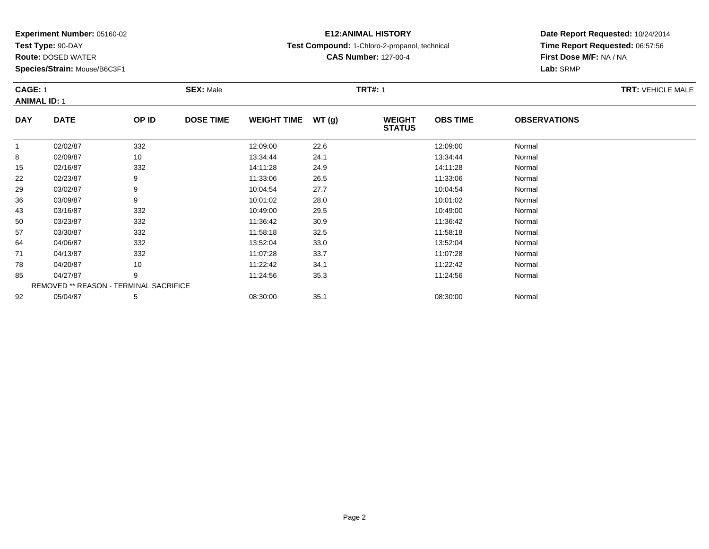**Test Type:** 90-DAY

85

92

**Route:** DOSED WATER

**Species/Strain:** Mouse/B6C3F1

REMOVED \*\* REASON - TERMINAL SACRIFICE

## **E12:ANIMAL HISTORY**

**Test Compound:** 1-Chloro-2-propanol, technical

**CAS Number:** 127-00-4

**Date Report Requested:** 10/24/2014**Time Report Requested:** 06:57:56**First Dose M/F:** NA / NA**Lab:** SRMP

#### **CAGE:** 1**SEX:** Male **SEX:** Male **TRT#:** 1 **ANIMAL ID:** 1**DAY DATE OP IDDOSE TIME WEIGHT TIME WT** (g) **STATUSOBS TIME OBSERVATIONS** 11 02/02/87 332 12:09:00 22.6 12:09:00 Normal 8 02/09/87 <sup>10</sup> 13:34:44 24.1 13:34:44 Normal 15 02/16/87 <sup>332</sup> 14:11:28 24.9 14:11:28 Normal 222 02/23/87 9 9 11:33:06 26.5 11:33:06 11:33:06 11:33:06 Normal 299 03/02/87 9 9 10:04:54 27.7 10:04:54 10:04:54 Normal 366 03/09/87 9 9 10:01:02 28.0 10:01 10:01 10:01 10:00 10:02 10:02 Normal 433 03/16/87 332 3 10:49:00 29.5 33 10:49 10:49 10:49 10:49 10:49 500 03/23/87 332 11:36:42 30.9 11:36:42 Normal 577 03/30/87 332 11:58:18 32.5 11:58:18 Normal 644 04/06/87 332 332 13:52:04 33.0 33.0 13:52:04 Normal 711 04/13/87 332 32 11:07:28 33.7 11:07:28 11:07:28 Normal 788 04/20/87 10 10 11:22:42 34.1 11:22:42 11:22:42 Normal

5 04/27/87 9 9 11:24:56 35.3 11:24:56 11:24:56 9 9 15:34:56 11:24:56 11:24:56 15:04

2 05/04/87 5 5 08:30:00 35.1 08:30 08:30 00 35.1 08:30:00 08:30:00 08:30:00 08:30:00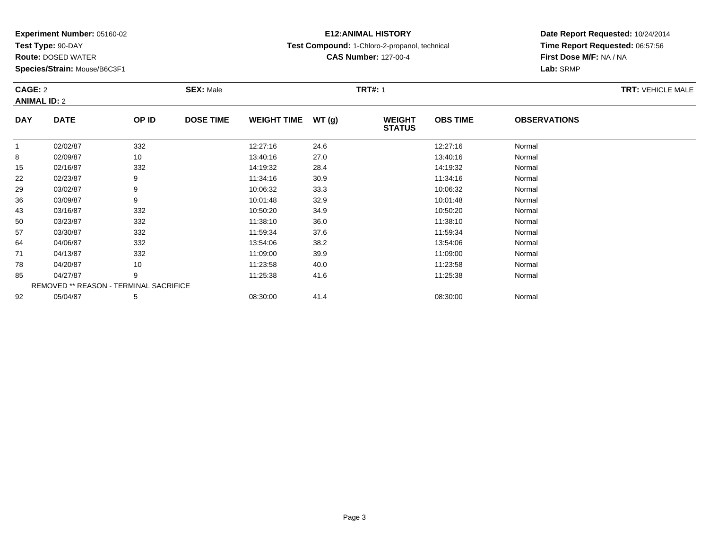**Test Type:** 90-DAY

**Route:** DOSED WATER

**Species/Strain:** Mouse/B6C3F1

## **E12:ANIMAL HISTORY**

**Test Compound:** 1-Chloro-2-propanol, technical

**CAS Number:** 127-00-4

**Date Report Requested:** 10/24/2014**Time Report Requested:** 06:57:56**First Dose M/F:** NA / NA**Lab:** SRMP

### **CAGE:** 2 **SEX:** Male **TRT#:** <sup>1</sup> **TRT:** VEHICLE MALE**ANIMAL ID:** 2**DAY DATE OP IDDOSE TIME WEIGHT TIME WT** (g) **STATUSOBS TIME OBSERVATIONS** 11 02/02/87 332 12:27:16 24.6 12:27:16 Normal  $\sim$ 8 13:40:16 Normal 15 02/16/87 <sup>332</sup> 14:19:32 28.4 14:19:32 Normal 222 02/23/87 9 9 11:34:16 30.9 11:34:16 11:34:16 30.9

| ୪  | 02/09/87 | 10                                            | 13:40:16 | 27.0 | 13.40.16 | Normal |
|----|----------|-----------------------------------------------|----------|------|----------|--------|
| 15 | 02/16/87 | 332                                           | 14:19:32 | 28.4 | 14:19:32 | Normal |
| 22 | 02/23/87 | 9                                             | 11:34:16 | 30.9 | 11:34:16 | Normal |
| 29 | 03/02/87 |                                               | 10:06:32 | 33.3 | 10:06:32 | Normal |
| 36 | 03/09/87 | 9                                             | 10:01:48 | 32.9 | 10:01:48 | Normal |
| 43 | 03/16/87 | 332                                           | 10:50:20 | 34.9 | 10:50:20 | Normal |
| 50 | 03/23/87 | 332                                           | 11:38:10 | 36.0 | 11:38:10 | Normal |
| 57 | 03/30/87 | 332                                           | 11:59:34 | 37.6 | 11:59:34 | Normal |
| 64 | 04/06/87 | 332                                           | 13:54:06 | 38.2 | 13:54:06 | Normal |
| 71 | 04/13/87 | 332                                           | 11:09:00 | 39.9 | 11:09:00 | Normal |
| 78 | 04/20/87 | 10                                            | 11:23:58 | 40.0 | 11:23:58 | Normal |
| 85 | 04/27/87 | 9                                             | 11:25:38 | 41.6 | 11:25:38 | Normal |
|    |          | <b>REMOVED ** REASON - TERMINAL SACRIFICE</b> |          |      |          |        |
| 92 | 05/04/87 | 5                                             | 08:30:00 | 41.4 | 08:30:00 | Normal |
|    |          |                                               |          |      |          |        |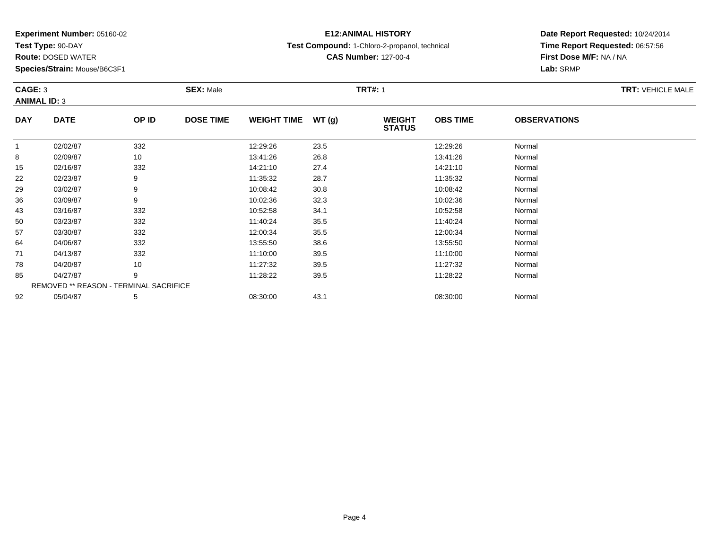**Test Type:** 90-DAY

**Route:** DOSED WATER

**Species/Strain:** Mouse/B6C3F1

## **E12:ANIMAL HISTORY**

**Test Compound:** 1-Chloro-2-propanol, technical

**CAS Number:** 127-00-4

### **Date Report Requested:** 10/24/2014**Time Report Requested:** 06:57:56**First Dose M/F:** NA / NA**Lab:** SRMP

### **CAGE:** 3**SEX:** Male **SEX:** Male **TRT#:** 1 **ANIMAL ID:** 3**DAY DATE OP IDDOSE TIME WEIGHT TIME WT** (g) **STATUSOBS TIME OBSERVATIONS** 11 02/02/87 332 12:29:26 12:29:26 Normal 8 02/09/87 <sup>10</sup> 13:41:26 26.8 13:41:26 Normal 15 02/16/87 <sup>332</sup> 14:21:10 27.4 14:21:10 Normal 222 02/23/87 9 9 11:35:32 28.7 12.85:32 11:35:32 Normal 299 03/02/87 9 9 10:08:42 30.8 10:08 10:08 10:08 10:08 10:08 10:08:42 Normal 366 03/09/87 9 9 10:02:36 32.3 10:02 12.3 10:02 10:02 10:02 12.3 10:02:36 Normal

| 22 | 02/23/87 |                                               | 11:35:32 | 28.7 | 11:35:32 | Normal |  |
|----|----------|-----------------------------------------------|----------|------|----------|--------|--|
| 29 | 03/02/87 |                                               | 10:08:42 | 30.8 | 10:08:42 | Normal |  |
| 36 | 03/09/87 | 9                                             | 10:02:36 | 32.3 | 10:02:36 | Normal |  |
| 43 | 03/16/87 | 332                                           | 10:52:58 | 34.1 | 10:52:58 | Normal |  |
| 50 | 03/23/87 | 332                                           | 11:40:24 | 35.5 | 11:40:24 | Normal |  |
| 57 | 03/30/87 | 332                                           | 12:00:34 | 35.5 | 12:00:34 | Normal |  |
| 64 | 04/06/87 | 332                                           | 13:55:50 | 38.6 | 13:55:50 | Normal |  |
| 71 | 04/13/87 | 332                                           | 11:10:00 | 39.5 | 11:10:00 | Normal |  |
| 78 | 04/20/87 | 10                                            | 11:27:32 | 39.5 | 11:27:32 | Normal |  |
| 85 | 04/27/87 | 9                                             | 11:28:22 | 39.5 | 11:28:22 | Normal |  |
|    |          | <b>REMOVED ** REASON - TERMINAL SACRIFICE</b> |          |      |          |        |  |
| 92 | 05/04/87 |                                               | 08:30:00 | 43.1 | 08:30:00 | Normal |  |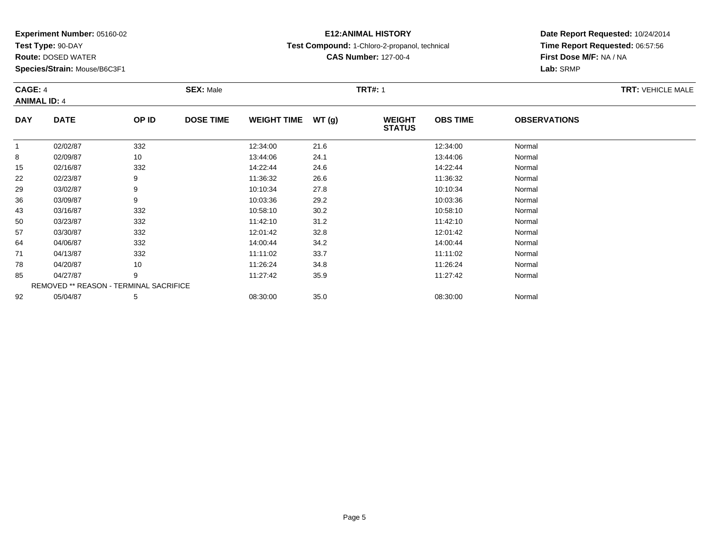**Test Type:** 90-DAY

78

85

92

**Route:** DOSED WATER

**Species/Strain:** Mouse/B6C3F1

REMOVED \*\* REASON - TERMINAL SACRIFICE

## **E12:ANIMAL HISTORY**

**Test Compound:** 1-Chloro-2-propanol, technical

**CAS Number:** 127-00-4

**Date Report Requested:** 10/24/2014**Time Report Requested:** 06:57:56**First Dose M/F:** NA / NA**Lab:** SRMP

#### **CAGE:** 4**SEX:** Male **SEX:** Male **TRT#:** 1 **ANIMAL ID:** 4**DAY DATE OP IDDOSE TIME WEIGHT TIME WT** (g) **STATUSOBS TIME OBSERVATIONS** 11 02/02/87 332 12:34:00 21.6 12:34:00 Normal 88 13:44:06 Normal 15 02/16/87 <sup>332</sup> 14:22:44 24.6 14:22:44 Normal 222 02/23/87 9 9 11:36:32 26.6 11:36 11:36 11:36 11:36 11:36 11:36 11:36:32 Normal 299 03/02/87 9 9 10:10:34 27.8 10:10 10 10:10:34 2010 366 03/09/87 9 9 10:03:36 29.2 20.2 10:03:36 10:03:36 Normal 433 03/16/87 332 10:58:10 30.2 10:58:10 Normal 500 03/23/87 332 11:42:10 31.2 11:42:10 Normal 577 03/30/87 332 32 12:01:42 32.8 12:03 12:04 12:04 12:04 12:04 12:04 12:04 12:04 12:04 12:04 12:04 12:04 12:04 1 644 04/06/87 332 32 14:00:44 34.2 34.2 14:00:44 14:00:44 Normal 711 04/13/87 332 332 11:11:02 33.7 11:11:02 11:11:02 Normal

8 04/20/87 10 10 11:26:24 34.8 11:26:24 11:26:24 Normal

5 04/27/87 9 9 11:27:42 35.9 13.9 11:27:42 11:27:42 Normal

2 05/04/87 5 5 08:30:00 35.0 08:30 00 35.0 08:30:00 08:30:00 08:30:00 08:30:00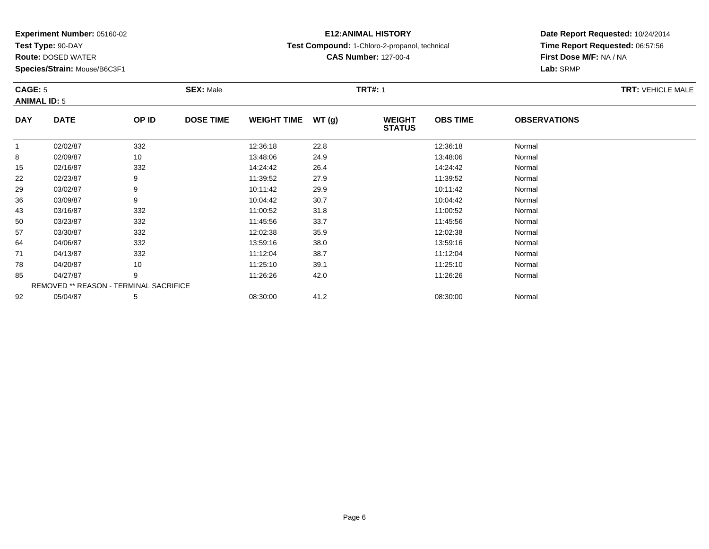**Test Type:** 90-DAY

57

64

71

78

85

92

**Route:** DOSED WATER

**Species/Strain:** Mouse/B6C3F1

REMOVED \*\* REASON - TERMINAL SACRIFICE

## **E12:ANIMAL HISTORY**

**Test Compound:** 1-Chloro-2-propanol, technical

**CAS Number:** 127-00-4

**Date Report Requested:** 10/24/2014**Time Report Requested:** 06:57:56**First Dose M/F:** NA / NA**Lab:** SRMP

#### **CAGE:** 5**SEX:** Male **SEX:** Male **TRT#:** 1 **ANIMAL ID:** 5**DAY DATE OP IDDOSE TIME WEIGHT TIME WT** (g) **STATUSOBS TIME OBSERVATIONS** 11 02/02/87 332 12:36:18 22.8 12:36:18 Normal 88 10 13:48:06 Normal 155 02/16/87 332 382 14:24:42 26.4 364 382 Normal 222 02/23/87 9 9 11:39:52 27.9 12.9 11:39 12.9 12.9 11:39:52 Normal 299 03/02/87 9 9 10:11:42 29.9 10:12 10:42 20.9 10:11:42 Normal 366 03/09/87 9 9 10:04:42 30.7 10:04:42 10:04:42 Normal 433 03/16/87 332 3 11:00:52 31.8 31.8 11:00:52 531.8 500 03/23/87 332 11:45:56 33.7 11:45:56 Normal

7 03/30/87 332 12:02:38 35.9 12:02:38 Normal

4 04/06/87 332 332 13:59:16 38.0 38.0 33:59:16 38.0

1 04/13/87 332 332 11:12:04 38.7 11:12:04 11:12:04 Normal

8 04/20/87 10 10 11:25:10 39.1 11:25:10 11:25:10 11:25:10 Normal

5 04/27/87 9 9 11:26:26 42.0 12 11:26:26 11:26 11:26:26 Normal

2 05/04/87 5 5 08:30:00 41.2 6 08:30:00 08:30:00 5/04/87 Normal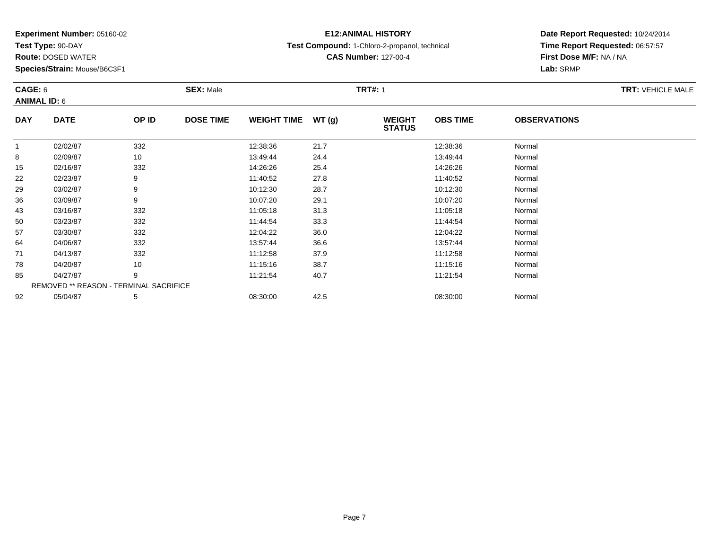**Test Type:** 90-DAY

85

92

**Route:** DOSED WATER

**Species/Strain:** Mouse/B6C3F1

REMOVED \*\* REASON - TERMINAL SACRIFICE

## **E12:ANIMAL HISTORY**

**Test Compound:** 1-Chloro-2-propanol, technical

**CAS Number:** 127-00-4

### **Date Report Requested:** 10/24/2014**Time Report Requested:** 06:57:57**First Dose M/F:** NA / NA**Lab:** SRMP

#### **CAGE:** 6**SEX:** Male **SEX:** Male **TRT#:** 1 **ANIMAL ID:** 6**DAY DATE OP IDDOSE TIME WEIGHT TIME WT** (g) **STATUSOBS TIME OBSERVATIONS** 11 02/02/87 332 12:38:36 12:38:36 Normal 88 13:49:44 Normal 155 02/16/87 332 382 14:26:26 25.4 352 352 Normal 222 02/23/87 9 9 11:40:52 27.8 11:40:52 11:40 11:40 11:40 11:40 299 03/02/87 9 9 10:12:30 28.7 10:12:30 10:12:30 10:12:30 Normal 366 03/09/87 9 9 10:07:20 29.1 10:07 10:07 10:07 10:07 10:07 10:07:20 Normal 433 03/16/87 332 11:05:18 31.3 11:05:18 Normal 500 03/23/87 332 11:44:54 33.3 11:44:54 Normal 577 03/30/87 332 32 12:04:22 36.0 12:04 12:04 12:04 12:04 12:04:22 Normal 644 04/06/87 332 332 13:57:44 36.6 5 13:57:44 5406/87 Normal 711 04/13/87 332 11:12:58 37.9 11:12:58 Normal 788 04/20/87 10 11:15:16 38.7 11:15:16 Normal

5 04/27/87 9 9 11:21:54 40.7 10.7 11:21:54 Normal

2 05/04/87 5 5 08:30:00 42.5 08:30 08 08:00 08:00 08:00 08:00 08:30:00 08:30:00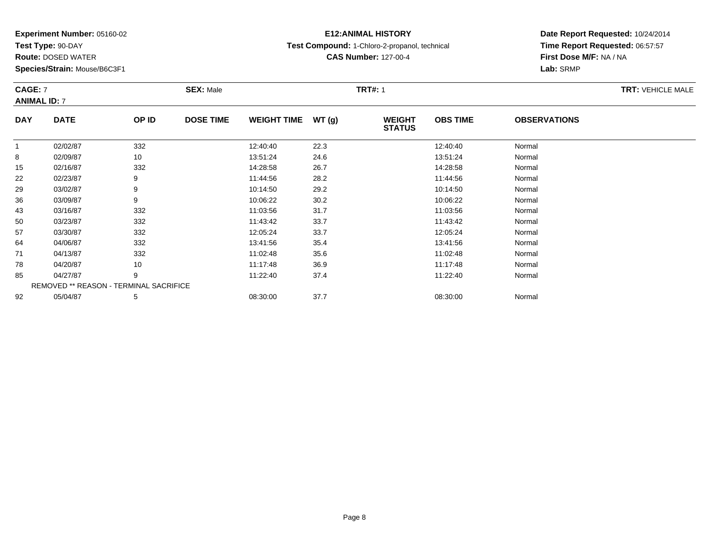**Test Type:** 90-DAY

**Route:** DOSED WATER

**Species/Strain:** Mouse/B6C3F1

## **E12:ANIMAL HISTORY**

**Test Compound:** 1-Chloro-2-propanol, technical

**CAS Number:** 127-00-4

### **Date Report Requested:** 10/24/2014 **Time Report Requested:** 06:57:57**First Dose M/F:** NA / NA**Lab:** SRMP

### **CAGE:** 7 **SEX:** Male **TRT#:** <sup>1</sup> **TRT:** VEHICLE MALE**ANIMAL ID:** 7**DAY DATE OP IDDOSE TIME WEIGHT TIME WT** (g) **STATUSOBS TIME OBSERVATIONS** 11 02/02/87 332 12:40:40 22.3 12:40:40 Normal 88 02/09/87 10 13:51:24 24.6 13:51:24 13:51:24 Normal 155 02/16/87 332 38 14:28:58 26.7 32 5 14:28:58 32 222 02/23/87 9 9 11:44:56 28.2 12.2 11:44:56 11:44:56 Normal

|    | UZ/UZ/UI | ັບບ∠                                          | 14.40.40 | 22.0 | 14.40.40 | $1$ 1901 $111$ al |
|----|----------|-----------------------------------------------|----------|------|----------|-------------------|
| 8  | 02/09/87 | 10                                            | 13:51:24 | 24.6 | 13:51:24 | Normal            |
| 15 | 02/16/87 | 332                                           | 14:28:58 | 26.7 | 14:28:58 | Normal            |
| 22 | 02/23/87 | 9                                             | 11:44:56 | 28.2 | 11:44:56 | Normal            |
| 29 | 03/02/87 | 9                                             | 10:14:50 | 29.2 | 10:14:50 | Normal            |
| 36 | 03/09/87 | 9                                             | 10:06:22 | 30.2 | 10:06:22 | Normal            |
| 43 | 03/16/87 | 332                                           | 11:03:56 | 31.7 | 11:03:56 | Normal            |
| 50 | 03/23/87 | 332                                           | 11:43:42 | 33.7 | 11:43:42 | Normal            |
| 57 | 03/30/87 | 332                                           | 12:05:24 | 33.7 | 12:05:24 | Normal            |
| 64 | 04/06/87 | 332                                           | 13:41:56 | 35.4 | 13:41:56 | Normal            |
| 71 | 04/13/87 | 332                                           | 11:02:48 | 35.6 | 11:02:48 | Normal            |
| 78 | 04/20/87 | 10                                            | 11:17:48 | 36.9 | 11:17:48 | Normal            |
| 85 | 04/27/87 | 9                                             | 11:22:40 | 37.4 | 11:22:40 | Normal            |
|    |          | <b>REMOVED ** REASON - TERMINAL SACRIFICE</b> |          |      |          |                   |
| 92 | 05/04/87 | 5                                             | 08:30:00 | 37.7 | 08:30:00 | Normal            |
|    |          |                                               |          |      |          |                   |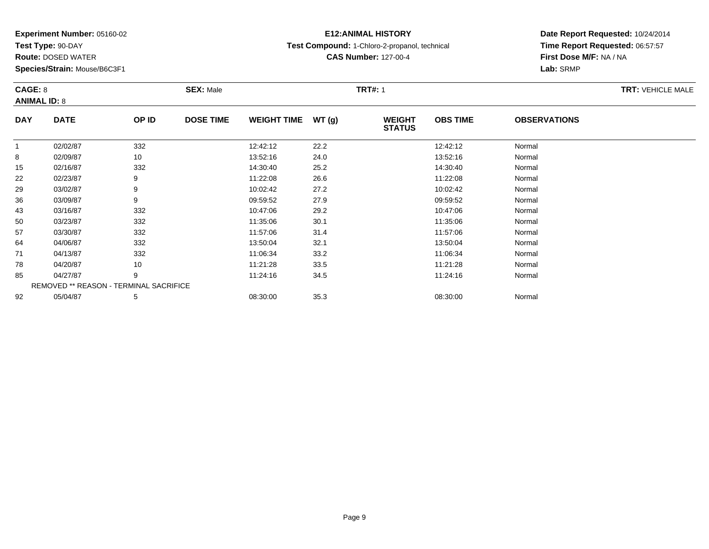**Test Type:** 90-DAY

**Route:** DOSED WATER

**Species/Strain:** Mouse/B6C3F1

## **E12:ANIMAL HISTORY**

**Test Compound:** 1-Chloro-2-propanol, technical

**CAS Number:** 127-00-4

**Date Report Requested:** 10/24/2014**Time Report Requested:** 06:57:57**First Dose M/F:** NA / NA**Lab:** SRMP

#### **CAGE:** 8**SEX:** Male **SEX:** Male **TRT#:** 1 **ANIMAL ID:** 8**DAY DATE OP IDDOSE TIME WEIGHT TIME WT** (g) **STATUSOBS TIME OBSERVATIONS** 11 02/02/87 332 12:42:12 22.2 12:42:12 Normal 88 10 13:52:16 13:52:16 Normal 155 02/16/87 332 332 14:30:40 25.2 352 4530:40 332 5  $22$ 2 02/23/87 9 9 11:22:08 26.6 11:22:08 11:22:08 Normal 299 03/02/87 9 9 10:02:42 27.2 27.2 10:02:42 10:02:42 Normal

| 22 | <u>02/23/07</u> | ັ                                             | 1.ZZ.UO  | 20.0 | 11.22.00 | <b>NOTHER</b> |  |
|----|-----------------|-----------------------------------------------|----------|------|----------|---------------|--|
| 29 | 03/02/87        | 9                                             | 10:02:42 | 27.2 | 10:02:42 | Normal        |  |
| 36 | 03/09/87        | 9                                             | 09:59:52 | 27.9 | 09:59:52 | Normal        |  |
| 43 | 03/16/87        | 332                                           | 10:47:06 | 29.2 | 10:47:06 | Normal        |  |
| 50 | 03/23/87        | 332                                           | 11:35:06 | 30.1 | 11:35:06 | Normal        |  |
| 57 | 03/30/87        | 332                                           | 11:57:06 | 31.4 | 11:57:06 | Normal        |  |
| 64 | 04/06/87        | 332                                           | 13:50:04 | 32.1 | 13:50:04 | Normal        |  |
| 71 | 04/13/87        | 332                                           | 11:06:34 | 33.2 | 11:06:34 | Normal        |  |
| 78 | 04/20/87        | 10                                            | 11:21:28 | 33.5 | 11:21:28 | Normal        |  |
| 85 | 04/27/87        | 9                                             | 11:24:16 | 34.5 | 11:24:16 | Normal        |  |
|    |                 | <b>REMOVED ** REASON - TERMINAL SACRIFICE</b> |          |      |          |               |  |
| 92 | 05/04/87        | $\mathbf b$                                   | 08:30:00 | 35.3 | 08:30:00 | Normal        |  |
|    |                 |                                               |          |      |          |               |  |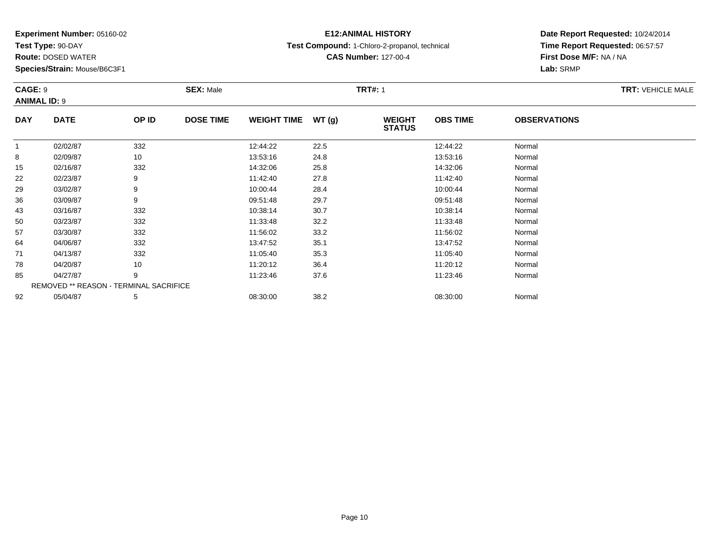**Test Type:** 90-DAY

92

**Route:** DOSED WATER

**Species/Strain:** Mouse/B6C3F1

REMOVED \*\* REASON - TERMINAL SACRIFICE

## **E12:ANIMAL HISTORY**

**Test Compound:** 1-Chloro-2-propanol, technical

**CAS Number:** 127-00-4

### **Date Report Requested:** 10/24/2014**Time Report Requested:** 06:57:57**First Dose M/F:** NA / NA**Lab:** SRMP

#### **CAGE:** 9**SEX:** Male **SEX:** Male **TRT#:** 1 **ANIMAL ID:** 9**DAY DATE OP IDDOSE TIME WEIGHT TIME WT** (g) **STATUSOBS TIME OBSERVATIONS** 11 02/02/87 332 12:44:22 22.5 12:44:22 Normal 88 10 13:53:16 Normal 155 02/16/87 332 32 14:32:06 25.8 34:00 14:32:06 5 02/16/87 222 02/23/87 9 9 11:42:40 27.8 11:42:40 11:42:40 Normal 299 03/02/87 9 9 10:00:44 28.4 10:00:44 10:00 10:00 14 10:00 14 10:00 28.4 366 03/09/87 9 09:51:48 29.7 09:51:48 Normal 433 03/16/87 332 10:38:14 30.7 10:38:14 Normal 500 03/23/87 332 11:33:48 32.2 11:33:48 Normal 577 03/30/87 332 11:56:02 33.2 11:56:02 Normal 644 04/06/87 332 32 13:47:52 35.1 35.1 34/7:52 35.1 3347:52 Normal 711 04/13/87 332 332 11:05:40 35.3 11:05:40 35.3 11:05:40 788 04/20/87 10 10 11:20:12 36.4 11:20:12 11:20:12 Normal 855 04/27/87 9 9 11:23:46 37.6 11:23:46 11:23:46 Normal

2 05/04/87 5 5 08:30:00 38.2 08:30:00 08:30:00 38.2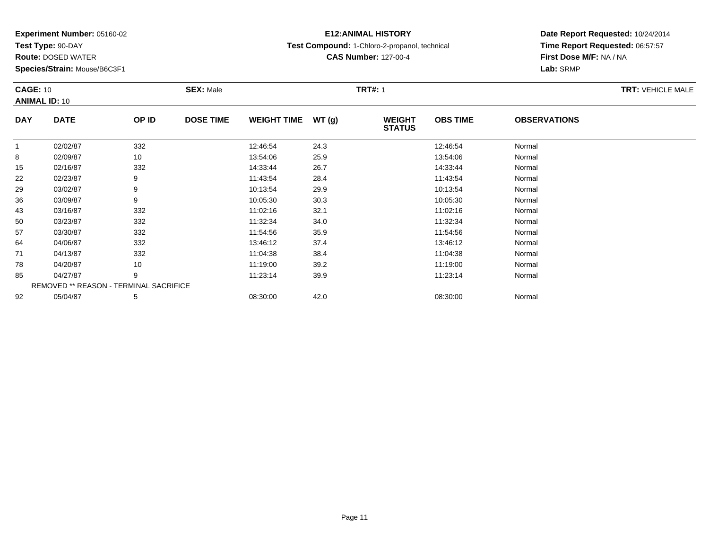**Test Type:** 90-DAY

85

92

**Route:** DOSED WATER

**Species/Strain:** Mouse/B6C3F1

## **E12:ANIMAL HISTORY**

**Test Compound:** 1-Chloro-2-propanol, technical

**CAS Number:** 127-00-4

### **Date Report Requested:** 10/24/2014**Time Report Requested:** 06:57:57**First Dose M/F:** NA / NA**Lab:** SRMP

#### **CAGE:** 10**SEX:** Male **SEX:** Male **TRT#:** 1 **ANIMAL ID:** 10**DAY DATE OP IDDOSE TIME WEIGHT TIME WT** (g) **STATUSOBS TIME OBSERVATIONS** 11 02/02/87 332 12:46:54 24.3 12:46:54 Normal 8 02/09/87 <sup>10</sup> 13:54:06 25.9 13:54:06 Normal 155 02/16/87 332 332 14:33:44 26.7 337 332 332 332 332 332 352 44 352 44 36.7 362 367 368 368 368 368 369 361 36 222 02/23/87 9 9 11:43:54 28.4 128.4 11:43:54 Normal 299 03/02/87 9 9 10:13:54 29.9 10:13:54 10:13:54 10:13:54 Normal 366 03/09/87 9 9 10:05:30 30.3 10:06 131 10:05:30 30.3 433 03/16/87 332 11:02:16 32.1 11:02:16 Normal 500 03/23/87 332 11:32:34 34.0 11:32:34 Normal 577 03/30/87 332 11:54:56 35.9 11:54:56 Normal 644 04/06/87 332 332 13:46:12 37.4 37.4 13:46:12 13:46:12 Normal 711 04/13/87 332 30 11:04:38 38.4 11:04:38 38.4 11:04:38 Normal 78

8 04/20/87 10 10 11:19:00 39.2 11:19:00 11:19:00 Normal

5 04/27/87 9 9 11:23:14 39.9 11:23:14 11:23:14 11:23:14 Normal

2 05/04/87 5 5 08:30:00 42.0 08:30 00 08:30:00 5/04/87 Normal

REMOVED \*\* REASON - TERMINAL SACRIFICE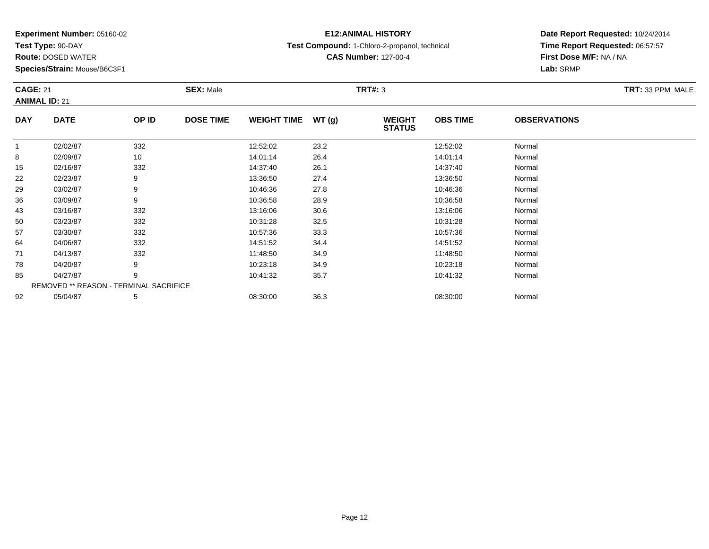**Test Type:** 90-DAY

**Route:** DOSED WATER

**Species/Strain:** Mouse/B6C3F1

## **E12:ANIMAL HISTORY**

**Test Compound:** 1-Chloro-2-propanol, technical

**CAS Number:** 127-00-4

### **Date Report Requested:** 10/24/2014 **Time Report Requested:** 06:57:57**First Dose M/F:** NA / NA**Lab:** SRMP

### **CAGE:** 21 **SEX:** Male **TRT#:** <sup>3</sup> **TRT:** 33 PPM MALE**ANIMAL ID:** 21**DAY DATE OP IDDOSE TIME WEIGHT TIME WT** (g) **STATUSOBS TIME OBSERVATIONS** 11 02/02/87 332 12:52:02 12:52:02 Normal 88 02/09/87 10 14:01:14 26.4 14:01:14 Normal 155 02/16/87 332 332 14:37:40 26.1 36.1 14:37:40 326.1 14:37:40 Normal

| 15 | 02/16/87 | 332                                           | 14:37:40 | 26.1 | 14:37:40 | Normal |  |
|----|----------|-----------------------------------------------|----------|------|----------|--------|--|
| 22 | 02/23/87 | 9                                             | 13:36:50 | 27.4 | 13:36:50 | Normal |  |
| 29 | 03/02/87 | 9                                             | 10:46:36 | 27.8 | 10:46:36 | Normal |  |
| 36 | 03/09/87 | 9                                             | 10:36:58 | 28.9 | 10:36:58 | Normal |  |
| 43 | 03/16/87 | 332                                           | 13:16:06 | 30.6 | 13:16:06 | Normal |  |
| 50 | 03/23/87 | 332                                           | 10:31:28 | 32.5 | 10:31:28 | Normal |  |
| 57 | 03/30/87 | 332                                           | 10:57:36 | 33.3 | 10:57:36 | Normal |  |
| 64 | 04/06/87 | 332                                           | 14:51:52 | 34.4 | 14:51:52 | Normal |  |
| 71 | 04/13/87 | 332                                           | 11:48:50 | 34.9 | 11:48:50 | Normal |  |
| 78 | 04/20/87 | 9                                             | 10:23:18 | 34.9 | 10:23:18 | Normal |  |
| 85 | 04/27/87 |                                               | 10:41:32 | 35.7 | 10:41:32 | Normal |  |
|    |          | <b>REMOVED ** REASON - TERMINAL SACRIFICE</b> |          |      |          |        |  |
| 92 | 05/04/87 | .5                                            | 08:30:00 | 36.3 | 08:30:00 | Normal |  |
|    |          |                                               |          |      |          |        |  |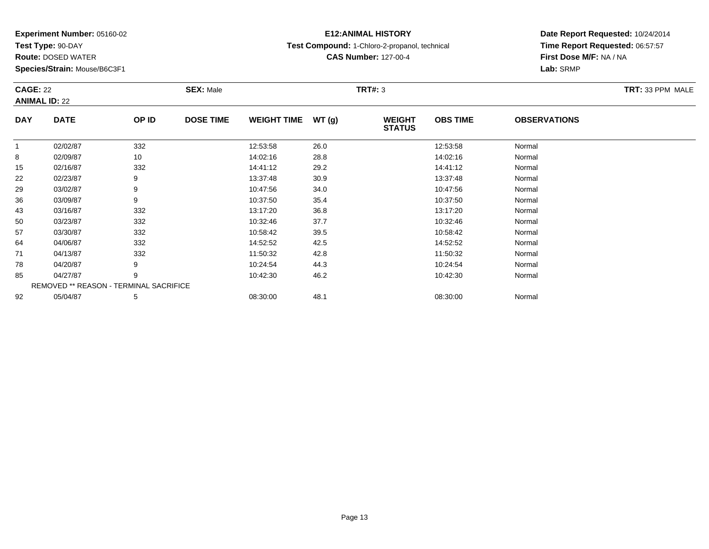**Test Type:** 90-DAY

43

50

57

64

71

78

85

92

**Route:** DOSED WATER

**Species/Strain:** Mouse/B6C3F1

## **E12:ANIMAL HISTORY**

**Test Compound:** 1-Chloro-2-propanol, technical

**CAS Number:** 127-00-4

**Date Report Requested:** 10/24/2014**Time Report Requested:** 06:57:57**First Dose M/F:** NA / NA**Lab:** SRMP

#### **CAGE:** 22 **SEX:** Male **TRT#:** <sup>3</sup> **TRT:** 33 PPM MALE**ANIMAL ID:** 22**DAY DATE OP IDDOSE TIME WEIGHT TIME WT** (g) **STATUSOBS TIME OBSERVATIONS** 11 02/02/87 332 12:53:58 26.0 12:53:58 Normal 88 02/09/87 10 14:02:16 28.8 14:02:16 Normal 15 02/16/87 <sup>332</sup> 14:41:12 29.2 14:41:12 Normal 222 02/23/87 9 9 13:37:48 30.9 13:39 13:37:48 13:37:48 Normal 299 03/02/87 9 9 10:47:56 34.0 10:47 10:47:56 35.0 10:47:56 Normal 366 03/09/87 9 9 10:37:50 35.4 10:37 10:37 10:37 10:37 10:37 10:37 10:37:50 Normal

REMOVED \*\* REASON - TERMINAL SACRIFICE2 05/04/87 5 5 08:30:00 48.1 08:30 08 08:30:00 5 08:30:00 08:30:00 08:30:00 08:30:00 08:30:00 08:00 08:00 08:0

3 03/16/87 332 3 13:17:20 36.8 36.8 13:17:20 36.8

0 03/23/87 332 10:32:46 37.7 10:32:46 Normal

7 03/30/87 332 10:58:42 39.5 10:58:42 Normal

4 04/06/87 332 32 14:52:52 42.5 32 42.5 14:52:52 52 52 Normal

1 04/13/87 332 332 11:50:32 42.8 1 11:50:32 11:50:32 Normal

8 04/20/87 9 9 10:24:54 44.3 10:24:54 10:24:54 10:24:54 10:24:54 10:24:54

5 04/27/87 9 9 10:42:30 46.2 10:42 10:42 10:42 10:42 10:42 10:42 10:42 10:42 10:42

Page 13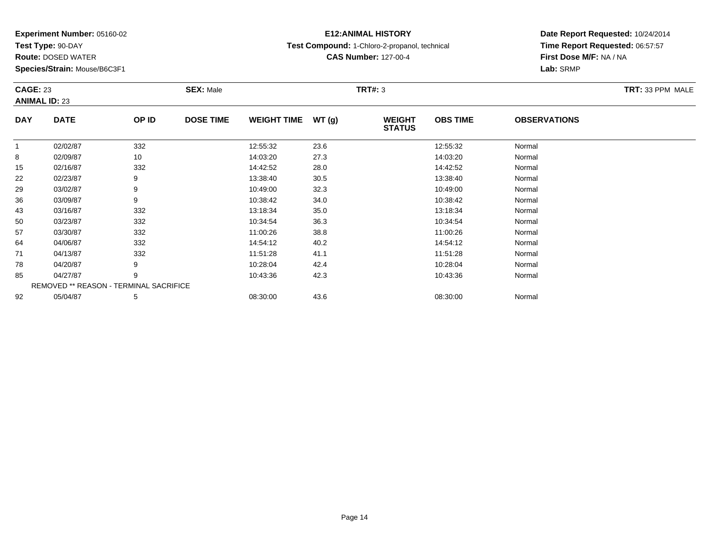**Test Type:** 90-DAY

64

71

78

85

92

**Route:** DOSED WATER

**Species/Strain:** Mouse/B6C3F1

REMOVED \*\* REASON - TERMINAL SACRIFICE

## **E12:ANIMAL HISTORY**

**Test Compound:** 1-Chloro-2-propanol, technical

**CAS Number:** 127-00-4

### **Date Report Requested:** 10/24/2014**Time Report Requested:** 06:57:57**First Dose M/F:** NA / NA**Lab:** SRMP

#### **CAGE:** 23 **SEX:** Male **TRT#:** <sup>3</sup> **TRT:** 33 PPM MALE**ANIMAL ID:** 23**DAY DATE OP IDDOSE TIME WEIGHT TIME WT** (g) **STATUSOBS TIME OBSERVATIONS** 11 02/02/87 332 12:55:32 23.6 12:55:32 Normal 88 02/09/87 10 14:03:20 27.3 14:03:20 14:03:20 Normal 155 02/16/87 332 32 14:42:52 28.0 5 14:42:52 14:42 352 Normal 222 02/23/87 9 9 13:38:40 30.5 13:38:40 13:38:40 13:38:40 Normal 299 03/02/87 9 9 10:49:00 32.3 10:49 10:49 10:49 10:49 10:49 10:49 10:49 10:49 10:49 10:49 10:49 10:49 10:49 10:49 366 03/09/87 9 9 10:38:42 34.0 12 10:38:42 34.0 433 03/16/87 332 3 13:18:34 35.0 33/http://www.facebook.com/intervention-setted:03/16/87 35.0 3/16/87 332 34 35.0 500 03/23/87 332 10:34:54 36.3 10:34:54 Normal 577 03/30/87 332 11:00:26 38.8 11:00:26 Normal

4 04/06/87 332 32 14:54:12 40.2 302 4 14:54:12 54:02 14:54:12

1 04/13/87 332 332 11:51:28 41.1 11:51:28 11:51:28 Normal

8 04/20/87 9 9 10:28:04 42.4 10:28:04 10:28:04 10:28:04 10:28:04 10:28:04

5 04/27/87 9 9 10:43:36 42.3 10:43:36 10:43 10:43:36 Normal

2 05/04/87 5 5 08:30:00 43.6 08:30 08 08:30:00 5/04/87 Normal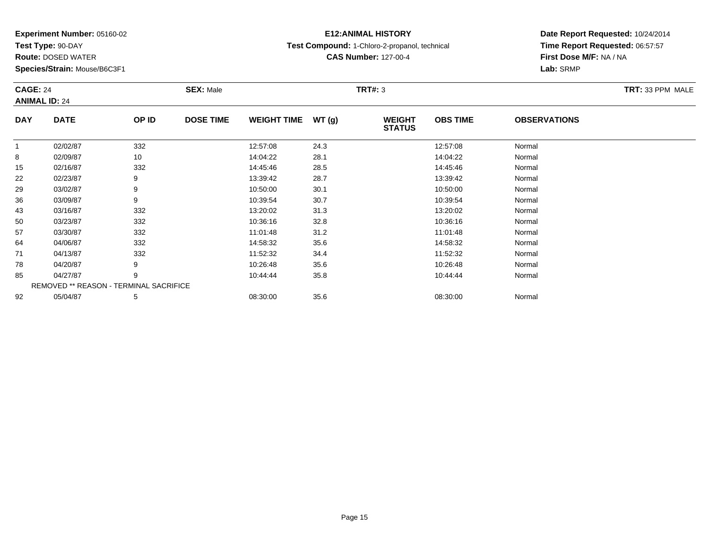**Test Type:** 90-DAY

64

71

78

85

92

**Route:** DOSED WATER

**Species/Strain:** Mouse/B6C3F1

REMOVED \*\* REASON - TERMINAL SACRIFICE

## **E12:ANIMAL HISTORY**

**Test Compound:** 1-Chloro-2-propanol, technical

**CAS Number:** 127-00-4

**Date Report Requested:** 10/24/2014**Time Report Requested:** 06:57:57**First Dose M/F:** NA / NA**Lab:** SRMP

| <b>CAGE: 24</b><br><b>ANIMAL ID: 24</b> |             |       | <b>SEX: Male</b> |                    |       | TRT#: 3                        | TRT: 33 PPM MALE |                     |  |
|-----------------------------------------|-------------|-------|------------------|--------------------|-------|--------------------------------|------------------|---------------------|--|
| <b>DAY</b>                              | <b>DATE</b> | OP ID | <b>DOSE TIME</b> | <b>WEIGHT TIME</b> | WT(g) | <b>WEIGHT</b><br><b>STATUS</b> | <b>OBS TIME</b>  | <b>OBSERVATIONS</b> |  |
|                                         | 02/02/87    | 332   |                  | 12:57:08           | 24.3  |                                | 12:57:08         | Normal              |  |
| 8                                       | 02/09/87    | 10    |                  | 14:04:22           | 28.1  |                                | 14:04:22         | Normal              |  |
| 15                                      | 02/16/87    | 332   |                  | 14:45:46           | 28.5  |                                | 14:45:46         | Normal              |  |
| 22                                      | 02/23/87    | 9     |                  | 13:39:42           | 28.7  |                                | 13:39:42         | Normal              |  |
| 29                                      | 03/02/87    | 9     |                  | 10:50:00           | 30.1  |                                | 10:50:00         | Normal              |  |
| 36                                      | 03/09/87    | 9     |                  | 10:39:54           | 30.7  |                                | 10:39:54         | Normal              |  |
| 43                                      | 03/16/87    | 332   |                  | 13:20:02           | 31.3  |                                | 13:20:02         | Normal              |  |
| 50                                      | 03/23/87    | 332   |                  | 10:36:16           | 32.8  |                                | 10:36:16         | Normal              |  |
| 57                                      | 03/30/87    | 332   |                  | 11:01:48           | 31.2  |                                | 11:01:48         | Normal              |  |

4 04/06/87 332 32 14:58:32 35.6 35.6 14:58:32 Normal

1 04/13/87 332 32 11:52:32 34.4 11:52:32 11:52:32 Normal

8 04/20/87 9 9 10:26:48 35.6 10:26 10:26:48 35.6

5 04/27/87 9 9 10:44:44 35.8 10:45 10:44:44 Normal

2 05/04/87 5 5 08:30:00 35.6 08:30 08:30:00 35.6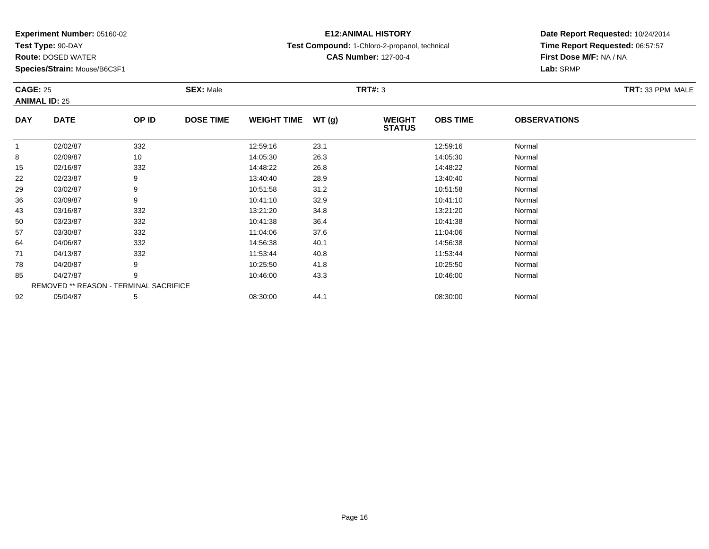**Test Type:** 90-DAY

78

85

92

**Route:** DOSED WATER

**Species/Strain:** Mouse/B6C3F1

## **E12:ANIMAL HISTORY**

**Test Compound:** 1-Chloro-2-propanol, technical

**CAS Number:** 127-00-4

### **Date Report Requested:** 10/24/2014**Time Report Requested:** 06:57:57**First Dose M/F:** NA / NA**Lab:** SRMP

#### **CAGE:** 25 **SEX:** Male **TRT#:** <sup>3</sup> **TRT:** 33 PPM MALE**ANIMAL ID:** 25**DAY DATE OP IDDOSE TIME WEIGHT TIME WT** (g) **STATUSOBS TIME OBSERVATIONS** 11 02/02/87 332 12:59:16 23.1 12:59:16 Normal 88 02/09/87 10 14:05:30 26.3 14:05:30 14:05:30 Normal 155 02/16/87 332 32 14:48:22 26.8 34:00 14:48:22 5 02/16/87 222 02/23/87 9 9 13:40:40 28.9 13:40:40 13:40 13:40 13:40:40 13:40:40 Normal 299 03/02/87 9 9 10:51:58 31.2 31.2 10:51:58 03/02/87 Normal 366 03/09/87 9 10:41:10 32.9 10:41:10 Normal 433 03/16/87 332 3 13:21:20 34.8 33/15/87 332 3 34.8 500 03/23/87 332 10:41:38 36.4 10:41:38 Normal 577 03/30/87 332 11:04:06 37.6 11:04:06 Normal 644 04/06/87 332 32 14:56:38 40.1 40.1 14:56:38 Mormal 711 04/13/87 332 332 11:53:44 40.8 1 11:53:44 1.53:44 Normal

8 04/20/87 9 9 10:25:50 41.8 10.25 10 10:25:50 10:25:50 10:25:50

5 04/27/87 9 9 10:46:00 43.3 10:46:00 10:46:00 10:46:00 10:46:00 10:46:00 Normal

2 05/04/87 5 5 08:30:00 44.1 08:30 08:30:00 08:30:00 08:30:00 08:30:00 08:30:00

REMOVED \*\* REASON - TERMINAL SACRIFICE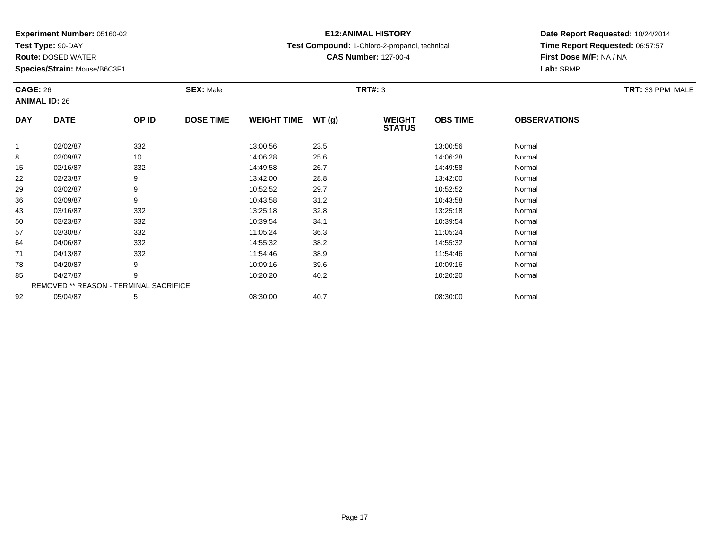**Test Type:** 90-DAY

71

78

85

92

**Route:** DOSED WATER

**Species/Strain:** Mouse/B6C3F1

REMOVED \*\* REASON - TERMINAL SACRIFICE

## **E12:ANIMAL HISTORY**

**Test Compound:** 1-Chloro-2-propanol, technical

**CAS Number:** 127-00-4

**Date Report Requested:** 10/24/2014**Time Report Requested:** 06:57:57**First Dose M/F:** NA / NA**Lab:** SRMP

| <b>CAGE: 26</b><br><b>ANIMAL ID: 26</b> |             |       | <b>SEX: Male</b> |                    |       | <b>TRT#: 3</b>                 |                 |                     | TRT: 33 PPM MALE |
|-----------------------------------------|-------------|-------|------------------|--------------------|-------|--------------------------------|-----------------|---------------------|------------------|
| <b>DAY</b>                              | <b>DATE</b> | OP ID | <b>DOSE TIME</b> | <b>WEIGHT TIME</b> | WT(g) | <b>WEIGHT</b><br><b>STATUS</b> | <b>OBS TIME</b> | <b>OBSERVATIONS</b> |                  |
|                                         | 02/02/87    | 332   |                  | 13:00:56           | 23.5  |                                | 13:00:56        | Normal              |                  |
| 8                                       | 02/09/87    | 10    |                  | 14:06:28           | 25.6  |                                | 14:06:28        | Normal              |                  |
| 15                                      | 02/16/87    | 332   |                  | 14:49:58           | 26.7  |                                | 14:49:58        | Normal              |                  |
| 22                                      | 02/23/87    | 9     |                  | 13:42:00           | 28.8  |                                | 13:42:00        | Normal              |                  |
| 29                                      | 03/02/87    | 9     |                  | 10:52:52           | 29.7  |                                | 10:52:52        | Normal              |                  |
| 36                                      | 03/09/87    | 9     |                  | 10:43:58           | 31.2  |                                | 10:43:58        | Normal              |                  |
| 43                                      | 03/16/87    | 332   |                  | 13:25:18           | 32.8  |                                | 13:25:18        | Normal              |                  |
| 50                                      | 03/23/87    | 332   |                  | 10:39:54           | 34.1  |                                | 10:39:54        | Normal              |                  |
| 57                                      | 03/30/87    | 332   |                  | 11:05:24           | 36.3  |                                | 11:05:24        | Normal              |                  |
| 64                                      | 04/06/87    | 332   |                  | 14:55:32           | 38.2  |                                | 14:55:32        | Normal              |                  |

1 04/13/87 332 11:54:46 38.9 11:54:46 Normal

8 04/20/87 9 9 10:09:16 39.6 10:09 10:09 16 10:09 16 10:09 16 10:09:16 10:09:16 10:09:16

5 04/27/87 9 9 10:20:20 40.2 10.20 10.20 10:20 10:20:20

2 05/04/87 5 5 08:30:00 40.7 00.7 08:30:00 08:30:00 08:30:00 08:30:00 08:30:00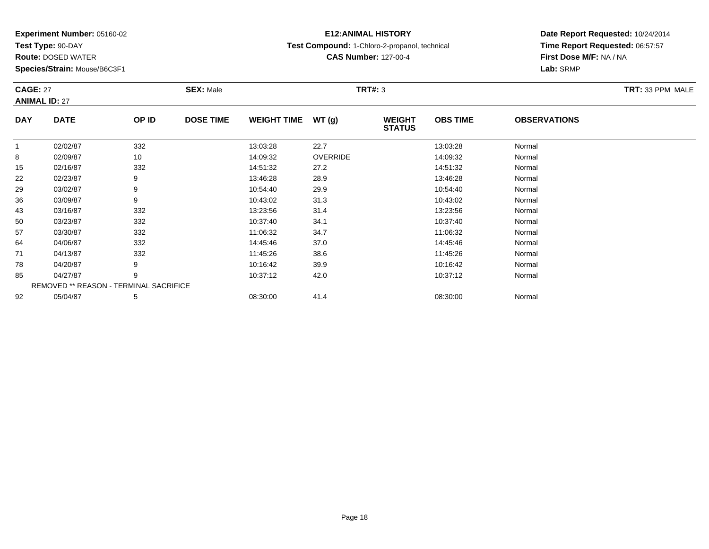**Test Type:** 90-DAY

50

57

64

71

78

85

92

**Route:** DOSED WATER

**Species/Strain:** Mouse/B6C3F1

REMOVED \*\* REASON - TERMINAL SACRIFICE

## **E12:ANIMAL HISTORY**

**Test Compound:** 1-Chloro-2-propanol, technical

**CAS Number:** 127-00-4

**Date Report Requested:** 10/24/2014**Time Report Requested:** 06:57:57**Lab:** SRMP

| <b>CAGE: 27</b><br><b>ANIMAL ID: 27</b> |             |       | <b>SEX: Male</b> | TRT: 33 PPM MALE   |                 |                                |                 |                     |  |
|-----------------------------------------|-------------|-------|------------------|--------------------|-----------------|--------------------------------|-----------------|---------------------|--|
| <b>DAY</b>                              | <b>DATE</b> | OP ID | <b>DOSE TIME</b> | <b>WEIGHT TIME</b> | WT(g)           | <b>WEIGHT</b><br><b>STATUS</b> | <b>OBS TIME</b> | <b>OBSERVATIONS</b> |  |
|                                         | 02/02/87    | 332   |                  | 13:03:28           | 22.7            |                                | 13:03:28        | Normal              |  |
| 8                                       | 02/09/87    | 10    |                  | 14:09:32           | <b>OVERRIDE</b> |                                | 14:09:32        | Normal              |  |
| 15                                      | 02/16/87    | 332   |                  | 14:51:32           | 27.2            |                                | 14:51:32        | Normal              |  |
| 22                                      | 02/23/87    | 9     |                  | 13:46:28           | 28.9            |                                | 13:46:28        | Normal              |  |
| 29                                      | 03/02/87    | 9     |                  | 10:54:40           | 29.9            |                                | 10:54:40        | Normal              |  |
| 36                                      | 03/09/87    | 9     |                  | 10:43:02           | 31.3            |                                | 10:43:02        | Normal              |  |
| 43                                      | 03/16/87    | 332   |                  | 13:23:56           | 31.4            |                                | 13:23:56        | Normal              |  |

0 03/23/87 332 10:37:40 34.1 10:37:40 Normal

7 03/30/87 332 11:06:32 34.7 11:06:32 Normal

4 04/06/87 332 332 14:45:46 37.0 4 14:45:46 3 14:45:46 Normal

1 04/13/87 332 11:45:26 38.6 11:45:26 Normal

8 04/20/87 9 9 10:16:42 39.9 10:16:42 10:16:42 39.9

5 04/27/87 9 9 10:37:12 42.0 10:37 10:37 10:37 12 5 04/27/87

2 05/04/87 5 5 08:30:00 41.4 0 08:30 08 08:30:00 5/04/87 Normal

# **First Dose M/F:** NA / NA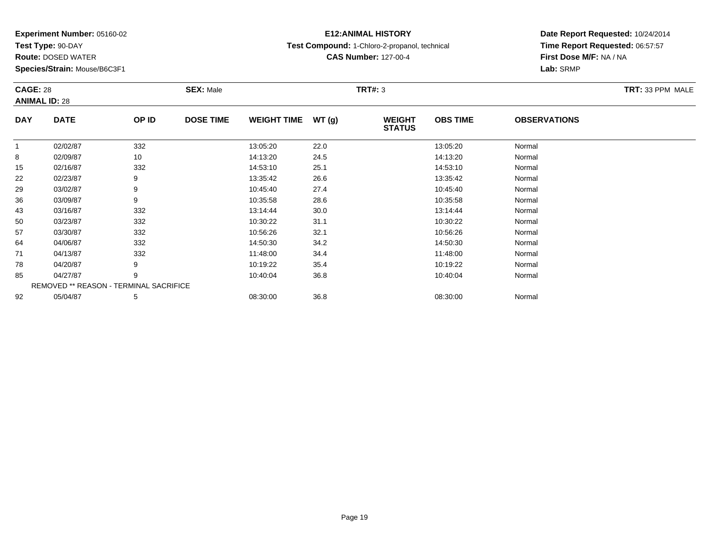**Test Type:** 90-DAY

85

92

**Route:** DOSED WATER

**Species/Strain:** Mouse/B6C3F1

REMOVED \*\* REASON - TERMINAL SACRIFICE

## **E12:ANIMAL HISTORY**

**Test Compound:** 1-Chloro-2-propanol, technical

**CAS Number:** 127-00-4

**Date Report Requested:** 10/24/2014**Time Report Requested:** 06:57:57**First Dose M/F:** NA / NA**Lab:** SRMP

| <b>CAGE: 28</b><br><b>ANIMAL ID: 28</b> |             |       | <b>SEX: Male</b> |                    |       | <b>TRT#: 3</b>                 | TRT: 33 PPM MALE |                     |  |
|-----------------------------------------|-------------|-------|------------------|--------------------|-------|--------------------------------|------------------|---------------------|--|
| <b>DAY</b>                              | <b>DATE</b> | OP ID | <b>DOSE TIME</b> | <b>WEIGHT TIME</b> | WT(g) | <b>WEIGHT</b><br><b>STATUS</b> | <b>OBS TIME</b>  | <b>OBSERVATIONS</b> |  |
|                                         | 02/02/87    | 332   |                  | 13:05:20           | 22.0  |                                | 13:05:20         | Normal              |  |
| 8                                       | 02/09/87    | 10    |                  | 14:13:20           | 24.5  |                                | 14:13:20         | Normal              |  |
| 15                                      | 02/16/87    | 332   |                  | 14:53:10           | 25.1  |                                | 14:53:10         | Normal              |  |
| 22                                      | 02/23/87    | 9     |                  | 13:35:42           | 26.6  |                                | 13:35:42         | Normal              |  |
| 29                                      | 03/02/87    | 9     |                  | 10:45:40           | 27.4  |                                | 10:45:40         | Normal              |  |
| 36                                      | 03/09/87    | 9     |                  | 10:35:58           | 28.6  |                                | 10:35:58         | Normal              |  |
| 43                                      | 03/16/87    | 332   |                  | 13:14:44           | 30.0  |                                | 13:14:44         | Normal              |  |
| 50                                      | 03/23/87    | 332   |                  | 10:30:22           | 31.1  |                                | 10:30:22         | Normal              |  |
| 57                                      | 03/30/87    | 332   |                  | 10:56:26           | 32.1  |                                | 10:56:26         | Normal              |  |
| 64                                      | 04/06/87    | 332   |                  | 14:50:30           | 34.2  |                                | 14:50:30         | Normal              |  |
| 71                                      | 04/13/87    | 332   |                  | 11:48:00           | 34.4  |                                | 11:48:00         | Normal              |  |
| 78                                      | 04/20/87    | 9     |                  | 10:19:22           | 35.4  |                                | 10:19:22         | Normal              |  |

5 04/27/87 9 9 10:40:04 36.8 10:40 10:40 10:40 10:40 10:04 10:40 10:04 10:40:04

2 05/04/87 5 5 08:30:00 36.8 08:30 08 08:30:00 36.8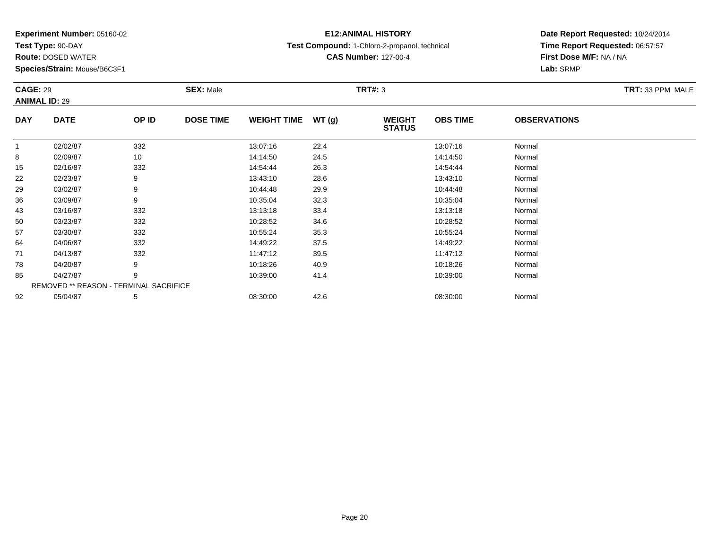**Test Type:** 90-DAY

92

**Route:** DOSED WATER

**Species/Strain:** Mouse/B6C3F1

REMOVED \*\* REASON - TERMINAL SACRIFICE

## **E12:ANIMAL HISTORY**

**Test Compound:** 1-Chloro-2-propanol, technical

**CAS Number:** 127-00-4

### **Date Report Requested:** 10/24/2014**Time Report Requested:** 06:57:57**First Dose M/F:** NA / NA**Lab:** SRMP

#### **CAGE:** 29 **SEX:** Male **TRT#:** <sup>3</sup> **TRT:** 33 PPM MALE**ANIMAL ID:** 29**DAY DATE OP IDDOSE TIME WEIGHT TIME WT** (g) **STATUSOBS TIME OBSERVATIONS** 11 02/02/87 332 13:07:16 22.4 13:07:16 Normal 88 14:14:50 Normal 155 02/16/87 332 382 14:54:44 26.3 363 14:54:44 26.3 222 02/23/87 9 9 13:43:10 28.6 13:43:10 13:43:10 13:43:10 Normal 299 03/02/87 9 9 10:44:48 29.9 12.9 12.9 12.44:48 Normal 366 03/09/87 9 9 10:35:04 32.3 10:35:04 10:35:04 Normal 433 03/16/87 332 13:13:18 33.4 13:13:18 Normal 500 03/23/87 332 10:28:52 34.6 10:28:52 Normal 577 03/30/87 332 332 10:55:24 35.3 5.3 10:55:24 Normal 644 04/06/87 332 32 14:49:22 37.5 14:49 17.5 14:49:22 Normal 711 04/13/87 332 332 11:47:12 39.5 11:47:12 11:47:12 Normal 788 04/20/87 9 9 10:18:26 40.9 10:19 10:18 10:18 10:18 10:18 10:18:26 Normal 855 04/27/87 9 9 10:39:00 41.4 10:49 10:39:00 5 04/27/87 Normal

2 05/04/87 5 5 08:30:00 42.6 08:30 08 08:30:00 5/04/87 Normal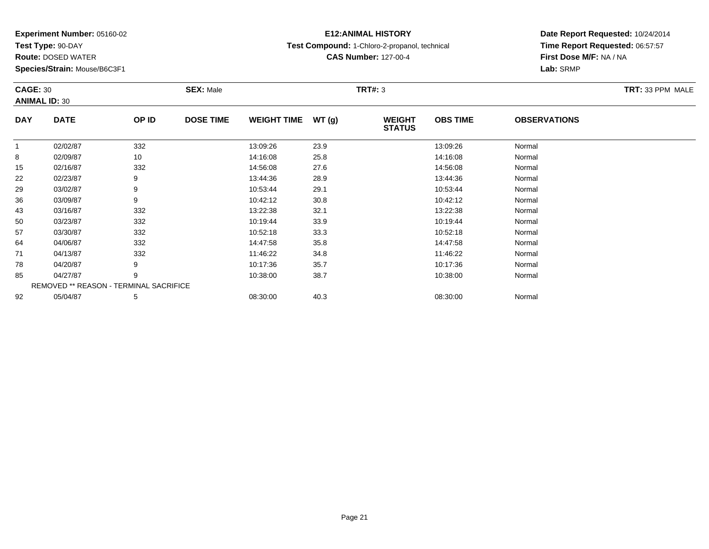**Test Type:** 90-DAY

92

**Route:** DOSED WATER

**Species/Strain:** Mouse/B6C3F1

REMOVED \*\* REASON - TERMINAL SACRIFICE

## **E12:ANIMAL HISTORY**

**Test Compound:** 1-Chloro-2-propanol, technical

**CAS Number:** 127-00-4

### **Date Report Requested:** 10/24/2014**Time Report Requested:** 06:57:57**First Dose M/F:** NA / NA**Lab:** SRMP

#### **CAGE:** 30 **SEX:** Male **TRT#:** <sup>3</sup> **TRT:** 33 PPM MALE**ANIMAL ID:** 30**DAY DATE OP IDDOSE TIME WEIGHT TIME WT** (g) **STATUSOBS TIME OBSERVATIONS** 11 02/02/87 332 13:09:26 23.9 13:09:26 Normal 88 02/09/87 10 14:16:08 25.8 14:16:08 Normal 155 02/16/87 332 32 14:56:08 27.6 32/56 14:56:08 Demai 222 02/23/87 9 9 13:44:36 28.9 13:49 13:49 28.9 13:44:36 Normal 299 03/02/87 9 9 10:53:44 29.1 10:53:44 29.1 10:53:44 Normal 366 03/09/87 9 9 10:42:12 30.8 10:42 10:42 10:42 10:42 10:42 10:42 10:42 10:42 10:42 10:42 10:42 10:42 10:42 10:42 433 03/16/87 332 32 13:22:38 32.1 533/2 32.1 3322:38 532.1 3322:38 32.1 500 03/23/87 332 10:19:44 33.9 10:19:44 Normal 577 03/30/87 332 10:52:18 33.3 10:52:18 Normal 644 04/06/87 332 32 14:47:58 35.8 35.8 14:47:58 14:47:58 Normal 711 04/13/87 332 32 11:46:22 34.8 11:46 11:46 11:46 11:46 1 788 04/20/87 9 9 10:17:36 35.7 10:17 10:17 10:17 136 35.7 10:17:36 Normal 855 04/27/87 9 9 10:38:00 38.7 10:38:00 38.7 10:38:00 10:38:00 Normal

2 05/04/87 5 5 08:30:00 40.3 00 40.3 08:30:00 5/04/87 Normal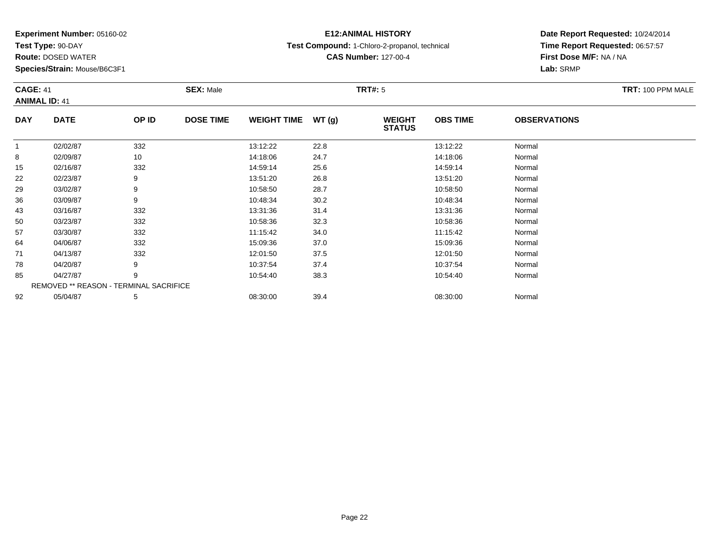**Test Type:** 90-DAY

57

64

71

78

85

92

**Route:** DOSED WATER

**Species/Strain:** Mouse/B6C3F1

REMOVED \*\* REASON - TERMINAL SACRIFICE

## **E12:ANIMAL HISTORY**

**Test Compound:** 1-Chloro-2-propanol, technical

**CAS Number:** 127-00-4

**Date Report Requested:** 10/24/2014**Time Report Requested:** 06:57:57**First Dose M/F:** NA / NA**Lab:** SRMP

| <b>CAGE: 41</b><br><b>ANIMAL ID: 41</b> |             |       | <b>SEX: Male</b><br>TRT#: 5 |                    |       |                                |                 |                     | TRT: 100 PPM MALE |
|-----------------------------------------|-------------|-------|-----------------------------|--------------------|-------|--------------------------------|-----------------|---------------------|-------------------|
| <b>DAY</b>                              | <b>DATE</b> | OP ID | <b>DOSE TIME</b>            | <b>WEIGHT TIME</b> | WT(g) | <b>WEIGHT</b><br><b>STATUS</b> | <b>OBS TIME</b> | <b>OBSERVATIONS</b> |                   |
|                                         | 02/02/87    | 332   |                             | 13:12:22           | 22.8  |                                | 13:12:22        | Normal              |                   |
| 8                                       | 02/09/87    | 10    |                             | 14:18:06           | 24.7  |                                | 14:18:06        | Normal              |                   |
| 15                                      | 02/16/87    | 332   |                             | 14:59:14           | 25.6  |                                | 14:59:14        | Normal              |                   |
| 22                                      | 02/23/87    | 9     |                             | 13:51:20           | 26.8  |                                | 13:51:20        | Normal              |                   |
| 29                                      | 03/02/87    | 9     |                             | 10:58:50           | 28.7  |                                | 10:58:50        | Normal              |                   |
| 36                                      | 03/09/87    | 9     |                             | 10:48:34           | 30.2  |                                | 10:48:34        | Normal              |                   |
| 43                                      | 03/16/87    | 332   |                             | 13:31:36           | 31.4  |                                | 13:31:36        | Normal              |                   |
| 50                                      | 03/23/87    | 332   |                             | 10:58:36           | 32.3  |                                | 10:58:36        | Normal              |                   |

7 03/30/87 332 11:15:42 34.0 11:15:42 Normal

4 04/06/87 332 332 15:09:36 37.0 37.0 3509 15:09:36 Normal

1 04/13/87 332 332 12:01:50 37.5 37.5 12:01:50 37.5

8 04/20/87 9 9 10:37:54 37.4 10:37:54 10:37:54 Normal

5 04/27/87 9 9 10:54:40 38.3 10:54:40 10:54:40 10:54:40 Normal

2 05/04/87 5 5 08:30:00 39.4 08:30 08 08:30:00 39.4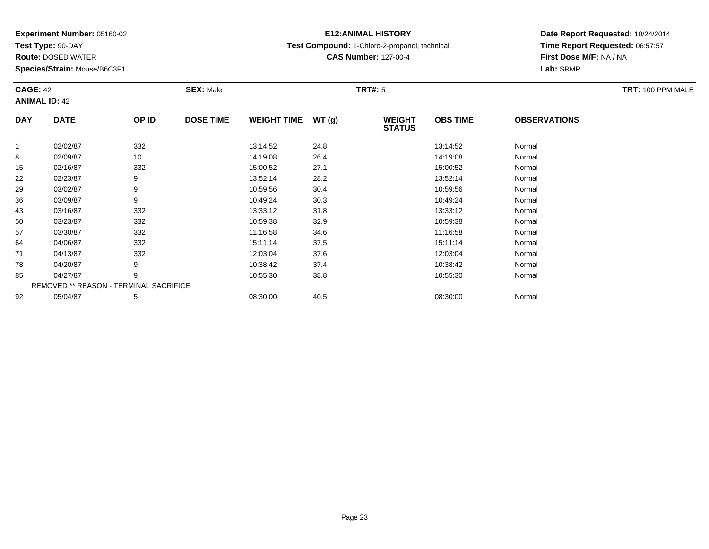**Test Type:** 90-DAY

**Route:** DOSED WATER

**Species/Strain:** Mouse/B6C3F1

## **E12:ANIMAL HISTORY**

**Test Compound:** 1-Chloro-2-propanol, technical

**CAS Number:** 127-00-4

### **Date Report Requested:** 10/24/2014**Time Report Requested:** 06:57:57**First Dose M/F:** NA / NA**Lab:** SRMP

### **CAGE:** 42 **SEX:** Male **TRT#:** <sup>5</sup> **TRT:** 100 PPM MALE**ANIMAL ID:** 42**DAY DATE OP IDDOSE TIME WEIGHT TIME WT** (g) **STATUSOBS TIME OBSERVATIONS** 11 02/02/87 332 13:14:52 24.8 13:14:52 Normal 88 02/09/87 10 14:19:08 26.4 14:19:08 Normal 15 02/16/87 <sup>332</sup> 15:00:52 27.1 15:00:52 Normal  $22$ 2 02/23/87 9 9 13:52:14 28.2 13:52:14 13:52:14 13:52:14 Normal 29

| 22 | UZ/Z3/87 | У                                             | 13.52.14 | 28.Z | 13.52.14 | inormal |  |
|----|----------|-----------------------------------------------|----------|------|----------|---------|--|
| 29 | 03/02/87 | 9                                             | 10:59:56 | 30.4 | 10:59:56 | Normal  |  |
| 36 | 03/09/87 | 9                                             | 10:49:24 | 30.3 | 10:49:24 | Normal  |  |
| 43 | 03/16/87 | 332                                           | 13:33:12 | 31.8 | 13:33:12 | Normal  |  |
| 50 | 03/23/87 | 332                                           | 10:59:38 | 32.9 | 10:59:38 | Normal  |  |
| 57 | 03/30/87 | 332                                           | 11:16:58 | 34.6 | 11:16:58 | Normal  |  |
| 64 | 04/06/87 | 332                                           | 15:11:14 | 37.5 | 15:11:14 | Normal  |  |
| 71 | 04/13/87 | 332                                           | 12:03:04 | 37.6 | 12:03:04 | Normal  |  |
| 78 | 04/20/87 | 9                                             | 10:38:42 | 37.4 | 10:38:42 | Normal  |  |
| 85 | 04/27/87 | 9                                             | 10:55:30 | 38.8 | 10:55:30 | Normal  |  |
|    |          | <b>REMOVED ** REASON - TERMINAL SACRIFICE</b> |          |      |          |         |  |
| 92 | 05/04/87 | 5                                             | 08:30:00 | 40.5 | 08:30:00 | Normal  |  |
|    |          |                                               |          |      |          |         |  |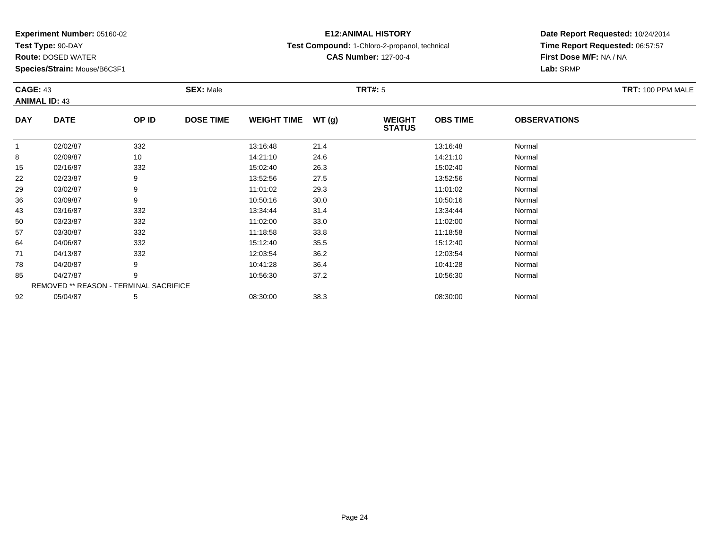**Test Type:** 90-DAY

57

64

71

78

85

92

**Route:** DOSED WATER

**Species/Strain:** Mouse/B6C3F1

REMOVED \*\* REASON - TERMINAL SACRIFICE

## **E12:ANIMAL HISTORY**

**Test Compound:** 1-Chloro-2-propanol, technical

**CAS Number:** 127-00-4

**Date Report Requested:** 10/24/2014**Time Report Requested:** 06:57:57**First Dose M/F:** NA / NA**Lab:** SRMP

| <b>CAGE: 43</b><br><b>ANIMAL ID: 43</b> |             |       | <b>SEX: Male</b> |                    |        | <b>TRT#: 5</b>                 |                 |                     | TRT: 100 PPM MALE |
|-----------------------------------------|-------------|-------|------------------|--------------------|--------|--------------------------------|-----------------|---------------------|-------------------|
| <b>DAY</b>                              | <b>DATE</b> | OP ID | <b>DOSE TIME</b> | <b>WEIGHT TIME</b> | WT (q) | <b>WEIGHT</b><br><b>STATUS</b> | <b>OBS TIME</b> | <b>OBSERVATIONS</b> |                   |
|                                         | 02/02/87    | 332   |                  | 13:16:48           | 21.4   |                                | 13:16:48        | Normal              |                   |
| 8                                       | 02/09/87    | 10    |                  | 14:21:10           | 24.6   |                                | 14:21:10        | Normal              |                   |
| 15                                      | 02/16/87    | 332   |                  | 15:02:40           | 26.3   |                                | 15:02:40        | Normal              |                   |
| 22                                      | 02/23/87    |       |                  | 13:52:56           | 27.5   |                                | 13:52:56        | Normal              |                   |
| 29                                      | 03/02/87    | 9     |                  | 11:01:02           | 29.3   |                                | 11:01:02        | Normal              |                   |
| 36                                      | 03/09/87    | 9     |                  | 10:50:16           | 30.0   |                                | 10:50:16        | Normal              |                   |
| 43                                      | 03/16/87    | 332   |                  | 13:34:44           | 31.4   |                                | 13:34:44        | Normal              |                   |
| 50                                      | 03/23/87    | 332   |                  | 11:02:00           | 33.0   |                                | 11:02:00        | Normal              |                   |

7 03/30/87 332 11:18:58 33.8 11:18:58 Normal

4 04/06/87 332 332 15:12:40 35.5 15:12:40 15:12:40 Normal

1 04/13/87 332 332 12:03:54 36.2 36.2 12:03:54 12:03:54 Normal

8 04/20/87 9 9 10:41:28 36.4 10:41:28 10:42 10:41:28 Normal

5 04/27/87 9 9 10:56:30 37.2 10:56:30 10:56:30 Normal

2 05/04/87 5 5 08:30:00 38.3 08:30 00 38.3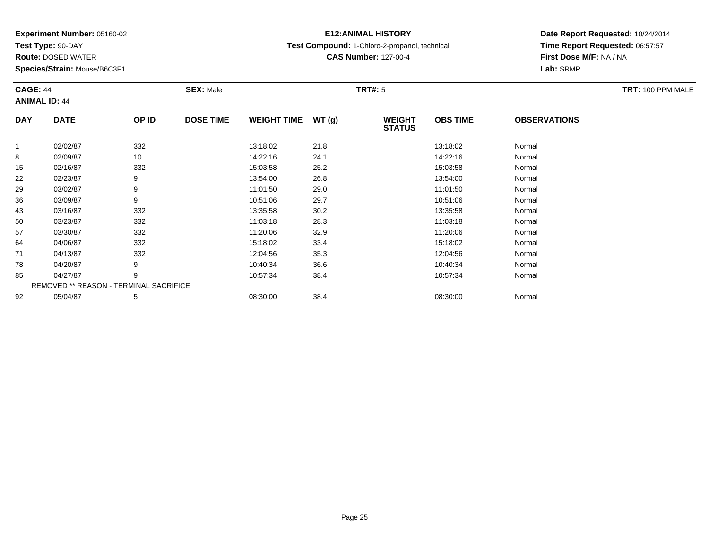**Test Type:** 90-DAY

71

78

85

92

**Route:** DOSED WATER

**Species/Strain:** Mouse/B6C3F1

REMOVED \*\* REASON - TERMINAL SACRIFICE

## **E12:ANIMAL HISTORY**

**Test Compound:** 1-Chloro-2-propanol, technical

**CAS Number:** 127-00-4

### **Date Report Requested:** 10/24/2014**Time Report Requested:** 06:57:57**First Dose M/F:** NA / NA**Lab:** SRMP

#### **CAGE:** 44 **SEX:** Male **TRT#:** <sup>5</sup> **TRT:** 100 PPM MALE**ANIMAL ID:** 44**DAY DATE OP IDDOSE TIME WEIGHT TIME WT** (g) **STATUSOBS TIME OBSERVATIONS** 11 02/02/87 332 13:18:02 21.8 13:18:02 Normal 88 02/09/87 10 14:22:16 24.1 14:22:16 Normal 155 02/16/87 332 332 15:03:58 25.2 350 15:03:58 15:03:58 Normal 222 02/23/87 9 9 13:54:00 26.8 13:54:00 13:54:00 13:54:00 13:54:00 13:54:00 Normal 299 03/02/87 9 9 11:01:50 29.0 12.0 11:01:50 29.0 11:01:50 Normal 366 03/09/87 9 10:51:06 29.7 10:51:06 Normal 433 03/16/87 332 13:35:58 30.2 13:35:58 Normal 500 03/23/87 332 11:03:18 28.3 11:03:18 Normal 577 03/30/87 332 11:20:06 32.9 11:20:06 Normal 64

4 04/06/87 332 30 15:18:02 33.4 5:18:02 15:18:02 Normal

1 04/13/87 332 332 12:04:56 35.3 12:04:56 35.3 12:04:56 Normal

8 04/20/87 9 9 10:40:34 36.6 10:40 10:40 10:40 10:40 10:40 10:54 10:40 10:40 10:40 10:40 10:40 10:40 10:40 10:40

5 04/27/87 9 9 10:57:34 38.4 10:57:34 10:57:34 Normal

2 05/04/87 5 5 08:30:00 38.4 08:30 08 08:30:00 38.4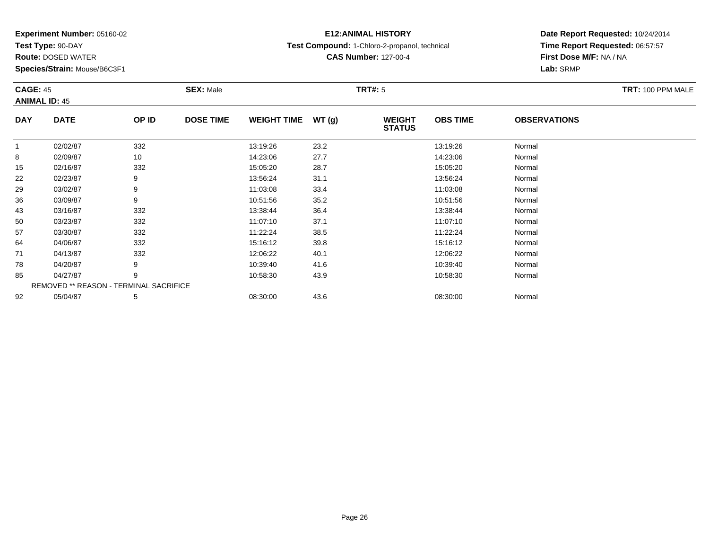**Test Type:** 90-DAY

78

85

92

**Route:** DOSED WATER

**Species/Strain:** Mouse/B6C3F1

REMOVED \*\* REASON - TERMINAL SACRIFICE

## **E12:ANIMAL HISTORY**

**Test Compound:** 1-Chloro-2-propanol, technical

**CAS Number:** 127-00-4

**Date Report Requested:** 10/24/2014**Time Report Requested:** 06:57:57**First Dose M/F:** NA / NA**Lab:** SRMP

| <b>CAGE: 45</b> | <b>ANIMAL ID: 45</b> |       | <b>SEX: Male</b> |                    |       | TRT#: 5                        |                 | <b>OBSERVATIONS</b><br>Normal<br>Normal<br>Normal<br>Normal<br>Normal<br>Normal<br>Normal<br>Normal | TRT: 100 PPM MALE |
|-----------------|----------------------|-------|------------------|--------------------|-------|--------------------------------|-----------------|-----------------------------------------------------------------------------------------------------|-------------------|
| <b>DAY</b>      | <b>DATE</b>          | OP ID | <b>DOSE TIME</b> | <b>WEIGHT TIME</b> | WT(g) | <b>WEIGHT</b><br><b>STATUS</b> | <b>OBS TIME</b> |                                                                                                     |                   |
|                 | 02/02/87             | 332   |                  | 13:19:26           | 23.2  |                                | 13:19:26        |                                                                                                     |                   |
| 8               | 02/09/87             | 10    |                  | 14:23:06           | 27.7  |                                | 14:23:06        |                                                                                                     |                   |
| 15              | 02/16/87             | 332   |                  | 15:05:20           | 28.7  |                                | 15:05:20        |                                                                                                     |                   |
| 22              | 02/23/87             | 9     |                  | 13:56:24           | 31.1  |                                | 13:56:24        |                                                                                                     |                   |
| 29              | 03/02/87             | 9     |                  | 11:03:08           | 33.4  |                                | 11:03:08        |                                                                                                     |                   |
| 36              | 03/09/87             | 9     |                  | 10:51:56           | 35.2  |                                | 10:51:56        |                                                                                                     |                   |
| 43              | 03/16/87             | 332   |                  | 13:38:44           | 36.4  |                                | 13:38:44        |                                                                                                     |                   |
| 50              | 03/23/87             | 332   |                  | 11:07:10           | 37.1  |                                | 11:07:10        |                                                                                                     |                   |
| 57              | 03/30/87             | 332   |                  | 11:22:24           | 38.5  |                                | 11:22:24        | Normal                                                                                              |                   |
| 64              | 04/06/87             | 332   |                  | 15:16:12           | 39.8  |                                | 15:16:12        | Normal                                                                                              |                   |
| 71              | 04/13/87             | 332   |                  | 12:06:22           | 40.1  |                                | 12:06:22        | Normal                                                                                              |                   |

1 04/13/87 332 332 12:06:22 40.1 12:06:20 12:00 12:06:22 Normal

8 04/20/87 9 9 10:39:40 41.6 10:39 10:39 10:39 10:39 10:39 10:39 10:39 10:39 10:39 10:39 10:39 10:09 10:09 10:0

5 04/27/87 9 9 10:58:30 43.9 10:58:30 13.9 10:58:30 Normal

2 05/04/87 5 5 08:30:00 43.6 08:30 08 08:30:00 5/04/87 Normal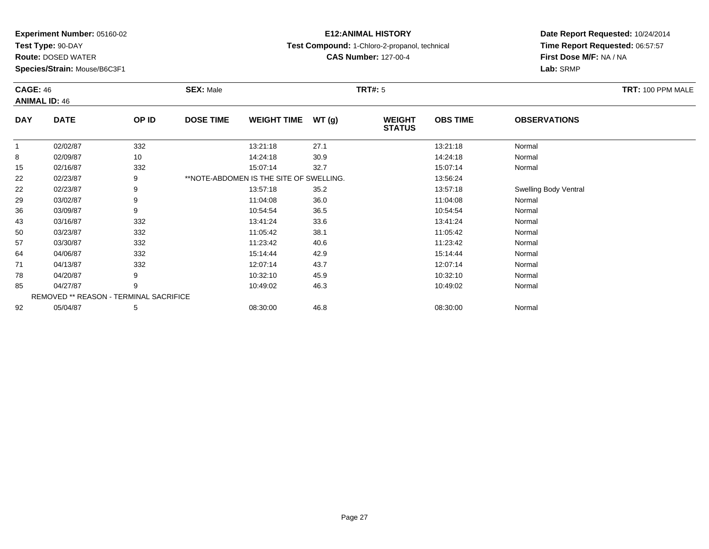**Test Type:** 90-DAY

**Route:** DOSED WATER

**Species/Strain:** Mouse/B6C3F1

### **E12:ANIMAL HISTORY**

**Test Compound:** 1-Chloro-2-propanol, technical

**CAS Number:** 127-00-4

### **Date Report Requested:** 10/24/2014**Time Report Requested:** 06:57:57**First Dose M/F:** NA / NA**Lab:** SRMP

| <b>CAGE: 46</b> | <b>ANIMAL ID: 46</b>                          |       | <b>SEX: Male</b> |                                         |       | <b>TRT#: 5</b>                 |                 |                       | TRT: 100 PPM MALE |
|-----------------|-----------------------------------------------|-------|------------------|-----------------------------------------|-------|--------------------------------|-----------------|-----------------------|-------------------|
| <b>DAY</b>      | <b>DATE</b>                                   | OP ID | <b>DOSE TIME</b> | <b>WEIGHT TIME</b>                      | WT(g) | <b>WEIGHT</b><br><b>STATUS</b> | <b>OBS TIME</b> | <b>OBSERVATIONS</b>   |                   |
| $\overline{1}$  | 02/02/87                                      | 332   |                  | 13:21:18                                | 27.1  |                                | 13:21:18        | Normal                |                   |
| 8               | 02/09/87                                      | 10    |                  | 14:24:18                                | 30.9  |                                | 14:24:18        | Normal                |                   |
| 15              | 02/16/87                                      | 332   |                  | 15:07:14                                | 32.7  |                                | 15:07:14        | Normal                |                   |
| 22              | 02/23/87                                      | 9     |                  | **NOTE-ABDOMEN IS THE SITE OF SWELLING. |       |                                | 13:56:24        |                       |                   |
| 22              | 02/23/87                                      | 9     |                  | 13:57:18                                | 35.2  |                                | 13:57:18        | Swelling Body Ventral |                   |
| 29              | 03/02/87                                      | 9     |                  | 11:04:08                                | 36.0  |                                | 11:04:08        | Normal                |                   |
| 36              | 03/09/87                                      | 9     |                  | 10:54:54                                | 36.5  |                                | 10:54:54        | Normal                |                   |
| 43              | 03/16/87                                      | 332   |                  | 13:41:24                                | 33.6  |                                | 13:41:24        | Normal                |                   |
| 50              | 03/23/87                                      | 332   |                  | 11:05:42                                | 38.1  |                                | 11:05:42        | Normal                |                   |
| 57              | 03/30/87                                      | 332   |                  | 11:23:42                                | 40.6  |                                | 11:23:42        | Normal                |                   |
| 64              | 04/06/87                                      | 332   |                  | 15:14:44                                | 42.9  |                                | 15:14:44        | Normal                |                   |
| 71              | 04/13/87                                      | 332   |                  | 12:07:14                                | 43.7  |                                | 12:07:14        | Normal                |                   |
| 78              | 04/20/87                                      | 9     |                  | 10:32:10                                | 45.9  |                                | 10:32:10        | Normal                |                   |
| 85              | 04/27/87                                      | 9     |                  | 10:49:02                                | 46.3  |                                | 10:49:02        | Normal                |                   |
|                 | <b>REMOVED ** REASON - TERMINAL SACRIFICE</b> |       |                  |                                         |       |                                |                 |                       |                   |
| 92              | 05/04/87                                      | 5     |                  | 08:30:00                                | 46.8  |                                | 08:30:00        | Normal                |                   |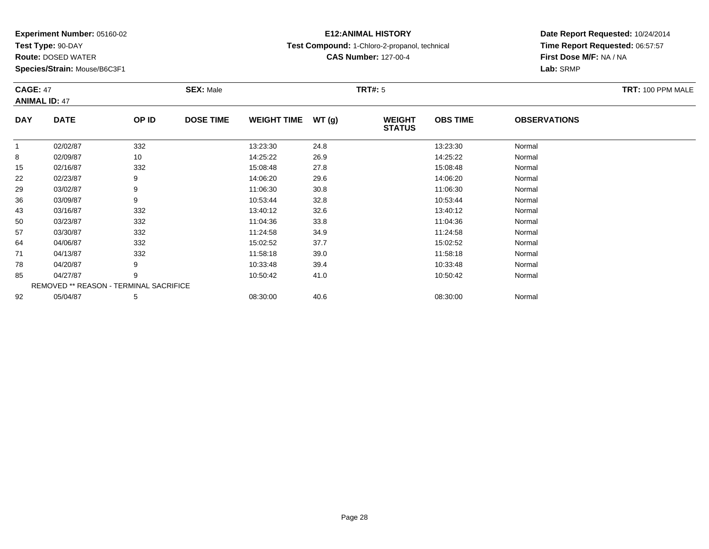**Test Type:** 90-DAY

57

64

71

78

85

92

**Route:** DOSED WATER

**Species/Strain:** Mouse/B6C3F1

REMOVED \*\* REASON - TERMINAL SACRIFICE

## **E12:ANIMAL HISTORY**

**Test Compound:** 1-Chloro-2-propanol, technical

**CAS Number:** 127-00-4

### **Date Report Requested:** 10/24/2014**Time Report Requested:** 06:57:57**First Dose M/F:** NA / NA**Lab:** SRMP

#### **CAGE:** 47 **SEX:** Male **TRT#:** <sup>5</sup> **TRT:** 100 PPM MALE**ANIMAL ID:** 47**DAY DATE OP IDDOSE TIME WEIGHT TIME WT** (g) **STATUSOBS TIME OBSERVATIONS** 11 02/02/87 332 13:23:30 24.8 13:23:30 Normal 88 02/09/87 10 14:25:22 26.9 14:25:22 Normal 155 02/16/87 332 32 15:08:48 27.8 37.8 15:08:48 Normal 222 02/23/87 9 9 14:06:20 29.6 14:06:20 14:06:20 14:06:20 14:06:20 14:06:20 29.6 299 03/02/87 9 9 11:06:30 30.8 10 10:30 11:06:30 30.8 366 03/09/87 9 9 10:53:44 32.8 10:53:44 10:53:44 10:53:44 Normal 433 03/16/87 332 3 13:40:12 32.6 5 13:40:12 3 13:40:12 5 13:40:12 13:40:12 13:40:12 50

0 03/23/87 332 11:04:36 33.8 11:04:36 Normal

7 03/30/87 332 11:24:58 34.9 11:24:58 Normal

4 04/06/87 332 32 15:02:52 37.7 37.7 15:02:52 15:02:52 Normal

1 04/13/87 332 11:58:18 39.0 11:58:18 Normal

8 04/20/87 9 9 10:33:48 39.4 10:33:48 10:33:48 Normal

5 04/27/87 9 9 10:50:42 41.0 10:50:42 10:50:42 9 9 10:50:42 Normal

2 05/04/87 5 5 08:30:00 40.6 06 08:30:00 08:30:00 08:30:00 08:30:00 08:30:00 08:30:00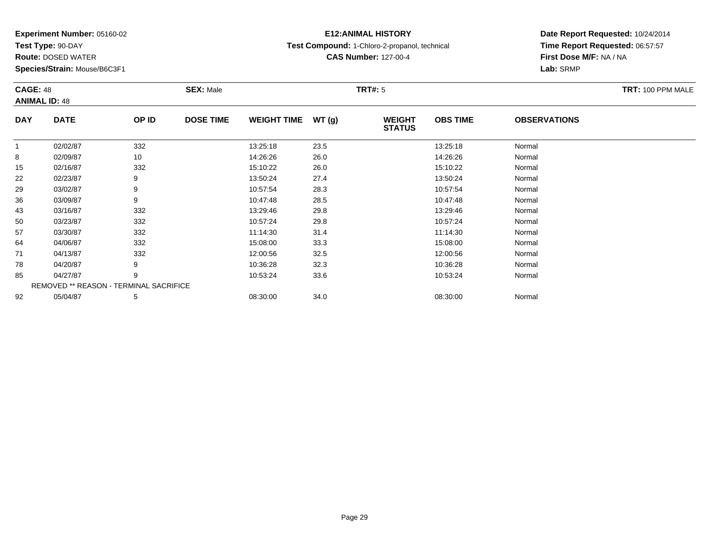**Test Type:** 90-DAY

78

85

92

**Route:** DOSED WATER

**Species/Strain:** Mouse/B6C3F1

REMOVED \*\* REASON - TERMINAL SACRIFICE

## **E12:ANIMAL HISTORY**

**Test Compound:** 1-Chloro-2-propanol, technical

**CAS Number:** 127-00-4

### **Date Report Requested:** 10/24/2014**Time Report Requested:** 06:57:57**First Dose M/F:** NA / NA**Lab:** SRMP

#### **CAGE:** 48 **SEX:** Male **TRT#:** <sup>5</sup> **TRT:** 100 PPM MALE**ANIMAL ID:** 48**DAY DATE OP IDDOSE TIME WEIGHT TIME WT** (g) **STATUSOBS TIME OBSERVATIONS** 11 02/02/87 332 13:25:18 23.5 13:25:18 Normal 88 02/09/87 10 14:26:26 26.0 14:26:26 Normal 155 02/16/87 332 332 15:10:22 26.0 5 15:10:22 15:10:22 Normal 222 02/23/87 9 9 13:50:24 27.4 27.4 13:50:24 Normal 299 03/02/87 9 9 10:57:54 28.3 10:57:54 10:57:54 Normal 366 03/09/87 9 9 10:47:48 28.5 10:47 10:47:48 28.5 433 03/16/87 332 39 13:29:46 29.8 33/ 332 3 13:29:46 3 29.8 13:29:46 13:29:46 3 29.8 500 03/23/87 332 10:57:24 29.8 10:57:24 Normal 577 03/30/87 332 11:14:30 31.4 11:14:30 Normal 644 04/06/87 332 30 332 5:08:00 33.3 5:08:00 33.3 15:08:00 53.3 711 04/13/87 332 332 12:00:56 32.5 12:00 12:00 12:00 12:00:56 Normal

8 04/20/87 9 9 10:36:28 32.3 10:36 12 10:36:28 10:36:28 Normal

5 04/27/87 9 9 10:53:24 33.6 10:53:24 10:53:24 Normal

2 05/04/87 5 5 08:30:00 34.0 08:30 00 08:30:00 5/04/87 Normal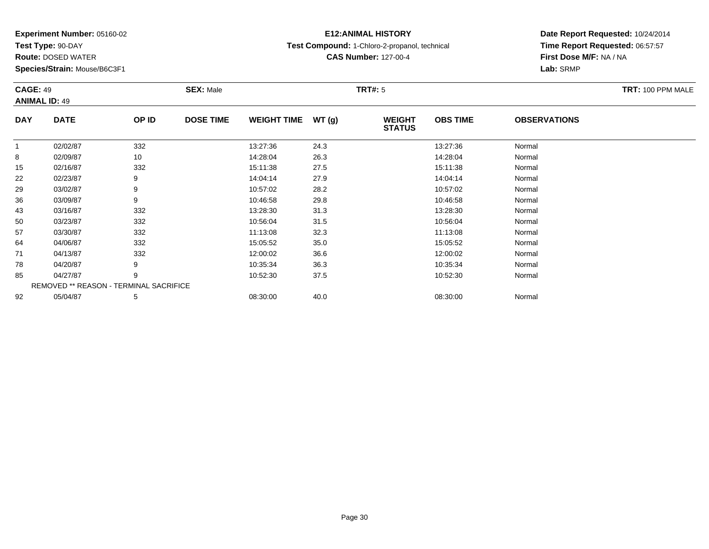**Test Type:** 90-DAY

78

85

92

**Route:** DOSED WATER

**Species/Strain:** Mouse/B6C3F1

REMOVED \*\* REASON - TERMINAL SACRIFICE

## **E12:ANIMAL HISTORY**

**Test Compound:** 1-Chloro-2-propanol, technical

**CAS Number:** 127-00-4

**Date Report Requested:** 10/24/2014**Time Report Requested:** 06:57:57**First Dose M/F:** NA / NA**Lab:** SRMP

| <b>CAGE: 49</b><br><b>ANIMAL ID: 49</b> |             |       | <b>SEX: Male</b> |                    |        | <b>TRT#: 5</b>                 |                 |                     | TRT: 100 PPM MALE |
|-----------------------------------------|-------------|-------|------------------|--------------------|--------|--------------------------------|-----------------|---------------------|-------------------|
| <b>DAY</b>                              | <b>DATE</b> | OP ID | <b>DOSE TIME</b> | <b>WEIGHT TIME</b> | WT (g) | <b>WEIGHT</b><br><b>STATUS</b> | <b>OBS TIME</b> | <b>OBSERVATIONS</b> |                   |
|                                         | 02/02/87    | 332   |                  | 13:27:36           | 24.3   |                                | 13:27:36        | Normal              |                   |
| 8                                       | 02/09/87    | 10    |                  | 14:28:04           | 26.3   |                                | 14:28:04        | Normal              |                   |
| 15                                      | 02/16/87    | 332   |                  | 15:11:38           | 27.5   |                                | 15:11:38        | Normal              |                   |
| 22                                      | 02/23/87    | 9     |                  | 14:04:14           | 27.9   |                                | 14:04:14        | Normal              |                   |
| 29                                      | 03/02/87    | 9     |                  | 10:57:02           | 28.2   |                                | 10:57:02        | Normal              |                   |
| 36                                      | 03/09/87    | 9     |                  | 10:46:58           | 29.8   |                                | 10:46:58        | Normal              |                   |
| 43                                      | 03/16/87    | 332   |                  | 13:28:30           | 31.3   |                                | 13:28:30        | Normal              |                   |
| 50                                      | 03/23/87    | 332   |                  | 10:56:04           | 31.5   |                                | 10:56:04        | Normal              |                   |
| 57                                      | 03/30/87    | 332   |                  | 11:13:08           | 32.3   |                                | 11:13:08        | Normal              |                   |
| 64                                      | 04/06/87    | 332   |                  | 15:05:52           | 35.0   |                                | 15:05:52        | Normal              |                   |
| 71                                      | 04/13/87    | 332   |                  | 12:00:02           | 36.6   |                                | 12:00:02        | Normal              |                   |

8 04/20/87 9 9 10:35:34 36.3 10:35 10:35 10:35 10:35 10:35 10:35:34 Normal

5 04/27/87 9 9 10:52:30 37.5 10.52 10:52:30 10:52:30 10:52:30 Normal

2 05/04/87 5 5 08:30:00 40.0 00 08:30 00 08:30:00 08:30:00 08:30:00 08:30:00 08:30:00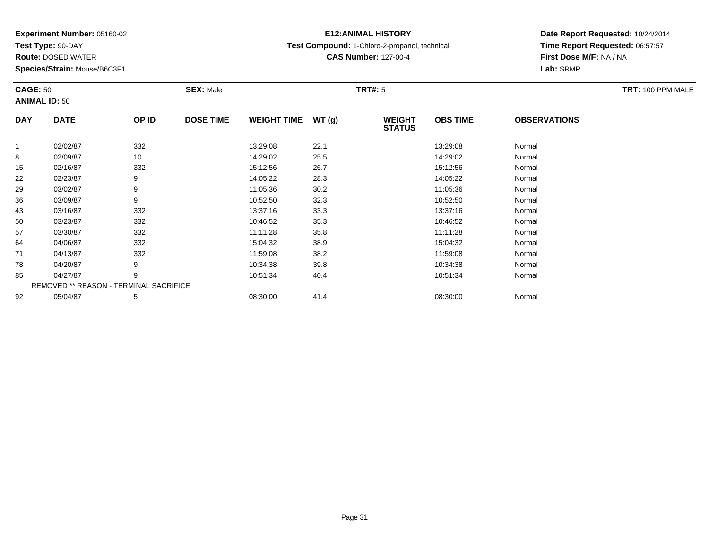**Test Type:** 90-DAY

**Route:** DOSED WATER

**Species/Strain:** Mouse/B6C3F1

## **E12:ANIMAL HISTORY**

**Test Compound:** 1-Chloro-2-propanol, technical

**CAS Number:** 127-00-4

**Date Report Requested:** 10/24/2014 **Time Report Requested:** 06:57:57**First Dose M/F:** NA / NA**Lab:** SRMP

| <b>CAGE: 50</b> | <b>ANIMAL ID: 50</b>                   |       | <b>SEX: Male</b> |                    |       | <b>TRT#: 5</b>                 |                 |                     | TRT: 100 PPM MALE |
|-----------------|----------------------------------------|-------|------------------|--------------------|-------|--------------------------------|-----------------|---------------------|-------------------|
| <b>DAY</b>      | <b>DATE</b>                            | OP ID | <b>DOSE TIME</b> | <b>WEIGHT TIME</b> | WT(g) | <b>WEIGHT</b><br><b>STATUS</b> | <b>OBS TIME</b> | <b>OBSERVATIONS</b> |                   |
| 1               | 02/02/87                               | 332   |                  | 13:29:08           | 22.1  |                                | 13:29:08        | Normal              |                   |
| 8               | 02/09/87                               | 10    |                  | 14:29:02           | 25.5  |                                | 14:29:02        | Normal              |                   |
| 15              | 02/16/87                               | 332   |                  | 15:12:56           | 26.7  |                                | 15:12:56        | Normal              |                   |
| 22              | 02/23/87                               | 9     |                  | 14:05:22           | 28.3  |                                | 14:05:22        | Normal              |                   |
| 29              | 03/02/87                               | 9     |                  | 11:05:36           | 30.2  |                                | 11:05:36        | Normal              |                   |
| 36              | 03/09/87                               | 9     |                  | 10:52:50           | 32.3  |                                | 10:52:50        | Normal              |                   |
| 43              | 03/16/87                               | 332   |                  | 13:37:16           | 33.3  |                                | 13:37:16        | Normal              |                   |
| 50              | 03/23/87                               | 332   |                  | 10:46:52           | 35.3  |                                | 10:46:52        | Normal              |                   |
| 57              | 03/30/87                               | 332   |                  | 11:11:28           | 35.8  |                                | 11:11:28        | Normal              |                   |
| 64              | 04/06/87                               | 332   |                  | 15:04:32           | 38.9  |                                | 15:04:32        | Normal              |                   |
| 71              | 04/13/87                               | 332   |                  | 11:59:08           | 38.2  |                                | 11:59:08        | Normal              |                   |
| 78              | 04/20/87                               | 9     |                  | 10:34:38           | 39.8  |                                | 10:34:38        | Normal              |                   |
| 85              | 04/27/87                               | 9     |                  | 10:51:34           | 40.4  |                                | 10:51:34        | Normal              |                   |
|                 | REMOVED ** REASON - TERMINAL SACRIFICE |       |                  |                    |       |                                |                 |                     |                   |
| 92              | 05/04/87                               | 5     |                  | 08:30:00           | 41.4  |                                | 08:30:00        | Normal              |                   |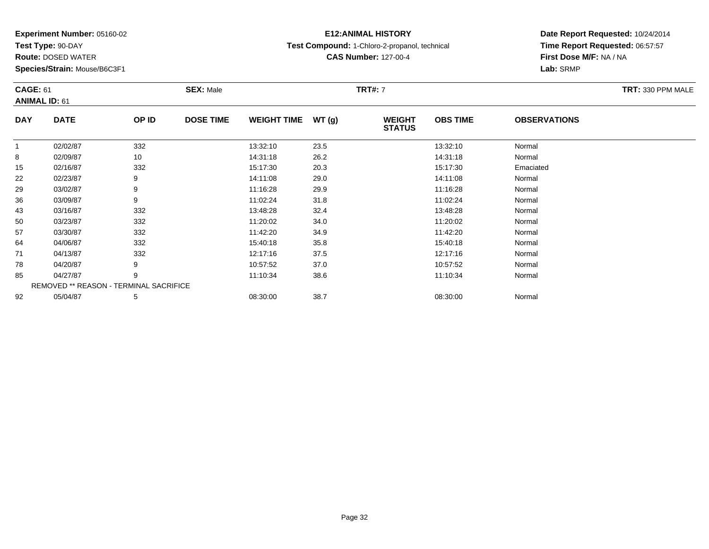**Test Type:** 90-DAY

71

78

85

92

**Route:** DOSED WATER

**Species/Strain:** Mouse/B6C3F1

REMOVED \*\* REASON - TERMINAL SACRIFICE

## **E12:ANIMAL HISTORY**

**Test Compound:** 1-Chloro-2-propanol, technical

**CAS Number:** 127-00-4

### **Date Report Requested:** 10/24/2014**Time Report Requested:** 06:57:57**First Dose M/F:** NA / NA**Lab:** SRMP

#### **CAGE:** 61 **SEX:** Male **TRT#:** <sup>7</sup> **TRT:** 330 PPM MALE**ANIMAL ID:** 61**DAY DATE OP IDDOSE TIME WEIGHT TIME WT** (g) **STATUSOBS TIME OBSERVATIONS** 11 02/02/87 332 13:32:10 23.5 13:32:10 Normal 88 02/09/87 10 14:31:18 26.2 14:31:18 Normal 155 02/16/87 332 332 15:17:30 20.3 5 15:17:30 5 15:17:30 222 02/23/87 9 9 14:11:08 29.0 12 14:11:08 14:12 14:08 Normal 299 03/02/87 9 11:16:28 29.9 11:16:28 Normal 366 03/09/87 9 9 11:02:24 31.8 11:03:24 11:02 11:02 11:02 11:02 11:02 11:02 11:02 1 433 03/16/87 332 32 13:48:28 32.4 32.4 32.4 33:48:28 Normal 500 03/23/87 332 11:20:02 34.0 11:20:02 Normal 577 03/30/87 332 11:42:20 34.9 11:42:20 Normal 644 04/06/87 332 30 15:40:18 35.8 35.8 15:40:18 35.8

1 04/13/87 332 332 12:17:16 37.5 12:17:16 12:17:16 Normal

8 04/20/87 9 9 10:57:52 37.0 10:57:52 10:57:52 Normal

5 04/27/87 9 9 11:10:34 38.6 11:10:34 11:10:34 Normal

2 05/04/87 5 5 08:30:00 38.7 08:30 08 08:30:00 38.7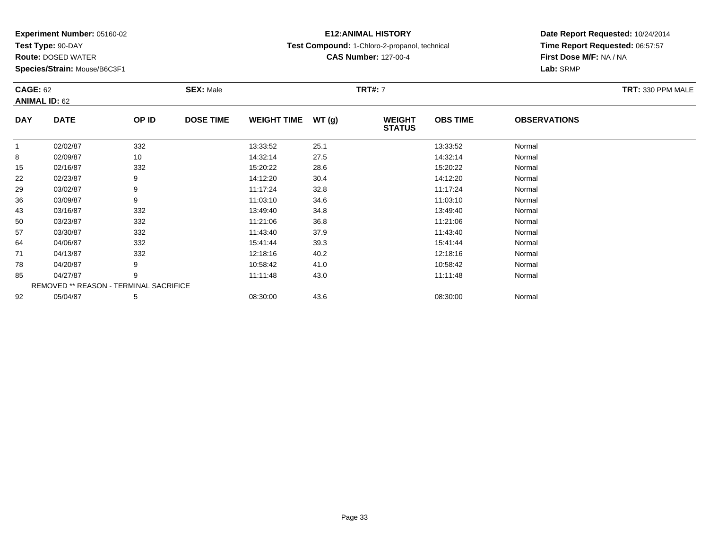**Test Type:** 90-DAY

50

57

64

71

78

85

92

**Route:** DOSED WATER

**Species/Strain:** Mouse/B6C3F1

REMOVED \*\* REASON - TERMINAL SACRIFICE

## **E12:ANIMAL HISTORY**

**Test Compound:** 1-Chloro-2-propanol, technical

**CAS Number:** 127-00-4

### **Date Report Requested:** 10/24/2014**Time Report Requested:** 06:57:57**First Dose M/F:** NA / NA**Lab:** SRMP

#### **CAGE:** 62 **SEX:** Male **TRT#:** <sup>7</sup> **TRT:** 330 PPM MALE**ANIMAL ID:** 62**DAY DATE OP IDDOSE TIME WEIGHT TIME WT** (g) **STATUSOBS TIME OBSERVATIONS** 11 02/02/87 332 13:33:52 25.1 13:33:52 Normal 88 02/09/87 10 14:32:14 27.5 14:32:14 Normal 155 02/16/87 332 332 15:20:22 28.6 5 15:20:22 15:20:22 Normal 222 02/23/87 9 9 14:12:20 30.4 14:12:20 14:12:20 Normal 299 03/02/87 9 9 11:17:24 32.8 11:17:24 11:17:24 Normal 366 03/09/87 9 11:03:10 34.6 11:03:10 Normal 43

3 03/16/87 332 3 13:49:40 34.8 34.8 33/16/87 33:49:40 34.8

0 03/23/87 332 11:21:06 36.8 11:21:06 Normal

7 03/30/87 332 11:43:40 37.9 11:43:40 Normal

4 04/06/87 332 30 15:41:44 39.3 15:41:44 39.3

1 04/13/87 332 332 12:18:16 40.2 1 12:08 12:18:16 5 12:18:16

8 04/20/87 9 9 10:58:42 41.0 10:58:42 9 10:58:42 9 10:58:42 Normal

5 04/27/87 9 9 11:11:48 43.0 11:00 11:11:48 Normal

2 05/04/87 5 5 08:30:00 43.6 08:30 08 08:30:00 5/04/87 Normal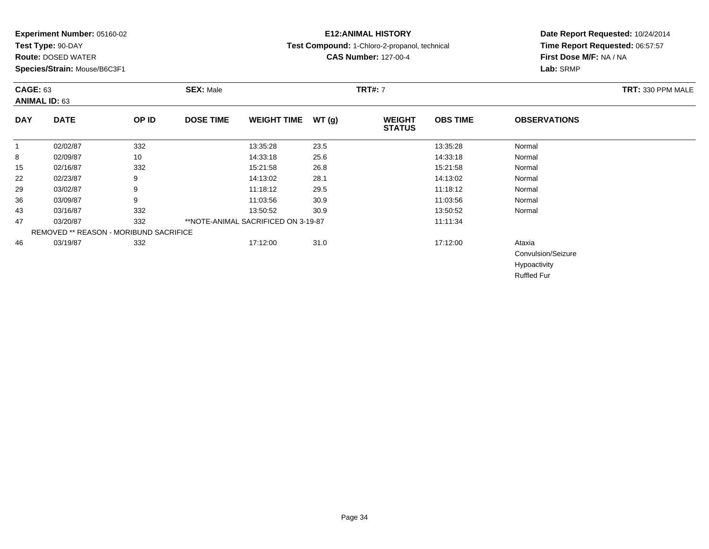**Test Type:** 90-DAY

**Route:** DOSED WATER

**Species/Strain:** Mouse/B6C3F1

## **E12:ANIMAL HISTORY**

**Test Compound:** 1-Chloro-2-propanol, technical

**CAS Number:** 127-00-4

### **Date Report Requested:** 10/24/2014 **Time Report Requested:** 06:57:57**First Dose M/F:** NA / NA**Lab:** SRMP

| <b>CAGE: 63</b> | <b>ANIMAL ID: 63</b>                   |       | <b>SEX: Male</b> |                                     |       | <b>TRT#: 7</b>                 |                 |                     | TRT: 330 PPM MALE |
|-----------------|----------------------------------------|-------|------------------|-------------------------------------|-------|--------------------------------|-----------------|---------------------|-------------------|
| <b>DAY</b>      | <b>DATE</b>                            | OP ID | <b>DOSE TIME</b> | <b>WEIGHT TIME</b>                  | WT(g) | <b>WEIGHT</b><br><b>STATUS</b> | <b>OBS TIME</b> | <b>OBSERVATIONS</b> |                   |
|                 | 02/02/87                               | 332   |                  | 13:35:28                            | 23.5  |                                | 13:35:28        | Normal              |                   |
| 8               | 02/09/87                               | 10    |                  | 14:33:18                            | 25.6  |                                | 14:33:18        | Normal              |                   |
| 15              | 02/16/87                               | 332   |                  | 15:21:58                            | 26.8  |                                | 15:21:58        | Normal              |                   |
| 22              | 02/23/87                               | 9     |                  | 14:13:02                            | 28.1  |                                | 14:13:02        | Normal              |                   |
| 29              | 03/02/87                               | 9     |                  | 11:18:12                            | 29.5  |                                | 11:18:12        | Normal              |                   |
| 36              | 03/09/87                               | 9     |                  | 11:03:56                            | 30.9  |                                | 11:03:56        | Normal              |                   |
| 43              | 03/16/87                               | 332   |                  | 13:50:52                            | 30.9  |                                | 13:50:52        | Normal              |                   |
| 47              | 03/20/87                               | 332   |                  | **NOTE-ANIMAL SACRIFICED ON 3-19-87 |       |                                | 11:11:34        |                     |                   |
|                 | REMOVED ** REASON - MORIBUND SACRIFICE |       |                  |                                     |       |                                |                 |                     |                   |
| 46              | 03/19/87                               | 332   |                  | 17:12:00                            | 31.0  |                                | 17:12:00        | Ataxia              |                   |
|                 |                                        |       |                  |                                     |       |                                |                 | Convulsion/Seizure  |                   |
|                 |                                        |       |                  |                                     |       |                                |                 | Hypoactivity        |                   |
|                 |                                        |       |                  |                                     |       |                                |                 | <b>Ruffled Fur</b>  |                   |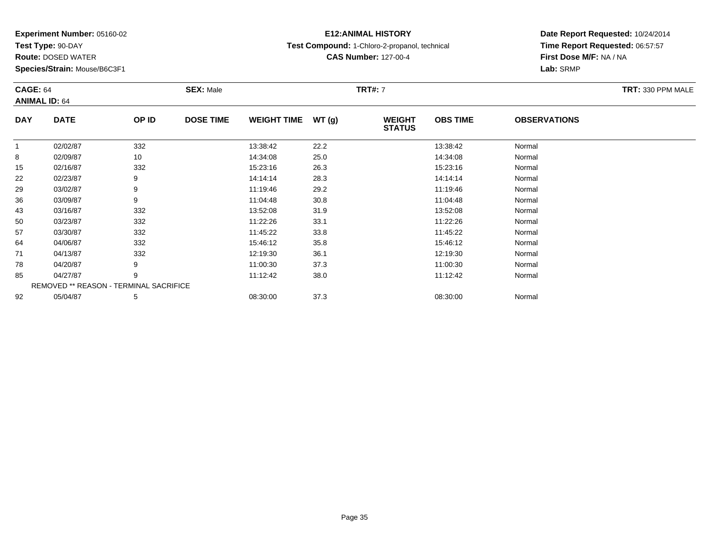**Test Type:** 90-DAY

**Route:** DOSED WATER

**Species/Strain:** Mouse/B6C3F1

## **E12:ANIMAL HISTORY**

**Test Compound:** 1-Chloro-2-propanol, technical

**CAS Number:** 127-00-4

### **Date Report Requested:** 10/24/2014**Time Report Requested:** 06:57:57**First Dose M/F:** NA / NA**Lab:** SRMP

### **CAGE:** 64 **SEX:** Male **TRT#:** <sup>7</sup> **TRT:** 330 PPM MALE**ANIMAL ID:** 64**DAY DATE OP IDDOSE TIME WEIGHT TIME WT** (g) **STATUSOBS TIME OBSERVATIONS** 11 02/02/87 332 13:38:42 13:38:42 Normal **8** 8 02/09/87 10 14:34:08 25.0 14:34:08 Normal 155 02/16/87 332 332 15:23:16 26.3 36.3 15:23:16 32/16/87 9 15:23:16 15:23:16 15:23:16

| ັບ | ULUUUU   | 1 V                                           | 14.04.00 | ZJ.U | 14.J4.VU | <b>TYOHIIGI</b> |
|----|----------|-----------------------------------------------|----------|------|----------|-----------------|
| 15 | 02/16/87 | 332                                           | 15:23:16 | 26.3 | 15:23:16 | Normal          |
| 22 | 02/23/87 | 9                                             | 14:14:14 | 28.3 | 14:14:14 | Normal          |
| 29 | 03/02/87 | 9                                             | 11:19:46 | 29.2 | 11:19:46 | Normal          |
| 36 | 03/09/87 | 9                                             | 11:04:48 | 30.8 | 11:04:48 | Normal          |
| 43 | 03/16/87 | 332                                           | 13:52:08 | 31.9 | 13:52:08 | Normal          |
| 50 | 03/23/87 | 332                                           | 11:22:26 | 33.1 | 11:22:26 | Normal          |
| 57 | 03/30/87 | 332                                           | 11:45:22 | 33.8 | 11:45:22 | Normal          |
| 64 | 04/06/87 | 332                                           | 15:46:12 | 35.8 | 15:46:12 | Normal          |
| 71 | 04/13/87 | 332                                           | 12:19:30 | 36.1 | 12:19:30 | Normal          |
| 78 | 04/20/87 | 9                                             | 11:00:30 | 37.3 | 11:00:30 | Normal          |
| 85 | 04/27/87 | 9                                             | 11:12:42 | 38.0 | 11:12:42 | Normal          |
|    |          | <b>REMOVED ** REASON - TERMINAL SACRIFICE</b> |          |      |          |                 |
| 92 | 05/04/87 | 5                                             | 08:30:00 | 37.3 | 08:30:00 | Normal          |
|    |          |                                               |          |      |          |                 |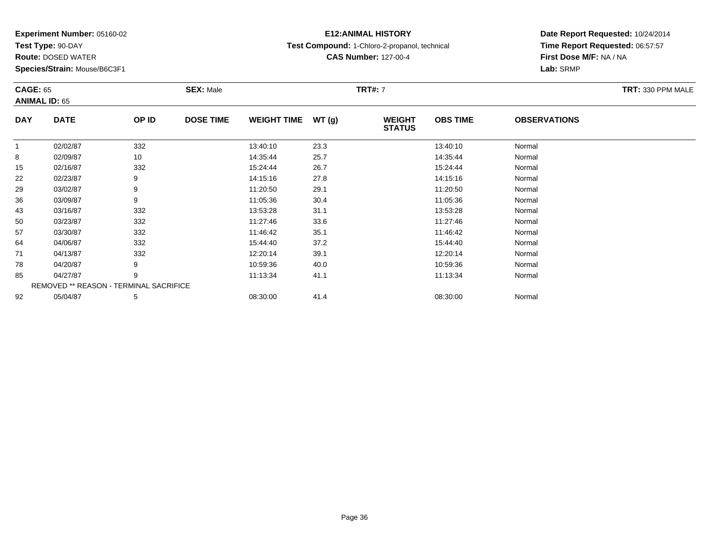**Test Type:** 90-DAY

71

78

85

92

**Route:** DOSED WATER

**Species/Strain:** Mouse/B6C3F1

REMOVED \*\* REASON - TERMINAL SACRIFICE

## **E12:ANIMAL HISTORY**

**Test Compound:** 1-Chloro-2-propanol, technical

**CAS Number:** 127-00-4

### **Date Report Requested:** 10/24/2014**Time Report Requested:** 06:57:57**First Dose M/F:** NA / NA**Lab:** SRMP

#### **CAGE:** 65 **SEX:** Male **TRT#:** <sup>7</sup> **TRT:** 330 PPM MALE**ANIMAL ID:** 65**DAY DATE OP IDDOSE TIME WEIGHT TIME WT** (g) **STATUSOBS TIME OBSERVATIONS** 11 02/02/87 332 13:40:10 23.3 13:40:10 Normal 88 10 14:35:44 Normal 155 02/16/87 332 332 15:24:44 26.7 332 332 332 332 332 332 3 45:24:44 3 45:24:44 3 45:24:44 3 5:24:44 5 5:24:44 222 02/23/87 9 9 14:15:16 27.8 12.15 14:15:16 14:15:16 Normal 299 03/02/87 9 9 11:20:50 29.1 11:20:50 11:20:50 11:20:50 11:20:50 Normal 366 03/09/87 9 11:05:36 30.4 11:05:36 Normal 433 03/16/87 332 332 13:53:28 31.1 351.1 354687 3328 Normal 500 03/23/87 332 11:27:46 33.6 11:27:46 Normal 577 03/30/87 332 11:46:42 35.1 11:46:42 Normal 644 04/06/87 332 332 15:44:40 37.2 5:44:40 15:44:40 Normal

1 04/13/87 332 332 12:20:14 39.1 12:30 39.1 12:20:14 Normal

8 04/20/87 9 9 10:59:36 40.0 10:59 10:00 10:59 10:00 10:59:36 Normal

5 04/27/87 9 9 11:13:34 41.1 11:13:34 11:13:34 Normal

2 05/04/87 5 5 08:30:00 41.4 0 08:30 08 08:30:00 5/04/87 Normal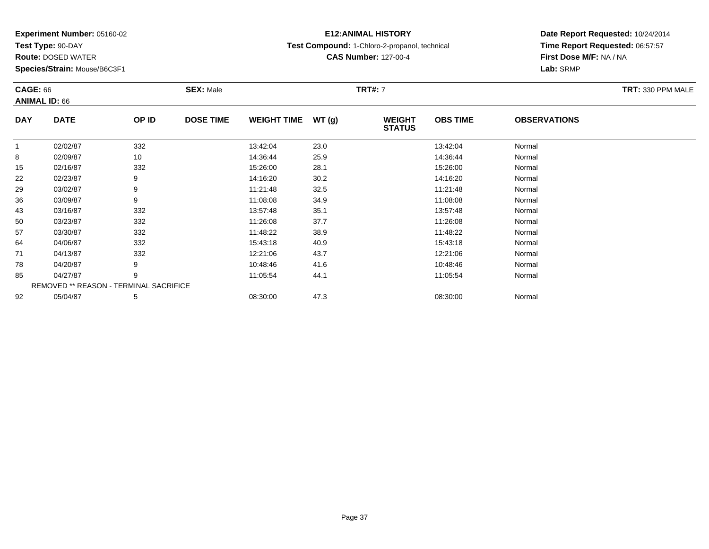**Test Type:** 90-DAY

64

71

78

85

92

**Route:** DOSED WATER

**Species/Strain:** Mouse/B6C3F1

REMOVED \*\* REASON - TERMINAL SACRIFICE

## **E12:ANIMAL HISTORY**

**Test Compound:** 1-Chloro-2-propanol, technical

**CAS Number:** 127-00-4

## **Date Report Requested:** 10/24/2014**Time Report Requested:** 06:57:57**First Dose M/F:** NA / NA**Lab:** SRMP

#### **CAGE:** 66 **SEX:** Male **TRT#:** <sup>7</sup> **TRT:** 330 PPM MALE**ANIMAL ID:** 66**DAY DATE OP IDDOSE TIME WEIGHT TIME WT** (g) **STATUSOBS TIME OBSERVATIONS** 11 02/02/87 332 13:42:04 23.0 13:42:04 Normal 88 02/09/87 10 14:36:44 25.9 14:36:44 Normal 155 02/16/87 332 332 15:26:00 28.1 56 15:26:00 32/5:26:00 Normal 222 02/23/87 9 9 14:16:20 30.2 12 14:16:20 14:16:20 Normal 299 03/02/87 9 9 11:21:48 32.5 11:21:48 11:21:48 Normal 366 03/09/87 9 11:08:08 34.9 11:08:08 Normal 433 03/16/87 332 35.1 336.1 336.1 35.1 35.57:48 35.1 35.57:48 35.1 500 03/23/87 332 11:26:08 37.7 11:26:08 Normal 577 03/30/87 332 11:48:22 38.9 11:48:22 Normal

4 04/06/87 332 30 15:43:18 40.9 40.9 15:43:18 15:43:18 Normal

1 04/13/87 332 332 12:21:06 43.7 337 12:21:06 54/13/87 Normal

8 04/20/87 9 9 10:48:46 41.6 10:48:46 10:48:46 10:48:46 Normal

5 04/27/87 9 9 11:05:54 44.1 105.54 11:05:54 Normal

2 05/04/87 5 5 08:30:00 47.3 07 08:30:00 08:30:00 08:30:00 08:30:00 08:30:00 08:30:00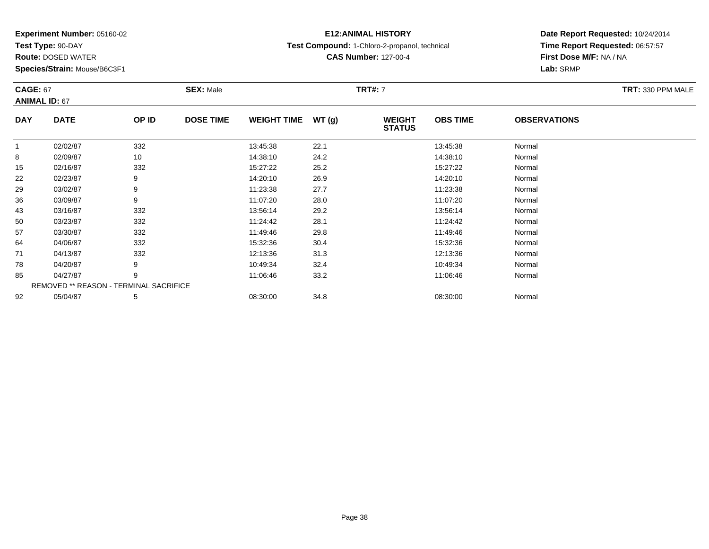**Test Type:** 90-DAY

**Route:** DOSED WATER

**Species/Strain:** Mouse/B6C3F1

## **E12:ANIMAL HISTORY**

**Test Compound:** 1-Chloro-2-propanol, technical

**CAS Number:** 127-00-4

## **Date Report Requested:** 10/24/2014 **Time Report Requested:** 06:57:57**First Dose M/F:** NA / NA**Lab:** SRMP

#### **CAGE:** 67 **SEX:** Male **TRT#:** <sup>7</sup> **TRT:** 330 PPM MALE**ANIMAL ID:** 67**DAY DATE OP IDDOSE TIME WEIGHT TIME WT** (g) **STATUSOBS TIME OBSERVATIONS** 11 02/02/87 332 13:45:38 22.1 13:45:38 Normal  $\sim$ 8 14:38:10 Normal 155 02/16/87 332 332 15:27:22 25.2 352 15:27:22 15:27:22 Normal 22

| 8  | 02/09/87 | 10                                            | 14:38:10 | 24.2 | 14:38:10 | Normal |  |
|----|----------|-----------------------------------------------|----------|------|----------|--------|--|
| 15 | 02/16/87 | 332                                           | 15:27:22 | 25.2 | 15:27:22 | Normal |  |
| 22 | 02/23/87 | 9                                             | 14:20:10 | 26.9 | 14:20:10 | Normal |  |
| 29 | 03/02/87 | 9                                             | 11:23:38 | 27.7 | 11:23:38 | Normal |  |
| 36 | 03/09/87 | 9                                             | 11:07:20 | 28.0 | 11:07:20 | Normal |  |
| 43 | 03/16/87 | 332                                           | 13:56:14 | 29.2 | 13:56:14 | Normal |  |
| 50 | 03/23/87 | 332                                           | 11:24:42 | 28.1 | 11:24:42 | Normal |  |
| 57 | 03/30/87 | 332                                           | 11:49:46 | 29.8 | 11:49:46 | Normal |  |
| 64 | 04/06/87 | 332                                           | 15:32:36 | 30.4 | 15:32:36 | Normal |  |
| 71 | 04/13/87 | 332                                           | 12:13:36 | 31.3 | 12:13:36 | Normal |  |
| 78 | 04/20/87 | 9                                             | 10:49:34 | 32.4 | 10:49:34 | Normal |  |
| 85 | 04/27/87 | 9                                             | 11:06:46 | 33.2 | 11:06:46 | Normal |  |
|    |          | <b>REMOVED ** REASON - TERMINAL SACRIFICE</b> |          |      |          |        |  |
| 92 | 05/04/87 | 5                                             | 08:30:00 | 34.8 | 08:30:00 | Normal |  |
|    |          |                                               |          |      |          |        |  |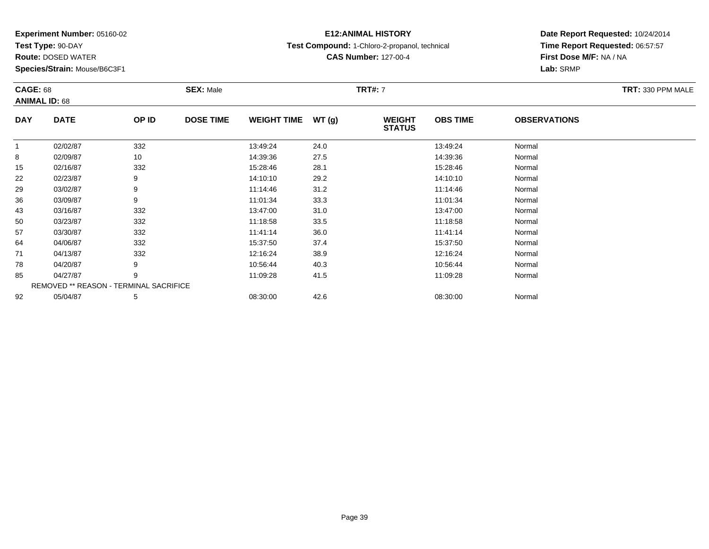**Test Type:** 90-DAY

78

85

92

**Route:** DOSED WATER

**Species/Strain:** Mouse/B6C3F1

REMOVED \*\* REASON - TERMINAL SACRIFICE

## **E12:ANIMAL HISTORY**

**Test Compound:** 1-Chloro-2-propanol, technical

**CAS Number:** 127-00-4

## **Date Report Requested:** 10/24/2014**Time Report Requested:** 06:57:57**First Dose M/F:** NA / NA**Lab:** SRMP

#### **CAGE:** 68 **SEX:** Male **TRT#:** <sup>7</sup> **TRT:** 330 PPM MALE**ANIMAL ID:** 68**DAY DATE OP IDDOSE TIME WEIGHT TIME WT** (g) **STATUSOBS TIME OBSERVATIONS** 11 02/02/87 332 13:49:24 24.0 13:49:24 Normal 88 02/09/87 10 14:39:36 27.5 14:39:36 Normal 155 02/16/87 332 382 15:28:46 28.1 352 332 332 35:28:46 361 35:28:46 35:28:46 35:28:46 222 02/23/87 9 9 14:10:10 29.2 14:00 14:00 14:00 14:00 14:00 Normal 299 03/02/87 9 9 11:14:46 31.2 11:14:46 11:14:46 Normal 366 03/09/87 9 11:01:34 33.3 11:01:34 Normal 433 03/16/87 332 3 13:47:00 31.0 31.0 33/47:00 33147:00 3 13:47:00 3 13:47:00 3 13:47:00 500 03/23/87 332 11:18:58 33.5 11:18:58 Normal 577 03/30/87 332 11:41:14 36.0 11:41:14 Normal 644 04/06/87 332 332 15:37:50 37.4 37.4 15:37:50 Normal 71

1 04/13/87 332 332 12:16:24 38.9 13.16 12:16:24 Normal

8 04/20/87 9 9 10:56:44 40.3 10:56:44 10:56:44 10:56:44 Normal

5 04/27/87 9 9 11:09:28 41.5 11:09 11:09 11:09 11:09 11:09 11:09 11:09 128 11:09:28

2 05/04/87 5 5 08:30:00 42.6 08:30 08 08:30:00 5/04/87 Normal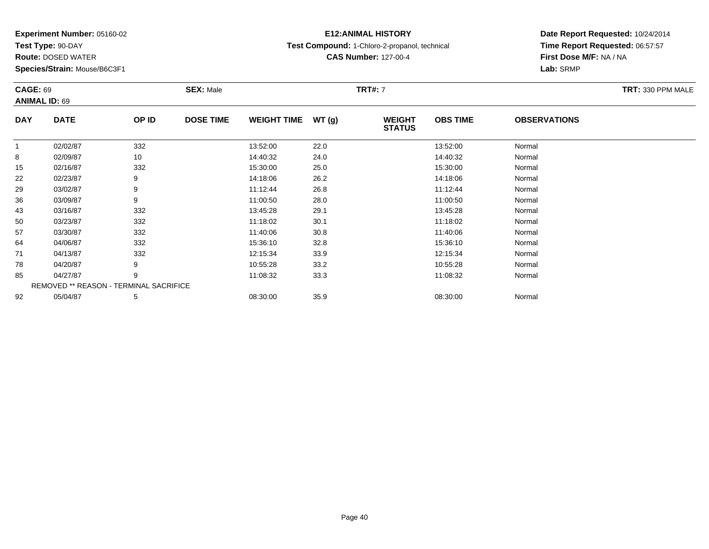**Test Type:** 90-DAY

78

85

92

**Route:** DOSED WATER

**Species/Strain:** Mouse/B6C3F1

REMOVED \*\* REASON - TERMINAL SACRIFICE

## **E12:ANIMAL HISTORY**

**Test Compound:** 1-Chloro-2-propanol, technical

**CAS Number:** 127-00-4

## **Date Report Requested:** 10/24/2014**Time Report Requested:** 06:57:57**First Dose M/F:** NA / NA**Lab:** SRMP

#### **CAGE:** 69 **SEX:** Male **TRT#:** <sup>7</sup> **TRT:** 330 PPM MALE**ANIMAL ID:** 69**DAY DATE OP IDDOSE TIME WEIGHT TIME WT** (g) **STATUSOBS TIME OBSERVATIONS** 11 02/02/87 332 13:52:00 22.0 13:52:00 Normal 88 14:40:32 Normal 155 02/16/87 332 15:30:00 25.0 15:30:00 15:30:00 15:30:00 Normal 222 02/23/87 9 9 14:18:06 26.2 15 14:18:06 26.2 14:18:06 Normal 299 03/02/87 9 9 11:12:44 26.8 11:12:44 11:12:44 11:12:44 Normal 366 03/09/87 9 9 11:00:50 28.0 128.0 11:00:50 11:00:50 Normal 433 03/16/87 332 332 13:45:28 29.1 331 332 3 13:45:28 3 29.1 500 03/23/87 332 11:18:02 30.1 11:18:02 Normal 577 03/30/87 332 11:40:06 30.8 11:40:06 Normal 644 04/06/87 332 332 15:36:10 32.8 15:36:10 32.8 15:36:10 Normal 71

1 04/13/87 332 332 12:15:34 33.9 13.15:34 12:15:34 Normal

8 04/20/87 9 9 10:55:28 33.2 10:55:28 10:55:28 Normal

5 04/27/87 9 9 11:08:32 33.3 11:08:32 11:08:32 Normal

2 05/04/87 5 5 08:30:00 35.9 08:30 00 35.9 08:30:00 08:30:00 08:30:00 08:30:00 08:30:00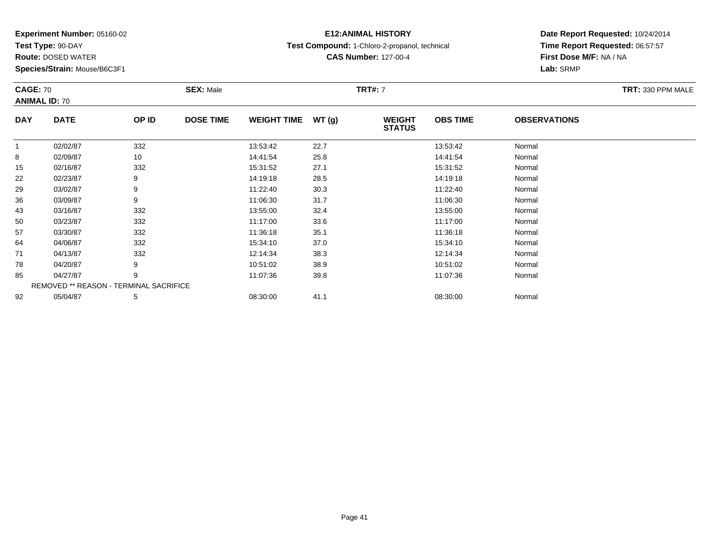**Test Type:** 90-DAY

**Route:** DOSED WATER

**Species/Strain:** Mouse/B6C3F1

REMOVED \*\* REASON - TERMINAL SACRIFICE

## **E12:ANIMAL HISTORY**

**Test Compound:** 1-Chloro-2-propanol, technical

**CAS Number:** 127-00-4

**Date Report Requested:** 10/24/2014**Time Report Requested:** 06:57:57**First Dose M/F:** NA / NA**Lab:** SRMP

|            | <b>CAGE: 70</b><br><b>ANIMAL ID: 70</b> |       | <b>SEX: Male</b> |                    |       | <b>TRT#: 7</b>                 |                 | TRT: 330 PPM MALE   |  |
|------------|-----------------------------------------|-------|------------------|--------------------|-------|--------------------------------|-----------------|---------------------|--|
| <b>DAY</b> | <b>DATE</b>                             | OP ID | <b>DOSE TIME</b> | <b>WEIGHT TIME</b> | WT(q) | <b>WEIGHT</b><br><b>STATUS</b> | <b>OBS TIME</b> | <b>OBSERVATIONS</b> |  |
|            | 02/02/87                                | 332   |                  | 13:53:42           | 22.7  |                                | 13:53:42        | Normal              |  |
| 8          | 02/09/87                                | 10    |                  | 14:41:54           | 25.8  |                                | 14:41:54        | Normal              |  |
| 15         | 02/16/87                                | 332   |                  | 15:31:52           | 27.1  |                                | 15:31:52        | Normal              |  |
| 22         | 02/23/87                                | 9     |                  | 14:19:18           | 28.5  |                                | 14:19:18        | Normal              |  |
| 29         | 03/02/87                                | 9     |                  | 11:22:40           | 30.3  |                                | 11:22:40        | Normal              |  |
| 36         | 03/09/87                                | 9     |                  | 11:06:30           | 31.7  |                                | 11:06:30        | Normal              |  |
| 43         | 03/16/87                                | 332   |                  | 13:55:00           | 32.4  |                                | 13:55:00        | Normal              |  |

3 03/16/87 332 332 13:55:00 32.4 32.4 3355:00 332.55:00 3318 3

0 03/23/87 332 11:17:00 33.6 11:17:00 Normal

7 03/30/87 332 11:36:18 35.1 11:36:18 Normal

4 04/06/87 332 332 15:34:10 37.0 37.0 35:34:10 534:10 Normal

1 04/13/87 332 332 12:14:34 38.3 12:00 12:14:34 Normal

8 04/20/87 9 9 10:51:02 38.9 10:51:02 38.9 10:51:02 Normal

5 04/27/87 9 9 11:07:36 39.8 11:07:36 11:07:36 11:07:36 Normal

2 05/04/87 5 5 08:30:00 41.1 08:30 08:30:00 08:30:00 08:30:00 08:30:00 08:30:00

50

57

64

71

78

85

92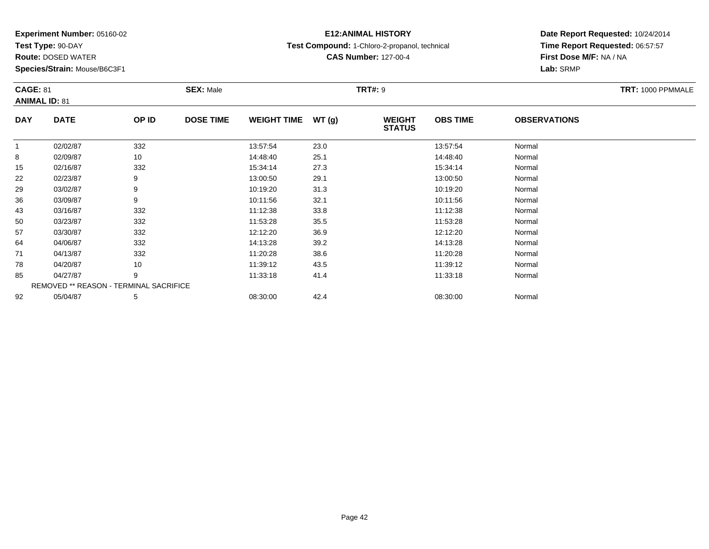**Test Type:** 90-DAY

85

92

**Route:** DOSED WATER

**Species/Strain:** Mouse/B6C3F1

REMOVED \*\* REASON - TERMINAL SACRIFICE

## **E12:ANIMAL HISTORY**

**Test Compound:** 1-Chloro-2-propanol, technical

**CAS Number:** 127-00-4

## **Date Report Requested:** 10/24/2014**Time Report Requested:** 06:57:57**First Dose M/F:** NA / NA**Lab:** SRMP

#### **CAGE:** 81 **SEX:** Male **TRT#:** <sup>9</sup> **TRT:** 1000 PPMMALE**ANIMAL ID:** 81**DAY DATE OP IDDOSE TIME WEIGHT TIME WT** (g) **STATUSOBS TIME OBSERVATIONS** 11 02/02/87 332 13:57:54 23.0 13:57:54 Normal 88 02/09/87 10 14:48:40 25.1 14:48:40 Normal 15 02/16/87 <sup>332</sup> 15:34:14 27.3 15:34:14 Normal 222 02/23/87 9 9 13:00:50 29.1 13:00 13:00 13:00 13:00:50 13:00:50 Normal 299 03/02/87 9 9 10:19:20 31.3 10:30 10:19 10:19 10:19 10:19 10:19:20 10:19:20 Normal 366 03/09/87 9 10:11:56 32.1 10:11:56 Normal 433 03/16/87 332 11:12:38 33.8 11:12:38 Normal 500 03/23/87 332 11:53:28 35.5 11:53:28 Normal 577 03/30/87 332 12:12:20 36.9 12:12:20 Normal 644 04/06/87 332 30 14:13:28 39.2 39.2 14:13:28 Normal 711 04/13/87 332 30 11:20:28 38.6 11:20:28 11:20:28 Normal 78

8 04/20/87 10 10 11:39:12 43.5 11:39 10 11:39:12 10 11:39:12 11:39:12 11:39:12 11:39

5 04/27/87 9 9 11:33:18 41.4 1.4 11:33:18 11:33:18 Normal

2 05/04/87 5 5 08:30:00 42.4 08:40 08:30:00 08:00 08:30:00 08:30:00 08:30:00 08:30:00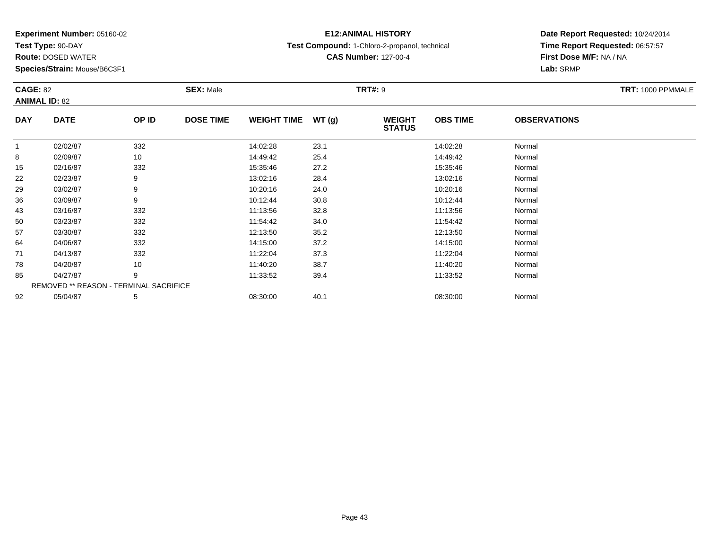**Test Type:** 90-DAY

## **E12:ANIMAL HISTORY**

**Test Compound:** 1-Chloro-2-propanol, technical

**CAS Number:** 127-00-4

**Date Report Requested:** 10/24/2014**Time Report Requested:** 06:57:57**First Dose M/F:** NA / NA**Lab:** SRMP

#### **CAGE:** 82 **SEX:** Male **TRT#:** <sup>9</sup> **TRT:** 1000 PPMMALE**ANIMAL ID:** 82**DAY DATE OP IDDOSE TIME WEIGHT TIME WT** (g) **STATUSOBS TIME OBSERVATIONS** 11 02/02/87 332 14:02:28 23.1 14:02:28 Normal 88 14:49:42 Normal 155 02/16/87 332 332 15:35:46 27.2 352 5 35:46 15:35:46 Aormal 222 02/23/87 9 9 13:02:16 28.4 13:02 13:02 13:02 14 13:02 16 13:02:16 Normal 299 03/02/87 9 9 10:20:16 24.0 12.0 10 10:20:16 10:20:16 Normal 366 03/09/87 9 9 10:12:44 30.8 10:12 10:12 10:12 10:12 10:12 10:12:44 10:12:44 433 03/16/87 332 11:13:56 32.8 11:13:56 Normal 500 03/23/87 332 11:54:42 34.0 11:54:42 Normal 577 03/30/87 332 332 12:13:50 35.2 35.2 12:13:50 35.2 33/30/87 644 04/06/87 332 332 14:15:00 37.2 15:00 14:15:00 15 14:15:00 711 04/13/87 332 332 11:22:04 37.3 11:32 11:32 11:32 11:32 11:32:04 Normal 788 04/20/87 10 10 11:40:20 38.7 11:40:20 11:40:20 Normal 855 04/27/87 9 9 11:33:52 39.4 19:33:52 11:33:52 Normal REMOVED \*\* REASON - TERMINAL SACRIFICE922 05/04/87 5 5 08:30:00 40.1 08:30 08 08:30:00 5/04/87 Normal

#### **Route:** DOSED WATER

**Species/Strain:** Mouse/B6C3F1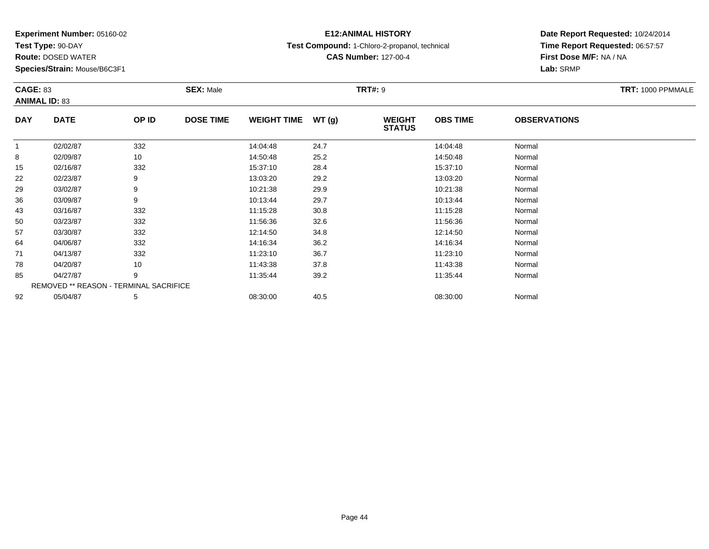**Test Type:** 90-DAY

85

92

**Route:** DOSED WATER

**Species/Strain:** Mouse/B6C3F1

REMOVED \*\* REASON - TERMINAL SACRIFICE

## **E12:ANIMAL HISTORY**

**Test Compound:** 1-Chloro-2-propanol, technical

**CAS Number:** 127-00-4

### **Date Report Requested:** 10/24/2014**Time Report Requested:** 06:57:57**First Dose M/F:** NA / NA**Lab:** SRMP

#### **CAGE:** 83 **SEX:** Male **TRT#:** <sup>9</sup> **TRT:** 1000 PPMMALE**ANIMAL ID:** 83**DAY DATE OP IDDOSE TIME WEIGHT TIME WT** (g) **STATUSOBS TIME OBSERVATIONS** 11 02/02/87 332 14:04:48 24.7 14:04:48 Normal 88 10 14:50:48 Normal 155 02/16/87 332 15:37:10 28.4 15:47 15:37:10 O2/16/87 Normal 222 02/23/87 9 9 13:03:20 29.2 13:03:20 13:03 13:03 13:03 13:03:20 Normal 299 03/02/87 9 9 10:21:38 29.9 12.9 10:21:38 29.9 366 03/09/87 9 9 10:13:44 29.7 10:13:44 10:13:44 10:13:44 Normal 433 03/16/87 332 11:15:28 30.8 11:15:28 Normal 500 03/23/87 332 11:56:36 32.6 11:56:36 Normal 577 03/30/87 332 32 12:14:50 34.8 12:14:50 12:14:50 Normal 644 04/06/87 332 30 14:16:34 36.2 36.2 14:16:34 Normal 711 04/13/87 332 332 11:23:10 36.7 36.7 11:23:10 36.7 11:23:10 788 04/20/87 10 11:43:38 37.8 11:43:38 Normal

5 04/27/87 9 9 11:35:44 39.2 11:35:44 11:35:44 11:35:44 Normal

2 05/04/87 5 5 08:30:00 40.5 05/04/87 Normal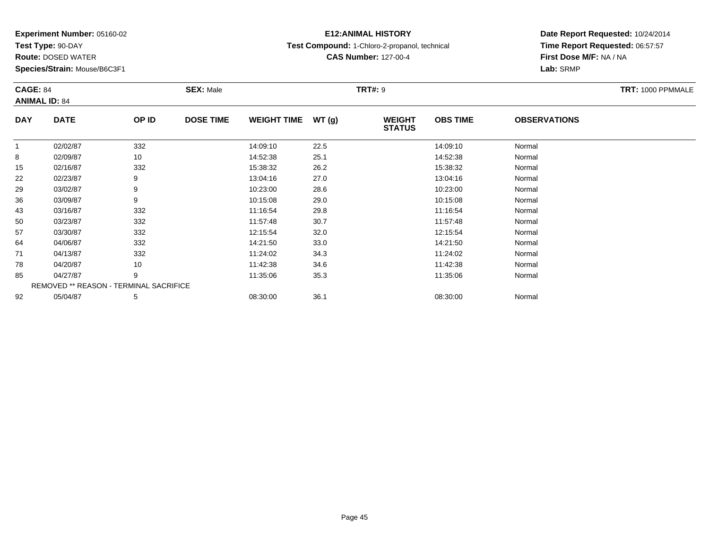**Test Type:** 90-DAY

**Route:** DOSED WATER

**Species/Strain:** Mouse/B6C3F1

## **E12:ANIMAL HISTORY**

**Test Compound:** 1-Chloro-2-propanol, technical

**CAS Number:** 127-00-4

**Date Report Requested:** 10/24/2014**Time Report Requested:** 06:57:57**First Dose M/F:** NA / NA**Lab:** SRMP

#### **CAGE:** 84 **SEX:** Male **TRT#:** <sup>9</sup> **TRT:** 1000 PPMMALE**ANIMAL ID:** 84**DAY DATE OP IDDOSE TIME WEIGHT TIME WT** (g) **STATUSOBS TIME OBSERVATIONS** 11 02/02/87 332 14:09:10 22.5 14:09:10 Normal 88 02/09/87 10 14:52:38 25.1 14:52:38 Normal 155 02/16/87 332 32 15:38:32 26.2 352 35:32 15:38:32 5 02/16/87 222 02/23/87 9 9 13:04:16 27.0 13:04 13:04 13:04:16 13:04:16 13:04:16 299 03/02/87 9 9 10:23:00 28.6 10:23:00 10:23:00 10:23:00 Normal 366 03/09/87 9 9 10:15:08 29.0 10:19 10:19 10:19 10:19 10:15:08 Normal 433 03/16/87 332 11:16:54 29.8 11:16:54 Normal 500 03/23/87 332 11:57:48 30.7 11:57:48 Normal 57 03/30/87 <sup>332</sup> 12:15:54 32.0 12:15:54 Normal 644 04/06/87 332 32 14:21:50 33.0 4 4 14:21:50 Normal 711 04/13/87 332 32 11:24:02 34.3 11:34.02 11:24:02 Normal 788 04/20/87 10 10 11:42:38 34.6 11:42:38 11:42:38 Normal 855 04/27/87 9 9 11:35:06 35.3 11:35:06 11:35:06 11:35:06 Normal REMOVED \*\* REASON - TERMINAL SACRIFICE922 05/04/87 5 5 08:30:00 36.1 08:30 00 08:30:00 36.1 08:30:00 08:30:00 Normal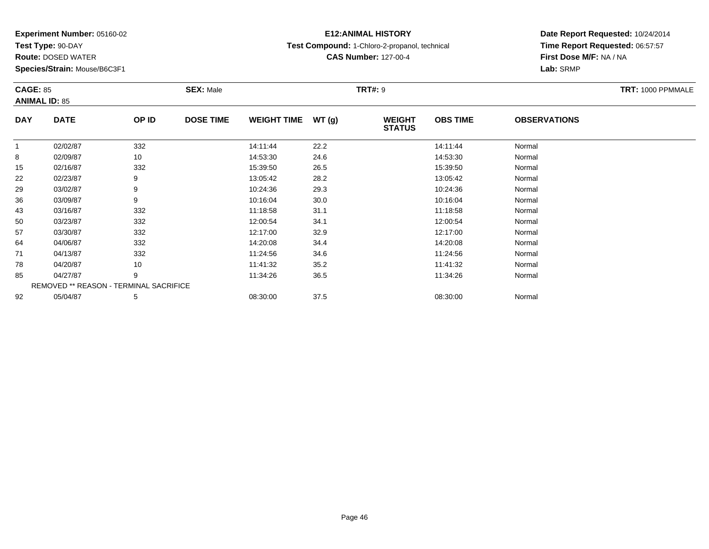**Test Type:** 90-DAY

**Route:** DOSED WATER

**Species/Strain:** Mouse/B6C3F1

# **E12:ANIMAL HISTORY**

**Test Compound:** 1-Chloro-2-propanol, technical

**CAS Number:** 127-00-4

|            | <b>CAGE: 85</b><br><b>ANIMAL ID: 85</b>       |       | <b>SEX: Male</b> |                    |       | <b>TRT#: 9</b>                 | TRT: 1000 PPMMALE |                     |  |
|------------|-----------------------------------------------|-------|------------------|--------------------|-------|--------------------------------|-------------------|---------------------|--|
| <b>DAY</b> | <b>DATE</b>                                   | OP ID | <b>DOSE TIME</b> | <b>WEIGHT TIME</b> | WT(g) | <b>WEIGHT</b><br><b>STATUS</b> | <b>OBS TIME</b>   | <b>OBSERVATIONS</b> |  |
| 1          | 02/02/87                                      | 332   |                  | 14:11:44           | 22.2  |                                | 14:11:44          | Normal              |  |
| 8          | 02/09/87                                      | 10    |                  | 14:53:30           | 24.6  |                                | 14:53:30          | Normal              |  |
| 15         | 02/16/87                                      | 332   |                  | 15:39:50           | 26.5  |                                | 15:39:50          | Normal              |  |
| 22         | 02/23/87                                      | 9     |                  | 13:05:42           | 28.2  |                                | 13:05:42          | Normal              |  |
| 29         | 03/02/87                                      | 9     |                  | 10:24:36           | 29.3  |                                | 10:24:36          | Normal              |  |
| 36         | 03/09/87                                      | 9     |                  | 10:16:04           | 30.0  |                                | 10:16:04          | Normal              |  |
| 43         | 03/16/87                                      | 332   |                  | 11:18:58           | 31.1  |                                | 11:18:58          | Normal              |  |
| 50         | 03/23/87                                      | 332   |                  | 12:00:54           | 34.1  |                                | 12:00:54          | Normal              |  |
| 57         | 03/30/87                                      | 332   |                  | 12:17:00           | 32.9  |                                | 12:17:00          | Normal              |  |
| 64         | 04/06/87                                      | 332   |                  | 14:20:08           | 34.4  |                                | 14:20:08          | Normal              |  |
| 71         | 04/13/87                                      | 332   |                  | 11:24:56           | 34.6  |                                | 11:24:56          | Normal              |  |
| 78         | 04/20/87                                      | 10    |                  | 11:41:32           | 35.2  |                                | 11:41:32          | Normal              |  |
| 85         | 04/27/87                                      | 9     |                  | 11:34:26           | 36.5  |                                | 11:34:26          | Normal              |  |
|            | <b>REMOVED ** REASON - TERMINAL SACRIFICE</b> |       |                  |                    |       |                                |                   |                     |  |
| 92         | 05/04/87                                      | 5     |                  | 08:30:00           | 37.5  |                                | 08:30:00          | Normal              |  |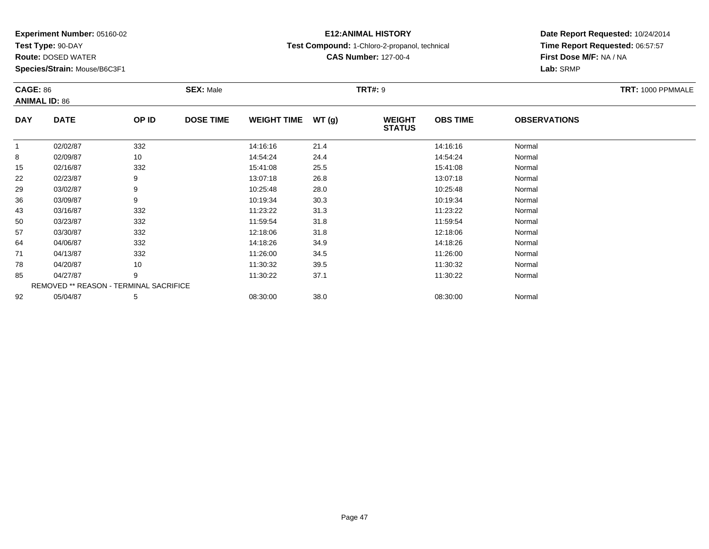**Test Type:** 90-DAY

**Route:** DOSED WATER

**Species/Strain:** Mouse/B6C3F1

# **E12:ANIMAL HISTORY**

**Test Compound:** 1-Chloro-2-propanol, technical

**CAS Number:** 127-00-4

## **Date Report Requested:** 10/24/2014**Time Report Requested:** 06:57:57**First Dose M/F:** NA / NA**Lab:** SRMP

#### **CAGE:** 86 **SEX:** Male **TRT#:** <sup>9</sup> **TRT:** 1000 PPMMALE**ANIMAL ID:** 86**DAY DATE OP IDDOSE TIME WEIGHT TIME WT** (g) **STATUSOBS TIME OBSERVATIONS** 11 02/02/87 332 14:16:16 21.4 14:16:16 Normal 88 14:54:24 Normal 155 02/16/87 332 332 15:41:08 25.5 5 15:41:08 15:41:08 Normal 222 02/23/87 9 9 13:07:18 26.8 13:07 13:07 14 13:07:18 13:07:18 15:07:18 15:07:18 299 03/02/87 9 9 10:25:48 28.0 10:25:48 28.0 10:25:48 Normal 366 03/09/87 9 10:19:34 30.3 10:19:34 Normal 43 03/16/87 <sup>332</sup> 11:23:22 31.3 11:23:22 Normal 500 03/23/87 332 11:59:54 31.8 11:59:54 Normal 577 03/30/87 332 12:18:06 31.8 12:18:06 Normal 644 04/06/87 332 30 14:18:26 34.9 34.9 14:18:26 Normal 711 04/13/87 332 332 11:26:00 34.5 11:26:00 34.5 11:26:00 11:26:00 788 04/20/87 10 10 11:30:32 39.5 11:30:32 11:30:32 Normal 855 04/27/87 9 9 11:30:22 37.1 11:30 11:30 11:30 11:30 11:30 11:30 11:30 122 Normal REMOVED \*\* REASON - TERMINAL SACRIFICE922 05/04/87 5 5 08:30:00 38.0 08:30 00 08:00 08:00 08:30:00 08:30:00 08:30:00 08:30:00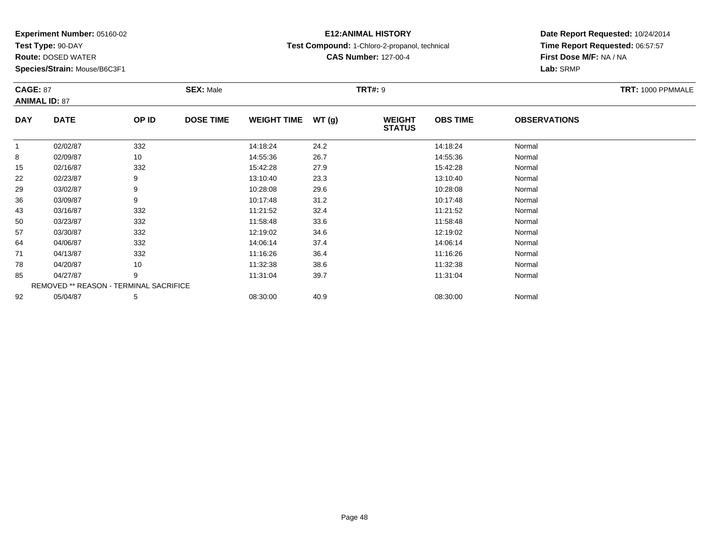**Test Type:** 90-DAY

71

78

85

92

**Route:** DOSED WATER

**Species/Strain:** Mouse/B6C3F1

REMOVED \*\* REASON - TERMINAL SACRIFICE

## **E12:ANIMAL HISTORY**

**Test Compound:** 1-Chloro-2-propanol, technical

**CAS Number:** 127-00-4

### **Date Report Requested:** 10/24/2014**Time Report Requested:** 06:57:57**First Dose M/F:** NA / NA**Lab:** SRMP

#### **CAGE:** 87 **SEX:** Male **TRT#:** <sup>9</sup> **TRT:** 1000 PPMMALE**ANIMAL ID:** 87**DAY DATE OP IDDOSE TIME WEIGHT TIME WT** (g) **STATUSOBS TIME OBSERVATIONS** 11 02/02/87 332 14:18:24 24.2 14:18:24 Normal 88 02/09/87 10 14:55:36 26.7 14:55:36 Normal 155 02/16/87 332 332 15:42:28 27.9 37.9 15:42:28 15:42:28 Normal 222 02/23/87 9 9 13:10:40 23.3 13:10:40 13:10:40 13:10:40 Normal 299 03/02/87 9 9 10:28:08 29.6 10:28:08 10:28:09 10:28:08 Normal 366 03/09/87 9 9 10:17:48 31.2 12 10:17:48 31.2 43 03/16/87 <sup>332</sup> 11:21:52 32.4 11:21:52 Normal 500 03/23/87 332 11:58:48 33.6 11:58:48 Normal 577 03/30/87 332 32 12:19:02 34.6 12:19 12:19 12:19 12:19 12:19 12:19 12:19 12:19 12:19 12:19 12:19 12:19 12:19 644 04/06/87 332 332 14:06:14 37.4 37.4 14:06:14 14:06:14 Normal

1 04/13/87 332 11:16:26 36.4 11:16:26 Normal

8 04/20/87 10 11:32:38 38.6 11:32:38 Normal

5 04/27/87 9 9 11:31:04 39.7 11:31:04 11:31:04 11:31:04 Normal

2 05/04/87 5 5 08:30:00 40.9 00 08:30 00 08:30:00 5/04/87 Normal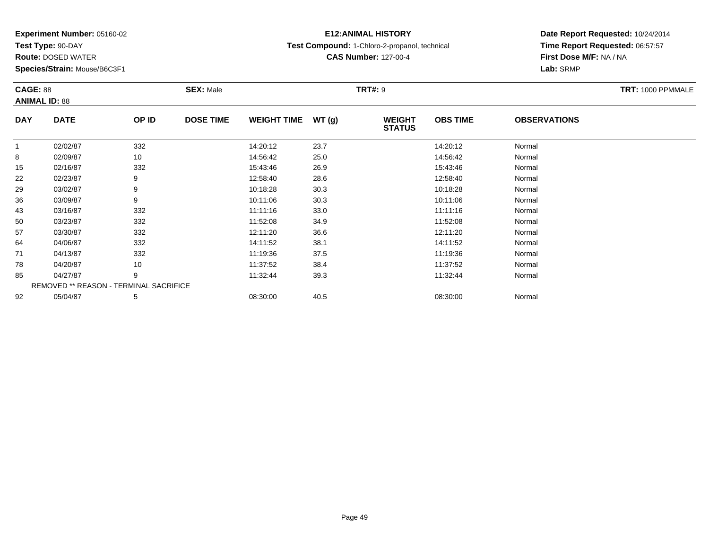**Test Type:** 90-DAY

**Route:** DOSED WATER

**Species/Strain:** Mouse/B6C3F1

## **E12:ANIMAL HISTORY**

**Test Compound:** 1-Chloro-2-propanol, technical

**CAS Number:** 127-00-4

## **Date Report Requested:** 10/24/2014**Time Report Requested:** 06:57:57**First Dose M/F:** NA / NA**Lab:** SRMP

#### **CAGE:** 88 **SEX:** Male **TRT#:** <sup>9</sup> **TRT:** 1000 PPMMALE**ANIMAL ID:** 88**DAY DATE OP IDDOSE TIME WEIGHT TIME WT** (g) **STATUSOBS TIME OBSERVATIONS** 11 02/02/87 332 14:20:12 23.7 14:20:12 Normal 88 10 14:56:42 Normal 155 02/16/87 332 332 15:43:46 26.9 36.9 15:43:46 26.9 32 Normal 222 02/23/87 9 9 12:58:40 28.6 12:58:40 12:58:40 12:58:40 Normal 299 03/02/87 9 9 10:18:28 30.3 10:18 10:18 10:18 10:18 10:18 12 10:18:28 Normal 366 03/09/87 9 10:11:06 30.3 10:11:06 Normal 433 03/16/87 332 11:11:16 33.0 11:11:16 Normal 500 03/23/87 332 11:52:08 34.9 11:52:08 Normal 577 03/30/87 332 12:11:20 36.6 12:11:20 Normal 644 04/06/87 332 3 14:11:52 38.1 14:00 14:00 14:00 332 711 04/13/87 332 11:19:36 37.5 11:19:36 Normal 788 04/20/87 10 10 11:37:52 38.4 11:37:52 11:37:52 Normal 855 04/27/87 9 9 11:32:44 39.3 11:32:44 11:32 11:32:44 Normal REMOVED \*\* REASON - TERMINAL SACRIFICE922 05/04/87 5 5 08:30:00 40.5 05/04/87 Normal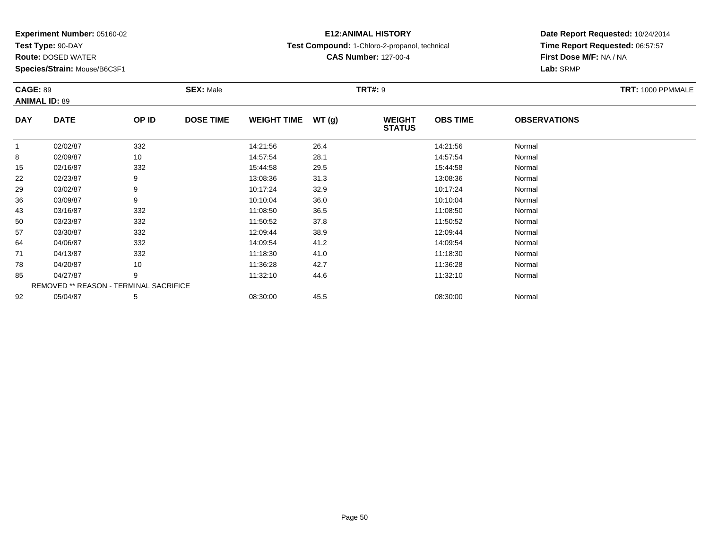**Test Type:** 90-DAY

**Route:** DOSED WATER

**Species/Strain:** Mouse/B6C3F1

# **E12:ANIMAL HISTORY**

**Test Compound:** 1-Chloro-2-propanol, technical

**CAS Number:** 127-00-4

| <b>CAGE: 89</b><br><b>ANIMAL ID: 89</b> |                                        |       | <b>SEX: Male</b> |                    |       | <b>TRT#: 9</b>                 |                 |                     | TRT: 1000 PPMMALE |
|-----------------------------------------|----------------------------------------|-------|------------------|--------------------|-------|--------------------------------|-----------------|---------------------|-------------------|
| <b>DAY</b>                              | <b>DATE</b>                            | OP ID | <b>DOSE TIME</b> | <b>WEIGHT TIME</b> | WT(g) | <b>WEIGHT</b><br><b>STATUS</b> | <b>OBS TIME</b> | <b>OBSERVATIONS</b> |                   |
|                                         | 02/02/87                               | 332   |                  | 14:21:56           | 26.4  |                                | 14:21:56        | Normal              |                   |
| 8                                       | 02/09/87                               | 10    |                  | 14:57:54           | 28.1  |                                | 14:57:54        | Normal              |                   |
| 15                                      | 02/16/87                               | 332   |                  | 15:44:58           | 29.5  |                                | 15:44:58        | Normal              |                   |
| 22                                      | 02/23/87                               | 9     |                  | 13:08:36           | 31.3  |                                | 13:08:36        | Normal              |                   |
| 29                                      | 03/02/87                               | 9     |                  | 10:17:24           | 32.9  |                                | 10:17:24        | Normal              |                   |
| 36                                      | 03/09/87                               | 9     |                  | 10:10:04           | 36.0  |                                | 10:10:04        | Normal              |                   |
| 43                                      | 03/16/87                               | 332   |                  | 11:08:50           | 36.5  |                                | 11:08:50        | Normal              |                   |
| 50                                      | 03/23/87                               | 332   |                  | 11:50:52           | 37.8  |                                | 11:50:52        | Normal              |                   |
| 57                                      | 03/30/87                               | 332   |                  | 12:09:44           | 38.9  |                                | 12:09:44        | Normal              |                   |
| 64                                      | 04/06/87                               | 332   |                  | 14:09:54           | 41.2  |                                | 14:09:54        | Normal              |                   |
| 71                                      | 04/13/87                               | 332   |                  | 11:18:30           | 41.0  |                                | 11:18:30        | Normal              |                   |
| 78                                      | 04/20/87                               | 10    |                  | 11:36:28           | 42.7  |                                | 11:36:28        | Normal              |                   |
| 85                                      | 04/27/87                               | 9     |                  | 11:32:10           | 44.6  |                                | 11:32:10        | Normal              |                   |
|                                         | REMOVED ** REASON - TERMINAL SACRIFICE |       |                  |                    |       |                                |                 |                     |                   |
| 92                                      | 05/04/87                               | 5     |                  | 08:30:00           | 45.5  |                                | 08:30:00        | Normal              |                   |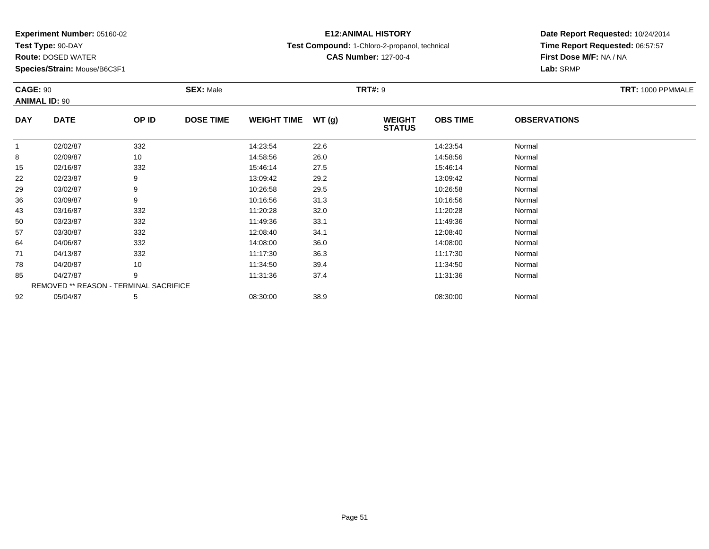**Test Type:** 90-DAY

85

92

**Route:** DOSED WATER

**Species/Strain:** Mouse/B6C3F1

REMOVED \*\* REASON - TERMINAL SACRIFICE

## **E12:ANIMAL HISTORY**

**Test Compound:** 1-Chloro-2-propanol, technical

**CAS Number:** 127-00-4

### **Date Report Requested:** 10/24/2014**Time Report Requested:** 06:57:57**First Dose M/F:** NA / NA**Lab:** SRMP

#### **CAGE:** 90 **SEX:** Male **TRT#:** <sup>9</sup> **TRT:** 1000 PPMMALE**ANIMAL ID:** 90**DAY DATE OP IDDOSE TIME WEIGHT TIME WT** (g) **STATUSOBS TIME OBSERVATIONS** 11 02/02/87 332 14:23:54 22.6 14:23:54 Normal 88 02/09/87 10 14:58:56 26.0 14:58:56 Normal 155 02/16/87 332 332 15:46:14 27.5 375 15:46:14 15:46:14 37.5 222 02/23/87 9 9 13:09:42 29.2 13:09:42 13:09 13:09 13:09 14 13:09 14 13:09 14 15:09 15:09 16 17 15:09 16 17 17 1 299 03/02/87 9 9 10:26:58 29.5 29.5 10:26:58 10:26:58 Normal 366 03/09/87 9 10:16:56 31.3 10:16:56 Normal 43 03/16/87 <sup>332</sup> 11:20:28 32.0 11:20:28 Normal 500 03/23/87 332 11:49:36 33.1 11:49:36 Normal 577 03/30/87 332 332 12:08:40 34.1 34.1 33/3 12:08:40 354.1 356 12:08:40 Normal 644 04/06/87 332 32 14:08:00 36.0 36.0 36.0 14:08:00 36.0 711 04/13/87 332 332 11:17:30 36.3 11:00 11:17:30 Normal 788 04/20/87 10 10 11:34:50 39.4 11:34:50 11:34:50 Normal

5 04/27/87 9 9 11:31:36 37.4 11:31:36 11:31:36 Normal

2 05/04/87 5 5 08:30:00 38.9 08:30 08 08:00 38.9 08:30:00 08:00 08:30:00 08:30:00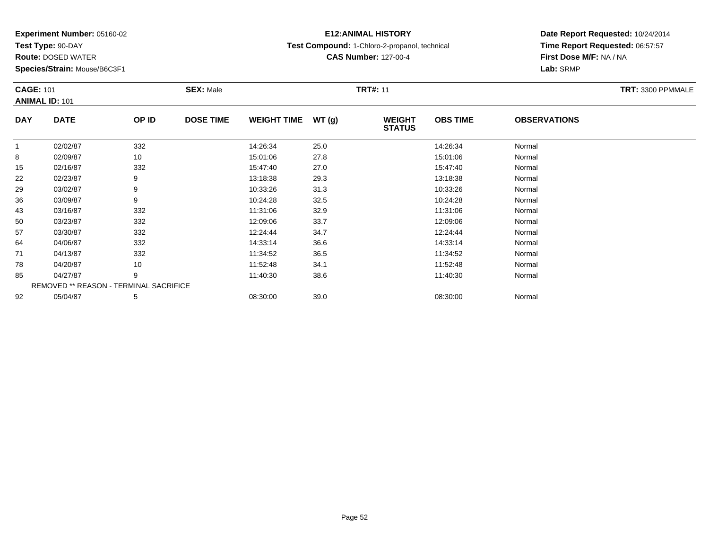**Test Type:** 90-DAY

85

92

**Route:** DOSED WATER

**Species/Strain:** Mouse/B6C3F1

REMOVED \*\* REASON - TERMINAL SACRIFICE

## **E12:ANIMAL HISTORY**

**Test Compound:** 1-Chloro-2-propanol, technical

**CAS Number:** 127-00-4

### **Date Report Requested:** 10/24/2014**Time Report Requested:** 06:57:57**First Dose M/F:** NA / NA**Lab:** SRMP

#### **CAGE:** 101 **SEX:** Male **TRT#:** <sup>11</sup> **TRT:** 3300 PPMMALE**ANIMAL ID:** 101**DAY DATE OP IDDOSE TIME WEIGHT TIME WT** (g) **STATUSOBS TIME OBSERVATIONS** 11 02/02/87 332 14:26:34 25.0 14:26:34 Normal 8 02/09/87 <sup>10</sup> 15:01:06 27.8 15:01:06 Normal 155 02/16/87 332 32 15:47:40 27.0 5 15:47:40 15:47:40 Normal 222 02/23/87 9 9 13:18:38 29.3 13:18:38 13:18 13:18 13:18:38 Normal 299 03/02/87 9 9 10:33:26 31.3 10:33 10:33 10:33 10:33 10:39 10:33:26 Normal 366 03/09/87 9 9 10:24:28 32.5 10:24:28 10:24:28 Normal 433 03/16/87 332 11:31:06 32.9 11:31:06 Normal 500 03/23/87 332 12:09:06 33.7 12:09:06 Normal 57 03/30/87 <sup>332</sup> 12:24:44 34.7 12:24:44 Normal 644 04/06/87 332 332 14:33:14 36.6 5 4/133:14 36.6 711 04/13/87 332 11:34:52 36.5 11:34:52 Normal 788 04/20/87 10 10 11:52:48 34.1 11:52:48 11:52:48 Normal

5 04/27/87 9 9 11:40:30 38.6 11:40:30 11:40:30 11:40:30 Normal

2 05/04/87 5 5 08:30:00 39.0 08:30 00 08:00 08:00 08:30:00 08:30:00 08:30:00 08:30:00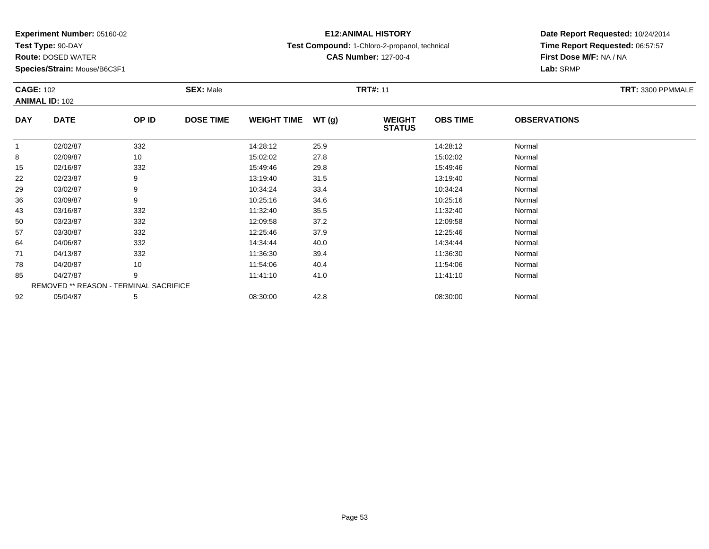**Test Type:** 90-DAY

92

**Route:** DOSED WATER

**Species/Strain:** Mouse/B6C3F1

REMOVED \*\* REASON - TERMINAL SACRIFICE

## **E12:ANIMAL HISTORY**

**Test Compound:** 1-Chloro-2-propanol, technical

**CAS Number:** 127-00-4

### **Date Report Requested:** 10/24/2014**Time Report Requested:** 06:57:57**First Dose M/F:** NA / NA**Lab:** SRMP

|            | <b>CAGE: 102</b><br><b>ANIMAL ID: 102</b> |       | <b>SEX: Male</b> |                    |       | <b>TRT#: 11</b>                | TRT: 3300 PPMMALE |                     |  |
|------------|-------------------------------------------|-------|------------------|--------------------|-------|--------------------------------|-------------------|---------------------|--|
| <b>DAY</b> | <b>DATE</b>                               | OP ID | <b>DOSE TIME</b> | <b>WEIGHT TIME</b> | WT(g) | <b>WEIGHT</b><br><b>STATUS</b> | <b>OBS TIME</b>   | <b>OBSERVATIONS</b> |  |
| 1          | 02/02/87                                  | 332   |                  | 14:28:12           | 25.9  |                                | 14:28:12          | Normal              |  |
| 8          | 02/09/87                                  | 10    |                  | 15:02:02           | 27.8  |                                | 15:02:02          | Normal              |  |
| 15         | 02/16/87                                  | 332   |                  | 15:49:46           | 29.8  |                                | 15:49:46          | Normal              |  |
| 22         | 02/23/87                                  | 9     |                  | 13:19:40           | 31.5  |                                | 13:19:40          | Normal              |  |
| 29         | 03/02/87                                  | 9     |                  | 10:34:24           | 33.4  |                                | 10:34:24          | Normal              |  |
| 36         | 03/09/87                                  | 9     |                  | 10:25:16           | 34.6  |                                | 10:25:16          | Normal              |  |
| 43         | 03/16/87                                  | 332   |                  | 11:32:40           | 35.5  |                                | 11:32:40          | Normal              |  |
| 50         | 03/23/87                                  | 332   |                  | 12:09:58           | 37.2  |                                | 12:09:58          | Normal              |  |
| 57         | 03/30/87                                  | 332   |                  | 12:25:46           | 37.9  |                                | 12:25:46          | Normal              |  |
| 64         | 04/06/87                                  | 332   |                  | 14:34:44           | 40.0  |                                | 14:34:44          | Normal              |  |
| 71         | 04/13/87                                  | 332   |                  | 11:36:30           | 39.4  |                                | 11:36:30          | Normal              |  |
| 78         | 04/20/87                                  | 10    |                  | 11:54:06           | 40.4  |                                | 11:54:06          | Normal              |  |
| 85         | 04/27/87                                  | 9     |                  | 11:41:10           | 41.0  |                                | 11:41:10          | Normal              |  |

5 04/27/87 9 9 11:41:10 41.0 11:41:10 11:41:10 11:41:10 Normal

2 05/04/87 5 5 08:30:00 42.8 08:30 08 08:30:00 5/04/87 Normal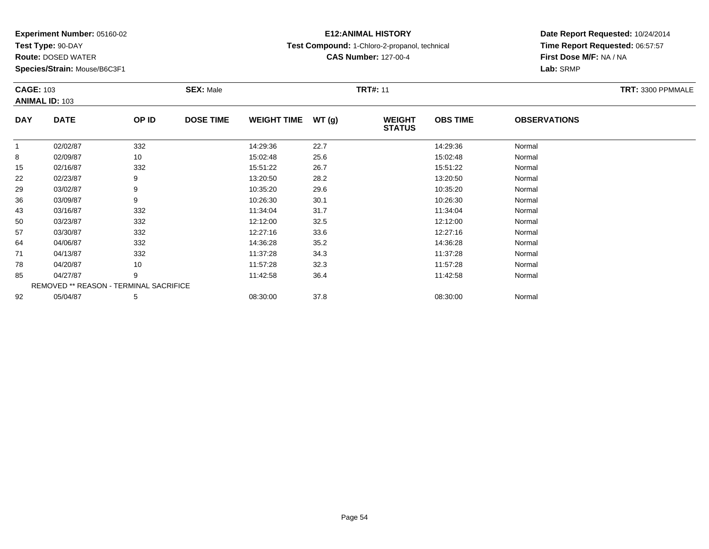**Test Type:** 90-DAY

71

78

85

92

**Route:** DOSED WATER

**Species/Strain:** Mouse/B6C3F1

REMOVED \*\* REASON - TERMINAL SACRIFICE

## **E12:ANIMAL HISTORY**

**Test Compound:** 1-Chloro-2-propanol, technical

**CAS Number:** 127-00-4

### **Date Report Requested:** 10/24/2014**Time Report Requested:** 06:57:57**First Dose M/F:** NA / NA**Lab:** SRMP

| <b>CAGE: 103</b> | <b>ANIMAL ID: 103</b> |       | <b>SEX: Male</b> |                    |       |                                | TRT: 3300 PPMMALE |                     |  |
|------------------|-----------------------|-------|------------------|--------------------|-------|--------------------------------|-------------------|---------------------|--|
| <b>DAY</b>       | <b>DATE</b>           | OP ID | <b>DOSE TIME</b> | <b>WEIGHT TIME</b> | WT(g) | <b>WEIGHT</b><br><b>STATUS</b> | <b>OBS TIME</b>   | <b>OBSERVATIONS</b> |  |
|                  | 02/02/87              | 332   |                  | 14:29:36           | 22.7  |                                | 14:29:36          | Normal              |  |
| 8                | 02/09/87              | 10    |                  | 15:02:48           | 25.6  |                                | 15:02:48          | Normal              |  |
| 15               | 02/16/87              | 332   |                  | 15:51:22           | 26.7  |                                | 15:51:22          | Normal              |  |
| 22               | 02/23/87              | 9     |                  | 13:20:50           | 28.2  |                                | 13:20:50          | Normal              |  |
| 29               | 03/02/87              | 9     |                  | 10:35:20           | 29.6  |                                | 10:35:20          | Normal              |  |
| 36               | 03/09/87              | 9     |                  | 10:26:30           | 30.1  |                                | 10:26:30          | Normal              |  |
| 43               | 03/16/87              | 332   |                  | 11:34:04           | 31.7  |                                | 11:34:04          | Normal              |  |
| 50               | 03/23/87              | 332   |                  | 12:12:00           | 32.5  |                                | 12:12:00          | Normal              |  |
| 57               | 03/30/87              | 332   |                  | 12:27:16           | 33.6  |                                | 12:27:16          | Normal              |  |
| 64               | 04/06/87              | 332   |                  | 14:36:28           | 35.2  |                                | 14:36:28          | Normal              |  |

1 04/13/87 332 32 11:37:28 34.3 11:37 11:37:28 Normal

8 04/20/87 10 10 11:57:28 32.3 11:57:28 11:57:28 Normal

5 04/27/87 9 9 11:42:58 36.4 11:42:58 11:42:58 Normal

2 05/04/87 5 5 08:30:00 37.8 08:30 08 08:30:00 08:30:00 08:30:00 08:30:00 08:30:00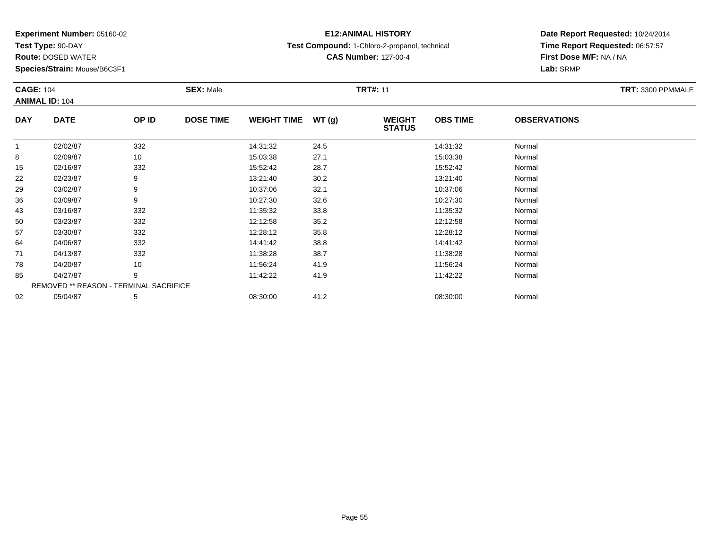**Test Type:** 90-DAY

92

**Route:** DOSED WATER

**Species/Strain:** Mouse/B6C3F1

## **E12:ANIMAL HISTORY**

**Test Compound:** 1-Chloro-2-propanol, technical

**CAS Number:** 127-00-4

### **Date Report Requested:** 10/24/2014**Time Report Requested:** 06:57:57**First Dose M/F:** NA / NA**Lab:** SRMP

|            | <b>CAGE: 104</b><br><b>ANIMAL ID: 104</b> |       | <b>SEX: Male</b> |                    |       | <b>TRT#: 11</b>                | TRT: 3300 PPMMALE |                     |  |
|------------|-------------------------------------------|-------|------------------|--------------------|-------|--------------------------------|-------------------|---------------------|--|
| <b>DAY</b> | <b>DATE</b>                               | OP ID | <b>DOSE TIME</b> | <b>WEIGHT TIME</b> | WT(g) | <b>WEIGHT</b><br><b>STATUS</b> | <b>OBS TIME</b>   | <b>OBSERVATIONS</b> |  |
| 1          | 02/02/87                                  | 332   |                  | 14:31:32           | 24.5  |                                | 14:31:32          | Normal              |  |
| 8          | 02/09/87                                  | 10    |                  | 15:03:38           | 27.1  |                                | 15:03:38          | Normal              |  |
| 15         | 02/16/87                                  | 332   |                  | 15:52:42           | 28.7  |                                | 15:52:42          | Normal              |  |
| 22         | 02/23/87                                  | 9     |                  | 13:21:40           | 30.2  |                                | 13:21:40          | Normal              |  |
| 29         | 03/02/87                                  | 9     |                  | 10:37:06           | 32.1  |                                | 10:37:06          | Normal              |  |
| 36         | 03/09/87                                  | 9     |                  | 10:27:30           | 32.6  |                                | 10:27:30          | Normal              |  |
| 43         | 03/16/87                                  | 332   |                  | 11:35:32           | 33.8  |                                | 11:35:32          | Normal              |  |
| 50         | 03/23/87                                  | 332   |                  | 12:12:58           | 35.2  |                                | 12:12:58          | Normal              |  |
| 57         | 03/30/87                                  | 332   |                  | 12:28:12           | 35.8  |                                | 12:28:12          | Normal              |  |
| 64         | 04/06/87                                  | 332   |                  | 14:41:42           | 38.8  |                                | 14:41:42          | Normal              |  |
| 71         | 04/13/87                                  | 332   |                  | 11:38:28           | 38.7  |                                | 11:38:28          | Normal              |  |
| 78         | 04/20/87                                  | 10    |                  | 11:56:24           | 41.9  |                                | 11:56:24          | Normal              |  |
| 85         | 04/27/87                                  | 9     |                  | 11:42:22           | 41.9  |                                | 11:42:22          | Normal              |  |
|            | REMOVED ** REASON - TERMINAL SACRIFICE    |       |                  |                    |       |                                |                   |                     |  |

2 05/04/87 5 5 08:30:00 41.2 6 08:30:00 08:30:00 5/04/87 Normal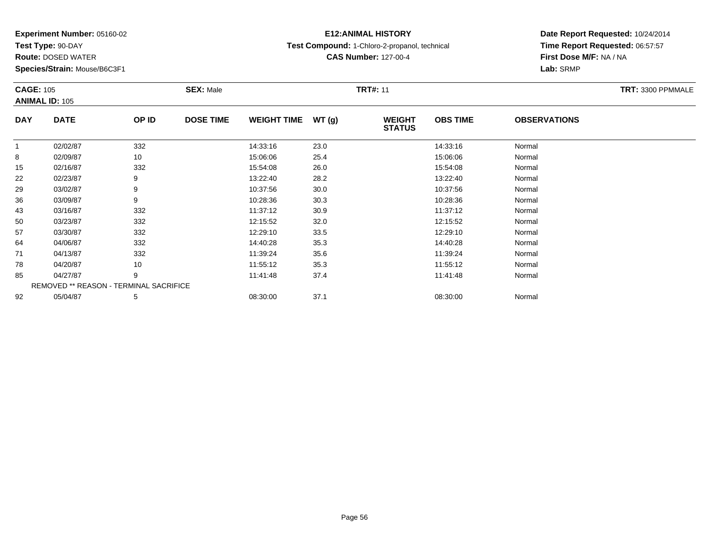**Test Type:** 90-DAY

92

**Route:** DOSED WATER

**Species/Strain:** Mouse/B6C3F1

REMOVED \*\* REASON - TERMINAL SACRIFICE

## **E12:ANIMAL HISTORY**

**Test Compound:** 1-Chloro-2-propanol, technical

**CAS Number:** 127-00-4

### **Date Report Requested:** 10/24/2014**Time Report Requested:** 06:57:57**First Dose M/F:** NA / NA**Lab:** SRMP

|            | <b>CAGE: 105</b><br><b>ANIMAL ID: 105</b> |       | <b>SEX: Male</b> |                    |       | <b>TRT#: 11</b>                |                 | TRT: 3300 PPMMALE   |  |
|------------|-------------------------------------------|-------|------------------|--------------------|-------|--------------------------------|-----------------|---------------------|--|
| <b>DAY</b> | <b>DATE</b>                               | OP ID | <b>DOSE TIME</b> | <b>WEIGHT TIME</b> | WT(g) | <b>WEIGHT</b><br><b>STATUS</b> | <b>OBS TIME</b> | <b>OBSERVATIONS</b> |  |
|            | 02/02/87                                  | 332   |                  | 14:33:16           | 23.0  |                                | 14:33:16        | Normal              |  |
| 8          | 02/09/87                                  | 10    |                  | 15:06:06           | 25.4  |                                | 15:06:06        | Normal              |  |
| 15         | 02/16/87                                  | 332   |                  | 15:54:08           | 26.0  |                                | 15:54:08        | Normal              |  |
| 22         | 02/23/87                                  | 9     |                  | 13:22:40           | 28.2  |                                | 13:22:40        | Normal              |  |
| 29         | 03/02/87                                  | 9     |                  | 10:37:56           | 30.0  |                                | 10:37:56        | Normal              |  |
| 36         | 03/09/87                                  | 9     |                  | 10:28:36           | 30.3  |                                | 10:28:36        | Normal              |  |
| 43         | 03/16/87                                  | 332   |                  | 11:37:12           | 30.9  |                                | 11:37:12        | Normal              |  |
| 50         | 03/23/87                                  | 332   |                  | 12:15:52           | 32.0  |                                | 12:15:52        | Normal              |  |
| 57         | 03/30/87                                  | 332   |                  | 12:29:10           | 33.5  |                                | 12:29:10        | Normal              |  |
| 64         | 04/06/87                                  | 332   |                  | 14:40:28           | 35.3  |                                | 14:40:28        | Normal              |  |
| 71         | 04/13/87                                  | 332   |                  | 11:39:24           | 35.6  |                                | 11:39:24        | Normal              |  |
| 78         | 04/20/87                                  | 10    |                  | 11:55:12           | 35.3  |                                | 11:55:12        | Normal              |  |
| 85         | 04/27/87                                  | 9     |                  | 11:41:48           | 37.4  |                                | 11:41:48        | Normal              |  |

5 04/27/87 9 9 11:41:48 37.4 11:47 11:47 11:47 11:47 11:47 11:47 11:47 11:48

2 05/04/87 5 5 08:30:00 37.1 08:30 08:30:00 08:30:00 08:30:00 08:30:00 08:30:00 08:30:00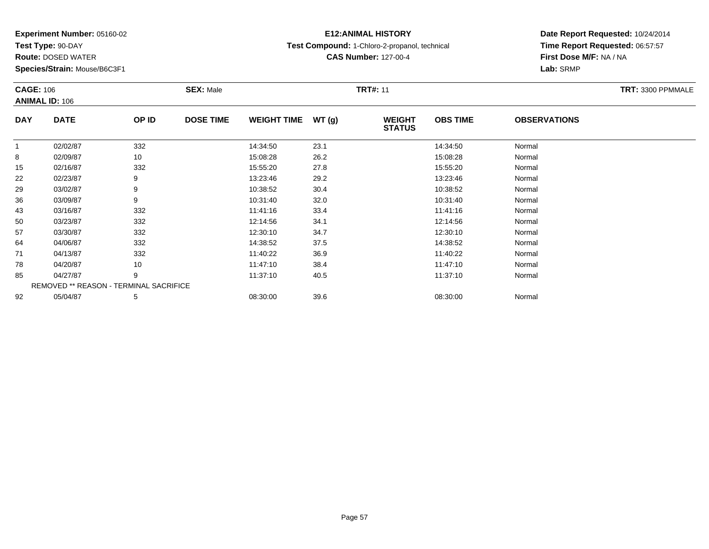**Test Type:** 90-DAY

**Route:** DOSED WATER

**Species/Strain:** Mouse/B6C3F1

## **E12:ANIMAL HISTORY**

**Test Compound:** 1-Chloro-2-propanol, technical

**CAS Number:** 127-00-4

## **Date Report Requested:** 10/24/2014**Time Report Requested:** 06:57:57**First Dose M/F:** NA / NA**Lab:** SRMP

#### **CAGE:** 106 **SEX:** Male **TRT#:** <sup>11</sup> **TRT:** 3300 PPMMALE**ANIMAL ID:** 106**DAY DATE OP IDDOSE TIME WEIGHT TIME WT** (g) **STATUSOBS TIME OBSERVATIONS** 11 02/02/87 332 14:34:50 23.1 14:34:50 Normal 88 02/09/87 10 15:08:28 26.2 15:08:28 15:08:28 Normal 155 02/16/87 332 332 15:55:20 27.8 37.8 15:55:20 15:55:20 Normal 222 02/23/87 9 9 13:23:46 29.2 13:23:46 13:23:46 13:23:46 Normal 299 03/02/87 9 9 10:38:52 30.4 10:38 10:38 10:38 10:38 10:38 10:38:52 Normal 366 03/09/87 9 9 10:31:40 32.0 12.0 10:31:40 32.0 433 03/16/87 332 11:41:16 33.4 11:41:16 Normal 500 03/23/87 332 12:14:56 34.1 12:14:56 Normal 577 03/30/87 332 12:30:10 34.7 12:30:10 Normal 644 04/06/87 332 32 14:38:52 37.5 37.5 14:38:52 Normal 711 04/13/87 332 32 11:40:22 36.9 13.00 11:40:22 36.9 788 04/20/87 10 10 11:47:10 38.4 11:47:10 11:47:10 11:47:10 Normal 855 04/27/87 9 9 11:37:10 40.5 10 11:37:10 11:37:10 11:37:10 Normal REMOVED \*\* REASON - TERMINAL SACRIFICE922 05/04/87 5 5 08:30:00 39.6 08:30 08 08:30:00 39.6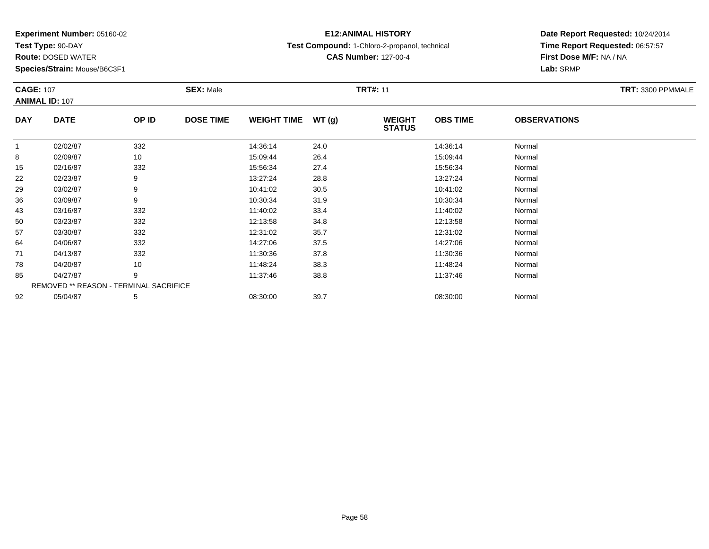**Test Type:** 90-DAY

78

85

92

**Route:** DOSED WATER

**Species/Strain:** Mouse/B6C3F1

REMOVED \*\* REASON - TERMINAL SACRIFICE

## **E12:ANIMAL HISTORY**

**Test Compound:** 1-Chloro-2-propanol, technical

**CAS Number:** 127-00-4

### **Date Report Requested:** 10/24/2014**Time Report Requested:** 06:57:57**First Dose M/F:** NA / NA**Lab:** SRMP

#### **CAGE:** 107 **SEX:** Male **TRT#:** <sup>11</sup> **TRT:** 3300 PPMMALE**ANIMAL ID:** 107**DAY DATE OP IDDOSE TIME WEIGHT TIME WT** (g) **STATUSOBS TIME OBSERVATIONS** 11 02/02/87 332 14:36:14 24.0 14:36:14 Normal 88 15:09:44 Normal 155 02/16/87 332 332 15:56:34 27.4 27.4 15:56:34 Normal 222 02/23/87 9 9 13:27:24 28.8 13:27:24 13:27:24 Normal 299 03/02/87 9 9 10:41:02 30.5 10:40 10:41:02 03/02/87 Normal 366 03/09/87 9 10:30:34 31.9 10:30:34 Normal 433 03/16/87 332 3 11:40:02 33.4 11:40:02 33.4 11:40:02 Normal 500 03/23/87 332 12:13:58 34.8 12:13:58 Normal 577 03/30/87 332 332 12:31:02 35.7 35.7 12:31:02 35.7 33/30/87 644 04/06/87 332 332 14:27:06 37.5 37.5 14:27:06 Normal 711 04/13/87 332 11:30:36 37.8 11:30:36 Normal

8 04/20/87 10 10 11:48:24 38.3 11:48:24 11:48:24 Normal

5 04/27/87 9 9 11:37:46 38.8 11:37:46 11:37:46 11:37:46 Normal

2 05/04/87 5 5 08:30:00 39.7 08:30 08 08:30:00 39.7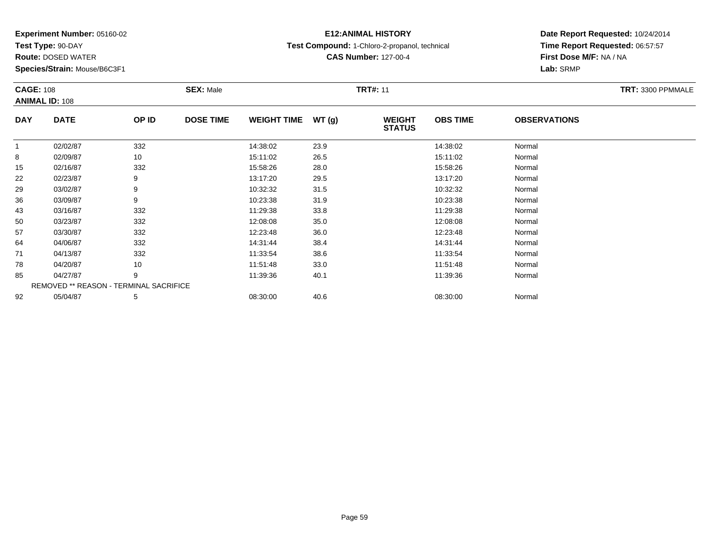**Test Type:** 90-DAY

92

**Route:** DOSED WATER

**Species/Strain:** Mouse/B6C3F1

# **E12:ANIMAL HISTORY**

**Test Compound:** 1-Chloro-2-propanol, technical

**CAS Number:** 127-00-4

### **Date Report Requested:** 10/24/2014**Time Report Requested:** 06:57:57**First Dose M/F:** NA / NA**Lab:** SRMP

|            | <b>CAGE: 108</b><br><b>ANIMAL ID: 108</b> |       | <b>SEX: Male</b> |                    |       | <b>TRT#: 11</b>                | TRT: 3300 PPMMALE |                     |  |
|------------|-------------------------------------------|-------|------------------|--------------------|-------|--------------------------------|-------------------|---------------------|--|
| <b>DAY</b> | <b>DATE</b>                               | OP ID | <b>DOSE TIME</b> | <b>WEIGHT TIME</b> | WT(g) | <b>WEIGHT</b><br><b>STATUS</b> | <b>OBS TIME</b>   | <b>OBSERVATIONS</b> |  |
|            | 02/02/87                                  | 332   |                  | 14:38:02           | 23.9  |                                | 14:38:02          | Normal              |  |
| 8          | 02/09/87                                  | 10    |                  | 15:11:02           | 26.5  |                                | 15:11:02          | Normal              |  |
| 15         | 02/16/87                                  | 332   |                  | 15:58:26           | 28.0  |                                | 15:58:26          | Normal              |  |
| 22         | 02/23/87                                  | 9     |                  | 13:17:20           | 29.5  |                                | 13:17:20          | Normal              |  |
| 29         | 03/02/87                                  | 9     |                  | 10:32:32           | 31.5  |                                | 10:32:32          | Normal              |  |
| 36         | 03/09/87                                  | 9     |                  | 10:23:38           | 31.9  |                                | 10:23:38          | Normal              |  |
| 43         | 03/16/87                                  | 332   |                  | 11:29:38           | 33.8  |                                | 11:29:38          | Normal              |  |
| 50         | 03/23/87                                  | 332   |                  | 12:08:08           | 35.0  |                                | 12:08:08          | Normal              |  |
| 57         | 03/30/87                                  | 332   |                  | 12:23:48           | 36.0  |                                | 12:23:48          | Normal              |  |
| 64         | 04/06/87                                  | 332   |                  | 14:31:44           | 38.4  |                                | 14:31:44          | Normal              |  |
| 71         | 04/13/87                                  | 332   |                  | 11:33:54           | 38.6  |                                | 11:33:54          | Normal              |  |
| 78         | 04/20/87                                  | 10    |                  | 11:51:48           | 33.0  |                                | 11:51:48          | Normal              |  |
| 85         | 04/27/87                                  | 9     |                  | 11:39:36           | 40.1  |                                | 11:39:36          | Normal              |  |
|            | REMOVED ** REASON - TERMINAL SACRIFICE    |       |                  |                    |       |                                |                   |                     |  |

2 05/04/87 5 5 08:30:00 40.6 06 08:30:00 08:30:00 08:30:00 08:30:00 08:30:00 08:30:00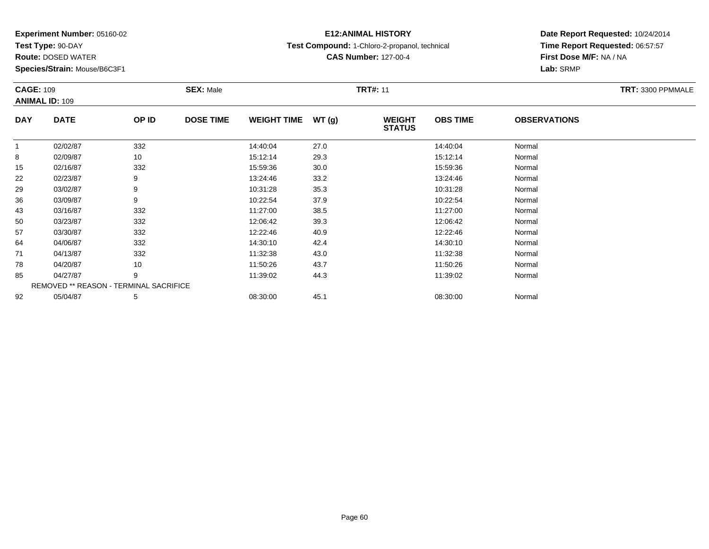**Test Type:** 90-DAY

92

**Route:** DOSED WATER

**Species/Strain:** Mouse/B6C3F1

## **E12:ANIMAL HISTORY**

**Test Compound:** 1-Chloro-2-propanol, technical

**CAS Number:** 127-00-4

### **Date Report Requested:** 10/24/2014**Time Report Requested:** 06:57:57**First Dose M/F:** NA / NA**Lab:** SRMP

|              | <b>CAGE: 109</b><br><b>ANIMAL ID: 109</b> |       | <b>SEX: Male</b> |                    |       | <b>TRT#: 11</b>                |                 | TRT: 3300 PPMMALE   |  |
|--------------|-------------------------------------------|-------|------------------|--------------------|-------|--------------------------------|-----------------|---------------------|--|
| <b>DAY</b>   | <b>DATE</b>                               | OP ID | <b>DOSE TIME</b> | <b>WEIGHT TIME</b> | WT(g) | <b>WEIGHT</b><br><b>STATUS</b> | <b>OBS TIME</b> | <b>OBSERVATIONS</b> |  |
| $\mathbf{1}$ | 02/02/87                                  | 332   |                  | 14:40:04           | 27.0  |                                | 14:40:04        | Normal              |  |
| 8            | 02/09/87                                  | 10    |                  | 15:12:14           | 29.3  |                                | 15:12:14        | Normal              |  |
| 15           | 02/16/87                                  | 332   |                  | 15:59:36           | 30.0  |                                | 15:59:36        | Normal              |  |
| 22           | 02/23/87                                  | 9     |                  | 13:24:46           | 33.2  |                                | 13:24:46        | Normal              |  |
| 29           | 03/02/87                                  | 9     |                  | 10:31:28           | 35.3  |                                | 10:31:28        | Normal              |  |
| 36           | 03/09/87                                  | 9     |                  | 10:22:54           | 37.9  |                                | 10:22:54        | Normal              |  |
| 43           | 03/16/87                                  | 332   |                  | 11:27:00           | 38.5  |                                | 11:27:00        | Normal              |  |
| 50           | 03/23/87                                  | 332   |                  | 12:06:42           | 39.3  |                                | 12:06:42        | Normal              |  |
| 57           | 03/30/87                                  | 332   |                  | 12:22:46           | 40.9  |                                | 12:22:46        | Normal              |  |
| 64           | 04/06/87                                  | 332   |                  | 14:30:10           | 42.4  |                                | 14:30:10        | Normal              |  |
| 71           | 04/13/87                                  | 332   |                  | 11:32:38           | 43.0  |                                | 11:32:38        | Normal              |  |
| 78           | 04/20/87                                  | 10    |                  | 11:50:26           | 43.7  |                                | 11:50:26        | Normal              |  |
| 85           | 04/27/87                                  | 9     |                  | 11:39:02           | 44.3  |                                | 11:39:02        | Normal              |  |
|              | REMOVED ** REASON - TERMINAL SACRIFICE    |       |                  |                    |       |                                |                 |                     |  |

2 05/04/87 5 5 08:30:00 45.1 05/04/87 08:30:00 08:30:00 08:30:00 08:30:00 08:30:00 08:30:00 08:30:00 08:00:00 0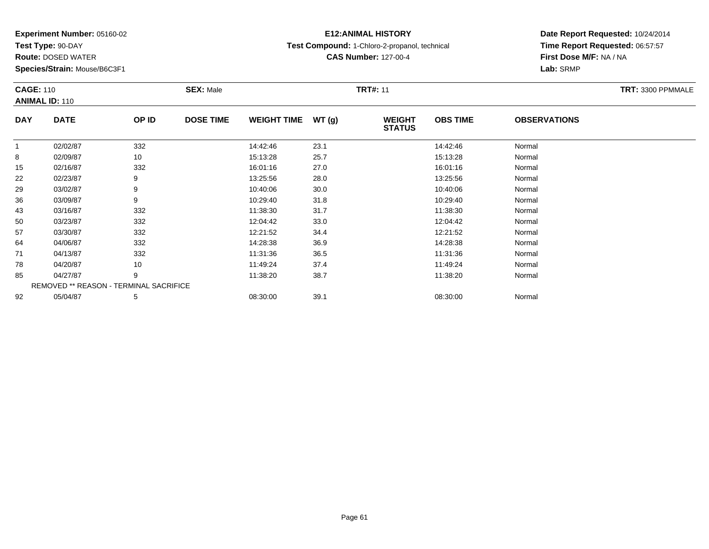**Test Type:** 90-DAY

78

85

92

**Route:** DOSED WATER

**Species/Strain:** Mouse/B6C3F1

REMOVED \*\* REASON - TERMINAL SACRIFICE

## **E12:ANIMAL HISTORY**

**Test Compound:** 1-Chloro-2-propanol, technical

**CAS Number:** 127-00-4

### **Date Report Requested:** 10/24/2014**Time Report Requested:** 06:57:57**First Dose M/F:** NA / NA**Lab:** SRMP

|            | <b>CAGE: 110</b><br><b>ANIMAL ID: 110</b> |       | <b>SEX: Male</b> |                    |       | <b>TRT#: 11</b>                |                 | TRT: 3300 PPMMALE   |  |
|------------|-------------------------------------------|-------|------------------|--------------------|-------|--------------------------------|-----------------|---------------------|--|
| <b>DAY</b> | <b>DATE</b>                               | OP ID | <b>DOSE TIME</b> | <b>WEIGHT TIME</b> | WT(g) | <b>WEIGHT</b><br><b>STATUS</b> | <b>OBS TIME</b> | <b>OBSERVATIONS</b> |  |
|            | 02/02/87                                  | 332   |                  | 14:42:46           | 23.1  |                                | 14:42:46        | Normal              |  |
| 8          | 02/09/87                                  | 10    |                  | 15:13:28           | 25.7  |                                | 15:13:28        | Normal              |  |
| 15         | 02/16/87                                  | 332   |                  | 16:01:16           | 27.0  |                                | 16:01:16        | Normal              |  |
| 22         | 02/23/87                                  | 9     |                  | 13:25:56           | 28.0  |                                | 13:25:56        | Normal              |  |
| 29         | 03/02/87                                  | 9     |                  | 10:40:06           | 30.0  |                                | 10:40:06        | Normal              |  |
| 36         | 03/09/87                                  | 9     |                  | 10:29:40           | 31.8  |                                | 10:29:40        | Normal              |  |
| 43         | 03/16/87                                  | 332   |                  | 11:38:30           | 31.7  |                                | 11:38:30        | Normal              |  |
| 50         | 03/23/87                                  | 332   |                  | 12:04:42           | 33.0  |                                | 12:04:42        | Normal              |  |
| 57         | 03/30/87                                  | 332   |                  | 12:21:52           | 34.4  |                                | 12:21:52        | Normal              |  |
| 64         | 04/06/87                                  | 332   |                  | 14:28:38           | 36.9  |                                | 14:28:38        | Normal              |  |
| 71         | 04/13/87                                  | 332   |                  | 11:31:36           | 36.5  |                                | 11:31:36        | Normal              |  |

8 04/20/87 10 10 11:49:24 37.4 1 11:49:24 11:49 1 11:49:24 1 1:49:24 1 1:49:24 1 1:49:24

5 04/27/87 9 9 11:38:20 38.7 11:38:20 11:38 11:39 11:38:20 Normal

2 05/04/87 5 5 08:30:00 39.1 08:30 00 08:30:00 39.1 08:30:00 08:30:00 08:30:00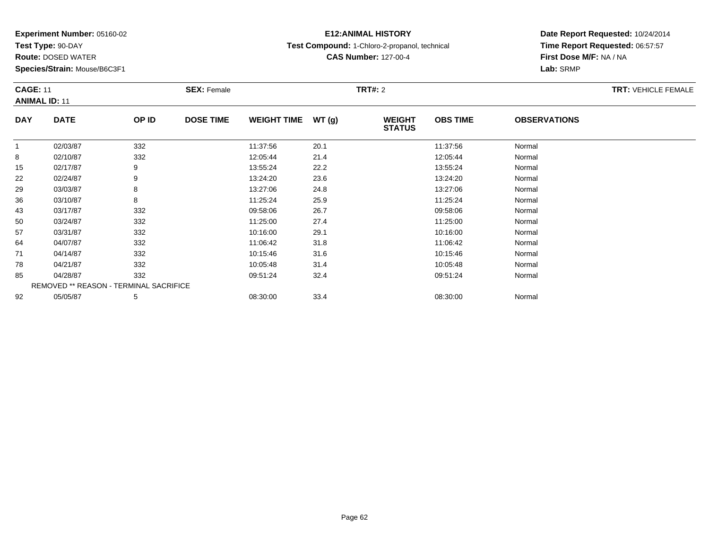**Test Type:** 90-DAY

**Route:** DOSED WATER

**Species/Strain:** Mouse/B6C3F1

## **E12:ANIMAL HISTORY**

**Test Compound:** 1-Chloro-2-propanol, technical

**CAS Number:** 127-00-4

|            | <b>CAGE: 11</b><br><b>ANIMAL ID: 11</b>       |       | <b>SEX: Female</b> |                    |       |                                | <b>TRT#: 2</b>  |                     |  |  |
|------------|-----------------------------------------------|-------|--------------------|--------------------|-------|--------------------------------|-----------------|---------------------|--|--|
| <b>DAY</b> | <b>DATE</b>                                   | OP ID | <b>DOSE TIME</b>   | <b>WEIGHT TIME</b> | WT(g) | <b>WEIGHT</b><br><b>STATUS</b> | <b>OBS TIME</b> | <b>OBSERVATIONS</b> |  |  |
| -1         | 02/03/87                                      | 332   |                    | 11:37:56           | 20.1  |                                | 11:37:56        | Normal              |  |  |
| 8          | 02/10/87                                      | 332   |                    | 12:05:44           | 21.4  |                                | 12:05:44        | Normal              |  |  |
| 15         | 02/17/87                                      | 9     |                    | 13:55:24           | 22.2  |                                | 13:55:24        | Normal              |  |  |
| 22         | 02/24/87                                      | 9     |                    | 13:24:20           | 23.6  |                                | 13:24:20        | Normal              |  |  |
| 29         | 03/03/87                                      | 8     |                    | 13:27:06           | 24.8  |                                | 13:27:06        | Normal              |  |  |
| 36         | 03/10/87                                      | 8     |                    | 11:25:24           | 25.9  |                                | 11:25:24        | Normal              |  |  |
| 43         | 03/17/87                                      | 332   |                    | 09:58:06           | 26.7  |                                | 09:58:06        | Normal              |  |  |
| 50         | 03/24/87                                      | 332   |                    | 11:25:00           | 27.4  |                                | 11:25:00        | Normal              |  |  |
| 57         | 03/31/87                                      | 332   |                    | 10:16:00           | 29.1  |                                | 10:16:00        | Normal              |  |  |
| 64         | 04/07/87                                      | 332   |                    | 11:06:42           | 31.8  |                                | 11:06:42        | Normal              |  |  |
| 71         | 04/14/87                                      | 332   |                    | 10:15:46           | 31.6  |                                | 10:15:46        | Normal              |  |  |
| 78         | 04/21/87                                      | 332   |                    | 10:05:48           | 31.4  |                                | 10:05:48        | Normal              |  |  |
| 85         | 04/28/87                                      | 332   |                    | 09:51:24           | 32.4  |                                | 09:51:24        | Normal              |  |  |
|            | <b>REMOVED ** REASON - TERMINAL SACRIFICE</b> |       |                    |                    |       |                                |                 |                     |  |  |
| 92         | 05/05/87                                      | 5     |                    | 08:30:00           | 33.4  |                                | 08:30:00        | Normal              |  |  |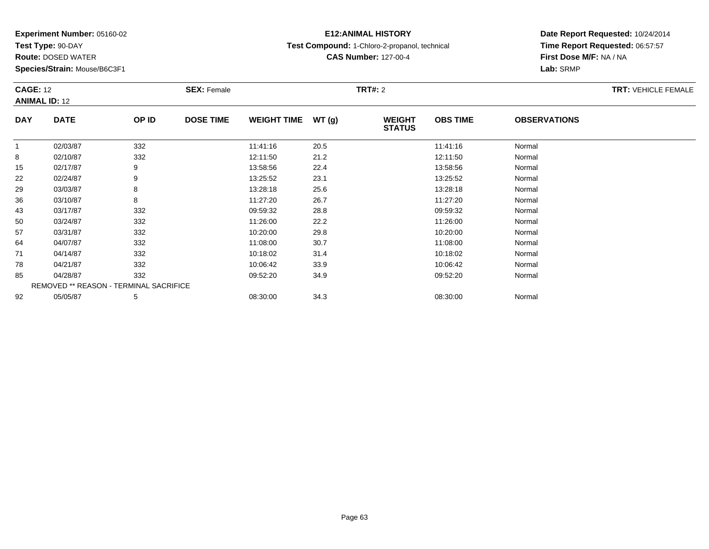**Test Type:** 90-DAY

**Route:** DOSED WATER

**Species/Strain:** Mouse/B6C3F1

## **E12:ANIMAL HISTORY**

**Test Compound:** 1-Chloro-2-propanol, technical

**CAS Number:** 127-00-4

| <b>CAGE: 12</b><br><b>ANIMAL ID: 12</b> |                                        | <b>SEX: Female</b> |                  |                    | <b>TRT#: 2</b> | <b>TRT: VEHICLE FEMALE</b>     |                 |                     |  |
|-----------------------------------------|----------------------------------------|--------------------|------------------|--------------------|----------------|--------------------------------|-----------------|---------------------|--|
| <b>DAY</b>                              | <b>DATE</b>                            | OP ID              | <b>DOSE TIME</b> | <b>WEIGHT TIME</b> | WT(g)          | <b>WEIGHT</b><br><b>STATUS</b> | <b>OBS TIME</b> | <b>OBSERVATIONS</b> |  |
| $\mathbf{1}$                            | 02/03/87                               | 332                |                  | 11:41:16           | 20.5           |                                | 11:41:16        | Normal              |  |
| 8                                       | 02/10/87                               | 332                |                  | 12:11:50           | 21.2           |                                | 12:11:50        | Normal              |  |
| 15                                      | 02/17/87                               | 9                  |                  | 13:58:56           | 22.4           |                                | 13:58:56        | Normal              |  |
| 22                                      | 02/24/87                               | 9                  |                  | 13:25:52           | 23.1           |                                | 13:25:52        | Normal              |  |
| 29                                      | 03/03/87                               | 8                  |                  | 13:28:18           | 25.6           |                                | 13:28:18        | Normal              |  |
| 36                                      | 03/10/87                               | 8                  |                  | 11:27:20           | 26.7           |                                | 11:27:20        | Normal              |  |
| 43                                      | 03/17/87                               | 332                |                  | 09:59:32           | 28.8           |                                | 09:59:32        | Normal              |  |
| 50                                      | 03/24/87                               | 332                |                  | 11:26:00           | 22.2           |                                | 11:26:00        | Normal              |  |
| 57                                      | 03/31/87                               | 332                |                  | 10:20:00           | 29.8           |                                | 10:20:00        | Normal              |  |
| 64                                      | 04/07/87                               | 332                |                  | 11:08:00           | 30.7           |                                | 11:08:00        | Normal              |  |
| 71                                      | 04/14/87                               | 332                |                  | 10:18:02           | 31.4           |                                | 10:18:02        | Normal              |  |
| 78                                      | 04/21/87                               | 332                |                  | 10:06:42           | 33.9           |                                | 10:06:42        | Normal              |  |
| 85                                      | 04/28/87                               | 332                |                  | 09:52:20           | 34.9           |                                | 09:52:20        | Normal              |  |
|                                         | REMOVED ** REASON - TERMINAL SACRIFICE |                    |                  |                    |                |                                |                 |                     |  |
| 92                                      | 05/05/87                               | 5                  |                  | 08:30:00           | 34.3           |                                | 08:30:00        | Normal              |  |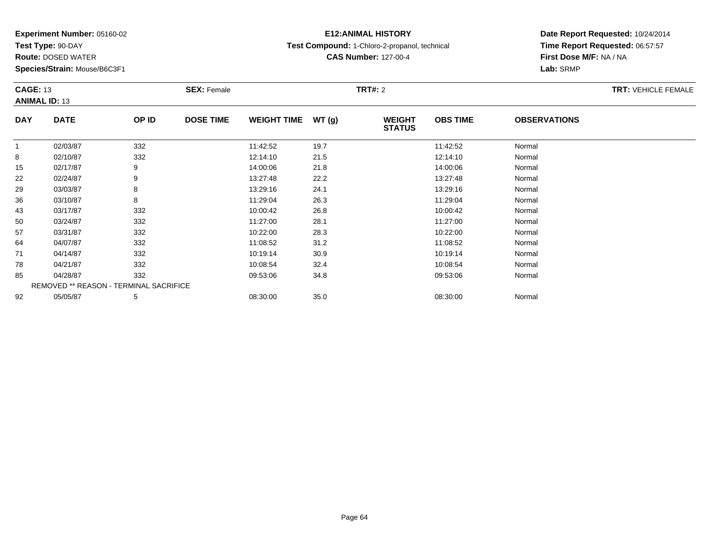**Test Type:** 90-DAY

**Route:** DOSED WATER

**Species/Strain:** Mouse/B6C3F1

# **E12:ANIMAL HISTORY**

**Test Compound:** 1-Chloro-2-propanol, technical

**CAS Number:** 127-00-4

| <b>CAGE: 13</b><br><b>ANIMAL ID: 13</b> |                                        | <b>SEX: Female</b> |                  |                    | <b>TRT#: 2</b> |                                |                 | TRT: VEHICLE FEMALE |  |
|-----------------------------------------|----------------------------------------|--------------------|------------------|--------------------|----------------|--------------------------------|-----------------|---------------------|--|
| <b>DAY</b>                              | <b>DATE</b>                            | OP ID              | <b>DOSE TIME</b> | <b>WEIGHT TIME</b> | WT(g)          | <b>WEIGHT</b><br><b>STATUS</b> | <b>OBS TIME</b> | <b>OBSERVATIONS</b> |  |
| $\mathbf{1}$                            | 02/03/87                               | 332                |                  | 11:42:52           | 19.7           |                                | 11:42:52        | Normal              |  |
| 8                                       | 02/10/87                               | 332                |                  | 12:14:10           | 21.5           |                                | 12:14:10        | Normal              |  |
| 15                                      | 02/17/87                               | 9                  |                  | 14:00:06           | 21.8           |                                | 14:00:06        | Normal              |  |
| 22                                      | 02/24/87                               | 9                  |                  | 13:27:48           | 22.2           |                                | 13:27:48        | Normal              |  |
| 29                                      | 03/03/87                               | 8                  |                  | 13:29:16           | 24.1           |                                | 13:29:16        | Normal              |  |
| 36                                      | 03/10/87                               | 8                  |                  | 11:29:04           | 26.3           |                                | 11:29:04        | Normal              |  |
| 43                                      | 03/17/87                               | 332                |                  | 10:00:42           | 26.8           |                                | 10:00:42        | Normal              |  |
| 50                                      | 03/24/87                               | 332                |                  | 11:27:00           | 28.1           |                                | 11:27:00        | Normal              |  |
| 57                                      | 03/31/87                               | 332                |                  | 10:22:00           | 28.3           |                                | 10:22:00        | Normal              |  |
| 64                                      | 04/07/87                               | 332                |                  | 11:08:52           | 31.2           |                                | 11:08:52        | Normal              |  |
| 71                                      | 04/14/87                               | 332                |                  | 10:19:14           | 30.9           |                                | 10:19:14        | Normal              |  |
| 78                                      | 04/21/87                               | 332                |                  | 10:08:54           | 32.4           |                                | 10:08:54        | Normal              |  |
| 85                                      | 04/28/87                               | 332                |                  | 09:53:06           | 34.8           |                                | 09:53:06        | Normal              |  |
|                                         | REMOVED ** REASON - TERMINAL SACRIFICE |                    |                  |                    |                |                                |                 |                     |  |
| 92                                      | 05/05/87                               | 5                  |                  | 08:30:00           | 35.0           |                                | 08:30:00        | Normal              |  |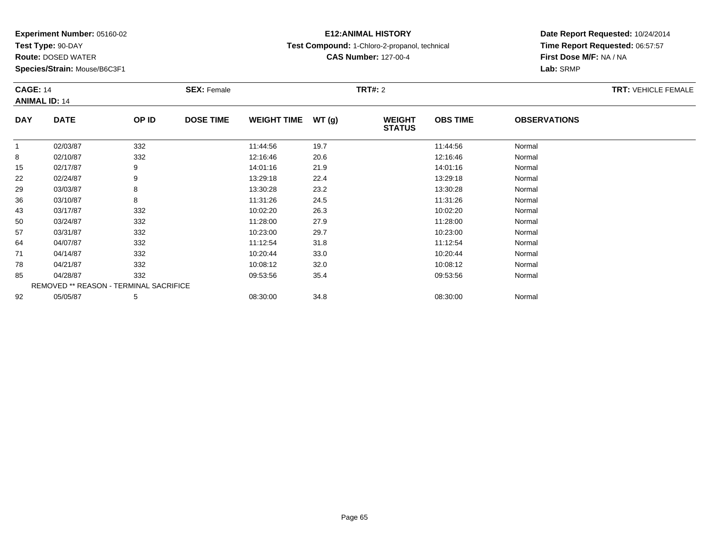**Test Type:** 90-DAY

**Route:** DOSED WATER

**Species/Strain:** Mouse/B6C3F1

## **E12:ANIMAL HISTORY**

**Test Compound:** 1-Chloro-2-propanol, technical

**CAS Number:** 127-00-4

| <b>CAGE: 14</b><br><b>ANIMAL ID: 14</b> |                                        | <b>SEX: Female</b> |                  |                    | TRT#: 2 |                                |                 | <b>TRT: VEHICLE FEMALE</b> |  |
|-----------------------------------------|----------------------------------------|--------------------|------------------|--------------------|---------|--------------------------------|-----------------|----------------------------|--|
| <b>DAY</b>                              | <b>DATE</b>                            | OP ID              | <b>DOSE TIME</b> | <b>WEIGHT TIME</b> | WT(g)   | <b>WEIGHT</b><br><b>STATUS</b> | <b>OBS TIME</b> | <b>OBSERVATIONS</b>        |  |
| -1                                      | 02/03/87                               | 332                |                  | 11:44:56           | 19.7    |                                | 11:44:56        | Normal                     |  |
| 8                                       | 02/10/87                               | 332                |                  | 12:16:46           | 20.6    |                                | 12:16:46        | Normal                     |  |
| 15                                      | 02/17/87                               | 9                  |                  | 14:01:16           | 21.9    |                                | 14:01:16        | Normal                     |  |
| 22                                      | 02/24/87                               | 9                  |                  | 13:29:18           | 22.4    |                                | 13:29:18        | Normal                     |  |
| 29                                      | 03/03/87                               | 8                  |                  | 13:30:28           | 23.2    |                                | 13:30:28        | Normal                     |  |
| 36                                      | 03/10/87                               | 8                  |                  | 11:31:26           | 24.5    |                                | 11:31:26        | Normal                     |  |
| 43                                      | 03/17/87                               | 332                |                  | 10:02:20           | 26.3    |                                | 10:02:20        | Normal                     |  |
| 50                                      | 03/24/87                               | 332                |                  | 11:28:00           | 27.9    |                                | 11:28:00        | Normal                     |  |
| 57                                      | 03/31/87                               | 332                |                  | 10:23:00           | 29.7    |                                | 10:23:00        | Normal                     |  |
| 64                                      | 04/07/87                               | 332                |                  | 11:12:54           | 31.8    |                                | 11:12:54        | Normal                     |  |
| 71                                      | 04/14/87                               | 332                |                  | 10:20:44           | 33.0    |                                | 10:20:44        | Normal                     |  |
| 78                                      | 04/21/87                               | 332                |                  | 10:08:12           | 32.0    |                                | 10:08:12        | Normal                     |  |
| 85                                      | 04/28/87                               | 332                |                  | 09:53:56           | 35.4    |                                | 09:53:56        | Normal                     |  |
|                                         | REMOVED ** REASON - TERMINAL SACRIFICE |                    |                  |                    |         |                                |                 |                            |  |
| 92                                      | 05/05/87                               | 5                  |                  | 08:30:00           | 34.8    |                                | 08:30:00        | Normal                     |  |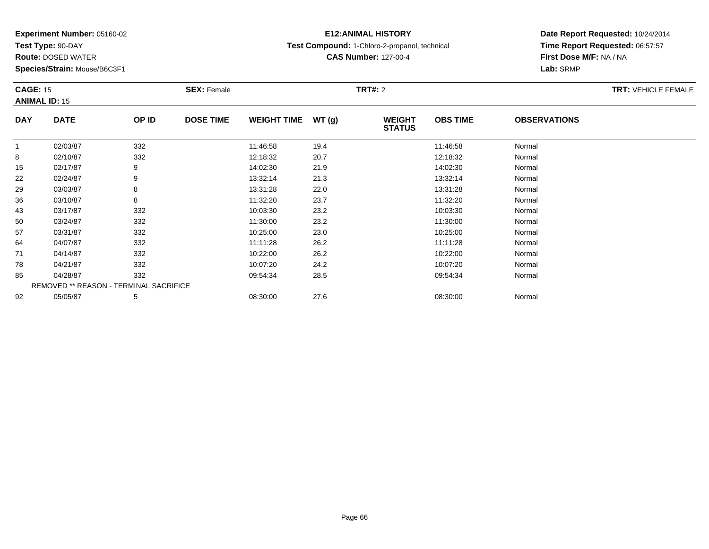**Test Type:** 90-DAY

**Route:** DOSED WATER

**Species/Strain:** Mouse/B6C3F1

# **E12:ANIMAL HISTORY**

**Test Compound:** 1-Chloro-2-propanol, technical

**CAS Number:** 127-00-4

| <b>CAGE: 15</b><br><b>ANIMAL ID: 15</b> |                                        | <b>SEX: Female</b> |                  |                    | TRT#: 2 |                                |                 | <b>TRT: VEHICLE FEMALE</b> |  |
|-----------------------------------------|----------------------------------------|--------------------|------------------|--------------------|---------|--------------------------------|-----------------|----------------------------|--|
| <b>DAY</b>                              | <b>DATE</b>                            | OP ID              | <b>DOSE TIME</b> | <b>WEIGHT TIME</b> | WT(g)   | <b>WEIGHT</b><br><b>STATUS</b> | <b>OBS TIME</b> | <b>OBSERVATIONS</b>        |  |
| -1                                      | 02/03/87                               | 332                |                  | 11:46:58           | 19.4    |                                | 11:46:58        | Normal                     |  |
| 8                                       | 02/10/87                               | 332                |                  | 12:18:32           | 20.7    |                                | 12:18:32        | Normal                     |  |
| 15                                      | 02/17/87                               | 9                  |                  | 14:02:30           | 21.9    |                                | 14:02:30        | Normal                     |  |
| 22                                      | 02/24/87                               | 9                  |                  | 13:32:14           | 21.3    |                                | 13:32:14        | Normal                     |  |
| 29                                      | 03/03/87                               | 8                  |                  | 13:31:28           | 22.0    |                                | 13:31:28        | Normal                     |  |
| 36                                      | 03/10/87                               | 8                  |                  | 11:32:20           | 23.7    |                                | 11:32:20        | Normal                     |  |
| 43                                      | 03/17/87                               | 332                |                  | 10:03:30           | 23.2    |                                | 10:03:30        | Normal                     |  |
| 50                                      | 03/24/87                               | 332                |                  | 11:30:00           | 23.2    |                                | 11:30:00        | Normal                     |  |
| 57                                      | 03/31/87                               | 332                |                  | 10:25:00           | 23.0    |                                | 10:25:00        | Normal                     |  |
| 64                                      | 04/07/87                               | 332                |                  | 11:11:28           | 26.2    |                                | 11:11:28        | Normal                     |  |
| 71                                      | 04/14/87                               | 332                |                  | 10:22:00           | 26.2    |                                | 10:22:00        | Normal                     |  |
| 78                                      | 04/21/87                               | 332                |                  | 10:07:20           | 24.2    |                                | 10:07:20        | Normal                     |  |
| 85                                      | 04/28/87                               | 332                |                  | 09:54:34           | 28.5    |                                | 09:54:34        | Normal                     |  |
|                                         | REMOVED ** REASON - TERMINAL SACRIFICE |                    |                  |                    |         |                                |                 |                            |  |
| 92                                      | 05/05/87                               | 5                  |                  | 08:30:00           | 27.6    |                                | 08:30:00        | Normal                     |  |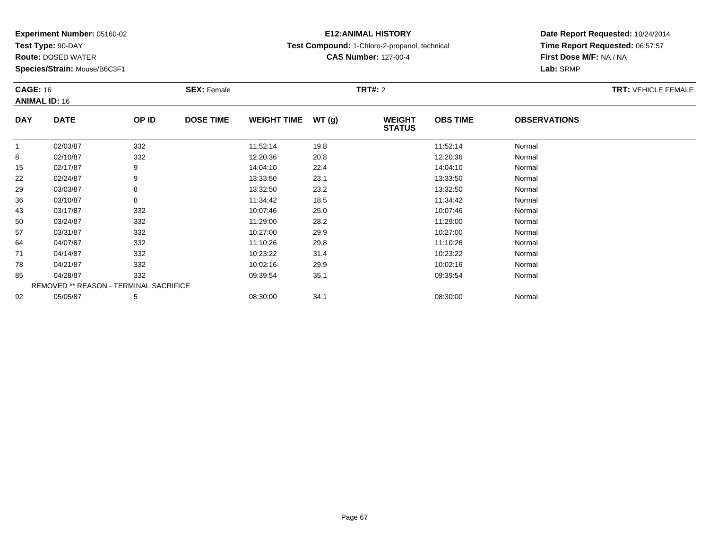**Test Type:** 90-DAY

**Route:** DOSED WATER

**Species/Strain:** Mouse/B6C3F1

## **E12:ANIMAL HISTORY**

**Test Compound:** 1-Chloro-2-propanol, technical

**CAS Number:** 127-00-4

| <b>CAGE: 16</b><br><b>ANIMAL ID: 16</b> |                                        | <b>SEX: Female</b> |                  |                    | <b>TRT#:</b> 2 |                                |                 | <b>TRT: VEHICLE FEMALE</b> |  |
|-----------------------------------------|----------------------------------------|--------------------|------------------|--------------------|----------------|--------------------------------|-----------------|----------------------------|--|
| <b>DAY</b>                              | <b>DATE</b>                            | OP ID              | <b>DOSE TIME</b> | <b>WEIGHT TIME</b> | <b>WT (g)</b>  | <b>WEIGHT</b><br><b>STATUS</b> | <b>OBS TIME</b> | <b>OBSERVATIONS</b>        |  |
| 1                                       | 02/03/87                               | 332                |                  | 11:52:14           | 19.8           |                                | 11:52:14        | Normal                     |  |
| 8                                       | 02/10/87                               | 332                |                  | 12:20:36           | 20.8           |                                | 12:20:36        | Normal                     |  |
| 15                                      | 02/17/87                               | 9                  |                  | 14:04:10           | 22.4           |                                | 14:04:10        | Normal                     |  |
| 22                                      | 02/24/87                               | 9                  |                  | 13:33:50           | 23.1           |                                | 13:33:50        | Normal                     |  |
| 29                                      | 03/03/87                               | 8                  |                  | 13:32:50           | 23.2           |                                | 13:32:50        | Normal                     |  |
| 36                                      | 03/10/87                               | 8                  |                  | 11:34:42           | 18.5           |                                | 11:34:42        | Normal                     |  |
| 43                                      | 03/17/87                               | 332                |                  | 10:07:46           | 25.0           |                                | 10:07:46        | Normal                     |  |
| 50                                      | 03/24/87                               | 332                |                  | 11:29:00           | 28.2           |                                | 11:29:00        | Normal                     |  |
| 57                                      | 03/31/87                               | 332                |                  | 10:27:00           | 29.9           |                                | 10:27:00        | Normal                     |  |
| 64                                      | 04/07/87                               | 332                |                  | 11:10:26           | 29.8           |                                | 11:10:26        | Normal                     |  |
| 71                                      | 04/14/87                               | 332                |                  | 10:23:22           | 31.4           |                                | 10:23:22        | Normal                     |  |
| 78                                      | 04/21/87                               | 332                |                  | 10:02:16           | 29.9           |                                | 10:02:16        | Normal                     |  |
| 85                                      | 04/28/87                               | 332                |                  | 09:39:54           | 35.1           |                                | 09:39:54        | Normal                     |  |
|                                         | REMOVED ** REASON - TERMINAL SACRIFICE |                    |                  |                    |                |                                |                 |                            |  |
| 92                                      | 05/05/87                               | 5                  |                  | 08:30:00           | 34.1           |                                | 08:30:00        | Normal                     |  |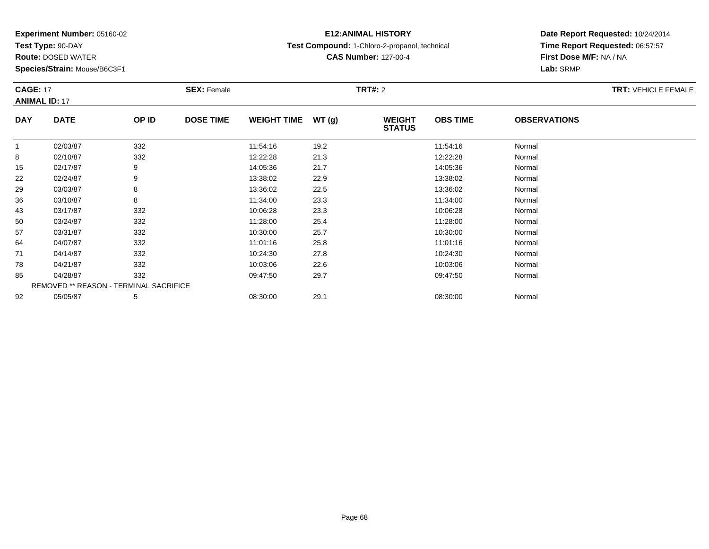**Test Type:** 90-DAY

**Route:** DOSED WATER

**Species/Strain:** Mouse/B6C3F1

## **E12:ANIMAL HISTORY**

**Test Compound:** 1-Chloro-2-propanol, technical

**CAS Number:** 127-00-4

## **Date Report Requested:** 10/24/2014**Time Report Requested:** 06:57:57**First Dose M/F:** NA / NA**Lab:** SRMP

| <b>CAGE: 17</b><br><b>ANIMAL ID: 17</b> |                                        | <b>SEX: Female</b> |                  |                    | <b>TRT#: 2</b> | <b>TRT: VEHICLE FEMALE</b>     |                 |                     |  |
|-----------------------------------------|----------------------------------------|--------------------|------------------|--------------------|----------------|--------------------------------|-----------------|---------------------|--|
| <b>DAY</b>                              | <b>DATE</b>                            | OP ID              | <b>DOSE TIME</b> | <b>WEIGHT TIME</b> | WT(g)          | <b>WEIGHT</b><br><b>STATUS</b> | <b>OBS TIME</b> | <b>OBSERVATIONS</b> |  |
| $\mathbf{1}$                            | 02/03/87                               | 332                |                  | 11:54:16           | 19.2           |                                | 11:54:16        | Normal              |  |
| 8                                       | 02/10/87                               | 332                |                  | 12:22:28           | 21.3           |                                | 12:22:28        | Normal              |  |
| 15                                      | 02/17/87                               | 9                  |                  | 14:05:36           | 21.7           |                                | 14:05:36        | Normal              |  |
| 22                                      | 02/24/87                               | 9                  |                  | 13:38:02           | 22.9           |                                | 13:38:02        | Normal              |  |
| 29                                      | 03/03/87                               | 8                  |                  | 13:36:02           | 22.5           |                                | 13:36:02        | Normal              |  |
| 36                                      | 03/10/87                               | 8                  |                  | 11:34:00           | 23.3           |                                | 11:34:00        | Normal              |  |
| 43                                      | 03/17/87                               | 332                |                  | 10:06:28           | 23.3           |                                | 10:06:28        | Normal              |  |
| 50                                      | 03/24/87                               | 332                |                  | 11:28:00           | 25.4           |                                | 11:28:00        | Normal              |  |
| 57                                      | 03/31/87                               | 332                |                  | 10:30:00           | 25.7           |                                | 10:30:00        | Normal              |  |
| 64                                      | 04/07/87                               | 332                |                  | 11:01:16           | 25.8           |                                | 11:01:16        | Normal              |  |
| 71                                      | 04/14/87                               | 332                |                  | 10:24:30           | 27.8           |                                | 10:24:30        | Normal              |  |
| 78                                      | 04/21/87                               | 332                |                  | 10:03:06           | 22.6           |                                | 10:03:06        | Normal              |  |
| 85                                      | 04/28/87                               | 332                |                  | 09:47:50           | 29.7           |                                | 09:47:50        | Normal              |  |
|                                         | REMOVED ** REASON - TERMINAL SACRIFICE |                    |                  |                    |                |                                |                 |                     |  |
| 92                                      | 05/05/87                               | 5                  |                  | 08:30:00           | 29.1           |                                | 08:30:00        | Normal              |  |

2 05/05/87 5 5 08:30:00 29.1 08:30 08 08:30:00 29.1 08:30:00 08:30:00 08:30:00 08:30:00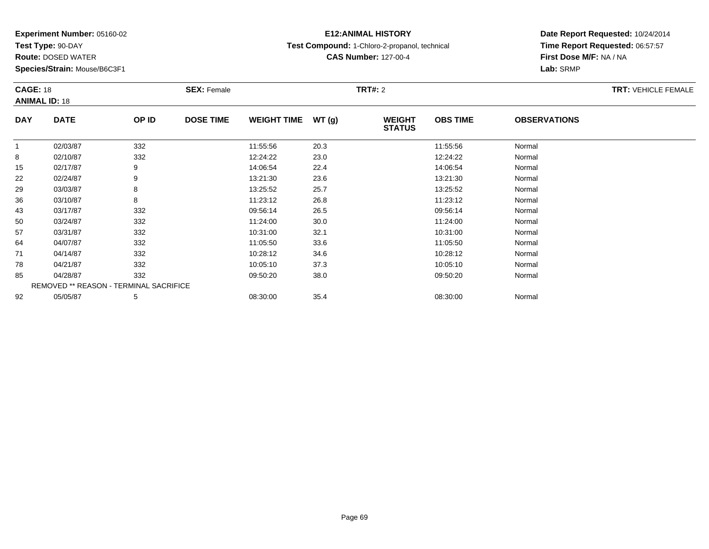**Test Type:** 90-DAY

**Route:** DOSED WATER

**Species/Strain:** Mouse/B6C3F1

## **E12:ANIMAL HISTORY**

**Test Compound:** 1-Chloro-2-propanol, technical

**CAS Number:** 127-00-4

|            | <b>CAGE: 18</b>                        |       | <b>SEX: Female</b> |                    |       | <b>TRT#: 2</b>                 | <b>TRT: VEHICLE FEMALE</b> |                     |  |
|------------|----------------------------------------|-------|--------------------|--------------------|-------|--------------------------------|----------------------------|---------------------|--|
|            | <b>ANIMAL ID: 18</b>                   |       |                    |                    |       |                                |                            |                     |  |
| <b>DAY</b> | <b>DATE</b>                            | OP ID | <b>DOSE TIME</b>   | <b>WEIGHT TIME</b> | WT(g) | <b>WEIGHT</b><br><b>STATUS</b> | <b>OBS TIME</b>            | <b>OBSERVATIONS</b> |  |
| 1          | 02/03/87                               | 332   |                    | 11:55:56           | 20.3  |                                | 11:55:56                   | Normal              |  |
| 8          | 02/10/87                               | 332   |                    | 12:24:22           | 23.0  |                                | 12:24:22                   | Normal              |  |
| 15         | 02/17/87                               | 9     |                    | 14:06:54           | 22.4  |                                | 14:06:54                   | Normal              |  |
| 22         | 02/24/87                               | 9     |                    | 13:21:30           | 23.6  |                                | 13:21:30                   | Normal              |  |
| 29         | 03/03/87                               | 8     |                    | 13:25:52           | 25.7  |                                | 13:25:52                   | Normal              |  |
| 36         | 03/10/87                               | 8     |                    | 11:23:12           | 26.8  |                                | 11:23:12                   | Normal              |  |
| 43         | 03/17/87                               | 332   |                    | 09:56:14           | 26.5  |                                | 09:56:14                   | Normal              |  |
| 50         | 03/24/87                               | 332   |                    | 11:24:00           | 30.0  |                                | 11:24:00                   | Normal              |  |
| 57         | 03/31/87                               | 332   |                    | 10:31:00           | 32.1  |                                | 10:31:00                   | Normal              |  |
| 64         | 04/07/87                               | 332   |                    | 11:05:50           | 33.6  |                                | 11:05:50                   | Normal              |  |
| 71         | 04/14/87                               | 332   |                    | 10:28:12           | 34.6  |                                | 10:28:12                   | Normal              |  |
| 78         | 04/21/87                               | 332   |                    | 10:05:10           | 37.3  |                                | 10:05:10                   | Normal              |  |
| 85         | 04/28/87                               | 332   |                    | 09:50:20           | 38.0  |                                | 09:50:20                   | Normal              |  |
|            | REMOVED ** REASON - TERMINAL SACRIFICE |       |                    |                    |       |                                |                            |                     |  |
| 92         | 05/05/87                               | 5     |                    | 08:30:00           | 35.4  |                                | 08:30:00                   | Normal              |  |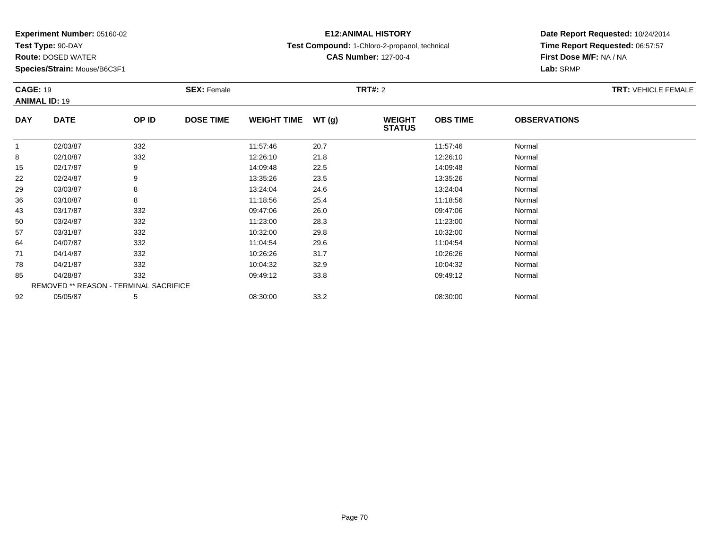**Test Type:** 90-DAY

**Route:** DOSED WATER

**Species/Strain:** Mouse/B6C3F1

## **E12:ANIMAL HISTORY**

**Test Compound:** 1-Chloro-2-propanol, technical

**CAS Number:** 127-00-4

| <b>CAGE: 19</b><br><b>ANIMAL ID: 19</b> |                                               | <b>SEX: Female</b> |                  | TRT#: 2            |       |                                |                 | <b>TRT: VEHICLE FEMALE</b> |  |
|-----------------------------------------|-----------------------------------------------|--------------------|------------------|--------------------|-------|--------------------------------|-----------------|----------------------------|--|
| <b>DAY</b>                              | <b>DATE</b>                                   | OP ID              | <b>DOSE TIME</b> | <b>WEIGHT TIME</b> | WT(g) | <b>WEIGHT</b><br><b>STATUS</b> | <b>OBS TIME</b> | <b>OBSERVATIONS</b>        |  |
|                                         | 02/03/87                                      | 332                |                  | 11:57:46           | 20.7  |                                | 11:57:46        | Normal                     |  |
| 8                                       | 02/10/87                                      | 332                |                  | 12:26:10           | 21.8  |                                | 12:26:10        | Normal                     |  |
| 15                                      | 02/17/87                                      | 9                  |                  | 14:09:48           | 22.5  |                                | 14:09:48        | Normal                     |  |
| 22                                      | 02/24/87                                      | 9                  |                  | 13:35:26           | 23.5  |                                | 13:35:26        | Normal                     |  |
| 29                                      | 03/03/87                                      | 8                  |                  | 13:24:04           | 24.6  |                                | 13:24:04        | Normal                     |  |
| 36                                      | 03/10/87                                      | 8                  |                  | 11:18:56           | 25.4  |                                | 11:18:56        | Normal                     |  |
| 43                                      | 03/17/87                                      | 332                |                  | 09:47:06           | 26.0  |                                | 09:47:06        | Normal                     |  |
| 50                                      | 03/24/87                                      | 332                |                  | 11:23:00           | 28.3  |                                | 11:23:00        | Normal                     |  |
| 57                                      | 03/31/87                                      | 332                |                  | 10:32:00           | 29.8  |                                | 10:32:00        | Normal                     |  |
| 64                                      | 04/07/87                                      | 332                |                  | 11:04:54           | 29.6  |                                | 11:04:54        | Normal                     |  |
| 71                                      | 04/14/87                                      | 332                |                  | 10:26:26           | 31.7  |                                | 10:26:26        | Normal                     |  |
| 78                                      | 04/21/87                                      | 332                |                  | 10:04:32           | 32.9  |                                | 10:04:32        | Normal                     |  |
| 85                                      | 04/28/87                                      | 332                |                  | 09:49:12           | 33.8  |                                | 09:49:12        | Normal                     |  |
|                                         | <b>REMOVED ** REASON - TERMINAL SACRIFICE</b> |                    |                  |                    |       |                                |                 |                            |  |
| 92                                      | 05/05/87                                      | 5                  |                  | 08:30:00           | 33.2  |                                | 08:30:00        | Normal                     |  |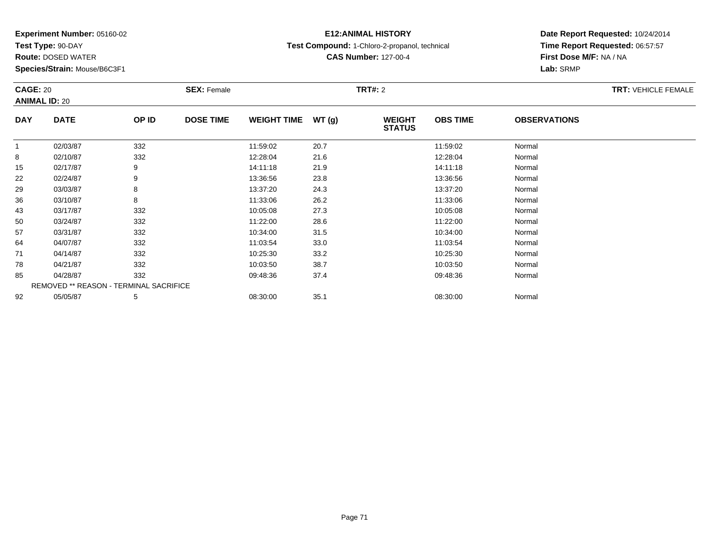**Test Type:** 90-DAY

**Route:** DOSED WATER

**Species/Strain:** Mouse/B6C3F1

# **E12:ANIMAL HISTORY**

**Test Compound:** 1-Chloro-2-propanol, technical

**CAS Number:** 127-00-4

| <b>CAGE: 20</b><br><b>ANIMAL ID: 20</b> |                                        | <b>SEX: Female</b> |                  |                    | <b>TRT#: 2</b> | <b>TRT: VEHICLE FEMALE</b>     |                 |                     |  |
|-----------------------------------------|----------------------------------------|--------------------|------------------|--------------------|----------------|--------------------------------|-----------------|---------------------|--|
| <b>DAY</b>                              | <b>DATE</b>                            | OP ID              | <b>DOSE TIME</b> | <b>WEIGHT TIME</b> | WT(g)          | <b>WEIGHT</b><br><b>STATUS</b> | <b>OBS TIME</b> | <b>OBSERVATIONS</b> |  |
| $\overline{1}$                          | 02/03/87                               | 332                |                  | 11:59:02           | 20.7           |                                | 11:59:02        | Normal              |  |
| 8                                       | 02/10/87                               | 332                |                  | 12:28:04           | 21.6           |                                | 12:28:04        | Normal              |  |
| 15                                      | 02/17/87                               | 9                  |                  | 14:11:18           | 21.9           |                                | 14:11:18        | Normal              |  |
| 22                                      | 02/24/87                               | 9                  |                  | 13:36:56           | 23.8           |                                | 13:36:56        | Normal              |  |
| 29                                      | 03/03/87                               | 8                  |                  | 13:37:20           | 24.3           |                                | 13:37:20        | Normal              |  |
| 36                                      | 03/10/87                               | 8                  |                  | 11:33:06           | 26.2           |                                | 11:33:06        | Normal              |  |
| 43                                      | 03/17/87                               | 332                |                  | 10:05:08           | 27.3           |                                | 10:05:08        | Normal              |  |
| 50                                      | 03/24/87                               | 332                |                  | 11:22:00           | 28.6           |                                | 11:22:00        | Normal              |  |
| 57                                      | 03/31/87                               | 332                |                  | 10:34:00           | 31.5           |                                | 10:34:00        | Normal              |  |
| 64                                      | 04/07/87                               | 332                |                  | 11:03:54           | 33.0           |                                | 11:03:54        | Normal              |  |
| 71                                      | 04/14/87                               | 332                |                  | 10:25:30           | 33.2           |                                | 10:25:30        | Normal              |  |
| 78                                      | 04/21/87                               | 332                |                  | 10:03:50           | 38.7           |                                | 10:03:50        | Normal              |  |
| 85                                      | 04/28/87                               | 332                |                  | 09:48:36           | 37.4           |                                | 09:48:36        | Normal              |  |
|                                         | REMOVED ** REASON - TERMINAL SACRIFICE |                    |                  |                    |                |                                |                 |                     |  |
| 92                                      | 05/05/87                               | 5                  |                  | 08:30:00           | 35.1           |                                | 08:30:00        | Normal              |  |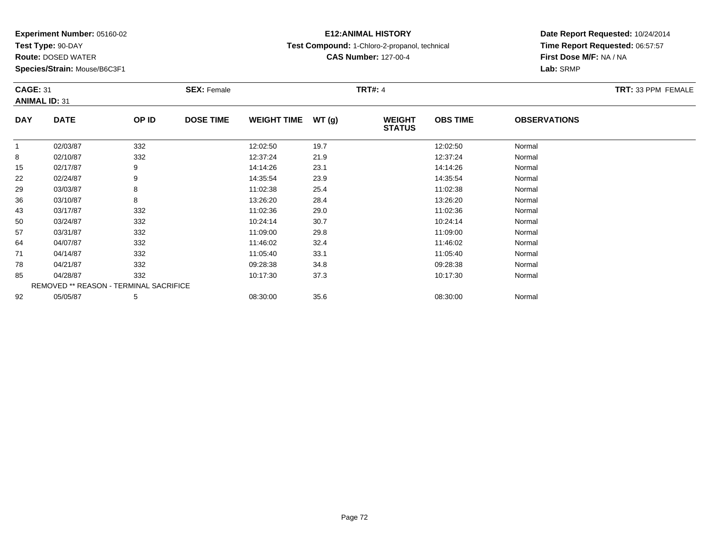**Test Type:** 90-DAY

**Route:** DOSED WATER

**Species/Strain:** Mouse/B6C3F1

# **E12:ANIMAL HISTORY**

**Test Compound:** 1-Chloro-2-propanol, technical

**CAS Number:** 127-00-4

| <b>CAGE: 31</b><br><b>ANIMAL ID: 31</b> |                                        | <b>SEX: Female</b> |                  |                    | <b>TRT#: 4</b> | TRT: 33 PPM FEMALE             |                 |                     |  |
|-----------------------------------------|----------------------------------------|--------------------|------------------|--------------------|----------------|--------------------------------|-----------------|---------------------|--|
| <b>DAY</b>                              | <b>DATE</b>                            | OP ID              | <b>DOSE TIME</b> | <b>WEIGHT TIME</b> | WT(g)          | <b>WEIGHT</b><br><b>STATUS</b> | <b>OBS TIME</b> | <b>OBSERVATIONS</b> |  |
|                                         | 02/03/87                               | 332                |                  | 12:02:50           | 19.7           |                                | 12:02:50        | Normal              |  |
| 8                                       | 02/10/87                               | 332                |                  | 12:37:24           | 21.9           |                                | 12:37:24        | Normal              |  |
| 15                                      | 02/17/87                               | 9                  |                  | 14:14:26           | 23.1           |                                | 14:14:26        | Normal              |  |
| 22                                      | 02/24/87                               | 9                  |                  | 14:35:54           | 23.9           |                                | 14:35:54        | Normal              |  |
| 29                                      | 03/03/87                               | 8                  |                  | 11:02:38           | 25.4           |                                | 11:02:38        | Normal              |  |
| 36                                      | 03/10/87                               | 8                  |                  | 13:26:20           | 28.4           |                                | 13:26:20        | Normal              |  |
| 43                                      | 03/17/87                               | 332                |                  | 11:02:36           | 29.0           |                                | 11:02:36        | Normal              |  |
| 50                                      | 03/24/87                               | 332                |                  | 10:24:14           | 30.7           |                                | 10:24:14        | Normal              |  |
| 57                                      | 03/31/87                               | 332                |                  | 11:09:00           | 29.8           |                                | 11:09:00        | Normal              |  |
| 64                                      | 04/07/87                               | 332                |                  | 11:46:02           | 32.4           |                                | 11:46:02        | Normal              |  |
| 71                                      | 04/14/87                               | 332                |                  | 11:05:40           | 33.1           |                                | 11:05:40        | Normal              |  |
| 78                                      | 04/21/87                               | 332                |                  | 09:28:38           | 34.8           |                                | 09:28:38        | Normal              |  |
| 85                                      | 04/28/87                               | 332                |                  | 10:17:30           | 37.3           |                                | 10:17:30        | Normal              |  |
|                                         | REMOVED ** REASON - TERMINAL SACRIFICE |                    |                  |                    |                |                                |                 |                     |  |
| 92                                      | 05/05/87                               | 5                  |                  | 08:30:00           | 35.6           |                                | 08:30:00        | Normal              |  |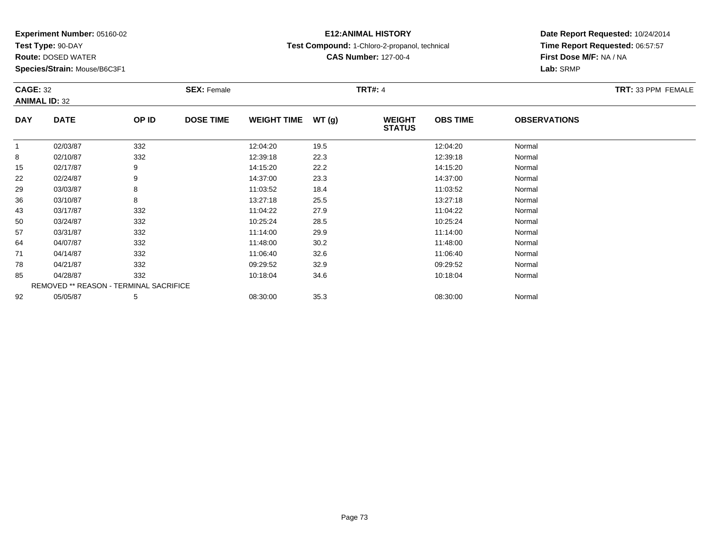**Test Type:** 90-DAY

**Route:** DOSED WATER

**Species/Strain:** Mouse/B6C3F1

## **E12:ANIMAL HISTORY**

**Test Compound:** 1-Chloro-2-propanol, technical

**CAS Number:** 127-00-4

**Date Report Requested:** 10/24/2014 **Time Report Requested:** 06:57:57**First Dose M/F:** NA / NA**Lab:** SRMP

|              | <b>CAGE: 32</b><br><b>ANIMAL ID: 32</b> |       | <b>SEX: Female</b> |                    |       | <b>TRT#: 4</b>                 | TRT: 33 PPM FEMALE |                     |  |
|--------------|-----------------------------------------|-------|--------------------|--------------------|-------|--------------------------------|--------------------|---------------------|--|
| <b>DAY</b>   | <b>DATE</b>                             | OP ID | <b>DOSE TIME</b>   | <b>WEIGHT TIME</b> | WT(g) | <b>WEIGHT</b><br><b>STATUS</b> | <b>OBS TIME</b>    | <b>OBSERVATIONS</b> |  |
| $\mathbf{1}$ | 02/03/87                                | 332   |                    | 12:04:20           | 19.5  |                                | 12:04:20           | Normal              |  |
| 8            | 02/10/87                                | 332   |                    | 12:39:18           | 22.3  |                                | 12:39:18           | Normal              |  |
| 15           | 02/17/87                                | 9     |                    | 14:15:20           | 22.2  |                                | 14:15:20           | Normal              |  |
| 22           | 02/24/87                                | 9     |                    | 14:37:00           | 23.3  |                                | 14:37:00           | Normal              |  |
| 29           | 03/03/87                                | 8     |                    | 11:03:52           | 18.4  |                                | 11:03:52           | Normal              |  |
| 36           | 03/10/87                                | 8     |                    | 13:27:18           | 25.5  |                                | 13:27:18           | Normal              |  |
| 43           | 03/17/87                                | 332   |                    | 11:04:22           | 27.9  |                                | 11:04:22           | Normal              |  |
| 50           | 03/24/87                                | 332   |                    | 10:25:24           | 28.5  |                                | 10:25:24           | Normal              |  |
| 57           | 03/31/87                                | 332   |                    | 11:14:00           | 29.9  |                                | 11:14:00           | Normal              |  |
| 64           | 04/07/87                                | 332   |                    | 11:48:00           | 30.2  |                                | 11:48:00           | Normal              |  |
| 71           | 04/14/87                                | 332   |                    | 11:06:40           | 32.6  |                                | 11:06:40           | Normal              |  |
| 78           | 04/21/87                                | 332   |                    | 09:29:52           | 32.9  |                                | 09:29:52           | Normal              |  |
| 85           | 04/28/87                                | 332   |                    | 10:18:04           | 34.6  |                                | 10:18:04           | Normal              |  |
|              | REMOVED ** REASON - TERMINAL SACRIFICE  |       |                    |                    |       |                                |                    |                     |  |
| 92           | 05/05/87                                | 5     |                    | 08:30:00           | 35.3  |                                | 08:30:00           | Normal              |  |

#### Page 73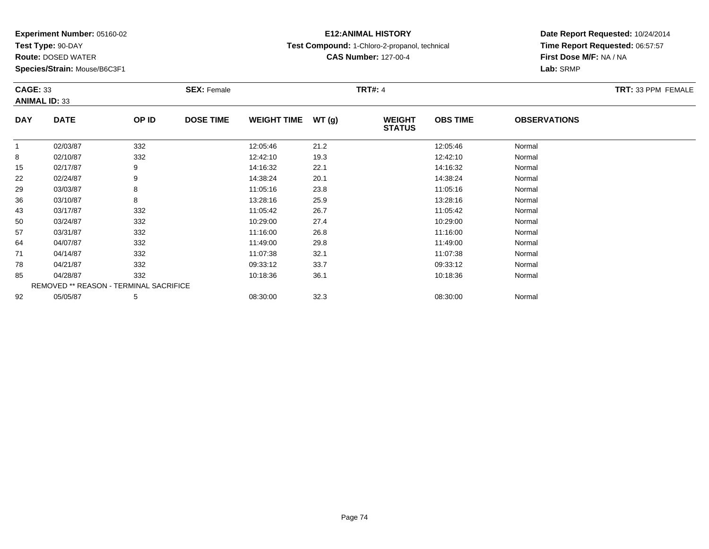**Test Type:** 90-DAY

**Route:** DOSED WATER

**Species/Strain:** Mouse/B6C3F1

## **E12:ANIMAL HISTORY**

**Test Compound:** 1-Chloro-2-propanol, technical

**CAS Number:** 127-00-4

|              | <b>CAGE: 33</b><br><b>ANIMAL ID: 33</b> |       | <b>SEX: Female</b> |                    |       | <b>TRT#: 4</b>                 | TRT: 33 PPM FEMALE |                     |  |
|--------------|-----------------------------------------|-------|--------------------|--------------------|-------|--------------------------------|--------------------|---------------------|--|
| <b>DAY</b>   | <b>DATE</b>                             | OP ID | <b>DOSE TIME</b>   | <b>WEIGHT TIME</b> | WT(g) | <b>WEIGHT</b><br><b>STATUS</b> | <b>OBS TIME</b>    | <b>OBSERVATIONS</b> |  |
| $\mathbf{1}$ | 02/03/87                                | 332   |                    | 12:05:46           | 21.2  |                                | 12:05:46           | Normal              |  |
| 8            | 02/10/87                                | 332   |                    | 12:42:10           | 19.3  |                                | 12:42:10           | Normal              |  |
| 15           | 02/17/87                                | 9     |                    | 14:16:32           | 22.1  |                                | 14:16:32           | Normal              |  |
| 22           | 02/24/87                                | 9     |                    | 14:38:24           | 20.1  |                                | 14:38:24           | Normal              |  |
| 29           | 03/03/87                                | 8     |                    | 11:05:16           | 23.8  |                                | 11:05:16           | Normal              |  |
| 36           | 03/10/87                                | 8     |                    | 13:28:16           | 25.9  |                                | 13:28:16           | Normal              |  |
| 43           | 03/17/87                                | 332   |                    | 11:05:42           | 26.7  |                                | 11:05:42           | Normal              |  |
| 50           | 03/24/87                                | 332   |                    | 10:29:00           | 27.4  |                                | 10:29:00           | Normal              |  |
| 57           | 03/31/87                                | 332   |                    | 11:16:00           | 26.8  |                                | 11:16:00           | Normal              |  |
| 64           | 04/07/87                                | 332   |                    | 11:49:00           | 29.8  |                                | 11:49:00           | Normal              |  |
| 71           | 04/14/87                                | 332   |                    | 11:07:38           | 32.1  |                                | 11:07:38           | Normal              |  |
| 78           | 04/21/87                                | 332   |                    | 09:33:12           | 33.7  |                                | 09:33:12           | Normal              |  |
| 85           | 04/28/87                                | 332   |                    | 10:18:36           | 36.1  |                                | 10:18:36           | Normal              |  |
|              | REMOVED ** REASON - TERMINAL SACRIFICE  |       |                    |                    |       |                                |                    |                     |  |
| 92           | 05/05/87                                | 5     |                    | 08:30:00           | 32.3  |                                | 08:30:00           | Normal              |  |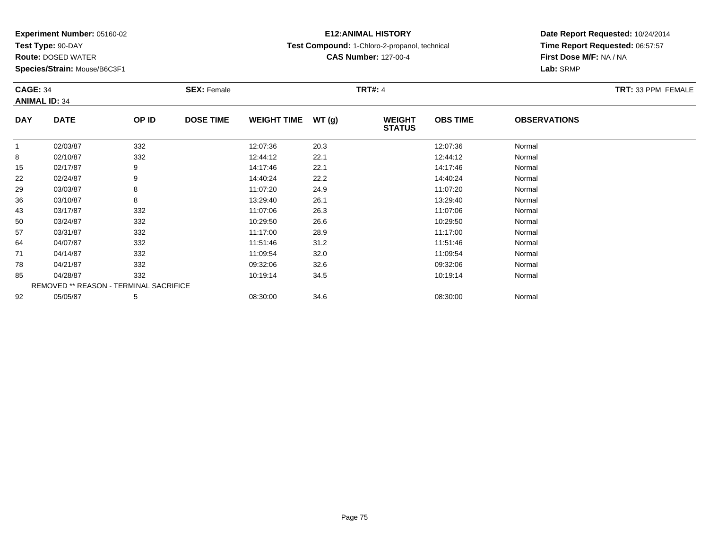**Test Type:** 90-DAY

**Route:** DOSED WATER

**Species/Strain:** Mouse/B6C3F1

## **E12:ANIMAL HISTORY**

**Test Compound:** 1-Chloro-2-propanol, technical

**CAS Number:** 127-00-4

|                | <b>CAGE: 34</b><br><b>ANIMAL ID: 34</b> |       | <b>SEX: Female</b> |                    |       |                                | <b>TRT#: 4</b>  |                     |  |  |
|----------------|-----------------------------------------|-------|--------------------|--------------------|-------|--------------------------------|-----------------|---------------------|--|--|
| <b>DAY</b>     | <b>DATE</b>                             | OP ID | <b>DOSE TIME</b>   | <b>WEIGHT TIME</b> | WT(g) | <b>WEIGHT</b><br><b>STATUS</b> | <b>OBS TIME</b> | <b>OBSERVATIONS</b> |  |  |
| $\overline{1}$ | 02/03/87                                | 332   |                    | 12:07:36           | 20.3  |                                | 12:07:36        | Normal              |  |  |
| 8              | 02/10/87                                | 332   |                    | 12:44:12           | 22.1  |                                | 12:44:12        | Normal              |  |  |
| 15             | 02/17/87                                | 9     |                    | 14:17:46           | 22.1  |                                | 14:17:46        | Normal              |  |  |
| 22             | 02/24/87                                | 9     |                    | 14:40:24           | 22.2  |                                | 14:40:24        | Normal              |  |  |
| 29             | 03/03/87                                | 8     |                    | 11:07:20           | 24.9  |                                | 11:07:20        | Normal              |  |  |
| 36             | 03/10/87                                | 8     |                    | 13:29:40           | 26.1  |                                | 13:29:40        | Normal              |  |  |
| 43             | 03/17/87                                | 332   |                    | 11:07:06           | 26.3  |                                | 11:07:06        | Normal              |  |  |
| 50             | 03/24/87                                | 332   |                    | 10:29:50           | 26.6  |                                | 10:29:50        | Normal              |  |  |
| 57             | 03/31/87                                | 332   |                    | 11:17:00           | 28.9  |                                | 11:17:00        | Normal              |  |  |
| 64             | 04/07/87                                | 332   |                    | 11:51:46           | 31.2  |                                | 11:51:46        | Normal              |  |  |
| 71             | 04/14/87                                | 332   |                    | 11:09:54           | 32.0  |                                | 11:09:54        | Normal              |  |  |
| 78             | 04/21/87                                | 332   |                    | 09:32:06           | 32.6  |                                | 09:32:06        | Normal              |  |  |
| 85             | 04/28/87                                | 332   |                    | 10:19:14           | 34.5  |                                | 10:19:14        | Normal              |  |  |
|                | REMOVED ** REASON - TERMINAL SACRIFICE  |       |                    |                    |       |                                |                 |                     |  |  |
| 92             | 05/05/87                                | 5     |                    | 08:30:00           | 34.6  |                                | 08:30:00        | Normal              |  |  |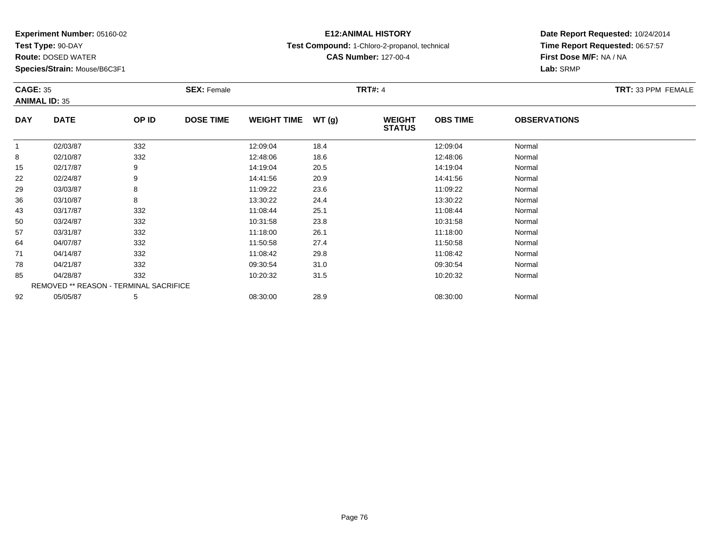**Test Type:** 90-DAY

**Route:** DOSED WATER

**Species/Strain:** Mouse/B6C3F1

### **E12:ANIMAL HISTORY**

**Test Compound:** 1-Chloro-2-propanol, technical

**CAS Number:** 127-00-4

#### **Date Report Requested:** 10/24/2014**Time Report Requested:** 06:57:57**First Dose M/F:** NA / NA**Lab:** SRMP

#### **CAGE:** 35 **SEX:** Female **TRT#:** <sup>4</sup> **TRT:** 33 PPM FEMALE**ANIMAL ID:** 35**DAY DATE OP IDDOSE TIME WEIGHT TIME WT** (g) **STATUSOBS TIME OBSERVATIONS** 11 02/03/87 332 12:09:04 18.4 12:09:04 Normal 88 02/10/87 332 12:48:06 18.6 12:48:06 Normal 155 02/17/87 9 9 14:19:04 20.5 12.5 14:19:04 20.5 222 02/24/87 9 9 14:41:56 20.9 13 14:41:56 14:41:56 20.9 299 03/03/87 8 8 11:09:22 23.6 15 11:09:22 11:09 11:09 11:09 11:09 123.6 366 03/10/87 8 8 13:30:22 24.4 13:30 13:30 13:30 13:30 13:30 13:30:22 Normal 433 03/17/87 332 3 11:08:44 25.1 11:08:44 33/11:08:44 5 11:08:44 5 11:08:44 500 03/24/87 332 10:31:58 23.8 10:31:58 Normal 577 03/31/87 332 11:18:00 26.1 11:18:00 Normal 644 04/07/87 332 32 11:50:58 27.4 11:50:58 11:50:58 Normal 711 04/14/87 332 32 11:08:42 29.8 11:08 11:08 11:08 11:08 11:08 1 788 04/21/87 332 302 09:30:54 31.0 31.0 09:30:54 Normal 855 04/28/87 332 10:20:32 31.5 31.5 10:20:32 Normal REMOVED \*\* REASON - TERMINAL SACRIFICE922 05/05/87 5 5 08:30:00 28.9 08:30 00 08:30 00 08:30:00 08:30:00 08:30:00 08:30:00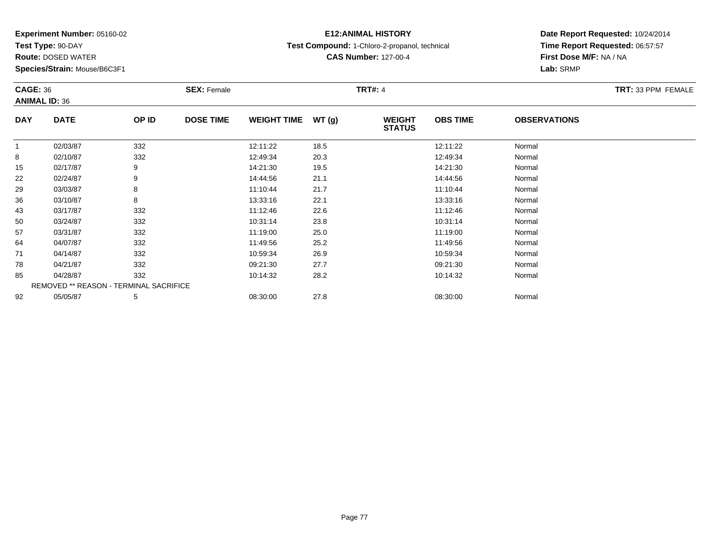**Test Type:** 90-DAY

**Route:** DOSED WATER

**Species/Strain:** Mouse/B6C3F1

## **E12:ANIMAL HISTORY**

**Test Compound:** 1-Chloro-2-propanol, technical

**CAS Number:** 127-00-4

|              | <b>CAGE: 36</b><br><b>ANIMAL ID: 36</b> |       | <b>SEX: Female</b> |                    |       | <b>TRT#: 4</b>                 | <b>TRT: 33 PPM FEMALE</b> |                     |  |
|--------------|-----------------------------------------|-------|--------------------|--------------------|-------|--------------------------------|---------------------------|---------------------|--|
| <b>DAY</b>   | <b>DATE</b>                             | OP ID | <b>DOSE TIME</b>   | <b>WEIGHT TIME</b> | WT(g) | <b>WEIGHT</b><br><b>STATUS</b> | <b>OBS TIME</b>           | <b>OBSERVATIONS</b> |  |
| $\mathbf{1}$ | 02/03/87                                | 332   |                    | 12:11:22           | 18.5  |                                | 12:11:22                  | Normal              |  |
| 8            | 02/10/87                                | 332   |                    | 12:49:34           | 20.3  |                                | 12:49:34                  | Normal              |  |
| 15           | 02/17/87                                | 9     |                    | 14:21:30           | 19.5  |                                | 14:21:30                  | Normal              |  |
| 22           | 02/24/87                                | 9     |                    | 14:44:56           | 21.1  |                                | 14:44:56                  | Normal              |  |
| 29           | 03/03/87                                | 8     |                    | 11:10:44           | 21.7  |                                | 11:10:44                  | Normal              |  |
| 36           | 03/10/87                                | 8     |                    | 13:33:16           | 22.1  |                                | 13:33:16                  | Normal              |  |
| 43           | 03/17/87                                | 332   |                    | 11:12:46           | 22.6  |                                | 11:12:46                  | Normal              |  |
| 50           | 03/24/87                                | 332   |                    | 10:31:14           | 23.8  |                                | 10:31:14                  | Normal              |  |
| 57           | 03/31/87                                | 332   |                    | 11:19:00           | 25.0  |                                | 11:19:00                  | Normal              |  |
| 64           | 04/07/87                                | 332   |                    | 11:49:56           | 25.2  |                                | 11:49:56                  | Normal              |  |
| 71           | 04/14/87                                | 332   |                    | 10:59:34           | 26.9  |                                | 10:59:34                  | Normal              |  |
| 78           | 04/21/87                                | 332   |                    | 09:21:30           | 27.7  |                                | 09:21:30                  | Normal              |  |
| 85           | 04/28/87                                | 332   |                    | 10:14:32           | 28.2  |                                | 10:14:32                  | Normal              |  |
|              | REMOVED ** REASON - TERMINAL SACRIFICE  |       |                    |                    |       |                                |                           |                     |  |
| 92           | 05/05/87                                | 5     |                    | 08:30:00           | 27.8  |                                | 08:30:00                  | Normal              |  |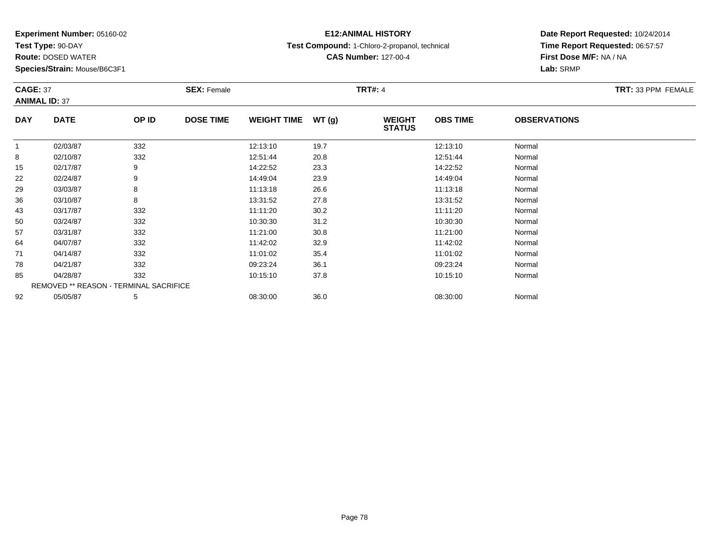**Test Type:** 90-DAY

**Route:** DOSED WATER

**Species/Strain:** Mouse/B6C3F1

## **E12:ANIMAL HISTORY**

**Test Compound:** 1-Chloro-2-propanol, technical

**CAS Number:** 127-00-4

**Date Report Requested:** 10/24/2014 **Time Report Requested:** 06:57:57**First Dose M/F:** NA / NA**Lab:** SRMP

|              | <b>CAGE: 37</b><br><b>ANIMAL ID: 37</b> |       | <b>SEX: Female</b> |                    |       | <b>TRT#: 4</b>                 | TRT: 33 PPM FEMALE |                     |  |
|--------------|-----------------------------------------|-------|--------------------|--------------------|-------|--------------------------------|--------------------|---------------------|--|
| <b>DAY</b>   | <b>DATE</b>                             | OP ID | <b>DOSE TIME</b>   | <b>WEIGHT TIME</b> | WT(g) | <b>WEIGHT</b><br><b>STATUS</b> | <b>OBS TIME</b>    | <b>OBSERVATIONS</b> |  |
| $\mathbf{1}$ | 02/03/87                                | 332   |                    | 12:13:10           | 19.7  |                                | 12:13:10           | Normal              |  |
| 8            | 02/10/87                                | 332   |                    | 12:51:44           | 20.8  |                                | 12:51:44           | Normal              |  |
| 15           | 02/17/87                                | 9     |                    | 14:22:52           | 23.3  |                                | 14:22:52           | Normal              |  |
| 22           | 02/24/87                                | 9     |                    | 14:49:04           | 23.9  |                                | 14:49:04           | Normal              |  |
| 29           | 03/03/87                                | 8     |                    | 11:13:18           | 26.6  |                                | 11:13:18           | Normal              |  |
| 36           | 03/10/87                                | 8     |                    | 13:31:52           | 27.8  |                                | 13:31:52           | Normal              |  |
| 43           | 03/17/87                                | 332   |                    | 11:11:20           | 30.2  |                                | 11:11:20           | Normal              |  |
| 50           | 03/24/87                                | 332   |                    | 10:30:30           | 31.2  |                                | 10:30:30           | Normal              |  |
| 57           | 03/31/87                                | 332   |                    | 11:21:00           | 30.8  |                                | 11:21:00           | Normal              |  |
| 64           | 04/07/87                                | 332   |                    | 11:42:02           | 32.9  |                                | 11:42:02           | Normal              |  |
| 71           | 04/14/87                                | 332   |                    | 11:01:02           | 35.4  |                                | 11:01:02           | Normal              |  |
| 78           | 04/21/87                                | 332   |                    | 09:23:24           | 36.1  |                                | 09:23:24           | Normal              |  |
| 85           | 04/28/87                                | 332   |                    | 10:15:10           | 37.8  |                                | 10:15:10           | Normal              |  |
|              | REMOVED ** REASON - TERMINAL SACRIFICE  |       |                    |                    |       |                                |                    |                     |  |
| 92           | 05/05/87                                | 5     |                    | 08:30:00           | 36.0  |                                | 08:30:00           | Normal              |  |

#### Page 78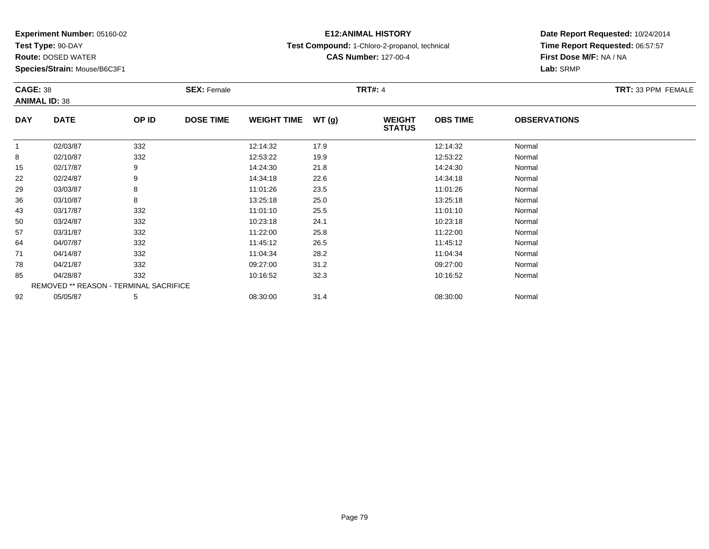**Test Type:** 90-DAY

**Route:** DOSED WATER

**Species/Strain:** Mouse/B6C3F1

## **E12:ANIMAL HISTORY**

**Test Compound:** 1-Chloro-2-propanol, technical

**CAS Number:** 127-00-4

|              | <b>CAGE: 38</b><br><b>ANIMAL ID: 38</b> |       | <b>SEX: Female</b> |                    |       | TRT#: 4                        | <b>TRT: 33 PPM FEMALE</b> |                     |  |
|--------------|-----------------------------------------|-------|--------------------|--------------------|-------|--------------------------------|---------------------------|---------------------|--|
| <b>DAY</b>   | <b>DATE</b>                             | OP ID | <b>DOSE TIME</b>   | <b>WEIGHT TIME</b> | WT(g) | <b>WEIGHT</b><br><b>STATUS</b> | <b>OBS TIME</b>           | <b>OBSERVATIONS</b> |  |
| $\mathbf{1}$ | 02/03/87                                | 332   |                    | 12:14:32           | 17.9  |                                | 12:14:32                  | Normal              |  |
| 8            | 02/10/87                                | 332   |                    | 12:53:22           | 19.9  |                                | 12:53:22                  | Normal              |  |
| 15           | 02/17/87                                | 9     |                    | 14:24:30           | 21.8  |                                | 14:24:30                  | Normal              |  |
| 22           | 02/24/87                                | 9     |                    | 14:34:18           | 22.6  |                                | 14:34:18                  | Normal              |  |
| 29           | 03/03/87                                | 8     |                    | 11:01:26           | 23.5  |                                | 11:01:26                  | Normal              |  |
| 36           | 03/10/87                                | 8     |                    | 13:25:18           | 25.0  |                                | 13:25:18                  | Normal              |  |
| 43           | 03/17/87                                | 332   |                    | 11:01:10           | 25.5  |                                | 11:01:10                  | Normal              |  |
| 50           | 03/24/87                                | 332   |                    | 10:23:18           | 24.1  |                                | 10:23:18                  | Normal              |  |
| 57           | 03/31/87                                | 332   |                    | 11:22:00           | 25.8  |                                | 11:22:00                  | Normal              |  |
| 64           | 04/07/87                                | 332   |                    | 11:45:12           | 26.5  |                                | 11:45:12                  | Normal              |  |
| 71           | 04/14/87                                | 332   |                    | 11:04:34           | 28.2  |                                | 11:04:34                  | Normal              |  |
| 78           | 04/21/87                                | 332   |                    | 09:27:00           | 31.2  |                                | 09:27:00                  | Normal              |  |
| 85           | 04/28/87                                | 332   |                    | 10:16:52           | 32.3  |                                | 10:16:52                  | Normal              |  |
|              | REMOVED ** REASON - TERMINAL SACRIFICE  |       |                    |                    |       |                                |                           |                     |  |
| 92           | 05/05/87                                | 5     |                    | 08:30:00           | 31.4  |                                | 08:30:00                  | Normal              |  |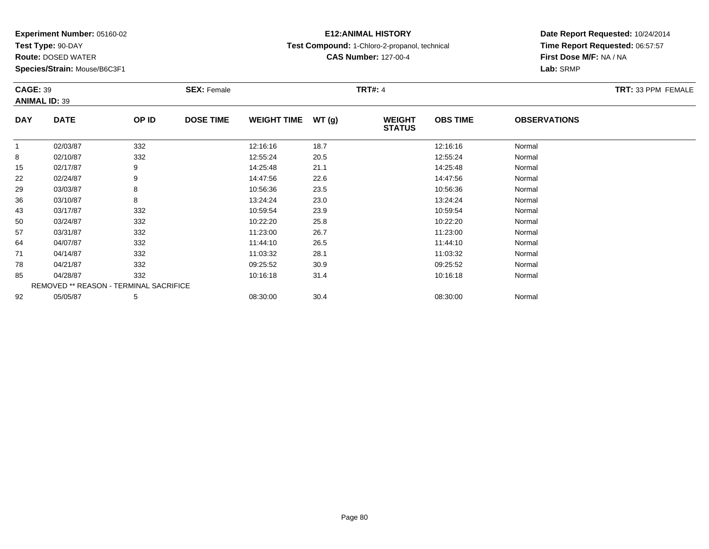**Test Type:** 90-DAY

**Route:** DOSED WATER

**Species/Strain:** Mouse/B6C3F1

## **E12:ANIMAL HISTORY**

**Test Compound:** 1-Chloro-2-propanol, technical

**CAS Number:** 127-00-4

| <b>CAGE: 39</b> | <b>ANIMAL ID: 39</b>                   |       | <b>SEX: Female</b> |                    |       | <b>TRT#: 4</b>                 |                 |                     | TRT: 33 PPM FEMALE |
|-----------------|----------------------------------------|-------|--------------------|--------------------|-------|--------------------------------|-----------------|---------------------|--------------------|
| <b>DAY</b>      | <b>DATE</b>                            | OP ID | <b>DOSE TIME</b>   | <b>WEIGHT TIME</b> | WT(g) | <b>WEIGHT</b><br><b>STATUS</b> | <b>OBS TIME</b> | <b>OBSERVATIONS</b> |                    |
| $\mathbf 1$     | 02/03/87                               | 332   |                    | 12:16:16           | 18.7  |                                | 12:16:16        | Normal              |                    |
| 8               | 02/10/87                               | 332   |                    | 12:55:24           | 20.5  |                                | 12:55:24        | Normal              |                    |
| 15              | 02/17/87                               | 9     |                    | 14:25:48           | 21.1  |                                | 14:25:48        | Normal              |                    |
| 22              | 02/24/87                               | 9     |                    | 14:47:56           | 22.6  |                                | 14:47:56        | Normal              |                    |
| 29              | 03/03/87                               | 8     |                    | 10:56:36           | 23.5  |                                | 10:56:36        | Normal              |                    |
| 36              | 03/10/87                               | 8     |                    | 13:24:24           | 23.0  |                                | 13:24:24        | Normal              |                    |
| 43              | 03/17/87                               | 332   |                    | 10:59:54           | 23.9  |                                | 10:59:54        | Normal              |                    |
| 50              | 03/24/87                               | 332   |                    | 10:22:20           | 25.8  |                                | 10:22:20        | Normal              |                    |
| 57              | 03/31/87                               | 332   |                    | 11:23:00           | 26.7  |                                | 11:23:00        | Normal              |                    |
| 64              | 04/07/87                               | 332   |                    | 11:44:10           | 26.5  |                                | 11:44:10        | Normal              |                    |
| 71              | 04/14/87                               | 332   |                    | 11:03:32           | 28.1  |                                | 11:03:32        | Normal              |                    |
| 78              | 04/21/87                               | 332   |                    | 09:25:52           | 30.9  |                                | 09:25:52        | Normal              |                    |
| 85              | 04/28/87                               | 332   |                    | 10:16:18           | 31.4  |                                | 10:16:18        | Normal              |                    |
|                 | REMOVED ** REASON - TERMINAL SACRIFICE |       |                    |                    |       |                                |                 |                     |                    |
| 92              | 05/05/87                               | 5     |                    | 08:30:00           | 30.4  |                                | 08:30:00        | Normal              |                    |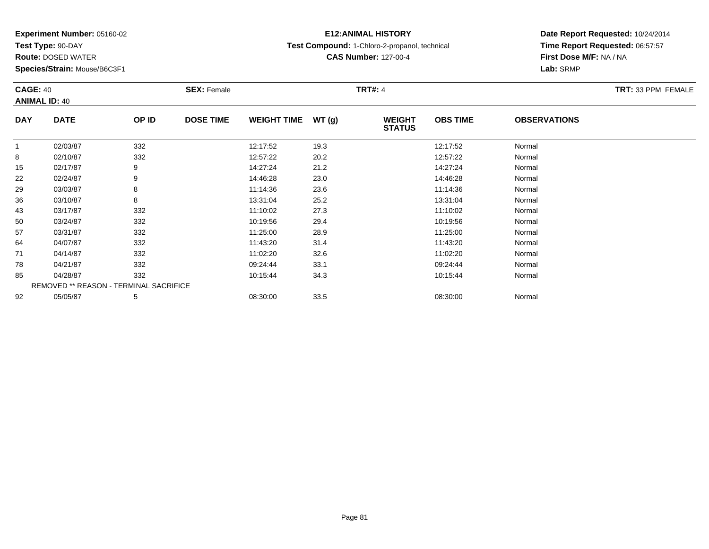**Test Type:** 90-DAY

**Route:** DOSED WATER

**Species/Strain:** Mouse/B6C3F1

## **E12:ANIMAL HISTORY**

**Test Compound:** 1-Chloro-2-propanol, technical

**CAS Number:** 127-00-4

|              | <b>CAGE: 40</b><br><b>ANIMAL ID: 40</b> |       | <b>SEX: Female</b> |                     |      | <b>TRT#: 4</b>                 | TRT: 33 PPM FEMALE |                     |  |
|--------------|-----------------------------------------|-------|--------------------|---------------------|------|--------------------------------|--------------------|---------------------|--|
| <b>DAY</b>   | <b>DATE</b>                             | OP ID | <b>DOSE TIME</b>   | WEIGHT TIME $WT(g)$ |      | <b>WEIGHT</b><br><b>STATUS</b> | <b>OBS TIME</b>    | <b>OBSERVATIONS</b> |  |
| $\mathbf{1}$ | 02/03/87                                | 332   |                    | 12:17:52            | 19.3 |                                | 12:17:52           | Normal              |  |
| 8            | 02/10/87                                | 332   |                    | 12:57:22            | 20.2 |                                | 12:57:22           | Normal              |  |
| 15           | 02/17/87                                | 9     |                    | 14:27:24            | 21.2 |                                | 14:27:24           | Normal              |  |
| 22           | 02/24/87                                | 9     |                    | 14:46:28            | 23.0 |                                | 14:46:28           | Normal              |  |
| 29           | 03/03/87                                | 8     |                    | 11:14:36            | 23.6 |                                | 11:14:36           | Normal              |  |
| 36           | 03/10/87                                | 8     |                    | 13:31:04            | 25.2 |                                | 13:31:04           | Normal              |  |
| 43           | 03/17/87                                | 332   |                    | 11:10:02            | 27.3 |                                | 11:10:02           | Normal              |  |
| 50           | 03/24/87                                | 332   |                    | 10:19:56            | 29.4 |                                | 10:19:56           | Normal              |  |
| 57           | 03/31/87                                | 332   |                    | 11:25:00            | 28.9 |                                | 11:25:00           | Normal              |  |
| 64           | 04/07/87                                | 332   |                    | 11:43:20            | 31.4 |                                | 11:43:20           | Normal              |  |
| 71           | 04/14/87                                | 332   |                    | 11:02:20            | 32.6 |                                | 11:02:20           | Normal              |  |
| 78           | 04/21/87                                | 332   |                    | 09:24:44            | 33.1 |                                | 09:24:44           | Normal              |  |
| 85           | 04/28/87                                | 332   |                    | 10:15:44            | 34.3 |                                | 10:15:44           | Normal              |  |
|              | REMOVED ** REASON - TERMINAL SACRIFICE  |       |                    |                     |      |                                |                    |                     |  |
| 92           | 05/05/87                                | 5     |                    | 08:30:00            | 33.5 |                                | 08:30:00           | Normal              |  |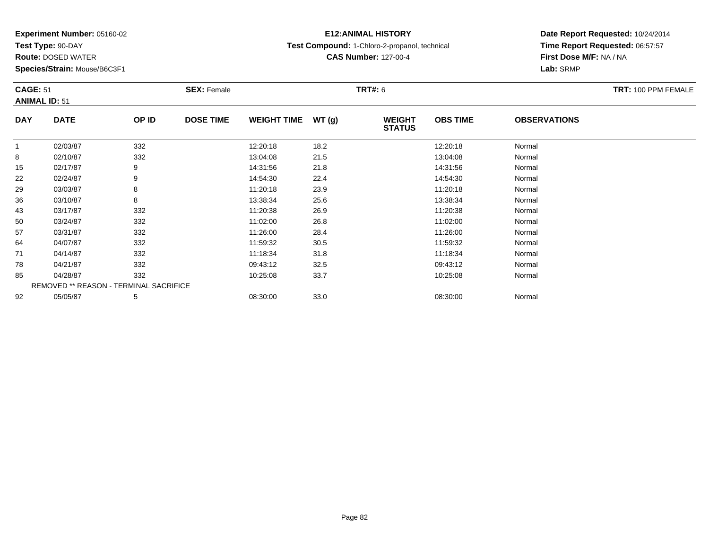**Test Type:** 90-DAY

**Route:** DOSED WATER

**Species/Strain:** Mouse/B6C3F1

## **E12:ANIMAL HISTORY**

**Test Compound:** 1-Chloro-2-propanol, technical

**CAS Number:** 127-00-4

|              | <b>CAGE: 51</b><br><b>ANIMAL ID: 51</b> |       | <b>SEX: Female</b> |                    |       | <b>TRT#: 6</b>                 | TRT: 100 PPM FEMALE |                     |  |
|--------------|-----------------------------------------|-------|--------------------|--------------------|-------|--------------------------------|---------------------|---------------------|--|
| <b>DAY</b>   | <b>DATE</b>                             | OP ID | <b>DOSE TIME</b>   | <b>WEIGHT TIME</b> | WT(g) | <b>WEIGHT</b><br><b>STATUS</b> | <b>OBS TIME</b>     | <b>OBSERVATIONS</b> |  |
| $\mathbf{1}$ | 02/03/87                                | 332   |                    | 12:20:18           | 18.2  |                                | 12:20:18            | Normal              |  |
| 8            | 02/10/87                                | 332   |                    | 13:04:08           | 21.5  |                                | 13:04:08            | Normal              |  |
| 15           | 02/17/87                                | 9     |                    | 14:31:56           | 21.8  |                                | 14:31:56            | Normal              |  |
| 22           | 02/24/87                                | 9     |                    | 14:54:30           | 22.4  |                                | 14:54:30            | Normal              |  |
| 29           | 03/03/87                                | 8     |                    | 11:20:18           | 23.9  |                                | 11:20:18            | Normal              |  |
| 36           | 03/10/87                                | 8     |                    | 13:38:34           | 25.6  |                                | 13:38:34            | Normal              |  |
| 43           | 03/17/87                                | 332   |                    | 11:20:38           | 26.9  |                                | 11:20:38            | Normal              |  |
| 50           | 03/24/87                                | 332   |                    | 11:02:00           | 26.8  |                                | 11:02:00            | Normal              |  |
| 57           | 03/31/87                                | 332   |                    | 11:26:00           | 28.4  |                                | 11:26:00            | Normal              |  |
| 64           | 04/07/87                                | 332   |                    | 11:59:32           | 30.5  |                                | 11:59:32            | Normal              |  |
| 71           | 04/14/87                                | 332   |                    | 11:18:34           | 31.8  |                                | 11:18:34            | Normal              |  |
| 78           | 04/21/87                                | 332   |                    | 09:43:12           | 32.5  |                                | 09:43:12            | Normal              |  |
| 85           | 04/28/87                                | 332   |                    | 10:25:08           | 33.7  |                                | 10:25:08            | Normal              |  |
|              | REMOVED ** REASON - TERMINAL SACRIFICE  |       |                    |                    |       |                                |                     |                     |  |
| 92           | 05/05/87                                | 5     |                    | 08:30:00           | 33.0  |                                | 08:30:00            | Normal              |  |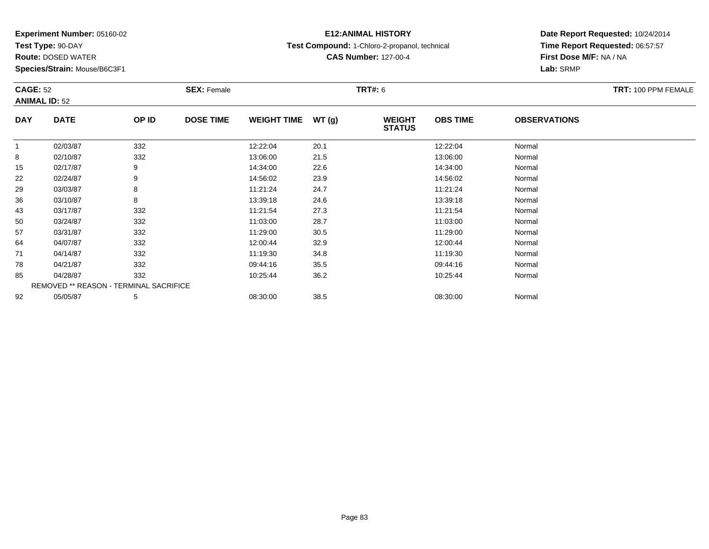**Test Type:** 90-DAY

**Route:** DOSED WATER

**Species/Strain:** Mouse/B6C3F1

## **E12:ANIMAL HISTORY**

**Test Compound:** 1-Chloro-2-propanol, technical

**CAS Number:** 127-00-4

|              | <b>CAGE: 52</b><br><b>ANIMAL ID: 52</b> |       | <b>SEX: Female</b> |                     |      | <b>TRT#: 6</b>                 | TRT: 100 PPM FEMALE |                     |  |
|--------------|-----------------------------------------|-------|--------------------|---------------------|------|--------------------------------|---------------------|---------------------|--|
| <b>DAY</b>   | <b>DATE</b>                             | OP ID | <b>DOSE TIME</b>   | WEIGHT TIME $WT(g)$ |      | <b>WEIGHT</b><br><b>STATUS</b> | <b>OBS TIME</b>     | <b>OBSERVATIONS</b> |  |
| $\mathbf{1}$ | 02/03/87                                | 332   |                    | 12:22:04            | 20.1 |                                | 12:22:04            | Normal              |  |
| 8            | 02/10/87                                | 332   |                    | 13:06:00            | 21.5 |                                | 13:06:00            | Normal              |  |
| 15           | 02/17/87                                | 9     |                    | 14:34:00            | 22.6 |                                | 14:34:00            | Normal              |  |
| 22           | 02/24/87                                | 9     |                    | 14:56:02            | 23.9 |                                | 14:56:02            | Normal              |  |
| 29           | 03/03/87                                | 8     |                    | 11:21:24            | 24.7 |                                | 11:21:24            | Normal              |  |
| 36           | 03/10/87                                | 8     |                    | 13:39:18            | 24.6 |                                | 13:39:18            | Normal              |  |
| 43           | 03/17/87                                | 332   |                    | 11:21:54            | 27.3 |                                | 11:21:54            | Normal              |  |
| 50           | 03/24/87                                | 332   |                    | 11:03:00            | 28.7 |                                | 11:03:00            | Normal              |  |
| 57           | 03/31/87                                | 332   |                    | 11:29:00            | 30.5 |                                | 11:29:00            | Normal              |  |
| 64           | 04/07/87                                | 332   |                    | 12:00:44            | 32.9 |                                | 12:00:44            | Normal              |  |
| 71           | 04/14/87                                | 332   |                    | 11:19:30            | 34.8 |                                | 11:19:30            | Normal              |  |
| 78           | 04/21/87                                | 332   |                    | 09:44:16            | 35.5 |                                | 09:44:16            | Normal              |  |
| 85           | 04/28/87                                | 332   |                    | 10:25:44            | 36.2 |                                | 10:25:44            | Normal              |  |
|              | REMOVED ** REASON - TERMINAL SACRIFICE  |       |                    |                     |      |                                |                     |                     |  |
| 92           | 05/05/87                                | 5     |                    | 08:30:00            | 38.5 |                                | 08:30:00            | Normal              |  |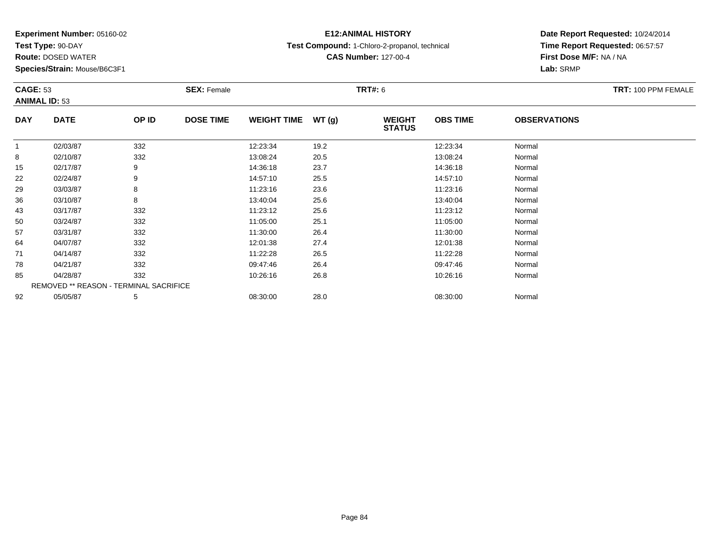**Test Type:** 90-DAY

**Route:** DOSED WATER

**Species/Strain:** Mouse/B6C3F1

## **E12:ANIMAL HISTORY**

**Test Compound:** 1-Chloro-2-propanol, technical

**CAS Number:** 127-00-4

| <b>CAGE: 53</b><br><b>ANIMAL ID: 53</b> |                                        |       | <b>SEX: Female</b> |                    |       | <b>TRT#: 6</b>                 |                 |                     | TRT: 100 PPM FEMALE |
|-----------------------------------------|----------------------------------------|-------|--------------------|--------------------|-------|--------------------------------|-----------------|---------------------|---------------------|
| <b>DAY</b>                              | <b>DATE</b>                            | OP ID | <b>DOSE TIME</b>   | <b>WEIGHT TIME</b> | WT(g) | <b>WEIGHT</b><br><b>STATUS</b> | <b>OBS TIME</b> | <b>OBSERVATIONS</b> |                     |
|                                         | 02/03/87                               | 332   |                    | 12:23:34           | 19.2  |                                | 12:23:34        | Normal              |                     |
| 8                                       | 02/10/87                               | 332   |                    | 13:08:24           | 20.5  |                                | 13:08:24        | Normal              |                     |
| 15                                      | 02/17/87                               | 9     |                    | 14:36:18           | 23.7  |                                | 14:36:18        | Normal              |                     |
| 22                                      | 02/24/87                               | 9     |                    | 14:57:10           | 25.5  |                                | 14:57:10        | Normal              |                     |
| 29                                      | 03/03/87                               | 8     |                    | 11:23:16           | 23.6  |                                | 11:23:16        | Normal              |                     |
| 36                                      | 03/10/87                               | 8     |                    | 13:40:04           | 25.6  |                                | 13:40:04        | Normal              |                     |
| 43                                      | 03/17/87                               | 332   |                    | 11:23:12           | 25.6  |                                | 11:23:12        | Normal              |                     |
| 50                                      | 03/24/87                               | 332   |                    | 11:05:00           | 25.1  |                                | 11:05:00        | Normal              |                     |
| 57                                      | 03/31/87                               | 332   |                    | 11:30:00           | 26.4  |                                | 11:30:00        | Normal              |                     |
| 64                                      | 04/07/87                               | 332   |                    | 12:01:38           | 27.4  |                                | 12:01:38        | Normal              |                     |
| 71                                      | 04/14/87                               | 332   |                    | 11:22:28           | 26.5  |                                | 11:22:28        | Normal              |                     |
| 78                                      | 04/21/87                               | 332   |                    | 09:47:46           | 26.4  |                                | 09:47:46        | Normal              |                     |
| 85                                      | 04/28/87                               | 332   |                    | 10:26:16           | 26.8  |                                | 10:26:16        | Normal              |                     |
|                                         | REMOVED ** REASON - TERMINAL SACRIFICE |       |                    |                    |       |                                |                 |                     |                     |
| 92                                      | 05/05/87                               | 5     |                    | 08:30:00           | 28.0  |                                | 08:30:00        | Normal              |                     |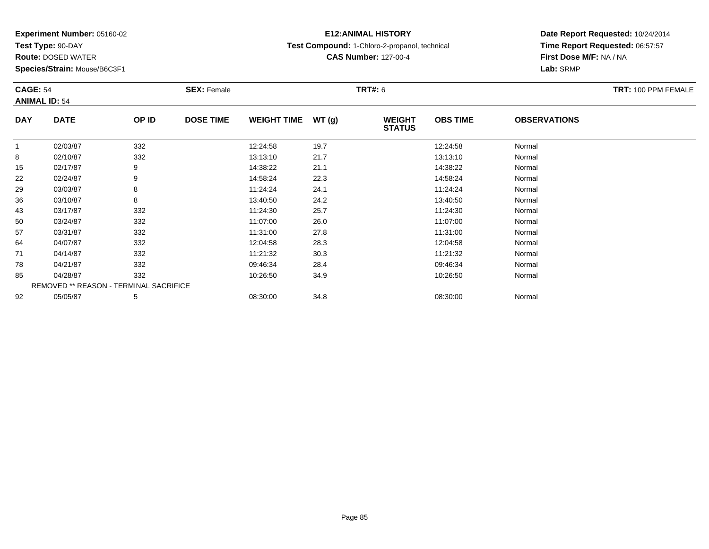**Test Type:** 90-DAY

**Route:** DOSED WATER

**Species/Strain:** Mouse/B6C3F1

## **E12:ANIMAL HISTORY**

**Test Compound:** 1-Chloro-2-propanol, technical

**CAS Number:** 127-00-4

|            | <b>CAGE: 54</b><br><b>ANIMAL ID: 54</b> |       | <b>SEX: Female</b> |                    |       |                                | <b>TRT#: 6</b>  |                     |  |  |
|------------|-----------------------------------------|-------|--------------------|--------------------|-------|--------------------------------|-----------------|---------------------|--|--|
| <b>DAY</b> | <b>DATE</b>                             | OP ID | <b>DOSE TIME</b>   | <b>WEIGHT TIME</b> | WT(g) | <b>WEIGHT</b><br><b>STATUS</b> | <b>OBS TIME</b> | <b>OBSERVATIONS</b> |  |  |
|            | 02/03/87                                | 332   |                    | 12:24:58           | 19.7  |                                | 12:24:58        | Normal              |  |  |
| 8          | 02/10/87                                | 332   |                    | 13:13:10           | 21.7  |                                | 13:13:10        | Normal              |  |  |
| 15         | 02/17/87                                | 9     |                    | 14:38:22           | 21.1  |                                | 14:38:22        | Normal              |  |  |
| 22         | 02/24/87                                | 9     |                    | 14:58:24           | 22.3  |                                | 14:58:24        | Normal              |  |  |
| 29         | 03/03/87                                | 8     |                    | 11:24:24           | 24.1  |                                | 11:24:24        | Normal              |  |  |
| 36         | 03/10/87                                | 8     |                    | 13:40:50           | 24.2  |                                | 13:40:50        | Normal              |  |  |
| 43         | 03/17/87                                | 332   |                    | 11:24:30           | 25.7  |                                | 11:24:30        | Normal              |  |  |
| 50         | 03/24/87                                | 332   |                    | 11:07:00           | 26.0  |                                | 11:07:00        | Normal              |  |  |
| 57         | 03/31/87                                | 332   |                    | 11:31:00           | 27.8  |                                | 11:31:00        | Normal              |  |  |
| 64         | 04/07/87                                | 332   |                    | 12:04:58           | 28.3  |                                | 12:04:58        | Normal              |  |  |
| 71         | 04/14/87                                | 332   |                    | 11:21:32           | 30.3  |                                | 11:21:32        | Normal              |  |  |
| 78         | 04/21/87                                | 332   |                    | 09:46:34           | 28.4  |                                | 09:46:34        | Normal              |  |  |
| 85         | 04/28/87                                | 332   |                    | 10:26:50           | 34.9  |                                | 10:26:50        | Normal              |  |  |
|            | REMOVED ** REASON - TERMINAL SACRIFICE  |       |                    |                    |       |                                |                 |                     |  |  |
| 92         | 05/05/87                                | 5     |                    | 08:30:00           | 34.8  |                                | 08:30:00        | Normal              |  |  |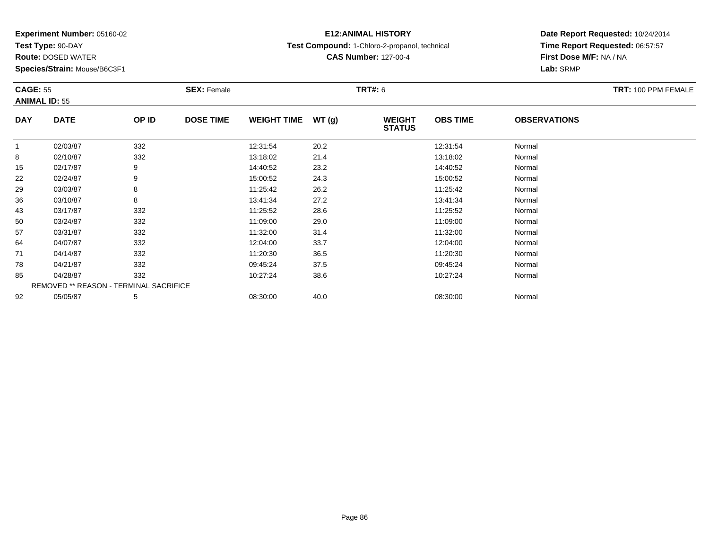**Test Type:** 90-DAY

**Route:** DOSED WATER

**Species/Strain:** Mouse/B6C3F1

## **E12:ANIMAL HISTORY**

**Test Compound:** 1-Chloro-2-propanol, technical

**CAS Number:** 127-00-4

|              | <b>CAGE: 55</b><br><b>ANIMAL ID: 55</b> |       | <b>SEX: Female</b> |                    |       |                                | <b>TRT#: 6</b>  |                     |  |  |
|--------------|-----------------------------------------|-------|--------------------|--------------------|-------|--------------------------------|-----------------|---------------------|--|--|
| <b>DAY</b>   | <b>DATE</b>                             | OP ID | <b>DOSE TIME</b>   | <b>WEIGHT TIME</b> | WT(g) | <b>WEIGHT</b><br><b>STATUS</b> | <b>OBS TIME</b> | <b>OBSERVATIONS</b> |  |  |
| $\mathbf{1}$ | 02/03/87                                | 332   |                    | 12:31:54           | 20.2  |                                | 12:31:54        | Normal              |  |  |
| 8            | 02/10/87                                | 332   |                    | 13:18:02           | 21.4  |                                | 13:18:02        | Normal              |  |  |
| 15           | 02/17/87                                | 9     |                    | 14:40:52           | 23.2  |                                | 14:40:52        | Normal              |  |  |
| 22           | 02/24/87                                | 9     |                    | 15:00:52           | 24.3  |                                | 15:00:52        | Normal              |  |  |
| 29           | 03/03/87                                | 8     |                    | 11:25:42           | 26.2  |                                | 11:25:42        | Normal              |  |  |
| 36           | 03/10/87                                | 8     |                    | 13:41:34           | 27.2  |                                | 13:41:34        | Normal              |  |  |
| 43           | 03/17/87                                | 332   |                    | 11:25:52           | 28.6  |                                | 11:25:52        | Normal              |  |  |
| 50           | 03/24/87                                | 332   |                    | 11:09:00           | 29.0  |                                | 11:09:00        | Normal              |  |  |
| 57           | 03/31/87                                | 332   |                    | 11:32:00           | 31.4  |                                | 11:32:00        | Normal              |  |  |
| 64           | 04/07/87                                | 332   |                    | 12:04:00           | 33.7  |                                | 12:04:00        | Normal              |  |  |
| 71           | 04/14/87                                | 332   |                    | 11:20:30           | 36.5  |                                | 11:20:30        | Normal              |  |  |
| 78           | 04/21/87                                | 332   |                    | 09:45:24           | 37.5  |                                | 09:45:24        | Normal              |  |  |
| 85           | 04/28/87                                | 332   |                    | 10:27:24           | 38.6  |                                | 10:27:24        | Normal              |  |  |
|              | REMOVED ** REASON - TERMINAL SACRIFICE  |       |                    |                    |       |                                |                 |                     |  |  |
| 92           | 05/05/87                                | 5     |                    | 08:30:00           | 40.0  |                                | 08:30:00        | Normal              |  |  |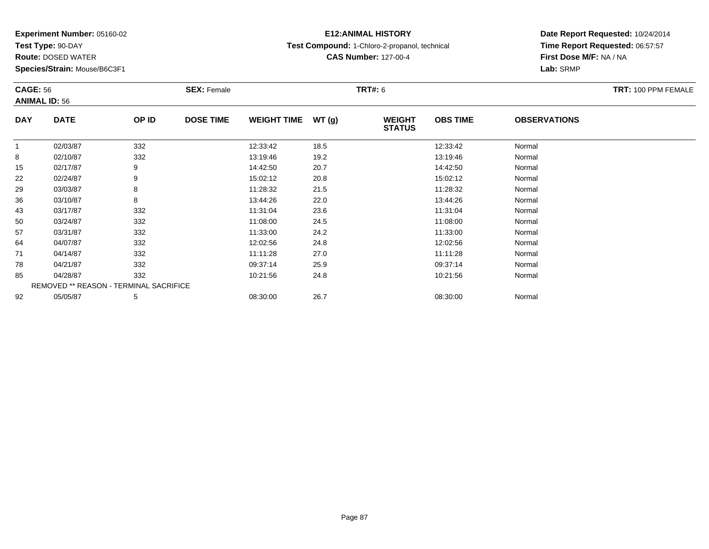**Test Type:** 90-DAY

**Route:** DOSED WATER

**Species/Strain:** Mouse/B6C3F1

# **E12:ANIMAL HISTORY**

**Test Compound:** 1-Chloro-2-propanol, technical

**CAS Number:** 127-00-4

|            | <b>CAGE: 56</b><br><b>ANIMAL ID: 56</b> |       | <b>SEX: Female</b> |                    |       |                                | <b>TRT#: 6</b>  |                     |  |  |
|------------|-----------------------------------------|-------|--------------------|--------------------|-------|--------------------------------|-----------------|---------------------|--|--|
| <b>DAY</b> | <b>DATE</b>                             | OP ID | <b>DOSE TIME</b>   | <b>WEIGHT TIME</b> | WT(g) | <b>WEIGHT</b><br><b>STATUS</b> | <b>OBS TIME</b> | <b>OBSERVATIONS</b> |  |  |
|            | 02/03/87                                | 332   |                    | 12:33:42           | 18.5  |                                | 12:33:42        | Normal              |  |  |
| 8          | 02/10/87                                | 332   |                    | 13:19:46           | 19.2  |                                | 13:19:46        | Normal              |  |  |
| 15         | 02/17/87                                | 9     |                    | 14:42:50           | 20.7  |                                | 14:42:50        | Normal              |  |  |
| 22         | 02/24/87                                | 9     |                    | 15:02:12           | 20.8  |                                | 15:02:12        | Normal              |  |  |
| 29         | 03/03/87                                | 8     |                    | 11:28:32           | 21.5  |                                | 11:28:32        | Normal              |  |  |
| 36         | 03/10/87                                | 8     |                    | 13:44:26           | 22.0  |                                | 13:44:26        | Normal              |  |  |
| 43         | 03/17/87                                | 332   |                    | 11:31:04           | 23.6  |                                | 11:31:04        | Normal              |  |  |
| 50         | 03/24/87                                | 332   |                    | 11:08:00           | 24.5  |                                | 11:08:00        | Normal              |  |  |
| 57         | 03/31/87                                | 332   |                    | 11:33:00           | 24.2  |                                | 11:33:00        | Normal              |  |  |
| 64         | 04/07/87                                | 332   |                    | 12:02:56           | 24.8  |                                | 12:02:56        | Normal              |  |  |
| 71         | 04/14/87                                | 332   |                    | 11:11:28           | 27.0  |                                | 11:11:28        | Normal              |  |  |
| 78         | 04/21/87                                | 332   |                    | 09:37:14           | 25.9  |                                | 09:37:14        | Normal              |  |  |
| 85         | 04/28/87                                | 332   |                    | 10:21:56           | 24.8  |                                | 10:21:56        | Normal              |  |  |
|            | REMOVED ** REASON - TERMINAL SACRIFICE  |       |                    |                    |       |                                |                 |                     |  |  |
| 92         | 05/05/87                                | 5     |                    | 08:30:00           | 26.7  |                                | 08:30:00        | Normal              |  |  |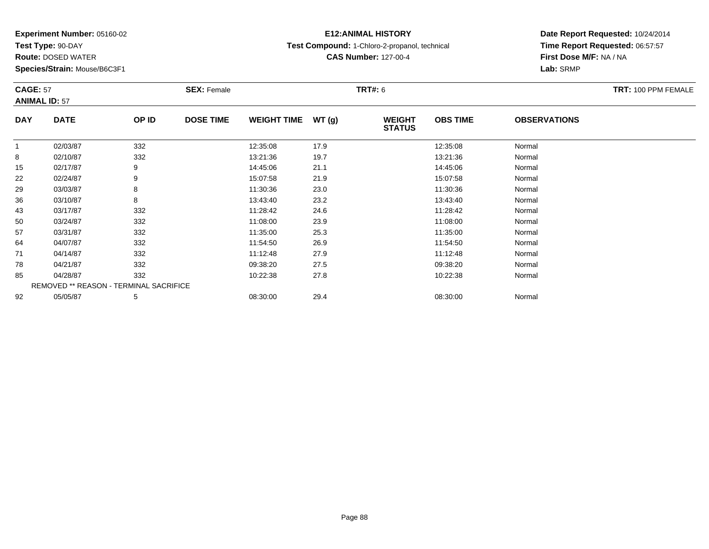**Test Type:** 90-DAY

**Route:** DOSED WATER

**Species/Strain:** Mouse/B6C3F1

## **E12:ANIMAL HISTORY**

**Test Compound:** 1-Chloro-2-propanol, technical

**CAS Number:** 127-00-4

| <b>CAGE: 57</b><br><b>ANIMAL ID: 57</b> |                                        |       | <b>SEX: Female</b> |                    |       | <b>TRT#: 6</b>                 |                 |                     | <b>TRT: 100 PPM FEMALE</b> |
|-----------------------------------------|----------------------------------------|-------|--------------------|--------------------|-------|--------------------------------|-----------------|---------------------|----------------------------|
|                                         |                                        |       |                    |                    |       |                                |                 |                     |                            |
| <b>DAY</b>                              | <b>DATE</b>                            | OP ID | <b>DOSE TIME</b>   | <b>WEIGHT TIME</b> | WT(g) | <b>WEIGHT</b><br><b>STATUS</b> | <b>OBS TIME</b> | <b>OBSERVATIONS</b> |                            |
| $\mathbf{1}$                            | 02/03/87                               | 332   |                    | 12:35:08           | 17.9  |                                | 12:35:08        | Normal              |                            |
| 8                                       | 02/10/87                               | 332   |                    | 13:21:36           | 19.7  |                                | 13:21:36        | Normal              |                            |
| 15                                      | 02/17/87                               | 9     |                    | 14:45:06           | 21.1  |                                | 14:45:06        | Normal              |                            |
| 22                                      | 02/24/87                               | 9     |                    | 15:07:58           | 21.9  |                                | 15:07:58        | Normal              |                            |
| 29                                      | 03/03/87                               | 8     |                    | 11:30:36           | 23.0  |                                | 11:30:36        | Normal              |                            |
| 36                                      | 03/10/87                               | 8     |                    | 13:43:40           | 23.2  |                                | 13:43:40        | Normal              |                            |
| 43                                      | 03/17/87                               | 332   |                    | 11:28:42           | 24.6  |                                | 11:28:42        | Normal              |                            |
| 50                                      | 03/24/87                               | 332   |                    | 11:08:00           | 23.9  |                                | 11:08:00        | Normal              |                            |
| 57                                      | 03/31/87                               | 332   |                    | 11:35:00           | 25.3  |                                | 11:35:00        | Normal              |                            |
| 64                                      | 04/07/87                               | 332   |                    | 11:54:50           | 26.9  |                                | 11:54:50        | Normal              |                            |
| 71                                      | 04/14/87                               | 332   |                    | 11:12:48           | 27.9  |                                | 11:12:48        | Normal              |                            |
| 78                                      | 04/21/87                               | 332   |                    | 09:38:20           | 27.5  |                                | 09:38:20        | Normal              |                            |
| 85                                      | 04/28/87                               | 332   |                    | 10:22:38           | 27.8  |                                | 10:22:38        | Normal              |                            |
|                                         | REMOVED ** REASON - TERMINAL SACRIFICE |       |                    |                    |       |                                |                 |                     |                            |
| 92                                      | 05/05/87                               | 5     |                    | 08:30:00           | 29.4  |                                | 08:30:00        | Normal              |                            |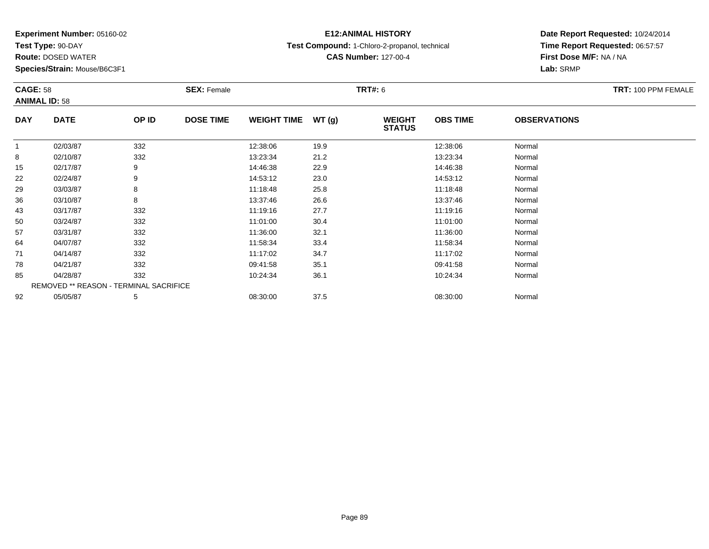**Test Type:** 90-DAY

**Route:** DOSED WATER

**Species/Strain:** Mouse/B6C3F1

## **E12:ANIMAL HISTORY**

**Test Compound:** 1-Chloro-2-propanol, technical

**CAS Number:** 127-00-4

|              | <b>CAGE: 58</b><br><b>ANIMAL ID: 58</b> |       | <b>SEX: Female</b> |                    |       | <b>TRT#: 6</b>                 | TRT: 100 PPM FEMALE |                     |  |
|--------------|-----------------------------------------|-------|--------------------|--------------------|-------|--------------------------------|---------------------|---------------------|--|
| <b>DAY</b>   | <b>DATE</b>                             | OP ID | <b>DOSE TIME</b>   | <b>WEIGHT TIME</b> | WT(g) | <b>WEIGHT</b><br><b>STATUS</b> | <b>OBS TIME</b>     | <b>OBSERVATIONS</b> |  |
| $\mathbf{1}$ | 02/03/87                                | 332   |                    | 12:38:06           | 19.9  |                                | 12:38:06            | Normal              |  |
| 8            | 02/10/87                                | 332   |                    | 13:23:34           | 21.2  |                                | 13:23:34            | Normal              |  |
| 15           | 02/17/87                                | 9     |                    | 14:46:38           | 22.9  |                                | 14:46:38            | Normal              |  |
| 22           | 02/24/87                                | 9     |                    | 14:53:12           | 23.0  |                                | 14:53:12            | Normal              |  |
| 29           | 03/03/87                                | 8     |                    | 11:18:48           | 25.8  |                                | 11:18:48            | Normal              |  |
| 36           | 03/10/87                                | 8     |                    | 13:37:46           | 26.6  |                                | 13:37:46            | Normal              |  |
| 43           | 03/17/87                                | 332   |                    | 11:19:16           | 27.7  |                                | 11:19:16            | Normal              |  |
| 50           | 03/24/87                                | 332   |                    | 11:01:00           | 30.4  |                                | 11:01:00            | Normal              |  |
| 57           | 03/31/87                                | 332   |                    | 11:36:00           | 32.1  |                                | 11:36:00            | Normal              |  |
| 64           | 04/07/87                                | 332   |                    | 11:58:34           | 33.4  |                                | 11:58:34            | Normal              |  |
| 71           | 04/14/87                                | 332   |                    | 11:17:02           | 34.7  |                                | 11:17:02            | Normal              |  |
| 78           | 04/21/87                                | 332   |                    | 09:41:58           | 35.1  |                                | 09:41:58            | Normal              |  |
| 85           | 04/28/87                                | 332   |                    | 10:24:34           | 36.1  |                                | 10:24:34            | Normal              |  |
|              | REMOVED ** REASON - TERMINAL SACRIFICE  |       |                    |                    |       |                                |                     |                     |  |
| 92           | 05/05/87                                | 5     |                    | 08:30:00           | 37.5  |                                | 08:30:00            | Normal              |  |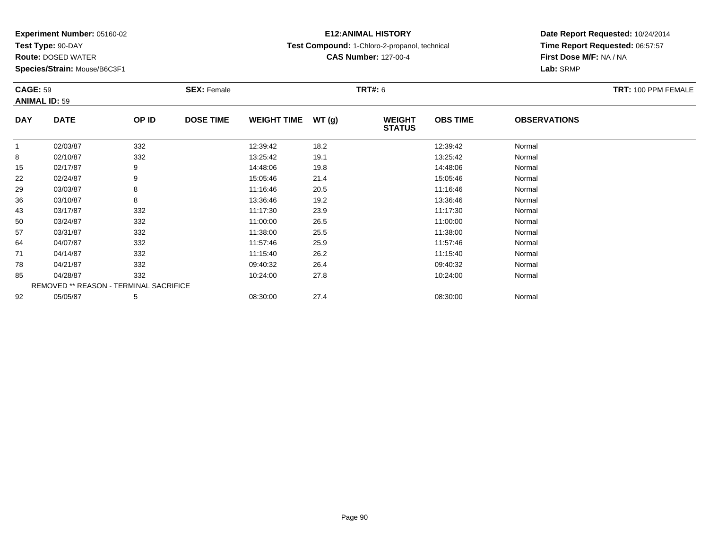**Test Type:** 90-DAY

**Route:** DOSED WATER

**Species/Strain:** Mouse/B6C3F1

## **E12:ANIMAL HISTORY**

**Test Compound:** 1-Chloro-2-propanol, technical

**CAS Number:** 127-00-4

| <b>CAGE: 59</b><br><b>ANIMAL ID: 59</b> |                                        |       | <b>SEX: Female</b> |                    |       | TRT#: 6                        |                 |                     | <b>TRT: 100 PPM FEMALE</b> |
|-----------------------------------------|----------------------------------------|-------|--------------------|--------------------|-------|--------------------------------|-----------------|---------------------|----------------------------|
| <b>DAY</b>                              | <b>DATE</b>                            | OP ID | <b>DOSE TIME</b>   | <b>WEIGHT TIME</b> | WT(g) | <b>WEIGHT</b><br><b>STATUS</b> | <b>OBS TIME</b> | <b>OBSERVATIONS</b> |                            |
| $\mathbf{1}$                            | 02/03/87                               | 332   |                    | 12:39:42           | 18.2  |                                | 12:39:42        | Normal              |                            |
| 8                                       | 02/10/87                               | 332   |                    | 13:25:42           | 19.1  |                                | 13:25:42        | Normal              |                            |
| 15                                      | 02/17/87                               | 9     |                    | 14:48:06           | 19.8  |                                | 14:48:06        | Normal              |                            |
| 22                                      | 02/24/87                               | 9     |                    | 15:05:46           | 21.4  |                                | 15:05:46        | Normal              |                            |
| 29                                      | 03/03/87                               | 8     |                    | 11:16:46           | 20.5  |                                | 11:16:46        | Normal              |                            |
| 36                                      | 03/10/87                               | 8     |                    | 13:36:46           | 19.2  |                                | 13:36:46        | Normal              |                            |
| 43                                      | 03/17/87                               | 332   |                    | 11:17:30           | 23.9  |                                | 11:17:30        | Normal              |                            |
| 50                                      | 03/24/87                               | 332   |                    | 11:00:00           | 26.5  |                                | 11:00:00        | Normal              |                            |
| 57                                      | 03/31/87                               | 332   |                    | 11:38:00           | 25.5  |                                | 11:38:00        | Normal              |                            |
| 64                                      | 04/07/87                               | 332   |                    | 11:57:46           | 25.9  |                                | 11:57:46        | Normal              |                            |
| 71                                      | 04/14/87                               | 332   |                    | 11:15:40           | 26.2  |                                | 11:15:40        | Normal              |                            |
| 78                                      | 04/21/87                               | 332   |                    | 09:40:32           | 26.4  |                                | 09:40:32        | Normal              |                            |
| 85                                      | 04/28/87                               | 332   |                    | 10:24:00           | 27.8  |                                | 10:24:00        | Normal              |                            |
|                                         | REMOVED ** REASON - TERMINAL SACRIFICE |       |                    |                    |       |                                |                 |                     |                            |
| 92                                      | 05/05/87                               | 5     |                    | 08:30:00           | 27.4  |                                | 08:30:00        | Normal              |                            |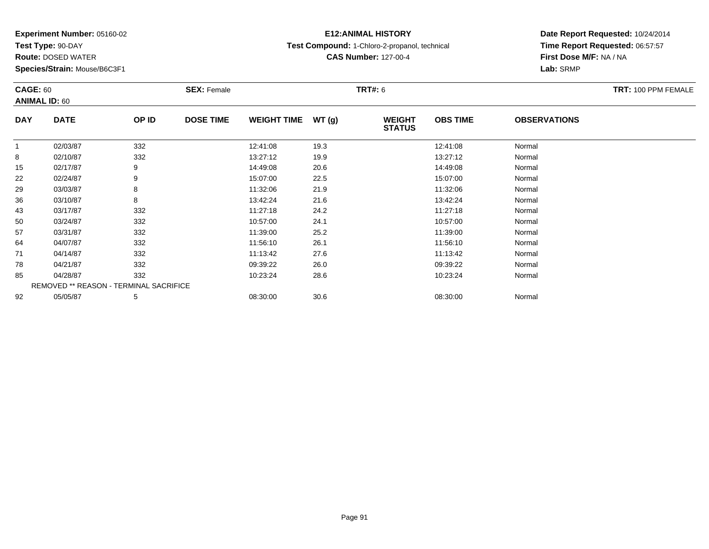**Test Type:** 90-DAY

**Route:** DOSED WATER

**Species/Strain:** Mouse/B6C3F1

## **E12:ANIMAL HISTORY**

**Test Compound:** 1-Chloro-2-propanol, technical

**CAS Number:** 127-00-4

|             | <b>CAGE: 60</b><br><b>ANIMAL ID: 60</b> |       | <b>SEX: Female</b> |                    |       | TRT#: 6                        | TRT: 100 PPM FEMALE |                     |  |
|-------------|-----------------------------------------|-------|--------------------|--------------------|-------|--------------------------------|---------------------|---------------------|--|
| <b>DAY</b>  | <b>DATE</b>                             | OP ID | <b>DOSE TIME</b>   | <b>WEIGHT TIME</b> | WT(g) | <b>WEIGHT</b><br><b>STATUS</b> | <b>OBS TIME</b>     | <b>OBSERVATIONS</b> |  |
| $\mathbf 1$ | 02/03/87                                | 332   |                    | 12:41:08           | 19.3  |                                | 12:41:08            | Normal              |  |
| 8           | 02/10/87                                | 332   |                    | 13:27:12           | 19.9  |                                | 13:27:12            | Normal              |  |
| 15          | 02/17/87                                | 9     |                    | 14:49:08           | 20.6  |                                | 14:49:08            | Normal              |  |
| 22          | 02/24/87                                | 9     |                    | 15:07:00           | 22.5  |                                | 15:07:00            | Normal              |  |
| 29          | 03/03/87                                | 8     |                    | 11:32:06           | 21.9  |                                | 11:32:06            | Normal              |  |
| 36          | 03/10/87                                | 8     |                    | 13:42:24           | 21.6  |                                | 13:42:24            | Normal              |  |
| 43          | 03/17/87                                | 332   |                    | 11:27:18           | 24.2  |                                | 11:27:18            | Normal              |  |
| 50          | 03/24/87                                | 332   |                    | 10:57:00           | 24.1  |                                | 10:57:00            | Normal              |  |
| 57          | 03/31/87                                | 332   |                    | 11:39:00           | 25.2  |                                | 11:39:00            | Normal              |  |
| 64          | 04/07/87                                | 332   |                    | 11:56:10           | 26.1  |                                | 11:56:10            | Normal              |  |
| 71          | 04/14/87                                | 332   |                    | 11:13:42           | 27.6  |                                | 11:13:42            | Normal              |  |
| 78          | 04/21/87                                | 332   |                    | 09:39:22           | 26.0  |                                | 09:39:22            | Normal              |  |
| 85          | 04/28/87                                | 332   |                    | 10:23:24           | 28.6  |                                | 10:23:24            | Normal              |  |
|             | REMOVED ** REASON - TERMINAL SACRIFICE  |       |                    |                    |       |                                |                     |                     |  |
| 92          | 05/05/87                                | 5     |                    | 08:30:00           | 30.6  |                                | 08:30:00            | Normal              |  |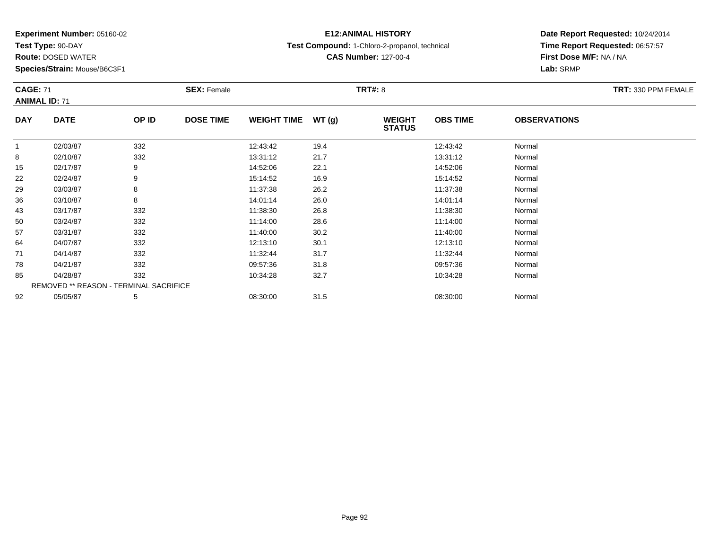**Test Type:** 90-DAY

**Route:** DOSED WATER

**Species/Strain:** Mouse/B6C3F1

## **E12:ANIMAL HISTORY**

**Test Compound:** 1-Chloro-2-propanol, technical

**CAS Number:** 127-00-4

| <b>CAGE: 71</b> | <b>ANIMAL ID: 71</b> |                                        | <b>SEX: Female</b> |                    |        | <b>TRT#: 8</b>                 |                 |                     | TRT: 330 PPM FEMALE |
|-----------------|----------------------|----------------------------------------|--------------------|--------------------|--------|--------------------------------|-----------------|---------------------|---------------------|
| <b>DAY</b>      | <b>DATE</b>          | OP ID                                  | <b>DOSE TIME</b>   | <b>WEIGHT TIME</b> | WT (g) | <b>WEIGHT</b><br><b>STATUS</b> | <b>OBS TIME</b> | <b>OBSERVATIONS</b> |                     |
| $\mathbf{1}$    | 02/03/87             | 332                                    |                    | 12:43:42           | 19.4   |                                | 12:43:42        | Normal              |                     |
| 8               | 02/10/87             | 332                                    |                    | 13:31:12           | 21.7   |                                | 13:31:12        | Normal              |                     |
| 15              | 02/17/87             | 9                                      |                    | 14:52:06           | 22.1   |                                | 14:52:06        | Normal              |                     |
| 22              | 02/24/87             | 9                                      |                    | 15:14:52           | 16.9   |                                | 15:14:52        | Normal              |                     |
| 29              | 03/03/87             | 8                                      |                    | 11:37:38           | 26.2   |                                | 11:37:38        | Normal              |                     |
| 36              | 03/10/87             | 8                                      |                    | 14:01:14           | 26.0   |                                | 14:01:14        | Normal              |                     |
| 43              | 03/17/87             | 332                                    |                    | 11:38:30           | 26.8   |                                | 11:38:30        | Normal              |                     |
| 50              | 03/24/87             | 332                                    |                    | 11:14:00           | 28.6   |                                | 11:14:00        | Normal              |                     |
| 57              | 03/31/87             | 332                                    |                    | 11:40:00           | 30.2   |                                | 11:40:00        | Normal              |                     |
| 64              | 04/07/87             | 332                                    |                    | 12:13:10           | 30.1   |                                | 12:13:10        | Normal              |                     |
| 71              | 04/14/87             | 332                                    |                    | 11:32:44           | 31.7   |                                | 11:32:44        | Normal              |                     |
| 78              | 04/21/87             | 332                                    |                    | 09:57:36           | 31.8   |                                | 09:57:36        | Normal              |                     |
| 85              | 04/28/87             | 332                                    |                    | 10:34:28           | 32.7   |                                | 10:34:28        | Normal              |                     |
|                 |                      | REMOVED ** REASON - TERMINAL SACRIFICE |                    |                    |        |                                |                 |                     |                     |
| 92              | 05/05/87             | 5                                      |                    | 08:30:00           | 31.5   |                                | 08:30:00        | Normal              |                     |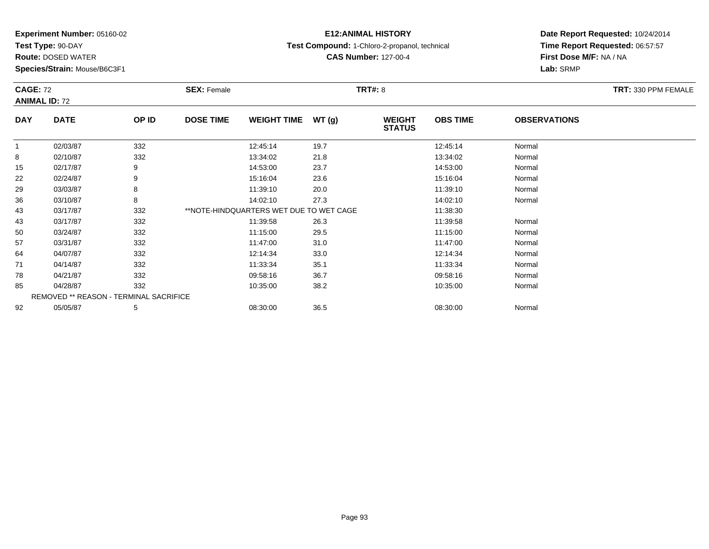**Test Type:** 90-DAY

**Route:** DOSED WATER

**Species/Strain:** Mouse/B6C3F1

### **E12:ANIMAL HISTORY**

**Test Compound:** 1-Chloro-2-propanol, technical

**CAS Number:** 127-00-4

|            | <b>CAGE: 72</b>                        |       | <b>SEX: Female</b><br><b>TRT#:</b> 8 |                                         |       |                                |                 |                     | <b>TRT: 330 PPM FEMALE</b> |
|------------|----------------------------------------|-------|--------------------------------------|-----------------------------------------|-------|--------------------------------|-----------------|---------------------|----------------------------|
|            | <b>ANIMAL ID: 72</b>                   |       |                                      |                                         |       |                                |                 |                     |                            |
| <b>DAY</b> | <b>DATE</b>                            | OP ID | <b>DOSE TIME</b>                     | <b>WEIGHT TIME</b>                      | WT(g) | <b>WEIGHT</b><br><b>STATUS</b> | <b>OBS TIME</b> | <b>OBSERVATIONS</b> |                            |
| -1         | 02/03/87                               | 332   |                                      | 12:45:14                                | 19.7  |                                | 12:45:14        | Normal              |                            |
| 8          | 02/10/87                               | 332   |                                      | 13:34:02                                | 21.8  |                                | 13:34:02        | Normal              |                            |
| 15         | 02/17/87                               | 9     |                                      | 14:53:00                                | 23.7  |                                | 14:53:00        | Normal              |                            |
| 22         | 02/24/87                               | 9     |                                      | 15:16:04                                | 23.6  |                                | 15:16:04        | Normal              |                            |
| 29         | 03/03/87                               | 8     |                                      | 11:39:10                                | 20.0  |                                | 11:39:10        | Normal              |                            |
| 36         | 03/10/87                               | 8     |                                      | 14:02:10                                | 27.3  |                                | 14:02:10        | Normal              |                            |
| 43         | 03/17/87                               | 332   |                                      | **NOTE-HINDQUARTERS WET DUE TO WET CAGE |       |                                | 11:38:30        |                     |                            |
| 43         | 03/17/87                               | 332   |                                      | 11:39:58                                | 26.3  |                                | 11:39:58        | Normal              |                            |
| 50         | 03/24/87                               | 332   |                                      | 11:15:00                                | 29.5  |                                | 11:15:00        | Normal              |                            |
| 57         | 03/31/87                               | 332   |                                      | 11:47:00                                | 31.0  |                                | 11:47:00        | Normal              |                            |
| 64         | 04/07/87                               | 332   |                                      | 12:14:34                                | 33.0  |                                | 12:14:34        | Normal              |                            |
| 71         | 04/14/87                               | 332   |                                      | 11:33:34                                | 35.1  |                                | 11:33:34        | Normal              |                            |
| 78         | 04/21/87                               | 332   |                                      | 09:58:16                                | 36.7  |                                | 09:58:16        | Normal              |                            |
| 85         | 04/28/87                               | 332   |                                      | 10:35:00                                | 38.2  |                                | 10:35:00        | Normal              |                            |
|            | REMOVED ** REASON - TERMINAL SACRIFICE |       |                                      |                                         |       |                                |                 |                     |                            |
| 92         | 05/05/87                               | 5     |                                      | 08:30:00                                | 36.5  |                                | 08:30:00        | Normal              |                            |
|            |                                        |       |                                      |                                         |       |                                |                 |                     |                            |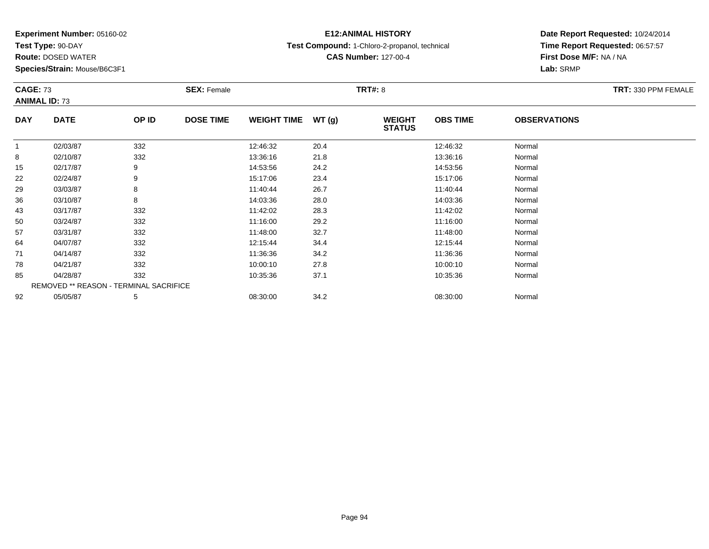**Test Type:** 90-DAY

**Route:** DOSED WATER

**Species/Strain:** Mouse/B6C3F1

## **E12:ANIMAL HISTORY**

**Test Compound:** 1-Chloro-2-propanol, technical

**CAS Number:** 127-00-4

| <b>CAGE: 73</b> |                                        |       | <b>SEX: Female</b> |                    |       | <b>TRT#: 8</b>                 |                 |                     | TRT: 330 PPM FEMALE |
|-----------------|----------------------------------------|-------|--------------------|--------------------|-------|--------------------------------|-----------------|---------------------|---------------------|
|                 | <b>ANIMAL ID: 73</b>                   |       |                    |                    |       |                                |                 |                     |                     |
| <b>DAY</b>      | <b>DATE</b>                            | OP ID | <b>DOSE TIME</b>   | <b>WEIGHT TIME</b> | WT(g) | <b>WEIGHT</b><br><b>STATUS</b> | <b>OBS TIME</b> | <b>OBSERVATIONS</b> |                     |
| $\mathbf{1}$    | 02/03/87                               | 332   |                    | 12:46:32           | 20.4  |                                | 12:46:32        | Normal              |                     |
| 8               | 02/10/87                               | 332   |                    | 13:36:16           | 21.8  |                                | 13:36:16        | Normal              |                     |
| 15              | 02/17/87                               | 9     |                    | 14:53:56           | 24.2  |                                | 14:53:56        | Normal              |                     |
| 22              | 02/24/87                               | 9     |                    | 15:17:06           | 23.4  |                                | 15:17:06        | Normal              |                     |
| 29              | 03/03/87                               | 8     |                    | 11:40:44           | 26.7  |                                | 11:40:44        | Normal              |                     |
| 36              | 03/10/87                               | 8     |                    | 14:03:36           | 28.0  |                                | 14:03:36        | Normal              |                     |
| 43              | 03/17/87                               | 332   |                    | 11:42:02           | 28.3  |                                | 11:42:02        | Normal              |                     |
| 50              | 03/24/87                               | 332   |                    | 11:16:00           | 29.2  |                                | 11:16:00        | Normal              |                     |
| 57              | 03/31/87                               | 332   |                    | 11:48:00           | 32.7  |                                | 11:48:00        | Normal              |                     |
| 64              | 04/07/87                               | 332   |                    | 12:15:44           | 34.4  |                                | 12:15:44        | Normal              |                     |
| 71              | 04/14/87                               | 332   |                    | 11:36:36           | 34.2  |                                | 11:36:36        | Normal              |                     |
| 78              | 04/21/87                               | 332   |                    | 10:00:10           | 27.8  |                                | 10:00:10        | Normal              |                     |
| 85              | 04/28/87                               | 332   |                    | 10:35:36           | 37.1  |                                | 10:35:36        | Normal              |                     |
|                 | REMOVED ** REASON - TERMINAL SACRIFICE |       |                    |                    |       |                                |                 |                     |                     |
| 92              | 05/05/87                               | 5     |                    | 08:30:00           | 34.2  |                                | 08:30:00        | Normal              |                     |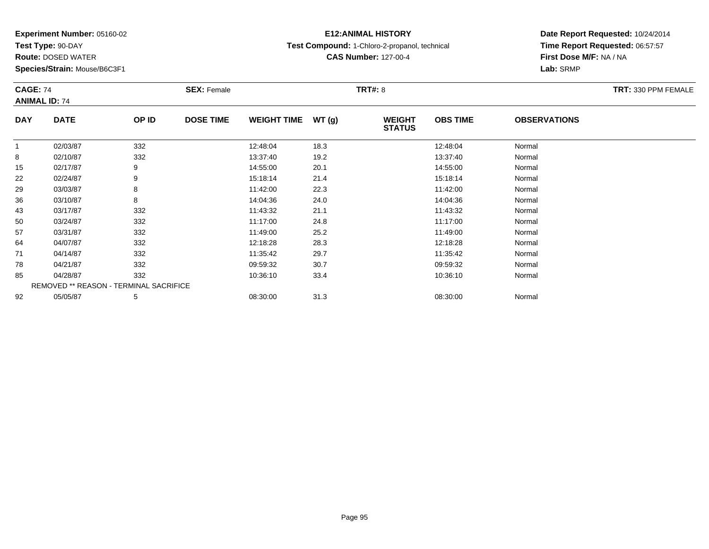**Test Type:** 90-DAY

**Route:** DOSED WATER

**Species/Strain:** Mouse/B6C3F1

## **E12:ANIMAL HISTORY**

**Test Compound:** 1-Chloro-2-propanol, technical

**CAS Number:** 127-00-4

| <b>CAGE: 74</b><br><b>ANIMAL ID: 74</b> |                                        |       | <b>SEX: Female</b> |                    |       | <b>TRT#: 8</b>                 |                 |                     | TRT: 330 PPM FEMALE |
|-----------------------------------------|----------------------------------------|-------|--------------------|--------------------|-------|--------------------------------|-----------------|---------------------|---------------------|
| <b>DAY</b>                              | <b>DATE</b>                            | OP ID | <b>DOSE TIME</b>   | <b>WEIGHT TIME</b> | WT(g) | <b>WEIGHT</b><br><b>STATUS</b> | <b>OBS TIME</b> | <b>OBSERVATIONS</b> |                     |
|                                         | 02/03/87                               | 332   |                    | 12:48:04           | 18.3  |                                | 12:48:04        | Normal              |                     |
| 8                                       | 02/10/87                               | 332   |                    | 13:37:40           | 19.2  |                                | 13:37:40        | Normal              |                     |
| 15                                      | 02/17/87                               | 9     |                    | 14:55:00           | 20.1  |                                | 14:55:00        | Normal              |                     |
| 22                                      | 02/24/87                               | 9     |                    | 15:18:14           | 21.4  |                                | 15:18:14        | Normal              |                     |
| 29                                      | 03/03/87                               | 8     |                    | 11:42:00           | 22.3  |                                | 11:42:00        | Normal              |                     |
| 36                                      | 03/10/87                               | 8     |                    | 14:04:36           | 24.0  |                                | 14:04:36        | Normal              |                     |
| 43                                      | 03/17/87                               | 332   |                    | 11:43:32           | 21.1  |                                | 11:43:32        | Normal              |                     |
| 50                                      | 03/24/87                               | 332   |                    | 11:17:00           | 24.8  |                                | 11:17:00        | Normal              |                     |
| 57                                      | 03/31/87                               | 332   |                    | 11:49:00           | 25.2  |                                | 11:49:00        | Normal              |                     |
| 64                                      | 04/07/87                               | 332   |                    | 12:18:28           | 28.3  |                                | 12:18:28        | Normal              |                     |
| 71                                      | 04/14/87                               | 332   |                    | 11:35:42           | 29.7  |                                | 11:35:42        | Normal              |                     |
| 78                                      | 04/21/87                               | 332   |                    | 09:59:32           | 30.7  |                                | 09:59:32        | Normal              |                     |
| 85                                      | 04/28/87                               | 332   |                    | 10:36:10           | 33.4  |                                | 10:36:10        | Normal              |                     |
|                                         | REMOVED ** REASON - TERMINAL SACRIFICE |       |                    |                    |       |                                |                 |                     |                     |
| 92                                      | 05/05/87                               | 5     |                    | 08:30:00           | 31.3  |                                | 08:30:00        | Normal              |                     |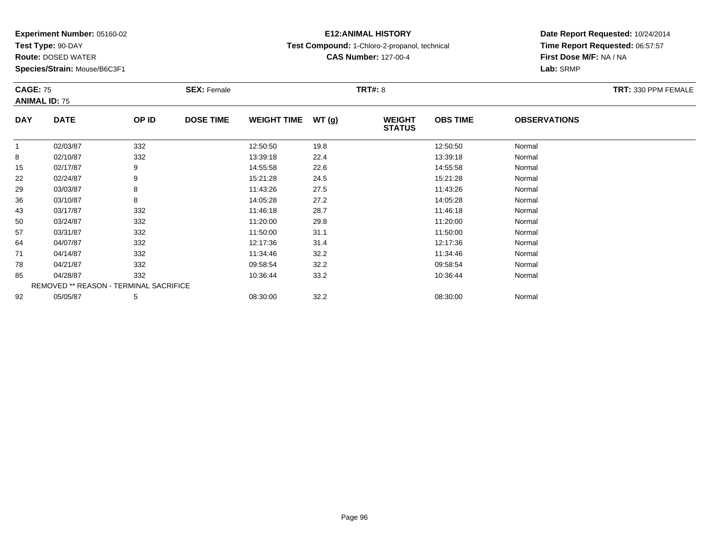**Test Type:** 90-DAY

**Route:** DOSED WATER

**Species/Strain:** Mouse/B6C3F1

## **E12:ANIMAL HISTORY**

**Test Compound:** 1-Chloro-2-propanol, technical

**CAS Number:** 127-00-4

| <b>CAGE: 75</b> |                                        |       | <b>SEX: Female</b> |                    |       | <b>TRT#: 8</b>                 |                 |                     | <b>TRT: 330 PPM FEMALE</b> |
|-----------------|----------------------------------------|-------|--------------------|--------------------|-------|--------------------------------|-----------------|---------------------|----------------------------|
|                 | <b>ANIMAL ID: 75</b>                   |       |                    |                    |       |                                |                 |                     |                            |
| <b>DAY</b>      | <b>DATE</b>                            | OP ID | <b>DOSE TIME</b>   | <b>WEIGHT TIME</b> | WT(g) | <b>WEIGHT</b><br><b>STATUS</b> | <b>OBS TIME</b> | <b>OBSERVATIONS</b> |                            |
| 1               | 02/03/87                               | 332   |                    | 12:50:50           | 19.8  |                                | 12:50:50        | Normal              |                            |
| 8               | 02/10/87                               | 332   |                    | 13:39:18           | 22.4  |                                | 13:39:18        | Normal              |                            |
| 15              | 02/17/87                               | 9     |                    | 14:55:58           | 22.6  |                                | 14:55:58        | Normal              |                            |
| 22              | 02/24/87                               | 9     |                    | 15:21:28           | 24.5  |                                | 15:21:28        | Normal              |                            |
| 29              | 03/03/87                               | 8     |                    | 11:43:26           | 27.5  |                                | 11:43:26        | Normal              |                            |
| 36              | 03/10/87                               | 8     |                    | 14:05:28           | 27.2  |                                | 14:05:28        | Normal              |                            |
| 43              | 03/17/87                               | 332   |                    | 11:46:18           | 28.7  |                                | 11:46:18        | Normal              |                            |
| 50              | 03/24/87                               | 332   |                    | 11:20:00           | 29.8  |                                | 11:20:00        | Normal              |                            |
| 57              | 03/31/87                               | 332   |                    | 11:50:00           | 31.1  |                                | 11:50:00        | Normal              |                            |
| 64              | 04/07/87                               | 332   |                    | 12:17:36           | 31.4  |                                | 12:17:36        | Normal              |                            |
| 71              | 04/14/87                               | 332   |                    | 11:34:46           | 32.2  |                                | 11:34:46        | Normal              |                            |
| 78              | 04/21/87                               | 332   |                    | 09:58:54           | 32.2  |                                | 09:58:54        | Normal              |                            |
| 85              | 04/28/87                               | 332   |                    | 10:36:44           | 33.2  |                                | 10:36:44        | Normal              |                            |
|                 | REMOVED ** REASON - TERMINAL SACRIFICE |       |                    |                    |       |                                |                 |                     |                            |
| 92              | 05/05/87                               | 5     |                    | 08:30:00           | 32.2  |                                | 08:30:00        | Normal              |                            |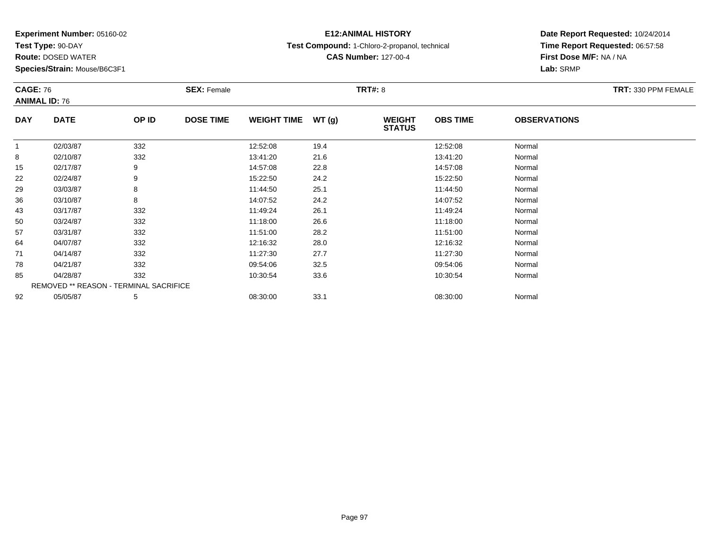**Test Type:** 90-DAY

**Route:** DOSED WATER

**Species/Strain:** Mouse/B6C3F1

## **E12:ANIMAL HISTORY**

**Test Compound:** 1-Chloro-2-propanol, technical

**CAS Number:** 127-00-4

|              | <b>CAGE: 76</b><br><b>ANIMAL ID: 76</b> |       | <b>SEX: Female</b> |                    |       | <b>TRT#: 8</b>                 | TRT: 330 PPM FEMALE |                     |  |
|--------------|-----------------------------------------|-------|--------------------|--------------------|-------|--------------------------------|---------------------|---------------------|--|
| <b>DAY</b>   | <b>DATE</b>                             | OP ID | <b>DOSE TIME</b>   | <b>WEIGHT TIME</b> | WT(g) | <b>WEIGHT</b><br><b>STATUS</b> | <b>OBS TIME</b>     | <b>OBSERVATIONS</b> |  |
| $\mathbf{1}$ | 02/03/87                                | 332   |                    | 12:52:08           | 19.4  |                                | 12:52:08            | Normal              |  |
| 8            | 02/10/87                                | 332   |                    | 13:41:20           | 21.6  |                                | 13:41:20            | Normal              |  |
| 15           | 02/17/87                                | 9     |                    | 14:57:08           | 22.8  |                                | 14:57:08            | Normal              |  |
| 22           | 02/24/87                                | 9     |                    | 15:22:50           | 24.2  |                                | 15:22:50            | Normal              |  |
| 29           | 03/03/87                                | 8     |                    | 11:44:50           | 25.1  |                                | 11:44:50            | Normal              |  |
| 36           | 03/10/87                                | 8     |                    | 14:07:52           | 24.2  |                                | 14:07:52            | Normal              |  |
| 43           | 03/17/87                                | 332   |                    | 11:49:24           | 26.1  |                                | 11:49:24            | Normal              |  |
| 50           | 03/24/87                                | 332   |                    | 11:18:00           | 26.6  |                                | 11:18:00            | Normal              |  |
| 57           | 03/31/87                                | 332   |                    | 11:51:00           | 28.2  |                                | 11:51:00            | Normal              |  |
| 64           | 04/07/87                                | 332   |                    | 12:16:32           | 28.0  |                                | 12:16:32            | Normal              |  |
| 71           | 04/14/87                                | 332   |                    | 11:27:30           | 27.7  |                                | 11:27:30            | Normal              |  |
| 78           | 04/21/87                                | 332   |                    | 09:54:06           | 32.5  |                                | 09:54:06            | Normal              |  |
| 85           | 04/28/87                                | 332   |                    | 10:30:54           | 33.6  |                                | 10:30:54            | Normal              |  |
|              | REMOVED ** REASON - TERMINAL SACRIFICE  |       |                    |                    |       |                                |                     |                     |  |
| 92           | 05/05/87                                | 5     |                    | 08:30:00           | 33.1  |                                | 08:30:00            | Normal              |  |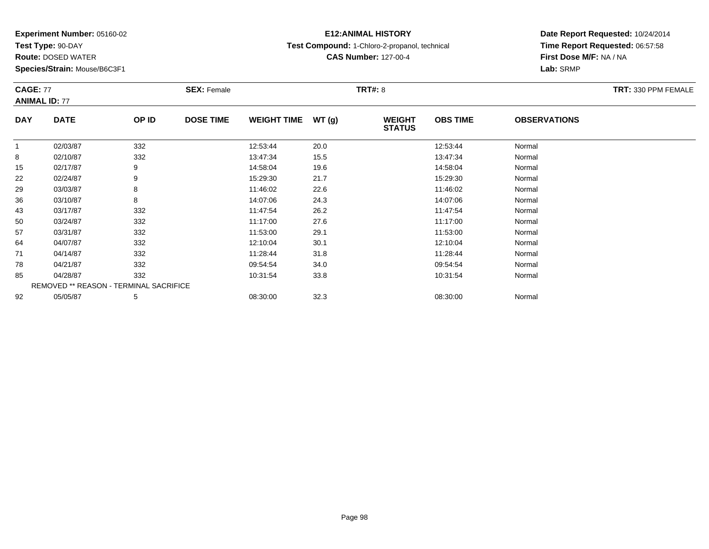**Test Type:** 90-DAY

**Route:** DOSED WATER

**Species/Strain:** Mouse/B6C3F1

## **E12:ANIMAL HISTORY**

**Test Compound:** 1-Chloro-2-propanol, technical

**CAS Number:** 127-00-4

| <b>CAGE: 77</b><br><b>ANIMAL ID: 77</b> |                                        | <b>SEX: Female</b> |                  |                    | <b>TRT#: 8</b> | TRT: 330 PPM FEMALE            |                 |                     |  |
|-----------------------------------------|----------------------------------------|--------------------|------------------|--------------------|----------------|--------------------------------|-----------------|---------------------|--|
| <b>DAY</b>                              | <b>DATE</b>                            | OP ID              | <b>DOSE TIME</b> | <b>WEIGHT TIME</b> | WT(g)          | <b>WEIGHT</b><br><b>STATUS</b> | <b>OBS TIME</b> | <b>OBSERVATIONS</b> |  |
| 1                                       | 02/03/87                               | 332                |                  | 12:53:44           | 20.0           |                                | 12:53:44        | Normal              |  |
| 8                                       | 02/10/87                               | 332                |                  | 13:47:34           | 15.5           |                                | 13:47:34        | Normal              |  |
| 15                                      | 02/17/87                               | 9                  |                  | 14:58:04           | 19.6           |                                | 14:58:04        | Normal              |  |
| 22                                      | 02/24/87                               | 9                  |                  | 15:29:30           | 21.7           |                                | 15:29:30        | Normal              |  |
| 29                                      | 03/03/87                               | 8                  |                  | 11:46:02           | 22.6           |                                | 11:46:02        | Normal              |  |
| 36                                      | 03/10/87                               | 8                  |                  | 14:07:06           | 24.3           |                                | 14:07:06        | Normal              |  |
| 43                                      | 03/17/87                               | 332                |                  | 11:47:54           | 26.2           |                                | 11:47:54        | Normal              |  |
| 50                                      | 03/24/87                               | 332                |                  | 11:17:00           | 27.6           |                                | 11:17:00        | Normal              |  |
| 57                                      | 03/31/87                               | 332                |                  | 11:53:00           | 29.1           |                                | 11:53:00        | Normal              |  |
| 64                                      | 04/07/87                               | 332                |                  | 12:10:04           | 30.1           |                                | 12:10:04        | Normal              |  |
| 71                                      | 04/14/87                               | 332                |                  | 11:28:44           | 31.8           |                                | 11:28:44        | Normal              |  |
| 78                                      | 04/21/87                               | 332                |                  | 09:54:54           | 34.0           |                                | 09:54:54        | Normal              |  |
| 85                                      | 04/28/87                               | 332                |                  | 10:31:54           | 33.8           |                                | 10:31:54        | Normal              |  |
|                                         | REMOVED ** REASON - TERMINAL SACRIFICE |                    |                  |                    |                |                                |                 |                     |  |
| 92                                      | 05/05/87                               | 5                  |                  | 08:30:00           | 32.3           |                                | 08:30:00        | Normal              |  |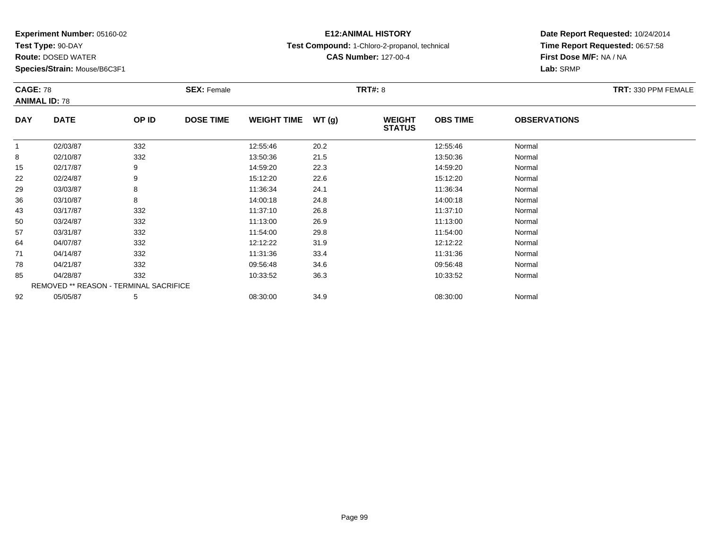**Test Type:** 90-DAY

**Route:** DOSED WATER

**Species/Strain:** Mouse/B6C3F1

## **E12:ANIMAL HISTORY**

**Test Compound:** 1-Chloro-2-propanol, technical

**CAS Number:** 127-00-4

|              | <b>CAGE: 78</b><br><b>ANIMAL ID: 78</b> |       | <b>SEX: Female</b> |                    |       | <b>TRT#: 8</b>                 |                 | TRT: 330 PPM FEMALE |  |
|--------------|-----------------------------------------|-------|--------------------|--------------------|-------|--------------------------------|-----------------|---------------------|--|
| <b>DAY</b>   | <b>DATE</b>                             | OP ID | <b>DOSE TIME</b>   | <b>WEIGHT TIME</b> | WT(g) | <b>WEIGHT</b><br><b>STATUS</b> | <b>OBS TIME</b> | <b>OBSERVATIONS</b> |  |
| $\mathbf{1}$ | 02/03/87                                | 332   |                    | 12:55:46           | 20.2  |                                | 12:55:46        | Normal              |  |
| 8            | 02/10/87                                | 332   |                    | 13:50:36           | 21.5  |                                | 13:50:36        | Normal              |  |
| 15           | 02/17/87                                | 9     |                    | 14:59:20           | 22.3  |                                | 14:59:20        | Normal              |  |
| 22           | 02/24/87                                | 9     |                    | 15:12:20           | 22.6  |                                | 15:12:20        | Normal              |  |
| 29           | 03/03/87                                | 8     |                    | 11:36:34           | 24.1  |                                | 11:36:34        | Normal              |  |
| 36           | 03/10/87                                | 8     |                    | 14:00:18           | 24.8  |                                | 14:00:18        | Normal              |  |
| 43           | 03/17/87                                | 332   |                    | 11:37:10           | 26.8  |                                | 11:37:10        | Normal              |  |
| 50           | 03/24/87                                | 332   |                    | 11:13:00           | 26.9  |                                | 11:13:00        | Normal              |  |
| 57           | 03/31/87                                | 332   |                    | 11:54:00           | 29.8  |                                | 11:54:00        | Normal              |  |
| 64           | 04/07/87                                | 332   |                    | 12:12:22           | 31.9  |                                | 12:12:22        | Normal              |  |
| 71           | 04/14/87                                | 332   |                    | 11:31:36           | 33.4  |                                | 11:31:36        | Normal              |  |
| 78           | 04/21/87                                | 332   |                    | 09:56:48           | 34.6  |                                | 09:56:48        | Normal              |  |
| 85           | 04/28/87                                | 332   |                    | 10:33:52           | 36.3  |                                | 10:33:52        | Normal              |  |
|              | REMOVED ** REASON - TERMINAL SACRIFICE  |       |                    |                    |       |                                |                 |                     |  |
| 92           | 05/05/87                                | 5     |                    | 08:30:00           | 34.9  |                                | 08:30:00        | Normal              |  |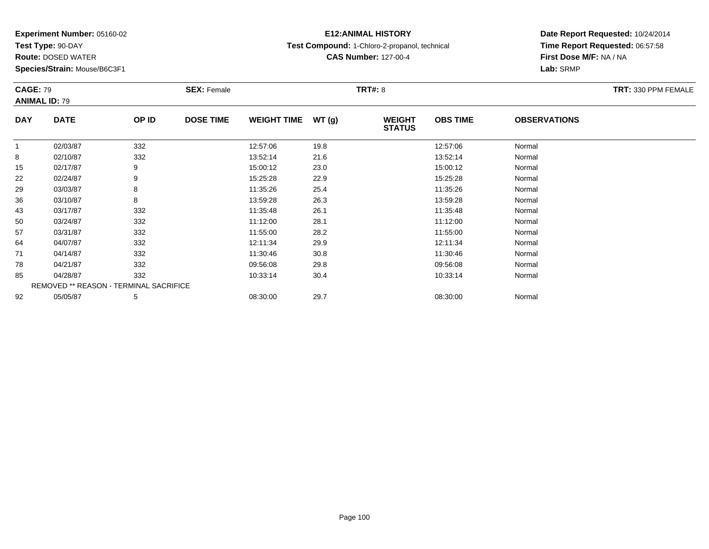**Test Type:** 90-DAY

**Route:** DOSED WATER

**Species/Strain:** Mouse/B6C3F1

## **E12:ANIMAL HISTORY**

**Test Compound:** 1-Chloro-2-propanol, technical

**CAS Number:** 127-00-4

| <b>CAGE: 79</b><br><b>ANIMAL ID: 79</b> |                                        |       | <b>SEX: Female</b> |                    |       | <b>TRT#: 8</b>                 |                 | TRT: 330 PPM FEMALE |  |
|-----------------------------------------|----------------------------------------|-------|--------------------|--------------------|-------|--------------------------------|-----------------|---------------------|--|
| <b>DAY</b>                              | <b>DATE</b>                            | OP ID | <b>DOSE TIME</b>   | <b>WEIGHT TIME</b> | WT(g) | <b>WEIGHT</b><br><b>STATUS</b> | <b>OBS TIME</b> | <b>OBSERVATIONS</b> |  |
| $\overline{1}$                          | 02/03/87                               | 332   |                    | 12:57:06           | 19.8  |                                | 12:57:06        | Normal              |  |
| 8                                       | 02/10/87                               | 332   |                    | 13:52:14           | 21.6  |                                | 13:52:14        | Normal              |  |
| 15                                      | 02/17/87                               | 9     |                    | 15:00:12           | 23.0  |                                | 15:00:12        | Normal              |  |
| 22                                      | 02/24/87                               | 9     |                    | 15:25:28           | 22.9  |                                | 15:25:28        | Normal              |  |
| 29                                      | 03/03/87                               | 8     |                    | 11:35:26           | 25.4  |                                | 11:35:26        | Normal              |  |
| 36                                      | 03/10/87                               | 8     |                    | 13:59:28           | 26.3  |                                | 13:59:28        | Normal              |  |
| 43                                      | 03/17/87                               | 332   |                    | 11:35:48           | 26.1  |                                | 11:35:48        | Normal              |  |
| 50                                      | 03/24/87                               | 332   |                    | 11:12:00           | 28.1  |                                | 11:12:00        | Normal              |  |
| 57                                      | 03/31/87                               | 332   |                    | 11:55:00           | 28.2  |                                | 11:55:00        | Normal              |  |
| 64                                      | 04/07/87                               | 332   |                    | 12:11:34           | 29.9  |                                | 12:11:34        | Normal              |  |
| 71                                      | 04/14/87                               | 332   |                    | 11:30:46           | 30.8  |                                | 11:30:46        | Normal              |  |
| 78                                      | 04/21/87                               | 332   |                    | 09:56:08           | 29.8  |                                | 09:56:08        | Normal              |  |
| 85                                      | 04/28/87                               | 332   |                    | 10:33:14           | 30.4  |                                | 10:33:14        | Normal              |  |
|                                         | REMOVED ** REASON - TERMINAL SACRIFICE |       |                    |                    |       |                                |                 |                     |  |
| 92                                      | 05/05/87                               | 5     |                    | 08:30:00           | 29.7  |                                | 08:30:00        | Normal              |  |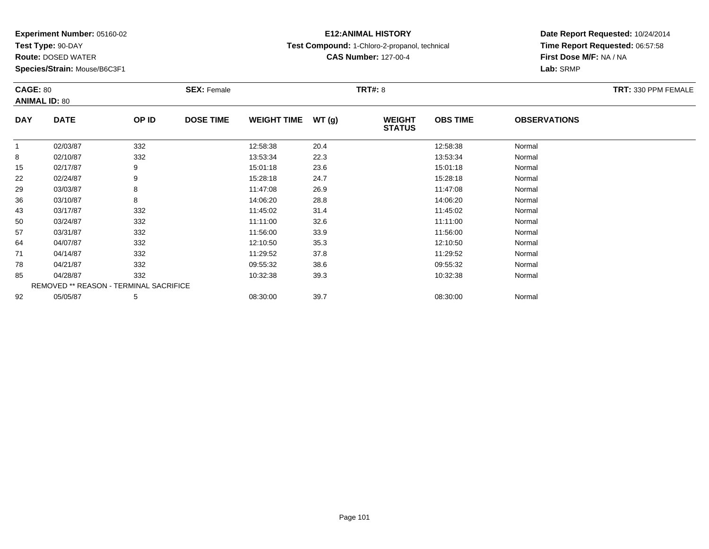**Test Type:** 90-DAY

**Route:** DOSED WATER

**Species/Strain:** Mouse/B6C3F1

## **E12:ANIMAL HISTORY**

**Test Compound:** 1-Chloro-2-propanol, technical

**CAS Number:** 127-00-4

| <b>CAGE: 80</b><br><b>ANIMAL ID: 80</b> |                                        |       | <b>SEX: Female</b> |                    | <b>TRT#: 8</b> |                                |                 |                     | TRT: 330 PPM FEMALE |
|-----------------------------------------|----------------------------------------|-------|--------------------|--------------------|----------------|--------------------------------|-----------------|---------------------|---------------------|
| <b>DAY</b>                              | <b>DATE</b>                            | OP ID | <b>DOSE TIME</b>   | <b>WEIGHT TIME</b> | WT(g)          | <b>WEIGHT</b><br><b>STATUS</b> | <b>OBS TIME</b> | <b>OBSERVATIONS</b> |                     |
| $\mathbf{1}$                            | 02/03/87                               | 332   |                    | 12:58:38           | 20.4           |                                | 12:58:38        | Normal              |                     |
| 8                                       | 02/10/87                               | 332   |                    | 13:53:34           | 22.3           |                                | 13:53:34        | Normal              |                     |
| 15                                      | 02/17/87                               | 9     |                    | 15:01:18           | 23.6           |                                | 15:01:18        | Normal              |                     |
| 22                                      | 02/24/87                               | 9     |                    | 15:28:18           | 24.7           |                                | 15:28:18        | Normal              |                     |
| 29                                      | 03/03/87                               | 8     |                    | 11:47:08           | 26.9           |                                | 11:47:08        | Normal              |                     |
| 36                                      | 03/10/87                               | 8     |                    | 14:06:20           | 28.8           |                                | 14:06:20        | Normal              |                     |
| 43                                      | 03/17/87                               | 332   |                    | 11:45:02           | 31.4           |                                | 11:45:02        | Normal              |                     |
| 50                                      | 03/24/87                               | 332   |                    | 11:11:00           | 32.6           |                                | 11:11:00        | Normal              |                     |
| 57                                      | 03/31/87                               | 332   |                    | 11:56:00           | 33.9           |                                | 11:56:00        | Normal              |                     |
| 64                                      | 04/07/87                               | 332   |                    | 12:10:50           | 35.3           |                                | 12:10:50        | Normal              |                     |
| 71                                      | 04/14/87                               | 332   |                    | 11:29:52           | 37.8           |                                | 11:29:52        | Normal              |                     |
| 78                                      | 04/21/87                               | 332   |                    | 09:55:32           | 38.6           |                                | 09:55:32        | Normal              |                     |
| 85                                      | 04/28/87                               | 332   |                    | 10:32:38           | 39.3           |                                | 10:32:38        | Normal              |                     |
|                                         | REMOVED ** REASON - TERMINAL SACRIFICE |       |                    |                    |                |                                |                 |                     |                     |
| 92                                      | 05/05/87                               | 5     |                    | 08:30:00           | 39.7           |                                | 08:30:00        | Normal              |                     |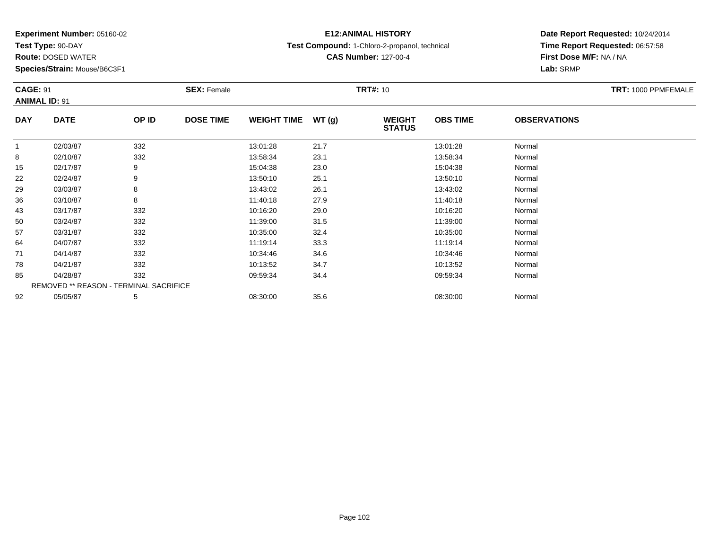**Test Type:** 90-DAY

**Route:** DOSED WATER

**Species/Strain:** Mouse/B6C3F1

## **E12:ANIMAL HISTORY**

**Test Compound:** 1-Chloro-2-propanol, technical

**CAS Number:** 127-00-4

| <b>CAGE: 91</b><br><b>ANIMAL ID: 91</b> |                                        | <b>SEX: Female</b> |                  |                    | <b>TRT#: 10</b> | TRT: 1000 PPMFEMALE            |                 |                     |  |
|-----------------------------------------|----------------------------------------|--------------------|------------------|--------------------|-----------------|--------------------------------|-----------------|---------------------|--|
| <b>DAY</b>                              | <b>DATE</b>                            | OP ID              | <b>DOSE TIME</b> | <b>WEIGHT TIME</b> | WT(g)           | <b>WEIGHT</b><br><b>STATUS</b> | <b>OBS TIME</b> | <b>OBSERVATIONS</b> |  |
|                                         | 02/03/87                               | 332                |                  | 13:01:28           | 21.7            |                                | 13:01:28        | Normal              |  |
| 8                                       | 02/10/87                               | 332                |                  | 13:58:34           | 23.1            |                                | 13:58:34        | Normal              |  |
| 15                                      | 02/17/87                               | 9                  |                  | 15:04:38           | 23.0            |                                | 15:04:38        | Normal              |  |
| 22                                      | 02/24/87                               | 9                  |                  | 13:50:10           | 25.1            |                                | 13:50:10        | Normal              |  |
| 29                                      | 03/03/87                               | 8                  |                  | 13:43:02           | 26.1            |                                | 13:43:02        | Normal              |  |
| 36                                      | 03/10/87                               | 8                  |                  | 11:40:18           | 27.9            |                                | 11:40:18        | Normal              |  |
| 43                                      | 03/17/87                               | 332                |                  | 10:16:20           | 29.0            |                                | 10:16:20        | Normal              |  |
| 50                                      | 03/24/87                               | 332                |                  | 11:39:00           | 31.5            |                                | 11:39:00        | Normal              |  |
| 57                                      | 03/31/87                               | 332                |                  | 10:35:00           | 32.4            |                                | 10:35:00        | Normal              |  |
| 64                                      | 04/07/87                               | 332                |                  | 11:19:14           | 33.3            |                                | 11:19:14        | Normal              |  |
| 71                                      | 04/14/87                               | 332                |                  | 10:34:46           | 34.6            |                                | 10:34:46        | Normal              |  |
| 78                                      | 04/21/87                               | 332                |                  | 10:13:52           | 34.7            |                                | 10:13:52        | Normal              |  |
| 85                                      | 04/28/87                               | 332                |                  | 09:59:34           | 34.4            |                                | 09:59:34        | Normal              |  |
|                                         | REMOVED ** REASON - TERMINAL SACRIFICE |                    |                  |                    |                 |                                |                 |                     |  |
| 92                                      | 05/05/87                               | 5                  |                  | 08:30:00           | 35.6            |                                | 08:30:00        | Normal              |  |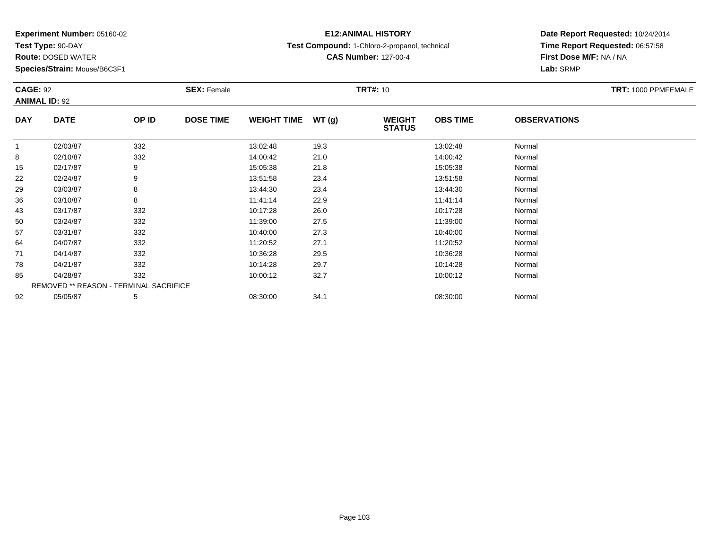**Test Type:** 90-DAY

**Route:** DOSED WATER

**Species/Strain:** Mouse/B6C3F1

## **E12:ANIMAL HISTORY**

**Test Compound:** 1-Chloro-2-propanol, technical

**CAS Number:** 127-00-4

| <b>CAGE: 92</b><br><b>ANIMAL ID: 92</b> |                                        |       | <b>SEX: Female</b> |                    | <b>TRT#:</b> 10 |                                | TRT: 1000 PPMFEMALE |                     |  |
|-----------------------------------------|----------------------------------------|-------|--------------------|--------------------|-----------------|--------------------------------|---------------------|---------------------|--|
| <b>DAY</b>                              | <b>DATE</b>                            | OP ID | <b>DOSE TIME</b>   | <b>WEIGHT TIME</b> | WT(g)           | <b>WEIGHT</b><br><b>STATUS</b> | <b>OBS TIME</b>     | <b>OBSERVATIONS</b> |  |
| $\mathbf{1}$                            | 02/03/87                               | 332   |                    | 13:02:48           | 19.3            |                                | 13:02:48            | Normal              |  |
| 8                                       | 02/10/87                               | 332   |                    | 14:00:42           | 21.0            |                                | 14:00:42            | Normal              |  |
| 15                                      | 02/17/87                               | 9     |                    | 15:05:38           | 21.8            |                                | 15:05:38            | Normal              |  |
| 22                                      | 02/24/87                               | 9     |                    | 13:51:58           | 23.4            |                                | 13:51:58            | Normal              |  |
| 29                                      | 03/03/87                               | 8     |                    | 13:44:30           | 23.4            |                                | 13:44:30            | Normal              |  |
| 36                                      | 03/10/87                               | 8     |                    | 11:41:14           | 22.9            |                                | 11:41:14            | Normal              |  |
| 43                                      | 03/17/87                               | 332   |                    | 10:17:28           | 26.0            |                                | 10:17:28            | Normal              |  |
| 50                                      | 03/24/87                               | 332   |                    | 11:39:00           | 27.5            |                                | 11:39:00            | Normal              |  |
| 57                                      | 03/31/87                               | 332   |                    | 10:40:00           | 27.3            |                                | 10:40:00            | Normal              |  |
| 64                                      | 04/07/87                               | 332   |                    | 11:20:52           | 27.1            |                                | 11:20:52            | Normal              |  |
| 71                                      | 04/14/87                               | 332   |                    | 10:36:28           | 29.5            |                                | 10:36:28            | Normal              |  |
| 78                                      | 04/21/87                               | 332   |                    | 10:14:28           | 29.7            |                                | 10:14:28            | Normal              |  |
| 85                                      | 04/28/87                               | 332   |                    | 10:00:12           | 32.7            |                                | 10:00:12            | Normal              |  |
|                                         | REMOVED ** REASON - TERMINAL SACRIFICE |       |                    |                    |                 |                                |                     |                     |  |
| 92                                      | 05/05/87                               | 5     |                    | 08:30:00           | 34.1            |                                | 08:30:00            | Normal              |  |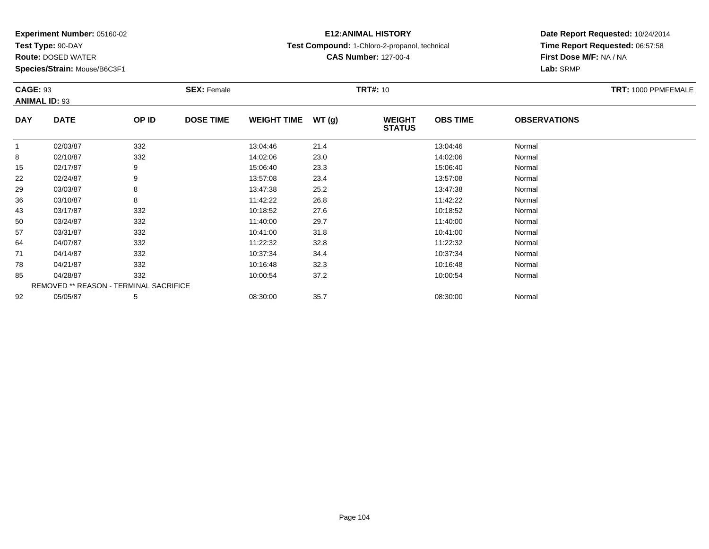**Test Type:** 90-DAY

**Route:** DOSED WATER

**Species/Strain:** Mouse/B6C3F1

## **E12:ANIMAL HISTORY**

**Test Compound:** 1-Chloro-2-propanol, technical

**CAS Number:** 127-00-4

|              | <b>CAGE: 93</b><br><b>ANIMAL ID: 93</b> |       | <b>SEX: Female</b> |                    |       | <b>TRT#:</b> 10                |                 |                     | TRT: 1000 PPMFEMALE |
|--------------|-----------------------------------------|-------|--------------------|--------------------|-------|--------------------------------|-----------------|---------------------|---------------------|
| <b>DAY</b>   | <b>DATE</b>                             | OP ID | <b>DOSE TIME</b>   | <b>WEIGHT TIME</b> | WT(g) | <b>WEIGHT</b><br><b>STATUS</b> | <b>OBS TIME</b> | <b>OBSERVATIONS</b> |                     |
| $\mathbf{1}$ | 02/03/87                                | 332   |                    | 13:04:46           | 21.4  |                                | 13:04:46        | Normal              |                     |
| 8            | 02/10/87                                | 332   |                    | 14:02:06           | 23.0  |                                | 14:02:06        | Normal              |                     |
| 15           | 02/17/87                                | 9     |                    | 15:06:40           | 23.3  |                                | 15:06:40        | Normal              |                     |
| 22           | 02/24/87                                | 9     |                    | 13:57:08           | 23.4  |                                | 13:57:08        | Normal              |                     |
| 29           | 03/03/87                                | 8     |                    | 13:47:38           | 25.2  |                                | 13:47:38        | Normal              |                     |
| 36           | 03/10/87                                | 8     |                    | 11:42:22           | 26.8  |                                | 11:42:22        | Normal              |                     |
| 43           | 03/17/87                                | 332   |                    | 10:18:52           | 27.6  |                                | 10:18:52        | Normal              |                     |
| 50           | 03/24/87                                | 332   |                    | 11:40:00           | 29.7  |                                | 11:40:00        | Normal              |                     |
| 57           | 03/31/87                                | 332   |                    | 10:41:00           | 31.8  |                                | 10:41:00        | Normal              |                     |
| 64           | 04/07/87                                | 332   |                    | 11:22:32           | 32.8  |                                | 11:22:32        | Normal              |                     |
| 71           | 04/14/87                                | 332   |                    | 10:37:34           | 34.4  |                                | 10:37:34        | Normal              |                     |
| 78           | 04/21/87                                | 332   |                    | 10:16:48           | 32.3  |                                | 10:16:48        | Normal              |                     |
| 85           | 04/28/87                                | 332   |                    | 10:00:54           | 37.2  |                                | 10:00:54        | Normal              |                     |
|              | REMOVED ** REASON - TERMINAL SACRIFICE  |       |                    |                    |       |                                |                 |                     |                     |
| 92           | 05/05/87                                | 5     |                    | 08:30:00           | 35.7  |                                | 08:30:00        | Normal              |                     |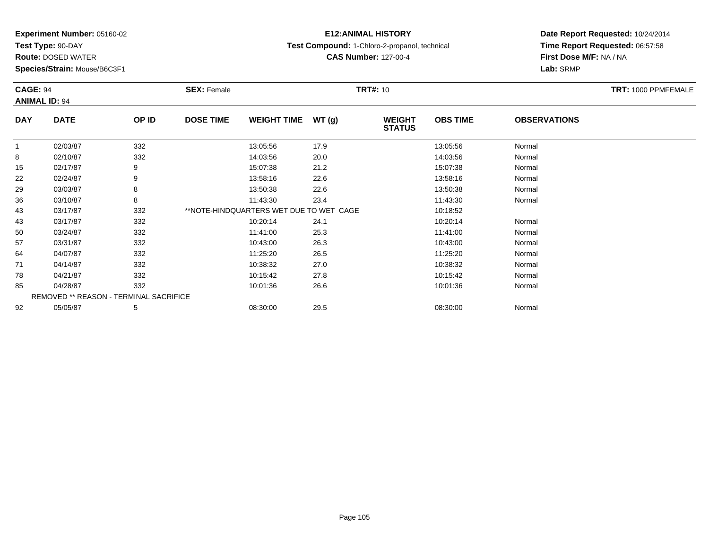**Test Type:** 90-DAY

**Route:** DOSED WATER

**Species/Strain:** Mouse/B6C3F1

### **E12:ANIMAL HISTORY**

**Test Compound:** 1-Chloro-2-propanol, technical

**CAS Number:** 127-00-4

| <b>CAGE: 94</b><br><b>ANIMAL ID: 94</b> |                                        | <b>SEX: Female</b> | TRT: 1000 PPMFEMALE |                                         |       |                                |                 |                     |  |
|-----------------------------------------|----------------------------------------|--------------------|---------------------|-----------------------------------------|-------|--------------------------------|-----------------|---------------------|--|
| <b>DAY</b>                              | <b>DATE</b>                            | OP ID              | <b>DOSE TIME</b>    | <b>WEIGHT TIME</b>                      | WT(g) | <b>WEIGHT</b><br><b>STATUS</b> | <b>OBS TIME</b> | <b>OBSERVATIONS</b> |  |
|                                         | 02/03/87                               | 332                |                     | 13:05:56                                | 17.9  |                                | 13:05:56        | Normal              |  |
| 8                                       | 02/10/87                               | 332                |                     | 14:03:56                                | 20.0  |                                | 14:03:56        | Normal              |  |
| 15                                      | 02/17/87                               | 9                  |                     | 15:07:38                                | 21.2  |                                | 15:07:38        | Normal              |  |
| 22                                      | 02/24/87                               | 9                  |                     | 13:58:16                                | 22.6  |                                | 13:58:16        | Normal              |  |
| 29                                      | 03/03/87                               | 8                  |                     | 13:50:38                                | 22.6  |                                | 13:50:38        | Normal              |  |
| 36                                      | 03/10/87                               | 8                  |                     | 11:43:30                                | 23.4  |                                | 11:43:30        | Normal              |  |
| 43                                      | 03/17/87                               | 332                |                     | **NOTE-HINDQUARTERS WET DUE TO WET CAGE |       |                                | 10:18:52        |                     |  |
| 43                                      | 03/17/87                               | 332                |                     | 10:20:14                                | 24.1  |                                | 10:20:14        | Normal              |  |
| 50                                      | 03/24/87                               | 332                |                     | 11:41:00                                | 25.3  |                                | 11:41:00        | Normal              |  |
| 57                                      | 03/31/87                               | 332                |                     | 10:43:00                                | 26.3  |                                | 10:43:00        | Normal              |  |
| 64                                      | 04/07/87                               | 332                |                     | 11:25:20                                | 26.5  |                                | 11:25:20        | Normal              |  |
| 71                                      | 04/14/87                               | 332                |                     | 10:38:32                                | 27.0  |                                | 10:38:32        | Normal              |  |
| 78                                      | 04/21/87                               | 332                |                     | 10:15:42                                | 27.8  |                                | 10:15:42        | Normal              |  |
| 85                                      | 04/28/87                               | 332                |                     | 10:01:36                                | 26.6  |                                | 10:01:36        | Normal              |  |
|                                         | REMOVED ** REASON - TERMINAL SACRIFICE |                    |                     |                                         |       |                                |                 |                     |  |
| 92                                      | 05/05/87                               | 5                  |                     | 08:30:00                                | 29.5  |                                | 08:30:00        | Normal              |  |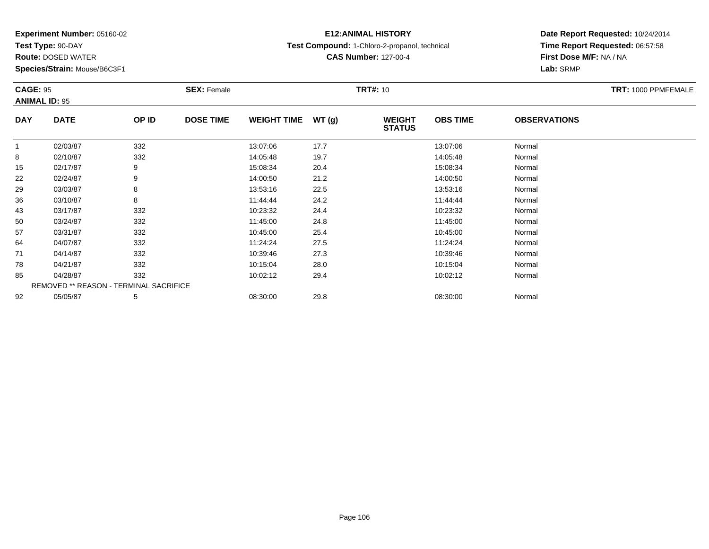**Test Type:** 90-DAY

**Route:** DOSED WATER

**Species/Strain:** Mouse/B6C3F1

## **E12:ANIMAL HISTORY**

**Test Compound:** 1-Chloro-2-propanol, technical

**CAS Number:** 127-00-4

| <b>CAGE: 95</b><br><b>ANIMAL ID: 95</b> |                                        | <b>SEX: Female</b> |                  |                    | <b>TRT#:</b> 10 |                                | TRT: 1000 PPMFEMALE |                     |  |
|-----------------------------------------|----------------------------------------|--------------------|------------------|--------------------|-----------------|--------------------------------|---------------------|---------------------|--|
| <b>DAY</b>                              | <b>DATE</b>                            | OP ID              | <b>DOSE TIME</b> | <b>WEIGHT TIME</b> | WT(g)           | <b>WEIGHT</b><br><b>STATUS</b> | <b>OBS TIME</b>     | <b>OBSERVATIONS</b> |  |
| $\mathbf{1}$                            | 02/03/87                               | 332                |                  | 13:07:06           | 17.7            |                                | 13:07:06            | Normal              |  |
| 8                                       | 02/10/87                               | 332                |                  | 14:05:48           | 19.7            |                                | 14:05:48            | Normal              |  |
| 15                                      | 02/17/87                               | 9                  |                  | 15:08:34           | 20.4            |                                | 15:08:34            | Normal              |  |
| 22                                      | 02/24/87                               | 9                  |                  | 14:00:50           | 21.2            |                                | 14:00:50            | Normal              |  |
| 29                                      | 03/03/87                               | 8                  |                  | 13:53:16           | 22.5            |                                | 13:53:16            | Normal              |  |
| 36                                      | 03/10/87                               | 8                  |                  | 11:44:44           | 24.2            |                                | 11:44:44            | Normal              |  |
| 43                                      | 03/17/87                               | 332                |                  | 10:23:32           | 24.4            |                                | 10:23:32            | Normal              |  |
| 50                                      | 03/24/87                               | 332                |                  | 11:45:00           | 24.8            |                                | 11:45:00            | Normal              |  |
| 57                                      | 03/31/87                               | 332                |                  | 10:45:00           | 25.4            |                                | 10:45:00            | Normal              |  |
| 64                                      | 04/07/87                               | 332                |                  | 11:24:24           | 27.5            |                                | 11:24:24            | Normal              |  |
| 71                                      | 04/14/87                               | 332                |                  | 10:39:46           | 27.3            |                                | 10:39:46            | Normal              |  |
| 78                                      | 04/21/87                               | 332                |                  | 10:15:04           | 28.0            |                                | 10:15:04            | Normal              |  |
| 85                                      | 04/28/87                               | 332                |                  | 10:02:12           | 29.4            |                                | 10:02:12            | Normal              |  |
|                                         | REMOVED ** REASON - TERMINAL SACRIFICE |                    |                  |                    |                 |                                |                     |                     |  |
| 92                                      | 05/05/87                               | 5                  |                  | 08:30:00           | 29.8            |                                | 08:30:00            | Normal              |  |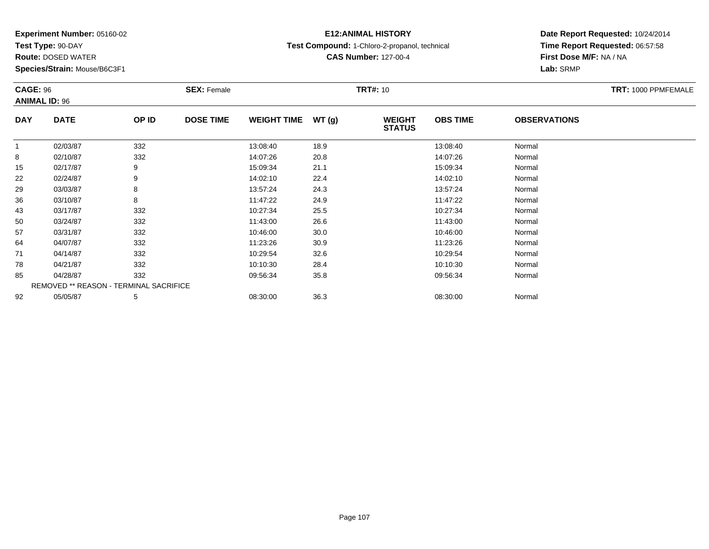**Test Type:** 90-DAY

**Route:** DOSED WATER

**Species/Strain:** Mouse/B6C3F1

## **E12:ANIMAL HISTORY**

**Test Compound:** 1-Chloro-2-propanol, technical

**CAS Number:** 127-00-4

| <b>CAGE: 96</b><br><b>ANIMAL ID: 96</b> |                                        |       | <b>SEX: Female</b> |                    |       | <b>TRT#:</b> 10                |                 |                     | TRT: 1000 PPMFEMALE |
|-----------------------------------------|----------------------------------------|-------|--------------------|--------------------|-------|--------------------------------|-----------------|---------------------|---------------------|
| <b>DAY</b>                              | <b>DATE</b>                            | OP ID | <b>DOSE TIME</b>   | <b>WEIGHT TIME</b> | WT(g) | <b>WEIGHT</b><br><b>STATUS</b> | <b>OBS TIME</b> | <b>OBSERVATIONS</b> |                     |
| $\mathbf{1}$                            | 02/03/87                               | 332   |                    | 13:08:40           | 18.9  |                                | 13:08:40        | Normal              |                     |
| 8                                       | 02/10/87                               | 332   |                    | 14:07:26           | 20.8  |                                | 14:07:26        | Normal              |                     |
| 15                                      | 02/17/87                               | 9     |                    | 15:09:34           | 21.1  |                                | 15:09:34        | Normal              |                     |
| 22                                      | 02/24/87                               | 9     |                    | 14:02:10           | 22.4  |                                | 14:02:10        | Normal              |                     |
| 29                                      | 03/03/87                               | 8     |                    | 13:57:24           | 24.3  |                                | 13:57:24        | Normal              |                     |
| 36                                      | 03/10/87                               | 8     |                    | 11:47:22           | 24.9  |                                | 11:47:22        | Normal              |                     |
| 43                                      | 03/17/87                               | 332   |                    | 10:27:34           | 25.5  |                                | 10:27:34        | Normal              |                     |
| 50                                      | 03/24/87                               | 332   |                    | 11:43:00           | 26.6  |                                | 11:43:00        | Normal              |                     |
| 57                                      | 03/31/87                               | 332   |                    | 10:46:00           | 30.0  |                                | 10:46:00        | Normal              |                     |
| 64                                      | 04/07/87                               | 332   |                    | 11:23:26           | 30.9  |                                | 11:23:26        | Normal              |                     |
| 71                                      | 04/14/87                               | 332   |                    | 10:29:54           | 32.6  |                                | 10:29:54        | Normal              |                     |
| 78                                      | 04/21/87                               | 332   |                    | 10:10:30           | 28.4  |                                | 10:10:30        | Normal              |                     |
| 85                                      | 04/28/87                               | 332   |                    | 09:56:34           | 35.8  |                                | 09:56:34        | Normal              |                     |
|                                         | REMOVED ** REASON - TERMINAL SACRIFICE |       |                    |                    |       |                                |                 |                     |                     |
| 92                                      | 05/05/87                               | 5     |                    | 08:30:00           | 36.3  |                                | 08:30:00        | Normal              |                     |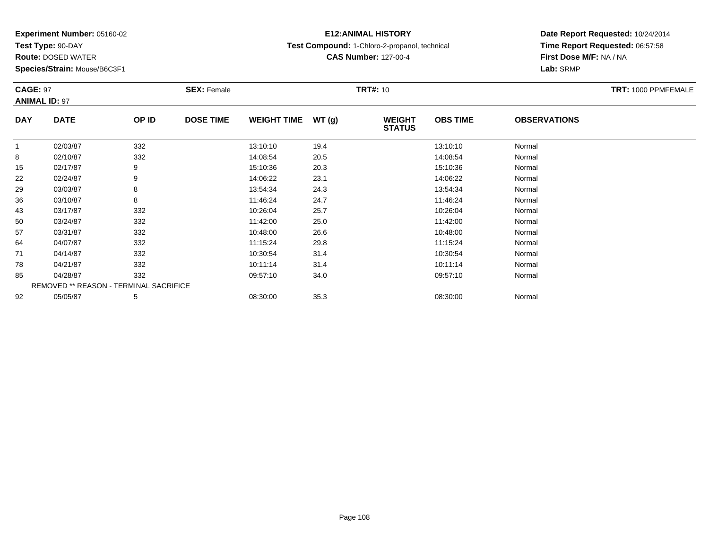**Test Type:** 90-DAY

**Route:** DOSED WATER

**Species/Strain:** Mouse/B6C3F1

# **E12:ANIMAL HISTORY**

**Test Compound:** 1-Chloro-2-propanol, technical

#### **Date Report Requested:** 10/24/2014 **Time Report Requested:** 06:57:58**First Dose M/F:** NA / NA**Lab:** SRMP

| <b>CAGE: 97</b><br><b>ANIMAL ID: 97</b> |                                        | <b>SEX: Female</b> |                  |                    | <b>TRT#: 10</b> | TRT: 1000 PPMFEMALE            |                 |                     |  |
|-----------------------------------------|----------------------------------------|--------------------|------------------|--------------------|-----------------|--------------------------------|-----------------|---------------------|--|
| <b>DAY</b>                              | <b>DATE</b>                            | OP ID              | <b>DOSE TIME</b> | <b>WEIGHT TIME</b> | WT(g)           | <b>WEIGHT</b><br><b>STATUS</b> | <b>OBS TIME</b> | <b>OBSERVATIONS</b> |  |
|                                         | 02/03/87                               | 332                |                  | 13:10:10           | 19.4            |                                | 13:10:10        | Normal              |  |
| 8                                       | 02/10/87                               | 332                |                  | 14:08:54           | 20.5            |                                | 14:08:54        | Normal              |  |
| 15                                      | 02/17/87                               | 9                  |                  | 15:10:36           | 20.3            |                                | 15:10:36        | Normal              |  |
| 22                                      | 02/24/87                               | 9                  |                  | 14:06:22           | 23.1            |                                | 14:06:22        | Normal              |  |
| 29                                      | 03/03/87                               | 8                  |                  | 13:54:34           | 24.3            |                                | 13:54:34        | Normal              |  |
| 36                                      | 03/10/87                               | 8                  |                  | 11:46:24           | 24.7            |                                | 11:46:24        | Normal              |  |
| 43                                      | 03/17/87                               | 332                |                  | 10:26:04           | 25.7            |                                | 10:26:04        | Normal              |  |
| 50                                      | 03/24/87                               | 332                |                  | 11:42:00           | 25.0            |                                | 11:42:00        | Normal              |  |
| 57                                      | 03/31/87                               | 332                |                  | 10:48:00           | 26.6            |                                | 10:48:00        | Normal              |  |
| 64                                      | 04/07/87                               | 332                |                  | 11:15:24           | 29.8            |                                | 11:15:24        | Normal              |  |
| 71                                      | 04/14/87                               | 332                |                  | 10:30:54           | 31.4            |                                | 10:30:54        | Normal              |  |
| 78                                      | 04/21/87                               | 332                |                  | 10:11:14           | 31.4            |                                | 10:11:14        | Normal              |  |
| 85                                      | 04/28/87                               | 332                |                  | 09:57:10           | 34.0            |                                | 09:57:10        | Normal              |  |
|                                         | REMOVED ** REASON - TERMINAL SACRIFICE |                    |                  |                    |                 |                                |                 |                     |  |
| 92                                      | 05/05/87                               | 5                  |                  | 08:30:00           | 35.3            |                                | 08:30:00        | Normal              |  |

**CAS Number:** 127-00-4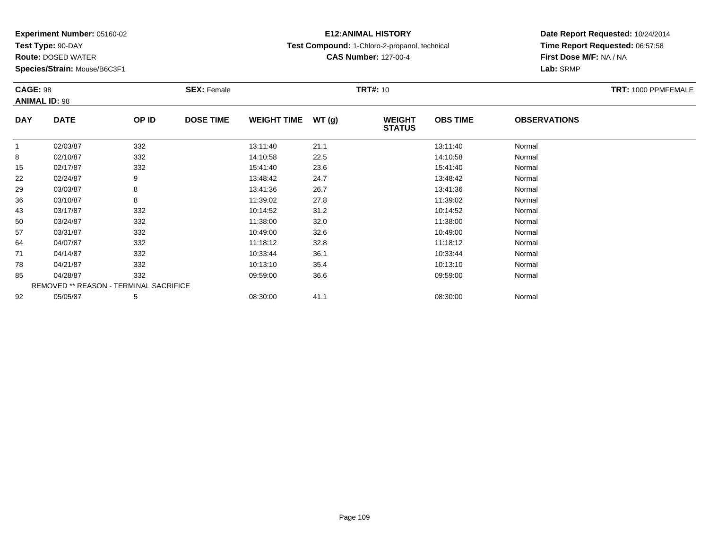**Test Type:** 90-DAY

**Route:** DOSED WATER

**Species/Strain:** Mouse/B6C3F1

# **E12:ANIMAL HISTORY**

**Test Compound:** 1-Chloro-2-propanol, technical

**CAS Number:** 127-00-4

| <b>CAGE: 98</b><br><b>ANIMAL ID: 98</b> |                                        |       | <b>SEX: Female</b> |                    |       | <b>TRT#: 10</b>                |                 |                     | TRT: 1000 PPMFEMALE |
|-----------------------------------------|----------------------------------------|-------|--------------------|--------------------|-------|--------------------------------|-----------------|---------------------|---------------------|
| <b>DAY</b>                              | <b>DATE</b>                            | OP ID | <b>DOSE TIME</b>   | <b>WEIGHT TIME</b> | WT(g) | <b>WEIGHT</b><br><b>STATUS</b> | <b>OBS TIME</b> | <b>OBSERVATIONS</b> |                     |
| $\mathbf{1}$                            | 02/03/87                               | 332   |                    | 13:11:40           | 21.1  |                                | 13:11:40        | Normal              |                     |
| 8                                       | 02/10/87                               | 332   |                    | 14:10:58           | 22.5  |                                | 14:10:58        | Normal              |                     |
| 15                                      | 02/17/87                               | 332   |                    | 15:41:40           | 23.6  |                                | 15:41:40        | Normal              |                     |
| 22                                      | 02/24/87                               | 9     |                    | 13:48:42           | 24.7  |                                | 13:48:42        | Normal              |                     |
| 29                                      | 03/03/87                               | 8     |                    | 13:41:36           | 26.7  |                                | 13:41:36        | Normal              |                     |
| 36                                      | 03/10/87                               | 8     |                    | 11:39:02           | 27.8  |                                | 11:39:02        | Normal              |                     |
| 43                                      | 03/17/87                               | 332   |                    | 10:14:52           | 31.2  |                                | 10:14:52        | Normal              |                     |
| 50                                      | 03/24/87                               | 332   |                    | 11:38:00           | 32.0  |                                | 11:38:00        | Normal              |                     |
| 57                                      | 03/31/87                               | 332   |                    | 10:49:00           | 32.6  |                                | 10:49:00        | Normal              |                     |
| 64                                      | 04/07/87                               | 332   |                    | 11:18:12           | 32.8  |                                | 11:18:12        | Normal              |                     |
| 71                                      | 04/14/87                               | 332   |                    | 10:33:44           | 36.1  |                                | 10:33:44        | Normal              |                     |
| 78                                      | 04/21/87                               | 332   |                    | 10:13:10           | 35.4  |                                | 10:13:10        | Normal              |                     |
| 85                                      | 04/28/87                               | 332   |                    | 09:59:00           | 36.6  |                                | 09:59:00        | Normal              |                     |
|                                         | REMOVED ** REASON - TERMINAL SACRIFICE |       |                    |                    |       |                                |                 |                     |                     |
| 92                                      | 05/05/87                               | 5     |                    | 08:30:00           | 41.1  |                                | 08:30:00        | Normal              |                     |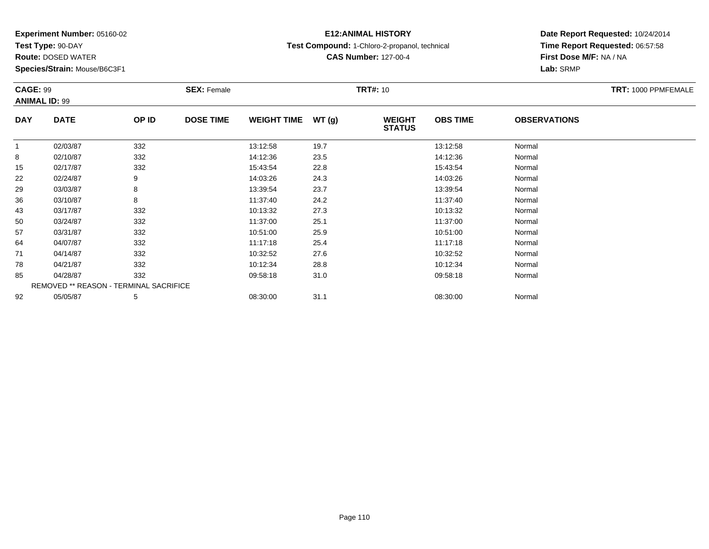**Test Type:** 90-DAY

**Route:** DOSED WATER

**Species/Strain:** Mouse/B6C3F1

# **E12:ANIMAL HISTORY**

**Test Compound:** 1-Chloro-2-propanol, technical

**CAS Number:** 127-00-4

| <b>CAGE: 99</b><br><b>ANIMAL ID: 99</b> |                                        |       | <b>SEX: Female</b> |                    |       | <b>TRT#: 10</b>                |                 |                     | TRT: 1000 PPMFEMALE |
|-----------------------------------------|----------------------------------------|-------|--------------------|--------------------|-------|--------------------------------|-----------------|---------------------|---------------------|
| <b>DAY</b>                              | <b>DATE</b>                            | OP ID | <b>DOSE TIME</b>   | <b>WEIGHT TIME</b> | WT(g) | <b>WEIGHT</b><br><b>STATUS</b> | <b>OBS TIME</b> | <b>OBSERVATIONS</b> |                     |
| $\mathbf{1}$                            | 02/03/87                               | 332   |                    | 13:12:58           | 19.7  |                                | 13:12:58        | Normal              |                     |
| 8                                       | 02/10/87                               | 332   |                    | 14:12:36           | 23.5  |                                | 14:12:36        | Normal              |                     |
| 15                                      | 02/17/87                               | 332   |                    | 15:43:54           | 22.8  |                                | 15:43:54        | Normal              |                     |
| 22                                      | 02/24/87                               | 9     |                    | 14:03:26           | 24.3  |                                | 14:03:26        | Normal              |                     |
| 29                                      | 03/03/87                               | 8     |                    | 13:39:54           | 23.7  |                                | 13:39:54        | Normal              |                     |
| 36                                      | 03/10/87                               | 8     |                    | 11:37:40           | 24.2  |                                | 11:37:40        | Normal              |                     |
| 43                                      | 03/17/87                               | 332   |                    | 10:13:32           | 27.3  |                                | 10:13:32        | Normal              |                     |
| 50                                      | 03/24/87                               | 332   |                    | 11:37:00           | 25.1  |                                | 11:37:00        | Normal              |                     |
| 57                                      | 03/31/87                               | 332   |                    | 10:51:00           | 25.9  |                                | 10:51:00        | Normal              |                     |
| 64                                      | 04/07/87                               | 332   |                    | 11:17:18           | 25.4  |                                | 11:17:18        | Normal              |                     |
| 71                                      | 04/14/87                               | 332   |                    | 10:32:52           | 27.6  |                                | 10:32:52        | Normal              |                     |
| 78                                      | 04/21/87                               | 332   |                    | 10:12:34           | 28.8  |                                | 10:12:34        | Normal              |                     |
| 85                                      | 04/28/87                               | 332   |                    | 09:58:18           | 31.0  |                                | 09:58:18        | Normal              |                     |
|                                         | REMOVED ** REASON - TERMINAL SACRIFICE |       |                    |                    |       |                                |                 |                     |                     |
| 92                                      | 05/05/87                               | 5     |                    | 08:30:00           | 31.1  |                                | 08:30:00        | Normal              |                     |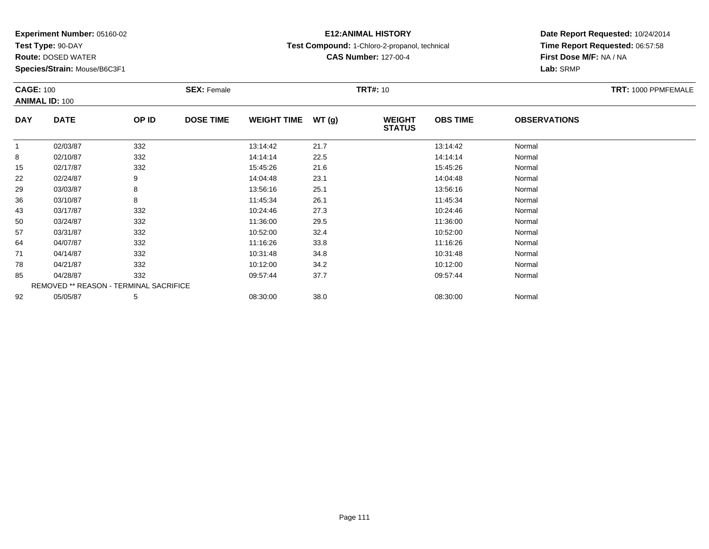**Test Type:** 90-DAY

**Route:** DOSED WATER

**Species/Strain:** Mouse/B6C3F1

## **E12:ANIMAL HISTORY**

**Test Compound:** 1-Chloro-2-propanol, technical

**CAS Number:** 127-00-4

| <b>CAGE: 100</b> | <b>ANIMAL ID: 100</b>                  |       | <b>SEX: Female</b> |                    |       | <b>TRT#:</b> 10                |                 |                     | TRT: 1000 PPMFEMALE |
|------------------|----------------------------------------|-------|--------------------|--------------------|-------|--------------------------------|-----------------|---------------------|---------------------|
| <b>DAY</b>       | <b>DATE</b>                            | OP ID | <b>DOSE TIME</b>   | <b>WEIGHT TIME</b> | WT(g) | <b>WEIGHT</b><br><b>STATUS</b> | <b>OBS TIME</b> | <b>OBSERVATIONS</b> |                     |
| $\mathbf{1}$     | 02/03/87                               | 332   |                    | 13:14:42           | 21.7  |                                | 13:14:42        | Normal              |                     |
| 8                | 02/10/87                               | 332   |                    | 14:14:14           | 22.5  |                                | 14:14:14        | Normal              |                     |
| 15               | 02/17/87                               | 332   |                    | 15:45:26           | 21.6  |                                | 15:45:26        | Normal              |                     |
| 22               | 02/24/87                               | 9     |                    | 14:04:48           | 23.1  |                                | 14:04:48        | Normal              |                     |
| 29               | 03/03/87                               | 8     |                    | 13:56:16           | 25.1  |                                | 13:56:16        | Normal              |                     |
| 36               | 03/10/87                               | 8     |                    | 11:45:34           | 26.1  |                                | 11:45:34        | Normal              |                     |
| 43               | 03/17/87                               | 332   |                    | 10:24:46           | 27.3  |                                | 10:24:46        | Normal              |                     |
| 50               | 03/24/87                               | 332   |                    | 11:36:00           | 29.5  |                                | 11:36:00        | Normal              |                     |
| 57               | 03/31/87                               | 332   |                    | 10:52:00           | 32.4  |                                | 10:52:00        | Normal              |                     |
| 64               | 04/07/87                               | 332   |                    | 11:16:26           | 33.8  |                                | 11:16:26        | Normal              |                     |
| 71               | 04/14/87                               | 332   |                    | 10:31:48           | 34.8  |                                | 10:31:48        | Normal              |                     |
| 78               | 04/21/87                               | 332   |                    | 10:12:00           | 34.2  |                                | 10:12:00        | Normal              |                     |
| 85               | 04/28/87                               | 332   |                    | 09:57:44           | 37.7  |                                | 09:57:44        | Normal              |                     |
|                  | REMOVED ** REASON - TERMINAL SACRIFICE |       |                    |                    |       |                                |                 |                     |                     |
| 92               | 05/05/87                               | 5     |                    | 08:30:00           | 38.0  |                                | 08:30:00        | Normal              |                     |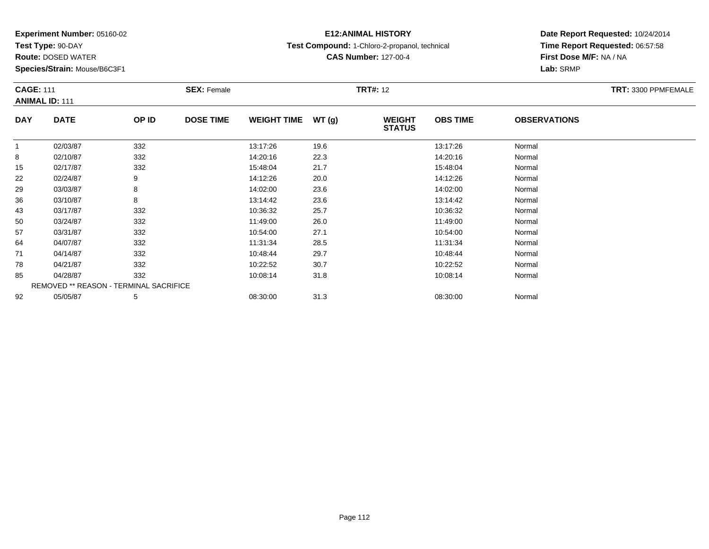**Test Type:** 90-DAY

**Route:** DOSED WATER

**Species/Strain:** Mouse/B6C3F1

## **E12:ANIMAL HISTORY**

**Test Compound:** 1-Chloro-2-propanol, technical

**CAS Number:** 127-00-4

| <b>CAGE: 111</b> | <b>ANIMAL ID: 111</b>                  |       | <b>SEX: Female</b> |                    |       | <b>TRT#: 12</b>                |                 |                     | TRT: 3300 PPMFEMALE |
|------------------|----------------------------------------|-------|--------------------|--------------------|-------|--------------------------------|-----------------|---------------------|---------------------|
| <b>DAY</b>       | <b>DATE</b>                            | OP ID | <b>DOSE TIME</b>   | <b>WEIGHT TIME</b> | WT(g) | <b>WEIGHT</b><br><b>STATUS</b> | <b>OBS TIME</b> | <b>OBSERVATIONS</b> |                     |
| 1                | 02/03/87                               | 332   |                    | 13:17:26           | 19.6  |                                | 13:17:26        | Normal              |                     |
| 8                | 02/10/87                               | 332   |                    | 14:20:16           | 22.3  |                                | 14:20:16        | Normal              |                     |
| 15               | 02/17/87                               | 332   |                    | 15:48:04           | 21.7  |                                | 15:48:04        | Normal              |                     |
| 22               | 02/24/87                               | 9     |                    | 14:12:26           | 20.0  |                                | 14:12:26        | Normal              |                     |
| 29               | 03/03/87                               | 8     |                    | 14:02:00           | 23.6  |                                | 14:02:00        | Normal              |                     |
| 36               | 03/10/87                               | 8     |                    | 13:14:42           | 23.6  |                                | 13:14:42        | Normal              |                     |
| 43               | 03/17/87                               | 332   |                    | 10:36:32           | 25.7  |                                | 10:36:32        | Normal              |                     |
| 50               | 03/24/87                               | 332   |                    | 11:49:00           | 26.0  |                                | 11:49:00        | Normal              |                     |
| 57               | 03/31/87                               | 332   |                    | 10:54:00           | 27.1  |                                | 10:54:00        | Normal              |                     |
| 64               | 04/07/87                               | 332   |                    | 11:31:34           | 28.5  |                                | 11:31:34        | Normal              |                     |
| 71               | 04/14/87                               | 332   |                    | 10:48:44           | 29.7  |                                | 10:48:44        | Normal              |                     |
| 78               | 04/21/87                               | 332   |                    | 10:22:52           | 30.7  |                                | 10:22:52        | Normal              |                     |
| 85               | 04/28/87                               | 332   |                    | 10:08:14           | 31.8  |                                | 10:08:14        | Normal              |                     |
|                  | REMOVED ** REASON - TERMINAL SACRIFICE |       |                    |                    |       |                                |                 |                     |                     |
| 92               | 05/05/87                               | 5     |                    | 08:30:00           | 31.3  |                                | 08:30:00        | Normal              |                     |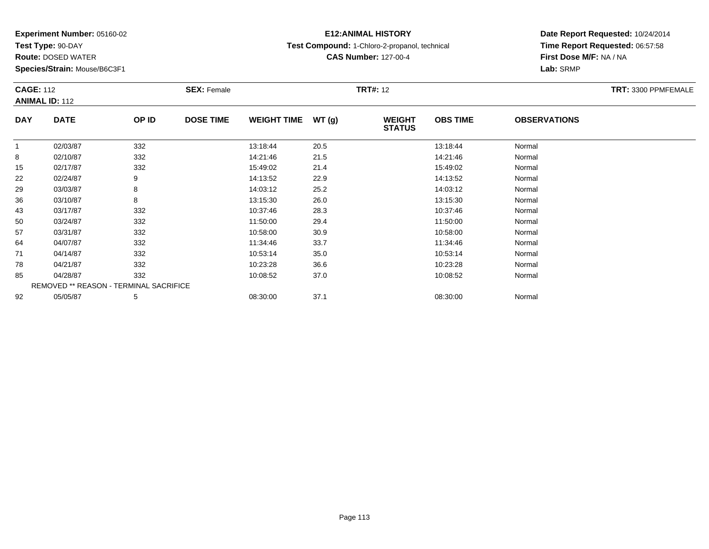**Test Type:** 90-DAY

**Route:** DOSED WATER

**Species/Strain:** Mouse/B6C3F1

## **E12:ANIMAL HISTORY**

**Test Compound:** 1-Chloro-2-propanol, technical

**CAS Number:** 127-00-4

| <b>CAGE: 112</b> | <b>ANIMAL ID: 112</b>                  |       | <b>SEX: Female</b> |                    |       | <b>TRT#: 12</b>                |                 |                     | TRT: 3300 PPMFEMALE |
|------------------|----------------------------------------|-------|--------------------|--------------------|-------|--------------------------------|-----------------|---------------------|---------------------|
| <b>DAY</b>       | <b>DATE</b>                            | OP ID | <b>DOSE TIME</b>   | <b>WEIGHT TIME</b> | WT(g) | <b>WEIGHT</b><br><b>STATUS</b> | <b>OBS TIME</b> | <b>OBSERVATIONS</b> |                     |
| 1                | 02/03/87                               | 332   |                    | 13:18:44           | 20.5  |                                | 13:18:44        | Normal              |                     |
| 8                | 02/10/87                               | 332   |                    | 14:21:46           | 21.5  |                                | 14:21:46        | Normal              |                     |
| 15               | 02/17/87                               | 332   |                    | 15:49:02           | 21.4  |                                | 15:49:02        | Normal              |                     |
| 22               | 02/24/87                               | 9     |                    | 14:13:52           | 22.9  |                                | 14:13:52        | Normal              |                     |
| 29               | 03/03/87                               | 8     |                    | 14:03:12           | 25.2  |                                | 14:03:12        | Normal              |                     |
| 36               | 03/10/87                               | 8     |                    | 13:15:30           | 26.0  |                                | 13:15:30        | Normal              |                     |
| 43               | 03/17/87                               | 332   |                    | 10:37:46           | 28.3  |                                | 10:37:46        | Normal              |                     |
| 50               | 03/24/87                               | 332   |                    | 11:50:00           | 29.4  |                                | 11:50:00        | Normal              |                     |
| 57               | 03/31/87                               | 332   |                    | 10:58:00           | 30.9  |                                | 10:58:00        | Normal              |                     |
| 64               | 04/07/87                               | 332   |                    | 11:34:46           | 33.7  |                                | 11:34:46        | Normal              |                     |
| 71               | 04/14/87                               | 332   |                    | 10:53:14           | 35.0  |                                | 10:53:14        | Normal              |                     |
| 78               | 04/21/87                               | 332   |                    | 10:23:28           | 36.6  |                                | 10:23:28        | Normal              |                     |
| 85               | 04/28/87                               | 332   |                    | 10:08:52           | 37.0  |                                | 10:08:52        | Normal              |                     |
|                  | REMOVED ** REASON - TERMINAL SACRIFICE |       |                    |                    |       |                                |                 |                     |                     |
| 92               | 05/05/87                               | 5     |                    | 08:30:00           | 37.1  |                                | 08:30:00        | Normal              |                     |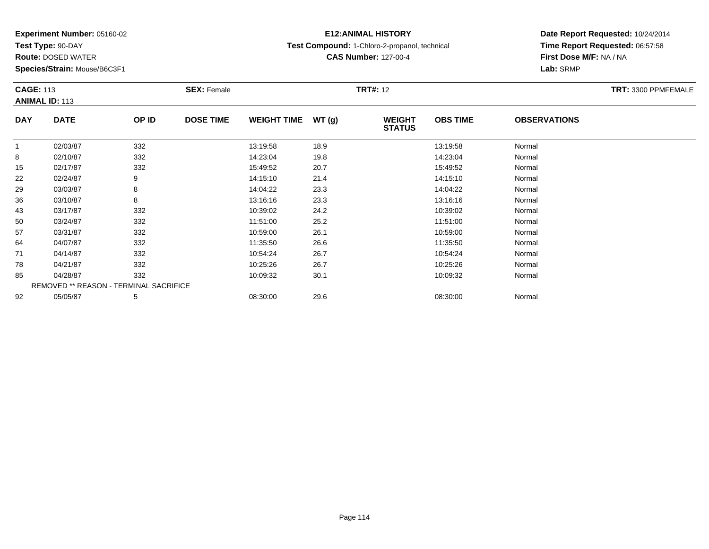**Test Type:** 90-DAY

**Route:** DOSED WATER

**Species/Strain:** Mouse/B6C3F1

## **E12:ANIMAL HISTORY**

**Test Compound:** 1-Chloro-2-propanol, technical

**CAS Number:** 127-00-4

| <b>CAGE: 113</b> | <b>ANIMAL ID: 113</b>                  |       | <b>SEX: Female</b> |                    |       | <b>TRT#: 12</b>                |                 |                     | TRT: 3300 PPMFEMALE |
|------------------|----------------------------------------|-------|--------------------|--------------------|-------|--------------------------------|-----------------|---------------------|---------------------|
| <b>DAY</b>       | <b>DATE</b>                            | OP ID | <b>DOSE TIME</b>   | <b>WEIGHT TIME</b> | WT(g) | <b>WEIGHT</b><br><b>STATUS</b> | <b>OBS TIME</b> | <b>OBSERVATIONS</b> |                     |
| 1                | 02/03/87                               | 332   |                    | 13:19:58           | 18.9  |                                | 13:19:58        | Normal              |                     |
| 8                | 02/10/87                               | 332   |                    | 14:23:04           | 19.8  |                                | 14:23:04        | Normal              |                     |
| 15               | 02/17/87                               | 332   |                    | 15:49:52           | 20.7  |                                | 15:49:52        | Normal              |                     |
| 22               | 02/24/87                               | 9     |                    | 14:15:10           | 21.4  |                                | 14:15:10        | Normal              |                     |
| 29               | 03/03/87                               | 8     |                    | 14:04:22           | 23.3  |                                | 14:04:22        | Normal              |                     |
| 36               | 03/10/87                               | 8     |                    | 13:16:16           | 23.3  |                                | 13:16:16        | Normal              |                     |
| 43               | 03/17/87                               | 332   |                    | 10:39:02           | 24.2  |                                | 10:39:02        | Normal              |                     |
| 50               | 03/24/87                               | 332   |                    | 11:51:00           | 25.2  |                                | 11:51:00        | Normal              |                     |
| 57               | 03/31/87                               | 332   |                    | 10:59:00           | 26.1  |                                | 10:59:00        | Normal              |                     |
| 64               | 04/07/87                               | 332   |                    | 11:35:50           | 26.6  |                                | 11:35:50        | Normal              |                     |
| 71               | 04/14/87                               | 332   |                    | 10:54:24           | 26.7  |                                | 10:54:24        | Normal              |                     |
| 78               | 04/21/87                               | 332   |                    | 10:25:26           | 26.7  |                                | 10:25:26        | Normal              |                     |
| 85               | 04/28/87                               | 332   |                    | 10:09:32           | 30.1  |                                | 10:09:32        | Normal              |                     |
|                  | REMOVED ** REASON - TERMINAL SACRIFICE |       |                    |                    |       |                                |                 |                     |                     |
| 92               | 05/05/87                               | 5     |                    | 08:30:00           | 29.6  |                                | 08:30:00        | Normal              |                     |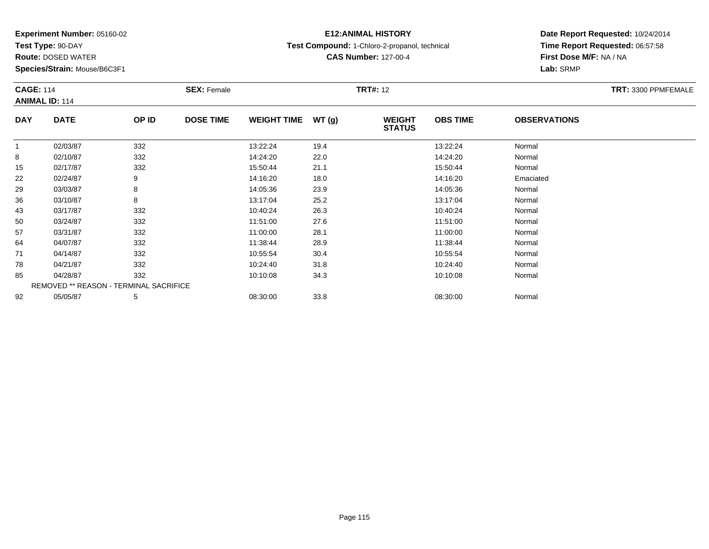**Test Type:** 90-DAY

**Route:** DOSED WATER

**Species/Strain:** Mouse/B6C3F1

## **E12:ANIMAL HISTORY**

**Test Compound:** 1-Chloro-2-propanol, technical

**CAS Number:** 127-00-4

| <b>CAGE: 114</b> |                                        |       | <b>SEX: Female</b> |                    |       | <b>TRT#: 12</b>                |                 |                     | <b>TRT: 3300 PPMFEMALE</b> |
|------------------|----------------------------------------|-------|--------------------|--------------------|-------|--------------------------------|-----------------|---------------------|----------------------------|
|                  | <b>ANIMAL ID: 114</b>                  |       |                    |                    |       |                                |                 |                     |                            |
| <b>DAY</b>       | <b>DATE</b>                            | OP ID | <b>DOSE TIME</b>   | <b>WEIGHT TIME</b> | WT(g) | <b>WEIGHT</b><br><b>STATUS</b> | <b>OBS TIME</b> | <b>OBSERVATIONS</b> |                            |
|                  | 02/03/87                               | 332   |                    | 13:22:24           | 19.4  |                                | 13:22:24        | Normal              |                            |
| 8                | 02/10/87                               | 332   |                    | 14:24:20           | 22.0  |                                | 14:24:20        | Normal              |                            |
| 15               | 02/17/87                               | 332   |                    | 15:50:44           | 21.1  |                                | 15:50:44        | Normal              |                            |
| 22               | 02/24/87                               | 9     |                    | 14:16:20           | 18.0  |                                | 14:16:20        | Emaciated           |                            |
| 29               | 03/03/87                               | 8     |                    | 14:05:36           | 23.9  |                                | 14:05:36        | Normal              |                            |
| 36               | 03/10/87                               | 8     |                    | 13:17:04           | 25.2  |                                | 13:17:04        | Normal              |                            |
| 43               | 03/17/87                               | 332   |                    | 10:40:24           | 26.3  |                                | 10:40:24        | Normal              |                            |
| 50               | 03/24/87                               | 332   |                    | 11:51:00           | 27.6  |                                | 11:51:00        | Normal              |                            |
| 57               | 03/31/87                               | 332   |                    | 11:00:00           | 28.1  |                                | 11:00:00        | Normal              |                            |
| 64               | 04/07/87                               | 332   |                    | 11:38:44           | 28.9  |                                | 11:38:44        | Normal              |                            |
| 71               | 04/14/87                               | 332   |                    | 10:55:54           | 30.4  |                                | 10:55:54        | Normal              |                            |
| 78               | 04/21/87                               | 332   |                    | 10:24:40           | 31.8  |                                | 10:24:40        | Normal              |                            |
| 85               | 04/28/87                               | 332   |                    | 10:10:08           | 34.3  |                                | 10:10:08        | Normal              |                            |
|                  | REMOVED ** REASON - TERMINAL SACRIFICE |       |                    |                    |       |                                |                 |                     |                            |
| 92               | 05/05/87                               | 5     |                    | 08:30:00           | 33.8  |                                | 08:30:00        | Normal              |                            |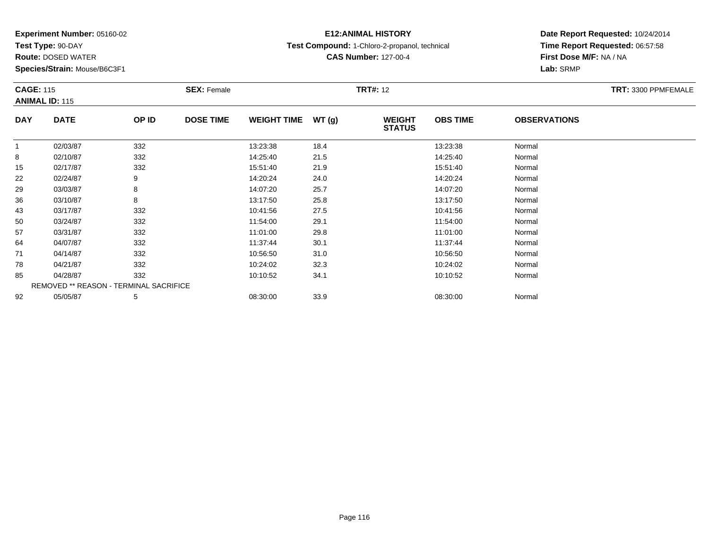**Test Type:** 90-DAY

**Route:** DOSED WATER

**Species/Strain:** Mouse/B6C3F1

## **E12:ANIMAL HISTORY**

**Test Compound:** 1-Chloro-2-propanol, technical

**CAS Number:** 127-00-4

| <b>CAGE: 115</b> | <b>ANIMAL ID: 115</b> |                                        | <b>SEX: Female</b> |                    |       | <b>TRT#: 12</b>                |                 |                     | TRT: 3300 PPMFEMALE |
|------------------|-----------------------|----------------------------------------|--------------------|--------------------|-------|--------------------------------|-----------------|---------------------|---------------------|
| <b>DAY</b>       | <b>DATE</b>           | OP ID                                  | <b>DOSE TIME</b>   | <b>WEIGHT TIME</b> | WT(g) | <b>WEIGHT</b><br><b>STATUS</b> | <b>OBS TIME</b> | <b>OBSERVATIONS</b> |                     |
| $\mathbf{1}$     | 02/03/87              | 332                                    |                    | 13:23:38           | 18.4  |                                | 13:23:38        | Normal              |                     |
| 8                | 02/10/87              | 332                                    |                    | 14:25:40           | 21.5  |                                | 14:25:40        | Normal              |                     |
| 15               | 02/17/87              | 332                                    |                    | 15:51:40           | 21.9  |                                | 15:51:40        | Normal              |                     |
| 22               | 02/24/87              | 9                                      |                    | 14:20:24           | 24.0  |                                | 14:20:24        | Normal              |                     |
| 29               | 03/03/87              | 8                                      |                    | 14:07:20           | 25.7  |                                | 14:07:20        | Normal              |                     |
| 36               | 03/10/87              | 8                                      |                    | 13:17:50           | 25.8  |                                | 13:17:50        | Normal              |                     |
| 43               | 03/17/87              | 332                                    |                    | 10:41:56           | 27.5  |                                | 10:41:56        | Normal              |                     |
| 50               | 03/24/87              | 332                                    |                    | 11:54:00           | 29.1  |                                | 11:54:00        | Normal              |                     |
| 57               | 03/31/87              | 332                                    |                    | 11:01:00           | 29.8  |                                | 11:01:00        | Normal              |                     |
| 64               | 04/07/87              | 332                                    |                    | 11:37:44           | 30.1  |                                | 11:37:44        | Normal              |                     |
| 71               | 04/14/87              | 332                                    |                    | 10:56:50           | 31.0  |                                | 10:56:50        | Normal              |                     |
| 78               | 04/21/87              | 332                                    |                    | 10:24:02           | 32.3  |                                | 10:24:02        | Normal              |                     |
| 85               | 04/28/87              | 332                                    |                    | 10:10:52           | 34.1  |                                | 10:10:52        | Normal              |                     |
|                  |                       | REMOVED ** REASON - TERMINAL SACRIFICE |                    |                    |       |                                |                 |                     |                     |
| 92               | 05/05/87              | 5                                      |                    | 08:30:00           | 33.9  |                                | 08:30:00        | Normal              |                     |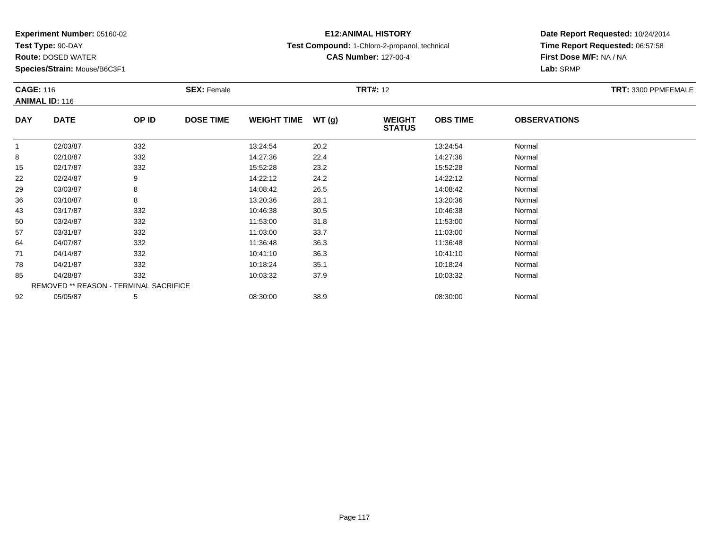**Test Type:** 90-DAY

**Route:** DOSED WATER

**Species/Strain:** Mouse/B6C3F1

## **E12:ANIMAL HISTORY**

**Test Compound:** 1-Chloro-2-propanol, technical

**CAS Number:** 127-00-4

| <b>CAGE: 116</b> | <b>ANIMAL ID: 116</b>                  |       | <b>SEX: Female</b> |                    |       | <b>TRT#: 12</b>                |                 |                     | TRT: 3300 PPMFEMALE |
|------------------|----------------------------------------|-------|--------------------|--------------------|-------|--------------------------------|-----------------|---------------------|---------------------|
| <b>DAY</b>       | <b>DATE</b>                            | OP ID | <b>DOSE TIME</b>   | <b>WEIGHT TIME</b> | WT(g) | <b>WEIGHT</b><br><b>STATUS</b> | <b>OBS TIME</b> | <b>OBSERVATIONS</b> |                     |
| 1                | 02/03/87                               | 332   |                    | 13:24:54           | 20.2  |                                | 13:24:54        | Normal              |                     |
| 8                | 02/10/87                               | 332   |                    | 14:27:36           | 22.4  |                                | 14:27:36        | Normal              |                     |
| 15               | 02/17/87                               | 332   |                    | 15:52:28           | 23.2  |                                | 15:52:28        | Normal              |                     |
| 22               | 02/24/87                               | 9     |                    | 14:22:12           | 24.2  |                                | 14:22:12        | Normal              |                     |
| 29               | 03/03/87                               | 8     |                    | 14:08:42           | 26.5  |                                | 14:08:42        | Normal              |                     |
| 36               | 03/10/87                               | 8     |                    | 13:20:36           | 28.1  |                                | 13:20:36        | Normal              |                     |
| 43               | 03/17/87                               | 332   |                    | 10:46:38           | 30.5  |                                | 10:46:38        | Normal              |                     |
| 50               | 03/24/87                               | 332   |                    | 11:53:00           | 31.8  |                                | 11:53:00        | Normal              |                     |
| 57               | 03/31/87                               | 332   |                    | 11:03:00           | 33.7  |                                | 11:03:00        | Normal              |                     |
| 64               | 04/07/87                               | 332   |                    | 11:36:48           | 36.3  |                                | 11:36:48        | Normal              |                     |
| 71               | 04/14/87                               | 332   |                    | 10:41:10           | 36.3  |                                | 10:41:10        | Normal              |                     |
| 78               | 04/21/87                               | 332   |                    | 10:18:24           | 35.1  |                                | 10:18:24        | Normal              |                     |
| 85               | 04/28/87                               | 332   |                    | 10:03:32           | 37.9  |                                | 10:03:32        | Normal              |                     |
|                  | REMOVED ** REASON - TERMINAL SACRIFICE |       |                    |                    |       |                                |                 |                     |                     |
| 92               | 05/05/87                               | 5     |                    | 08:30:00           | 38.9  |                                | 08:30:00        | Normal              |                     |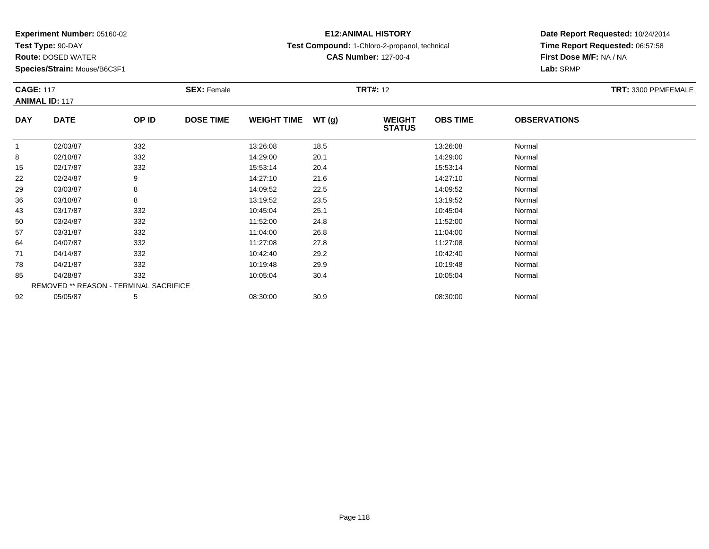**Test Type:** 90-DAY

**Route:** DOSED WATER

**Species/Strain:** Mouse/B6C3F1

## **E12:ANIMAL HISTORY**

**Test Compound:** 1-Chloro-2-propanol, technical

**Date Report Requested:** 10/24/2014 **Time Report Requested:** 06:57:58**First Dose M/F:** NA / NA**Lab:** SRMP

| <b>CAGE: 117</b> | <b>ANIMAL ID: 117</b>                  |       | <b>SEX: Female</b> |                    |       | <b>TRT#: 12</b>                |                 |                     | TRT: 3300 PPMFEMALE |
|------------------|----------------------------------------|-------|--------------------|--------------------|-------|--------------------------------|-----------------|---------------------|---------------------|
| <b>DAY</b>       | <b>DATE</b>                            | OP ID | <b>DOSE TIME</b>   | <b>WEIGHT TIME</b> | WT(g) | <b>WEIGHT</b><br><b>STATUS</b> | <b>OBS TIME</b> | <b>OBSERVATIONS</b> |                     |
| 1                | 02/03/87                               | 332   |                    | 13:26:08           | 18.5  |                                | 13:26:08        | Normal              |                     |
| 8                | 02/10/87                               | 332   |                    | 14:29:00           | 20.1  |                                | 14:29:00        | Normal              |                     |
| 15               | 02/17/87                               | 332   |                    | 15:53:14           | 20.4  |                                | 15:53:14        | Normal              |                     |
| 22               | 02/24/87                               | 9     |                    | 14:27:10           | 21.6  |                                | 14:27:10        | Normal              |                     |
| 29               | 03/03/87                               | 8     |                    | 14:09:52           | 22.5  |                                | 14:09:52        | Normal              |                     |
| 36               | 03/10/87                               | 8     |                    | 13:19:52           | 23.5  |                                | 13:19:52        | Normal              |                     |
| 43               | 03/17/87                               | 332   |                    | 10:45:04           | 25.1  |                                | 10:45:04        | Normal              |                     |
| 50               | 03/24/87                               | 332   |                    | 11:52:00           | 24.8  |                                | 11:52:00        | Normal              |                     |
| 57               | 03/31/87                               | 332   |                    | 11:04:00           | 26.8  |                                | 11:04:00        | Normal              |                     |
| 64               | 04/07/87                               | 332   |                    | 11:27:08           | 27.8  |                                | 11:27:08        | Normal              |                     |
| 71               | 04/14/87                               | 332   |                    | 10:42:40           | 29.2  |                                | 10:42:40        | Normal              |                     |
| 78               | 04/21/87                               | 332   |                    | 10:19:48           | 29.9  |                                | 10:19:48        | Normal              |                     |
| 85               | 04/28/87                               | 332   |                    | 10:05:04           | 30.4  |                                | 10:05:04        | Normal              |                     |
|                  | REMOVED ** REASON - TERMINAL SACRIFICE |       |                    |                    |       |                                |                 |                     |                     |
| 92               | 05/05/87                               | 5     |                    | 08:30:00           | 30.9  |                                | 08:30:00        | Normal              |                     |

#### **CAS Number:** 127-00-4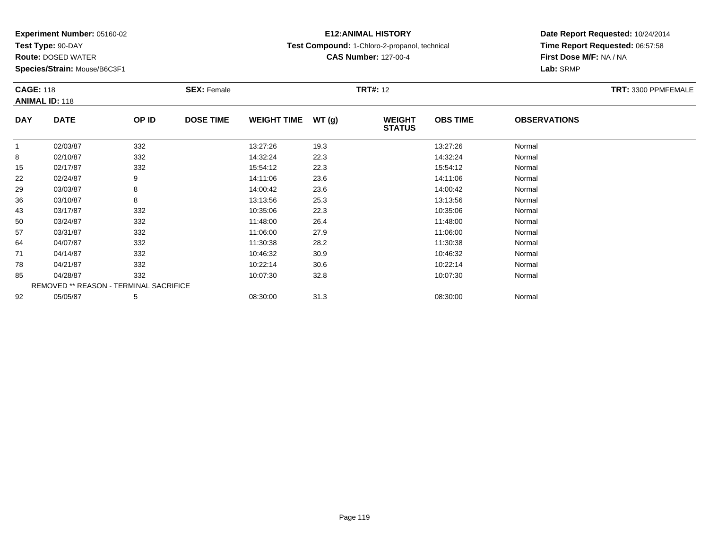**Test Type:** 90-DAY

**Route:** DOSED WATER

**Species/Strain:** Mouse/B6C3F1

## **E12:ANIMAL HISTORY**

**Test Compound:** 1-Chloro-2-propanol, technical

**CAS Number:** 127-00-4

| <b>CAGE: 118</b> | <b>ANIMAL ID: 118</b> |                                               | <b>SEX: Female</b> |                     |      | <b>TRT#: 12</b>                |                 |                     | TRT: 3300 PPMFEMALE |
|------------------|-----------------------|-----------------------------------------------|--------------------|---------------------|------|--------------------------------|-----------------|---------------------|---------------------|
| <b>DAY</b>       | <b>DATE</b>           | OP ID                                         | <b>DOSE TIME</b>   | WEIGHT TIME $WT(g)$ |      | <b>WEIGHT</b><br><b>STATUS</b> | <b>OBS TIME</b> | <b>OBSERVATIONS</b> |                     |
| $\mathbf{1}$     | 02/03/87              | 332                                           |                    | 13:27:26            | 19.3 |                                | 13:27:26        | Normal              |                     |
| 8                | 02/10/87              | 332                                           |                    | 14:32:24            | 22.3 |                                | 14:32:24        | Normal              |                     |
| 15               | 02/17/87              | 332                                           |                    | 15:54:12            | 22.3 |                                | 15:54:12        | Normal              |                     |
| 22               | 02/24/87              | 9                                             |                    | 14:11:06            | 23.6 |                                | 14:11:06        | Normal              |                     |
| 29               | 03/03/87              | 8                                             |                    | 14:00:42            | 23.6 |                                | 14:00:42        | Normal              |                     |
| 36               | 03/10/87              | 8                                             |                    | 13:13:56            | 25.3 |                                | 13:13:56        | Normal              |                     |
| 43               | 03/17/87              | 332                                           |                    | 10:35:06            | 22.3 |                                | 10:35:06        | Normal              |                     |
| 50               | 03/24/87              | 332                                           |                    | 11:48:00            | 26.4 |                                | 11:48:00        | Normal              |                     |
| 57               | 03/31/87              | 332                                           |                    | 11:06:00            | 27.9 |                                | 11:06:00        | Normal              |                     |
| 64               | 04/07/87              | 332                                           |                    | 11:30:38            | 28.2 |                                | 11:30:38        | Normal              |                     |
| 71               | 04/14/87              | 332                                           |                    | 10:46:32            | 30.9 |                                | 10:46:32        | Normal              |                     |
| 78               | 04/21/87              | 332                                           |                    | 10:22:14            | 30.6 |                                | 10:22:14        | Normal              |                     |
| 85               | 04/28/87              | 332                                           |                    | 10:07:30            | 32.8 |                                | 10:07:30        | Normal              |                     |
|                  |                       | <b>REMOVED ** REASON - TERMINAL SACRIFICE</b> |                    |                     |      |                                |                 |                     |                     |
| 92               | 05/05/87              | 5                                             |                    | 08:30:00            | 31.3 |                                | 08:30:00        | Normal              |                     |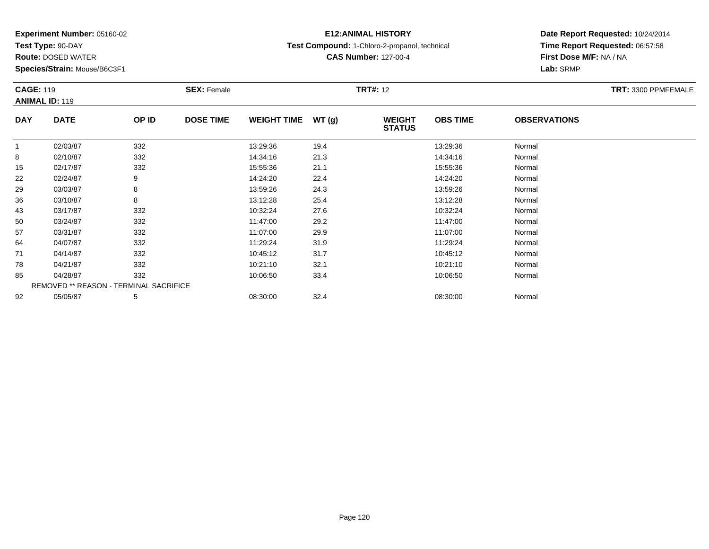**Test Type:** 90-DAY

**Route:** DOSED WATER

**Species/Strain:** Mouse/B6C3F1

#### **E12:ANIMAL HISTORY**

**Test Compound:** 1-Chloro-2-propanol, technical

**CAS Number:** 127-00-4

|            | <b>CAGE: 119</b><br><b>ANIMAL ID: 119</b> |       | <b>SEX: Female</b> |                    |       | <b>TRT#: 12</b>                | TRT: 3300 PPMFEMALE |                     |  |
|------------|-------------------------------------------|-------|--------------------|--------------------|-------|--------------------------------|---------------------|---------------------|--|
| <b>DAY</b> | <b>DATE</b>                               | OP ID | <b>DOSE TIME</b>   | <b>WEIGHT TIME</b> | WT(g) | <b>WEIGHT</b><br><b>STATUS</b> | <b>OBS TIME</b>     | <b>OBSERVATIONS</b> |  |
|            | 02/03/87                                  | 332   |                    | 13:29:36           | 19.4  |                                | 13:29:36            | Normal              |  |
| 8          | 02/10/87                                  | 332   |                    | 14:34:16           | 21.3  |                                | 14:34:16            | Normal              |  |
| 15         | 02/17/87                                  | 332   |                    | 15:55:36           | 21.1  |                                | 15:55:36            | Normal              |  |
| 22         | 02/24/87                                  | 9     |                    | 14:24:20           | 22.4  |                                | 14:24:20            | Normal              |  |
| 29         | 03/03/87                                  | 8     |                    | 13:59:26           | 24.3  |                                | 13:59:26            | Normal              |  |
| 36         | 03/10/87                                  | 8     |                    | 13:12:28           | 25.4  |                                | 13:12:28            | Normal              |  |
| 43         | 03/17/87                                  | 332   |                    | 10:32:24           | 27.6  |                                | 10:32:24            | Normal              |  |
| 50         | 03/24/87                                  | 332   |                    | 11:47:00           | 29.2  |                                | 11:47:00            | Normal              |  |
| 57         | 03/31/87                                  | 332   |                    | 11:07:00           | 29.9  |                                | 11:07:00            | Normal              |  |
| 64         | 04/07/87                                  | 332   |                    | 11:29:24           | 31.9  |                                | 11:29:24            | Normal              |  |
| 71         | 04/14/87                                  | 332   |                    | 10:45:12           | 31.7  |                                | 10:45:12            | Normal              |  |
| 78         | 04/21/87                                  | 332   |                    | 10:21:10           | 32.1  |                                | 10:21:10            | Normal              |  |
| 85         | 04/28/87                                  | 332   |                    | 10:06:50           | 33.4  |                                | 10:06:50            | Normal              |  |
|            | REMOVED ** REASON - TERMINAL SACRIFICE    |       |                    |                    |       |                                |                     |                     |  |
| 92         | 05/05/87                                  | 5     |                    | 08:30:00           | 32.4  |                                | 08:30:00            | Normal              |  |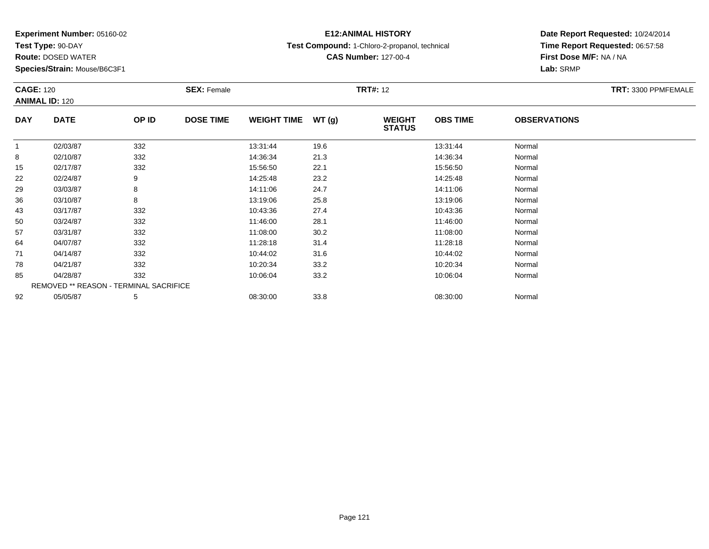**Test Type:** 90-DAY

**Route:** DOSED WATER

**Species/Strain:** Mouse/B6C3F1

## **E12:ANIMAL HISTORY**

**Test Compound:** 1-Chloro-2-propanol, technical

**CAS Number:** 127-00-4

| <b>CAGE: 120</b><br><b>ANIMAL ID: 120</b> |                                        |       | <b>SEX: Female</b> |                    | <b>TRT#: 12</b> |                                |                 |                     | TRT: 3300 PPMFEMALE |
|-------------------------------------------|----------------------------------------|-------|--------------------|--------------------|-----------------|--------------------------------|-----------------|---------------------|---------------------|
| <b>DAY</b>                                | <b>DATE</b>                            | OP ID | <b>DOSE TIME</b>   | <b>WEIGHT TIME</b> | WT(g)           | <b>WEIGHT</b><br><b>STATUS</b> | <b>OBS TIME</b> | <b>OBSERVATIONS</b> |                     |
| $\mathbf{1}$                              | 02/03/87                               | 332   |                    | 13:31:44           | 19.6            |                                | 13:31:44        | Normal              |                     |
| 8                                         | 02/10/87                               | 332   |                    | 14:36:34           | 21.3            |                                | 14:36:34        | Normal              |                     |
| 15                                        | 02/17/87                               | 332   |                    | 15:56:50           | 22.1            |                                | 15:56:50        | Normal              |                     |
| 22                                        | 02/24/87                               | 9     |                    | 14:25:48           | 23.2            |                                | 14:25:48        | Normal              |                     |
| 29                                        | 03/03/87                               | 8     |                    | 14:11:06           | 24.7            |                                | 14:11:06        | Normal              |                     |
| 36                                        | 03/10/87                               | 8     |                    | 13:19:06           | 25.8            |                                | 13:19:06        | Normal              |                     |
| 43                                        | 03/17/87                               | 332   |                    | 10:43:36           | 27.4            |                                | 10:43:36        | Normal              |                     |
| 50                                        | 03/24/87                               | 332   |                    | 11:46:00           | 28.1            |                                | 11:46:00        | Normal              |                     |
| 57                                        | 03/31/87                               | 332   |                    | 11:08:00           | 30.2            |                                | 11:08:00        | Normal              |                     |
| 64                                        | 04/07/87                               | 332   |                    | 11:28:18           | 31.4            |                                | 11:28:18        | Normal              |                     |
| 71                                        | 04/14/87                               | 332   |                    | 10:44:02           | 31.6            |                                | 10:44:02        | Normal              |                     |
| 78                                        | 04/21/87                               | 332   |                    | 10:20:34           | 33.2            |                                | 10:20:34        | Normal              |                     |
| 85                                        | 04/28/87                               | 332   |                    | 10:06:04           | 33.2            |                                | 10:06:04        | Normal              |                     |
|                                           | REMOVED ** REASON - TERMINAL SACRIFICE |       |                    |                    |                 |                                |                 |                     |                     |
| 92                                        | 05/05/87                               | 5     |                    | 08:30:00           | 33.8            |                                | 08:30:00        | Normal              |                     |